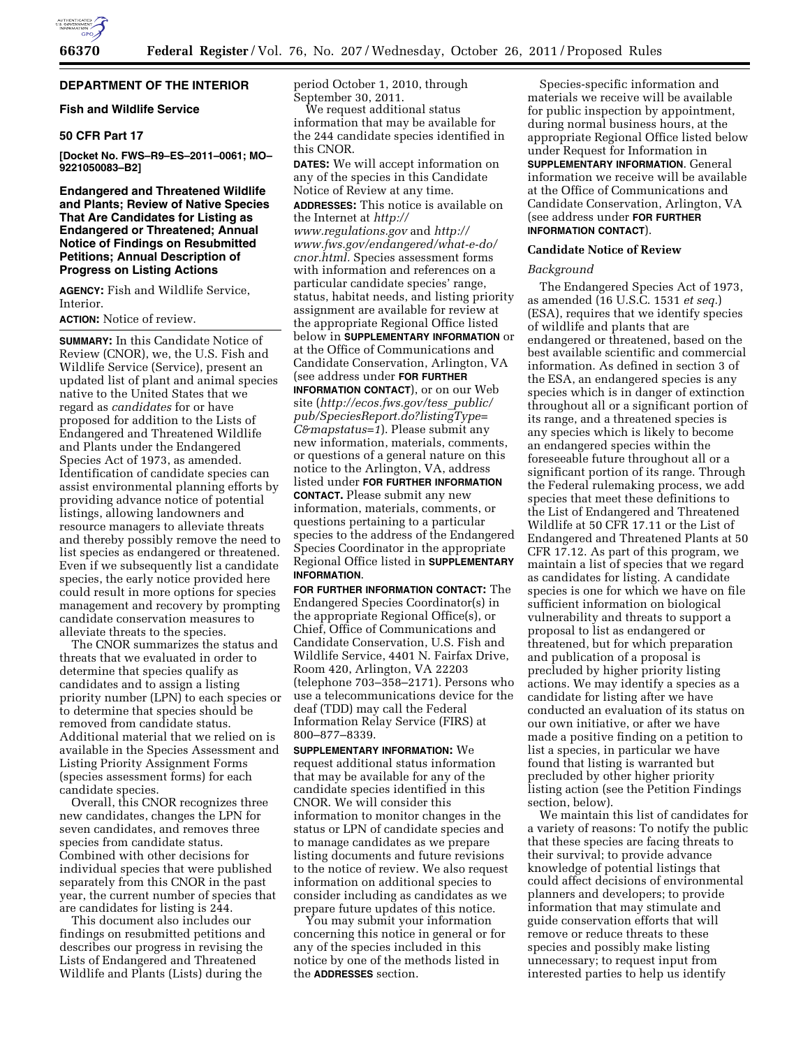

# **DEPARTMENT OF THE INTERIOR**

## **Fish and Wildlife Service**

## **50 CFR Part 17**

**[Docket No. FWS–R9–ES–2011–0061; MO– 9221050083–B2]** 

**Endangered and Threatened Wildlife and Plants; Review of Native Species That Are Candidates for Listing as Endangered or Threatened; Annual Notice of Findings on Resubmitted Petitions; Annual Description of Progress on Listing Actions** 

**AGENCY:** Fish and Wildlife Service, **Interior** 

**ACTION:** Notice of review.

**SUMMARY:** In this Candidate Notice of Review (CNOR), we, the U.S. Fish and Wildlife Service (Service), present an updated list of plant and animal species native to the United States that we regard as *candidates* for or have proposed for addition to the Lists of Endangered and Threatened Wildlife and Plants under the Endangered Species Act of 1973, as amended. Identification of candidate species can assist environmental planning efforts by providing advance notice of potential listings, allowing landowners and resource managers to alleviate threats and thereby possibly remove the need to list species as endangered or threatened. Even if we subsequently list a candidate species, the early notice provided here could result in more options for species management and recovery by prompting candidate conservation measures to alleviate threats to the species.

The CNOR summarizes the status and threats that we evaluated in order to determine that species qualify as candidates and to assign a listing priority number (LPN) to each species or to determine that species should be removed from candidate status. Additional material that we relied on is available in the Species Assessment and Listing Priority Assignment Forms (species assessment forms) for each candidate species.

Overall, this CNOR recognizes three new candidates, changes the LPN for seven candidates, and removes three species from candidate status. Combined with other decisions for individual species that were published separately from this CNOR in the past year, the current number of species that are candidates for listing is 244.

This document also includes our findings on resubmitted petitions and describes our progress in revising the Lists of Endangered and Threatened Wildlife and Plants (Lists) during the

period October 1, 2010, through September 30, 2011.

We request additional status information that may be available for the 244 candidate species identified in this CNOR.

**DATES:** We will accept information on any of the species in this Candidate Notice of Review at any time.

**ADDRESSES:** This notice is available on the Internet at *[http://](http://www.regulations.gov)  [www.regulations.gov](http://www.regulations.gov)* and *[http://](http://www.fws.gov/endangered/what-e-do/cnor.html)  [www.fws.gov/endangered/what-e-do/](http://www.fws.gov/endangered/what-e-do/cnor.html) [cnor.html.](http://www.fws.gov/endangered/what-e-do/cnor.html)* Species assessment forms with information and references on a particular candidate species' range, status, habitat needs, and listing priority assignment are available for review at the appropriate Regional Office listed below in **SUPPLEMENTARY INFORMATION** or at the Office of Communications and Candidate Conservation, Arlington, VA (see address under **FOR FURTHER**

**INFORMATION CONTACT**), or on our Web site (*[http://ecos.fws.gov/tess](http://ecos.fws.gov/tess_public/pub/SpeciesReport.do?listingType=C&mapstatus=1)*\_*public/ [pub/SpeciesReport.do?listingType=](http://ecos.fws.gov/tess_public/pub/SpeciesReport.do?listingType=C&mapstatus=1) [C&mapstatus=1](http://ecos.fws.gov/tess_public/pub/SpeciesReport.do?listingType=C&mapstatus=1)*). Please submit any new information, materials, comments, or questions of a general nature on this notice to the Arlington, VA, address listed under **FOR FURTHER INFORMATION CONTACT.** Please submit any new information, materials, comments, or questions pertaining to a particular species to the address of the Endangered Species Coordinator in the appropriate Regional Office listed in **SUPPLEMENTARY INFORMATION**.

**FOR FURTHER INFORMATION CONTACT:** The Endangered Species Coordinator(s) in the appropriate Regional Office(s), or Chief, Office of Communications and Candidate Conservation, U.S. Fish and Wildlife Service, 4401 N. Fairfax Drive, Room 420, Arlington, VA 22203 (telephone 703–358–2171). Persons who use a telecommunications device for the deaf (TDD) may call the Federal Information Relay Service (FIRS) at 800–877–8339.

**SUPPLEMENTARY INFORMATION:** We request additional status information that may be available for any of the candidate species identified in this CNOR. We will consider this information to monitor changes in the status or LPN of candidate species and to manage candidates as we prepare listing documents and future revisions to the notice of review. We also request information on additional species to consider including as candidates as we prepare future updates of this notice.

You may submit your information concerning this notice in general or for any of the species included in this notice by one of the methods listed in the **ADDRESSES** section.

Species-specific information and materials we receive will be available for public inspection by appointment, during normal business hours, at the appropriate Regional Office listed below under Request for Information in **SUPPLEMENTARY INFORMATION**. General information we receive will be available at the Office of Communications and Candidate Conservation, Arlington, VA (see address under **FOR FURTHER INFORMATION CONTACT**).

#### **Candidate Notice of Review**

### *Background*

The Endangered Species Act of 1973, as amended (16 U.S.C. 1531 *et seq.*) (ESA), requires that we identify species of wildlife and plants that are endangered or threatened, based on the best available scientific and commercial information. As defined in section 3 of the ESA, an endangered species is any species which is in danger of extinction throughout all or a significant portion of its range, and a threatened species is any species which is likely to become an endangered species within the foreseeable future throughout all or a significant portion of its range. Through the Federal rulemaking process, we add species that meet these definitions to the List of Endangered and Threatened Wildlife at 50 CFR 17.11 or the List of Endangered and Threatened Plants at 50 CFR 17.12. As part of this program, we maintain a list of species that we regard as candidates for listing. A candidate species is one for which we have on file sufficient information on biological vulnerability and threats to support a proposal to list as endangered or threatened, but for which preparation and publication of a proposal is precluded by higher priority listing actions. We may identify a species as a candidate for listing after we have conducted an evaluation of its status on our own initiative, or after we have made a positive finding on a petition to list a species, in particular we have found that listing is warranted but precluded by other higher priority listing action (see the Petition Findings section, below).

We maintain this list of candidates for a variety of reasons: To notify the public that these species are facing threats to their survival; to provide advance knowledge of potential listings that could affect decisions of environmental planners and developers; to provide information that may stimulate and guide conservation efforts that will remove or reduce threats to these species and possibly make listing unnecessary; to request input from interested parties to help us identify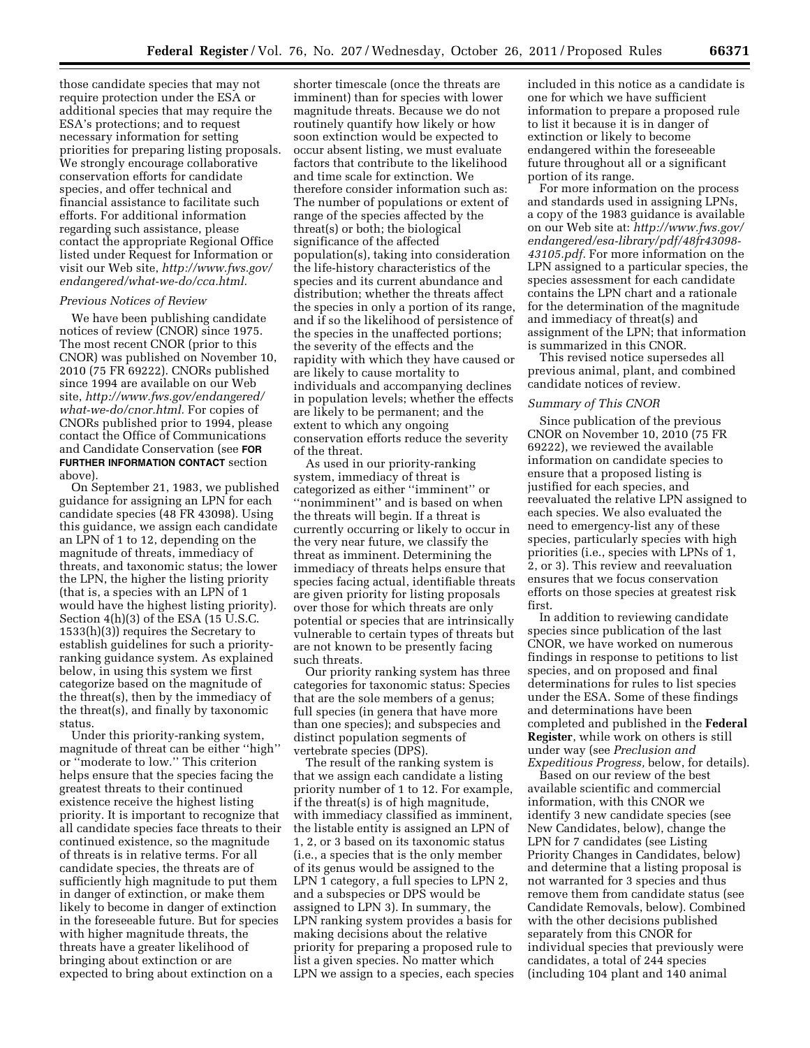those candidate species that may not require protection under the ESA or additional species that may require the ESA's protections; and to request necessary information for setting priorities for preparing listing proposals. We strongly encourage collaborative conservation efforts for candidate species, and offer technical and financial assistance to facilitate such efforts. For additional information regarding such assistance, please contact the appropriate Regional Office listed under Request for Information or visit our Web site, *[http://www.fws.gov/](http://www.fws.gov/endangered/what-we-do/cca.html)  [endangered/what-we-do/cca.html.](http://www.fws.gov/endangered/what-we-do/cca.html)* 

#### *Previous Notices of Review*

We have been publishing candidate notices of review (CNOR) since 1975. The most recent CNOR (prior to this CNOR) was published on November 10, 2010 (75 FR 69222). CNORs published since 1994 are available on our Web site, *[http://www.fws.gov/endangered/](http://www.fws.gov/endangered/what-we-do/cnor.html)  [what-we-do/cnor.html.](http://www.fws.gov/endangered/what-we-do/cnor.html)* For copies of CNORs published prior to 1994, please contact the Office of Communications and Candidate Conservation (see **FOR FURTHER INFORMATION CONTACT** section above).

On September 21, 1983, we published guidance for assigning an LPN for each candidate species (48 FR 43098). Using this guidance, we assign each candidate an LPN of 1 to 12, depending on the magnitude of threats, immediacy of threats, and taxonomic status; the lower the LPN, the higher the listing priority (that is, a species with an LPN of 1 would have the highest listing priority). Section 4(h)(3) of the ESA (15 U.S.C. 1533(h)(3)) requires the Secretary to establish guidelines for such a priorityranking guidance system. As explained below, in using this system we first categorize based on the magnitude of the threat(s), then by the immediacy of the threat(s), and finally by taxonomic status.

Under this priority-ranking system, magnitude of threat can be either ''high'' or ''moderate to low.'' This criterion helps ensure that the species facing the greatest threats to their continued existence receive the highest listing priority. It is important to recognize that all candidate species face threats to their continued existence, so the magnitude of threats is in relative terms. For all candidate species, the threats are of sufficiently high magnitude to put them in danger of extinction, or make them likely to become in danger of extinction in the foreseeable future. But for species with higher magnitude threats, the threats have a greater likelihood of bringing about extinction or are expected to bring about extinction on a

shorter timescale (once the threats are imminent) than for species with lower magnitude threats. Because we do not routinely quantify how likely or how soon extinction would be expected to occur absent listing, we must evaluate factors that contribute to the likelihood and time scale for extinction. We therefore consider information such as: The number of populations or extent of range of the species affected by the threat(s) or both; the biological significance of the affected population(s), taking into consideration the life-history characteristics of the species and its current abundance and distribution; whether the threats affect the species in only a portion of its range, and if so the likelihood of persistence of the species in the unaffected portions; the severity of the effects and the rapidity with which they have caused or are likely to cause mortality to individuals and accompanying declines in population levels; whether the effects are likely to be permanent; and the extent to which any ongoing conservation efforts reduce the severity of the threat.

As used in our priority-ranking system, immediacy of threat is categorized as either ''imminent'' or ''nonimminent'' and is based on when the threats will begin. If a threat is currently occurring or likely to occur in the very near future, we classify the threat as imminent. Determining the immediacy of threats helps ensure that species facing actual, identifiable threats are given priority for listing proposals over those for which threats are only potential or species that are intrinsically vulnerable to certain types of threats but are not known to be presently facing such threats.

Our priority ranking system has three categories for taxonomic status: Species that are the sole members of a genus; full species (in genera that have more than one species); and subspecies and distinct population segments of vertebrate species (DPS).

The result of the ranking system is that we assign each candidate a listing priority number of 1 to 12. For example, if the threat(s) is of high magnitude, with immediacy classified as imminent, the listable entity is assigned an LPN of 1, 2, or 3 based on its taxonomic status (i.e., a species that is the only member of its genus would be assigned to the LPN 1 category, a full species to LPN 2, and a subspecies or DPS would be assigned to LPN 3). In summary, the LPN ranking system provides a basis for making decisions about the relative priority for preparing a proposed rule to list a given species. No matter which LPN we assign to a species, each species included in this notice as a candidate is one for which we have sufficient information to prepare a proposed rule to list it because it is in danger of extinction or likely to become endangered within the foreseeable future throughout all or a significant portion of its range.

For more information on the process and standards used in assigning LPNs, a copy of the 1983 guidance is available on our Web site at: *[http://www.fws.gov/](http://www.fws.gov/endangered/esa-library/pdf/48fr43098-43105.pdf) [endangered/esa-library/pdf/48fr43098-](http://www.fws.gov/endangered/esa-library/pdf/48fr43098-43105.pdf) [43105.pdf.](http://www.fws.gov/endangered/esa-library/pdf/48fr43098-43105.pdf)* For more information on the LPN assigned to a particular species, the species assessment for each candidate contains the LPN chart and a rationale for the determination of the magnitude and immediacy of threat(s) and assignment of the LPN; that information is summarized in this CNOR.

This revised notice supersedes all previous animal, plant, and combined candidate notices of review.

#### *Summary of This CNOR*

Since publication of the previous CNOR on November 10, 2010 (75 FR 69222), we reviewed the available information on candidate species to ensure that a proposed listing is justified for each species, and reevaluated the relative LPN assigned to each species. We also evaluated the need to emergency-list any of these species, particularly species with high priorities (i.e., species with LPNs of 1, 2, or 3). This review and reevaluation ensures that we focus conservation efforts on those species at greatest risk first.

In addition to reviewing candidate species since publication of the last CNOR, we have worked on numerous findings in response to petitions to list species, and on proposed and final determinations for rules to list species under the ESA. Some of these findings and determinations have been completed and published in the **Federal Register**, while work on others is still under way (see *Preclusion and Expeditious Progress,* below, for details).

Based on our review of the best available scientific and commercial information, with this CNOR we identify 3 new candidate species (see New Candidates, below), change the LPN for 7 candidates (see Listing Priority Changes in Candidates, below) and determine that a listing proposal is not warranted for 3 species and thus remove them from candidate status (see Candidate Removals, below). Combined with the other decisions published separately from this CNOR for individual species that previously were candidates, a total of 244 species (including 104 plant and 140 animal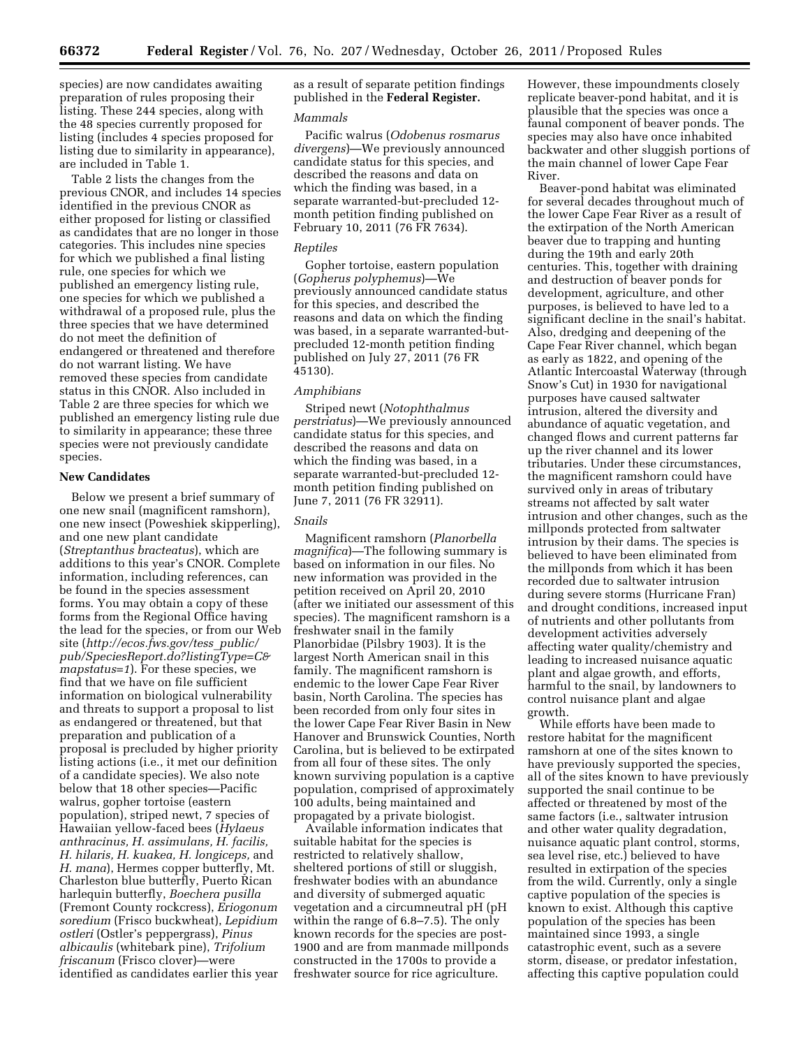species) are now candidates awaiting preparation of rules proposing their listing. These 244 species, along with the 48 species currently proposed for listing (includes 4 species proposed for listing due to similarity in appearance), are included in Table 1.

Table 2 lists the changes from the previous CNOR, and includes 14 species identified in the previous CNOR as either proposed for listing or classified as candidates that are no longer in those categories. This includes nine species for which we published a final listing rule, one species for which we published an emergency listing rule, one species for which we published a withdrawal of a proposed rule, plus the three species that we have determined do not meet the definition of endangered or threatened and therefore do not warrant listing. We have removed these species from candidate status in this CNOR. Also included in Table 2 are three species for which we published an emergency listing rule due to similarity in appearance; these three species were not previously candidate species.

#### **New Candidates**

Below we present a brief summary of one new snail (magnificent ramshorn), one new insect (Poweshiek skipperling), and one new plant candidate (*Streptanthus bracteatus*), which are additions to this year's CNOR. Complete information, including references, can be found in the species assessment forms. You may obtain a copy of these forms from the Regional Office having the lead for the species, or from our Web site (*[http://ecos.fws.gov/tess](http://ecos.fws.gov/tess_public/pub/SpeciesReport.do?listingType=C&mapstatus=1)*\_*public/ [pub/SpeciesReport.do?listingType=C&](http://ecos.fws.gov/tess_public/pub/SpeciesReport.do?listingType=C&mapstatus=1) [mapstatus=1](http://ecos.fws.gov/tess_public/pub/SpeciesReport.do?listingType=C&mapstatus=1)*). For these species, we find that we have on file sufficient information on biological vulnerability and threats to support a proposal to list as endangered or threatened, but that preparation and publication of a proposal is precluded by higher priority listing actions (i.e., it met our definition of a candidate species). We also note below that 18 other species—Pacific walrus, gopher tortoise (eastern population), striped newt, 7 species of Hawaiian yellow-faced bees (*Hylaeus anthracinus, H. assimulans, H. facilis, H. hilaris, H. kuakea, H. longiceps,* and *H. mana*), Hermes copper butterfly, Mt. Charleston blue butterfly, Puerto Rican harlequin butterfly, *Boechera pusilla*  (Fremont County rockcress), *Eriogonum soredium* (Frisco buckwheat), *Lepidium ostleri* (Ostler's peppergrass), *Pinus albicaulis* (whitebark pine), *Trifolium friscanum* (Frisco clover)—were identified as candidates earlier this year

as a result of separate petition findings published in the **Federal Register.** 

### *Mammals*

Pacific walrus (*Odobenus rosmarus divergens*)—We previously announced candidate status for this species, and described the reasons and data on which the finding was based, in a separate warranted-but-precluded 12 month petition finding published on February 10, 2011 (76 FR 7634).

#### *Reptiles*

Gopher tortoise, eastern population (*Gopherus polyphemus*)—We previously announced candidate status for this species, and described the reasons and data on which the finding was based, in a separate warranted-butprecluded 12-month petition finding published on July 27, 2011 (76 FR 45130).

## *Amphibians*

Striped newt (*Notophthalmus perstriatus*)—We previously announced candidate status for this species, and described the reasons and data on which the finding was based, in a separate warranted-but-precluded 12 month petition finding published on June 7, 2011 (76 FR 32911).

## *Snails*

Magnificent ramshorn (*Planorbella magnifica*)—The following summary is based on information in our files. No new information was provided in the petition received on April 20, 2010 (after we initiated our assessment of this species). The magnificent ramshorn is a freshwater snail in the family Planorbidae (Pilsbry 1903). It is the largest North American snail in this family. The magnificent ramshorn is endemic to the lower Cape Fear River basin, North Carolina. The species has been recorded from only four sites in the lower Cape Fear River Basin in New Hanover and Brunswick Counties, North Carolina, but is believed to be extirpated from all four of these sites. The only known surviving population is a captive population, comprised of approximately 100 adults, being maintained and propagated by a private biologist.

Available information indicates that suitable habitat for the species is restricted to relatively shallow, sheltered portions of still or sluggish, freshwater bodies with an abundance and diversity of submerged aquatic vegetation and a circumneutral pH (pH within the range of 6.8–7.5). The only known records for the species are post-1900 and are from manmade millponds constructed in the 1700s to provide a freshwater source for rice agriculture.

However, these impoundments closely replicate beaver-pond habitat, and it is plausible that the species was once a faunal component of beaver ponds. The species may also have once inhabited backwater and other sluggish portions of the main channel of lower Cape Fear River.

Beaver-pond habitat was eliminated for several decades throughout much of the lower Cape Fear River as a result of the extirpation of the North American beaver due to trapping and hunting during the 19th and early 20th centuries. This, together with draining and destruction of beaver ponds for development, agriculture, and other purposes, is believed to have led to a significant decline in the snail's habitat. Also, dredging and deepening of the Cape Fear River channel, which began as early as 1822, and opening of the Atlantic Intercoastal Waterway (through Snow's Cut) in 1930 for navigational purposes have caused saltwater intrusion, altered the diversity and abundance of aquatic vegetation, and changed flows and current patterns far up the river channel and its lower tributaries. Under these circumstances, the magnificent ramshorn could have survived only in areas of tributary streams not affected by salt water intrusion and other changes, such as the millponds protected from saltwater intrusion by their dams. The species is believed to have been eliminated from the millponds from which it has been recorded due to saltwater intrusion during severe storms (Hurricane Fran) and drought conditions, increased input of nutrients and other pollutants from development activities adversely affecting water quality/chemistry and leading to increased nuisance aquatic plant and algae growth, and efforts, harmful to the snail, by landowners to control nuisance plant and algae growth.

While efforts have been made to restore habitat for the magnificent ramshorn at one of the sites known to have previously supported the species, all of the sites known to have previously supported the snail continue to be affected or threatened by most of the same factors (i.e., saltwater intrusion and other water quality degradation, nuisance aquatic plant control, storms, sea level rise, etc.) believed to have resulted in extirpation of the species from the wild. Currently, only a single captive population of the species is known to exist. Although this captive population of the species has been maintained since 1993, a single catastrophic event, such as a severe storm, disease, or predator infestation, affecting this captive population could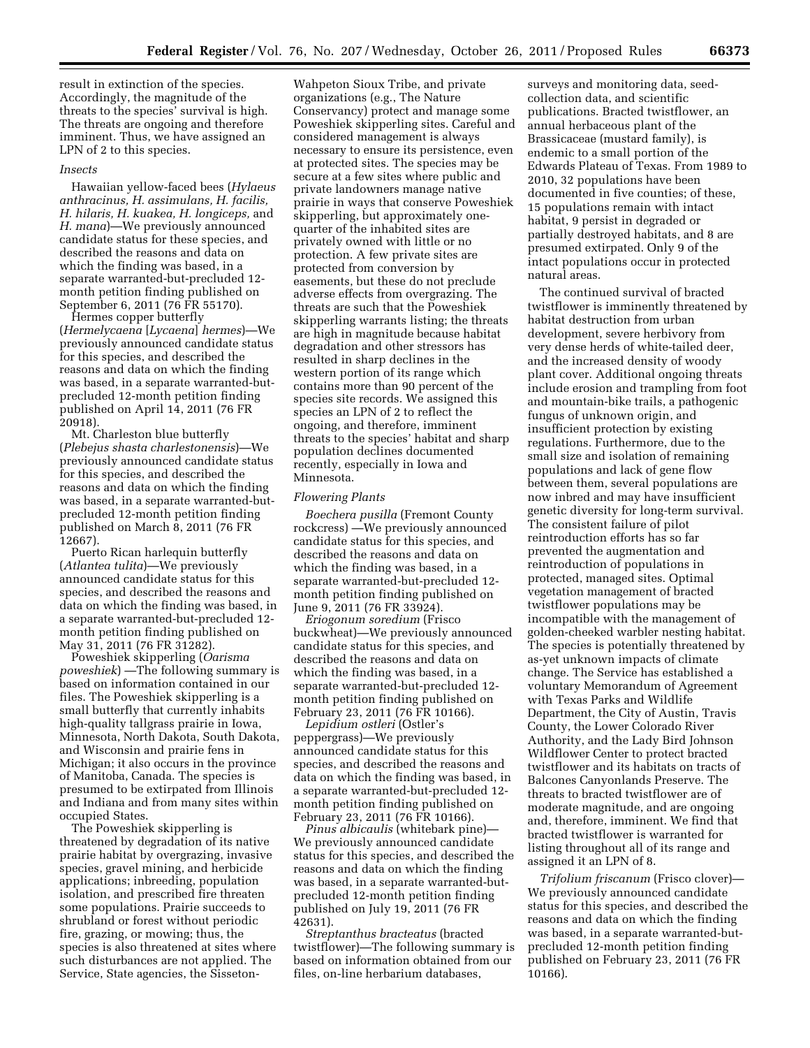result in extinction of the species. Accordingly, the magnitude of the threats to the species' survival is high. The threats are ongoing and therefore imminent. Thus, we have assigned an LPN of 2 to this species.

#### *Insects*

Hawaiian yellow-faced bees (*Hylaeus anthracinus, H. assimulans, H. facilis, H. hilaris, H. kuakea, H. longiceps,* and *H. mana*)—We previously announced candidate status for these species, and described the reasons and data on which the finding was based, in a separate warranted-but-precluded 12 month petition finding published on September 6, 2011 (76 FR 55170).

Hermes copper butterfly (*Hermelycaena* [*Lycaena*] *hermes*)—We previously announced candidate status for this species, and described the reasons and data on which the finding was based, in a separate warranted-butprecluded 12-month petition finding published on April 14, 2011 (76 FR 20918).

Mt. Charleston blue butterfly (*Plebejus shasta charlestonensis*)—We previously announced candidate status for this species, and described the reasons and data on which the finding was based, in a separate warranted-butprecluded 12-month petition finding published on March 8, 2011 (76 FR 12667).

Puerto Rican harlequin butterfly (*Atlantea tulita*)—We previously announced candidate status for this species, and described the reasons and data on which the finding was based, in a separate warranted-but-precluded 12 month petition finding published on May 31, 2011 (76 FR 31282).

Poweshiek skipperling (*Oarisma poweshiek*) —The following summary is based on information contained in our files. The Poweshiek skipperling is a small butterfly that currently inhabits high-quality tallgrass prairie in Iowa, Minnesota, North Dakota, South Dakota, and Wisconsin and prairie fens in Michigan; it also occurs in the province of Manitoba, Canada. The species is presumed to be extirpated from Illinois and Indiana and from many sites within occupied States.

The Poweshiek skipperling is threatened by degradation of its native prairie habitat by overgrazing, invasive species, gravel mining, and herbicide applications; inbreeding, population isolation, and prescribed fire threaten some populations. Prairie succeeds to shrubland or forest without periodic fire, grazing, or mowing; thus, the species is also threatened at sites where such disturbances are not applied. The Service, State agencies, the Sisseton-

Wahpeton Sioux Tribe, and private organizations (e.g., The Nature Conservancy) protect and manage some Poweshiek skipperling sites. Careful and considered management is always necessary to ensure its persistence, even at protected sites. The species may be secure at a few sites where public and private landowners manage native prairie in ways that conserve Poweshiek skipperling, but approximately onequarter of the inhabited sites are privately owned with little or no protection. A few private sites are protected from conversion by easements, but these do not preclude adverse effects from overgrazing. The threats are such that the Poweshiek skipperling warrants listing; the threats are high in magnitude because habitat degradation and other stressors has resulted in sharp declines in the western portion of its range which contains more than 90 percent of the species site records. We assigned this species an LPN of 2 to reflect the ongoing, and therefore, imminent threats to the species' habitat and sharp population declines documented recently, especially in Iowa and Minnesota.

### *Flowering Plants*

*Boechera pusilla* (Fremont County rockcress) —We previously announced candidate status for this species, and described the reasons and data on which the finding was based, in a separate warranted-but-precluded 12 month petition finding published on June 9, 2011 (76 FR 33924).

*Eriogonum soredium* (Frisco buckwheat)—We previously announced candidate status for this species, and described the reasons and data on which the finding was based, in a separate warranted-but-precluded 12 month petition finding published on February 23, 2011 (76 FR 10166).

*Lepidium ostleri* (Ostler's peppergrass)—We previously announced candidate status for this species, and described the reasons and data on which the finding was based, in a separate warranted-but-precluded 12 month petition finding published on February 23, 2011 (76 FR 10166).

*Pinus albicaulis* (whitebark pine)— We previously announced candidate status for this species, and described the reasons and data on which the finding was based, in a separate warranted-butprecluded 12-month petition finding published on July 19, 2011 (76 FR 42631).

*Streptanthus bracteatus* (bracted twistflower)—The following summary is based on information obtained from our files, on-line herbarium databases,

surveys and monitoring data, seedcollection data, and scientific publications. Bracted twistflower, an annual herbaceous plant of the Brassicaceae (mustard family), is endemic to a small portion of the Edwards Plateau of Texas. From 1989 to 2010, 32 populations have been documented in five counties; of these, 15 populations remain with intact habitat, 9 persist in degraded or partially destroyed habitats, and 8 are presumed extirpated. Only 9 of the intact populations occur in protected natural areas.

The continued survival of bracted twistflower is imminently threatened by habitat destruction from urban development, severe herbivory from very dense herds of white-tailed deer, and the increased density of woody plant cover. Additional ongoing threats include erosion and trampling from foot and mountain-bike trails, a pathogenic fungus of unknown origin, and insufficient protection by existing regulations. Furthermore, due to the small size and isolation of remaining populations and lack of gene flow between them, several populations are now inbred and may have insufficient genetic diversity for long-term survival. The consistent failure of pilot reintroduction efforts has so far prevented the augmentation and reintroduction of populations in protected, managed sites. Optimal vegetation management of bracted twistflower populations may be incompatible with the management of golden-cheeked warbler nesting habitat. The species is potentially threatened by as-yet unknown impacts of climate change. The Service has established a voluntary Memorandum of Agreement with Texas Parks and Wildlife Department, the City of Austin, Travis County, the Lower Colorado River Authority, and the Lady Bird Johnson Wildflower Center to protect bracted twistflower and its habitats on tracts of Balcones Canyonlands Preserve. The threats to bracted twistflower are of moderate magnitude, and are ongoing and, therefore, imminent. We find that bracted twistflower is warranted for listing throughout all of its range and assigned it an LPN of 8.

*Trifolium friscanum* (Frisco clover)— We previously announced candidate status for this species, and described the reasons and data on which the finding was based, in a separate warranted-butprecluded 12-month petition finding published on February 23, 2011 (76 FR 10166).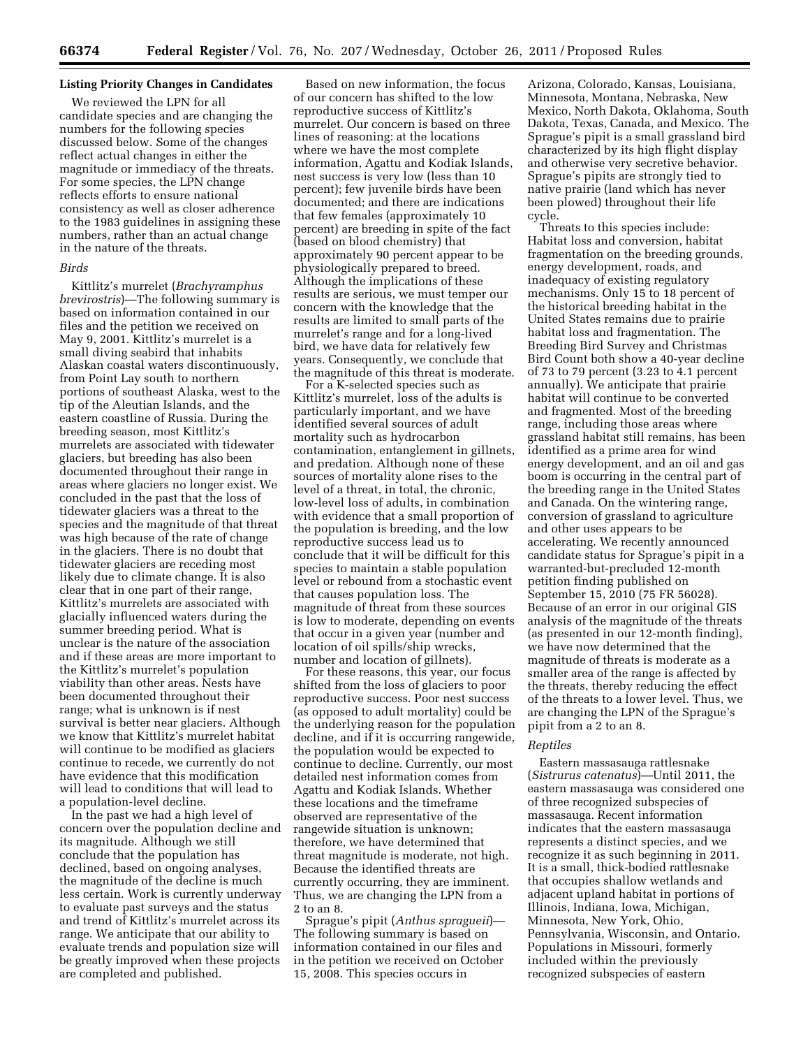# **Listing Priority Changes in Candidates**

We reviewed the LPN for all candidate species and are changing the numbers for the following species discussed below. Some of the changes reflect actual changes in either the magnitude or immediacy of the threats. For some species, the LPN change reflects efforts to ensure national consistency as well as closer adherence to the 1983 guidelines in assigning these numbers, rather than an actual change in the nature of the threats.

#### *Birds*

Kittlitz's murrelet (*Brachyramphus brevirostris*)—The following summary is based on information contained in our files and the petition we received on May 9, 2001. Kittlitz's murrelet is a small diving seabird that inhabits Alaskan coastal waters discontinuously, from Point Lay south to northern portions of southeast Alaska, west to the tip of the Aleutian Islands, and the eastern coastline of Russia. During the breeding season, most Kittlitz's murrelets are associated with tidewater glaciers, but breeding has also been documented throughout their range in areas where glaciers no longer exist. We concluded in the past that the loss of tidewater glaciers was a threat to the species and the magnitude of that threat was high because of the rate of change in the glaciers. There is no doubt that tidewater glaciers are receding most likely due to climate change. It is also clear that in one part of their range, Kittlitz's murrelets are associated with glacially influenced waters during the summer breeding period. What is unclear is the nature of the association and if these areas are more important to the Kittlitz's murrelet's population viability than other areas. Nests have been documented throughout their range; what is unknown is if nest survival is better near glaciers. Although we know that Kittlitz's murrelet habitat will continue to be modified as glaciers continue to recede, we currently do not have evidence that this modification will lead to conditions that will lead to a population-level decline.

In the past we had a high level of concern over the population decline and its magnitude. Although we still conclude that the population has declined, based on ongoing analyses, the magnitude of the decline is much less certain. Work is currently underway to evaluate past surveys and the status and trend of Kittlitz's murrelet across its range. We anticipate that our ability to evaluate trends and population size will be greatly improved when these projects are completed and published.

Based on new information, the focus of our concern has shifted to the low reproductive success of Kittlitz's murrelet. Our concern is based on three lines of reasoning: at the locations where we have the most complete information, Agattu and Kodiak Islands, nest success is very low (less than 10 percent); few juvenile birds have been documented; and there are indications that few females (approximately 10 percent) are breeding in spite of the fact (based on blood chemistry) that approximately 90 percent appear to be physiologically prepared to breed. Although the implications of these results are serious, we must temper our concern with the knowledge that the results are limited to small parts of the murrelet's range and for a long-lived bird, we have data for relatively few years. Consequently, we conclude that the magnitude of this threat is moderate.

For a K-selected species such as Kittlitz's murrelet, loss of the adults is particularly important, and we have identified several sources of adult mortality such as hydrocarbon contamination, entanglement in gillnets, and predation. Although none of these sources of mortality alone rises to the level of a threat, in total, the chronic, low-level loss of adults, in combination with evidence that a small proportion of the population is breeding, and the low reproductive success lead us to conclude that it will be difficult for this species to maintain a stable population level or rebound from a stochastic event that causes population loss. The magnitude of threat from these sources is low to moderate, depending on events that occur in a given year (number and location of oil spills/ship wrecks, number and location of gillnets).

For these reasons, this year, our focus shifted from the loss of glaciers to poor reproductive success. Poor nest success (as opposed to adult mortality) could be the underlying reason for the population decline, and if it is occurring rangewide, the population would be expected to continue to decline. Currently, our most detailed nest information comes from Agattu and Kodiak Islands. Whether these locations and the timeframe observed are representative of the rangewide situation is unknown; therefore, we have determined that threat magnitude is moderate, not high. Because the identified threats are currently occurring, they are imminent. Thus, we are changing the LPN from a 2 to an 8.

Sprague's pipit (*Anthus spragueii*)— The following summary is based on information contained in our files and in the petition we received on October 15, 2008. This species occurs in

Arizona, Colorado, Kansas, Louisiana, Minnesota, Montana, Nebraska, New Mexico, North Dakota, Oklahoma, South Dakota, Texas, Canada, and Mexico. The Sprague's pipit is a small grassland bird characterized by its high flight display and otherwise very secretive behavior. Sprague's pipits are strongly tied to native prairie (land which has never been plowed) throughout their life cycle.

Threats to this species include: Habitat loss and conversion, habitat fragmentation on the breeding grounds, energy development, roads, and inadequacy of existing regulatory mechanisms. Only 15 to 18 percent of the historical breeding habitat in the United States remains due to prairie habitat loss and fragmentation. The Breeding Bird Survey and Christmas Bird Count both show a 40-year decline of 73 to 79 percent (3.23 to 4.1 percent annually). We anticipate that prairie habitat will continue to be converted and fragmented. Most of the breeding range, including those areas where grassland habitat still remains, has been identified as a prime area for wind energy development, and an oil and gas boom is occurring in the central part of the breeding range in the United States and Canada. On the wintering range, conversion of grassland to agriculture and other uses appears to be accelerating. We recently announced candidate status for Sprague's pipit in a warranted-but-precluded 12-month petition finding published on September 15, 2010 (75 FR 56028). Because of an error in our original GIS analysis of the magnitude of the threats (as presented in our 12-month finding), we have now determined that the magnitude of threats is moderate as a smaller area of the range is affected by the threats, thereby reducing the effect of the threats to a lower level. Thus, we are changing the LPN of the Sprague's pipit from a 2 to an 8.

#### *Reptiles*

Eastern massasauga rattlesnake (*Sistrurus catenatus*)—Until 2011, the eastern massasauga was considered one of three recognized subspecies of massasauga. Recent information indicates that the eastern massasauga represents a distinct species, and we recognize it as such beginning in 2011. It is a small, thick-bodied rattlesnake that occupies shallow wetlands and adjacent upland habitat in portions of Illinois, Indiana, Iowa, Michigan, Minnesota, New York, Ohio, Pennsylvania, Wisconsin, and Ontario. Populations in Missouri, formerly included within the previously recognized subspecies of eastern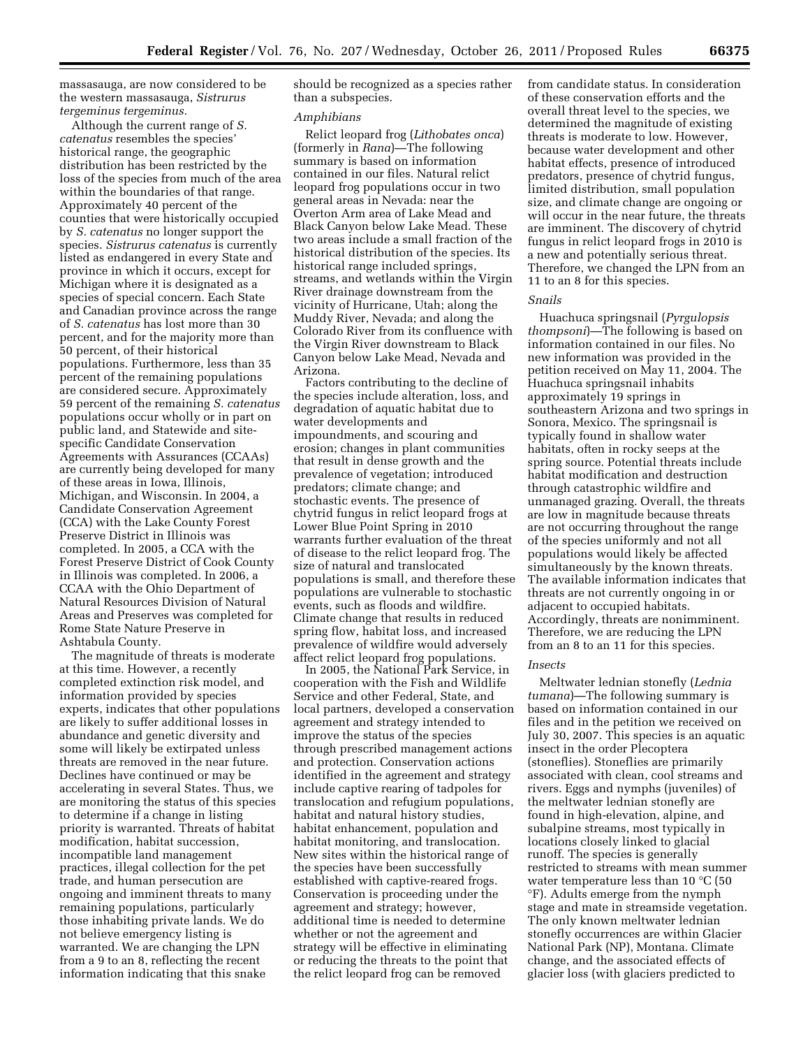massasauga, are now considered to be the western massasauga, *Sistrurus tergeminus tergeminus.* 

Although the current range of *S. catenatus* resembles the species' historical range, the geographic distribution has been restricted by the loss of the species from much of the area within the boundaries of that range. Approximately 40 percent of the counties that were historically occupied by *S. catenatus* no longer support the species. *Sistrurus catenatus* is currently listed as endangered in every State and province in which it occurs, except for Michigan where it is designated as a species of special concern. Each State and Canadian province across the range of *S. catenatus* has lost more than 30 percent, and for the majority more than 50 percent, of their historical populations. Furthermore, less than 35 percent of the remaining populations are considered secure. Approximately 59 percent of the remaining *S. catenatus*  populations occur wholly or in part on public land, and Statewide and sitespecific Candidate Conservation Agreements with Assurances (CCAAs) are currently being developed for many of these areas in Iowa, Illinois, Michigan, and Wisconsin. In 2004, a Candidate Conservation Agreement (CCA) with the Lake County Forest Preserve District in Illinois was completed. In 2005, a CCA with the Forest Preserve District of Cook County in Illinois was completed. In 2006, a CCAA with the Ohio Department of Natural Resources Division of Natural Areas and Preserves was completed for Rome State Nature Preserve in Ashtabula County.

The magnitude of threats is moderate at this time. However, a recently completed extinction risk model, and information provided by species experts, indicates that other populations are likely to suffer additional losses in abundance and genetic diversity and some will likely be extirpated unless threats are removed in the near future. Declines have continued or may be accelerating in several States. Thus, we are monitoring the status of this species to determine if a change in listing priority is warranted. Threats of habitat modification, habitat succession, incompatible land management practices, illegal collection for the pet trade, and human persecution are ongoing and imminent threats to many remaining populations, particularly those inhabiting private lands. We do not believe emergency listing is warranted. We are changing the LPN from a 9 to an 8, reflecting the recent information indicating that this snake

should be recognized as a species rather than a subspecies.

#### *Amphibians*

Relict leopard frog (*Lithobates onca*) (formerly in *Rana*)—The following summary is based on information contained in our files. Natural relict leopard frog populations occur in two general areas in Nevada: near the Overton Arm area of Lake Mead and Black Canyon below Lake Mead. These two areas include a small fraction of the historical distribution of the species. Its historical range included springs, streams, and wetlands within the Virgin River drainage downstream from the vicinity of Hurricane, Utah; along the Muddy River, Nevada; and along the Colorado River from its confluence with the Virgin River downstream to Black Canyon below Lake Mead, Nevada and Arizona.

Factors contributing to the decline of the species include alteration, loss, and degradation of aquatic habitat due to water developments and impoundments, and scouring and erosion; changes in plant communities that result in dense growth and the prevalence of vegetation; introduced predators; climate change; and stochastic events. The presence of chytrid fungus in relict leopard frogs at Lower Blue Point Spring in 2010 warrants further evaluation of the threat of disease to the relict leopard frog. The size of natural and translocated populations is small, and therefore these populations are vulnerable to stochastic events, such as floods and wildfire. Climate change that results in reduced spring flow, habitat loss, and increased prevalence of wildfire would adversely affect relict leopard frog populations.

In 2005, the National Park Service, in cooperation with the Fish and Wildlife Service and other Federal, State, and local partners, developed a conservation agreement and strategy intended to improve the status of the species through prescribed management actions and protection. Conservation actions identified in the agreement and strategy include captive rearing of tadpoles for translocation and refugium populations, habitat and natural history studies, habitat enhancement, population and habitat monitoring, and translocation. New sites within the historical range of the species have been successfully established with captive-reared frogs. Conservation is proceeding under the agreement and strategy; however, additional time is needed to determine whether or not the agreement and strategy will be effective in eliminating or reducing the threats to the point that the relict leopard frog can be removed

from candidate status. In consideration of these conservation efforts and the overall threat level to the species, we determined the magnitude of existing threats is moderate to low. However, because water development and other habitat effects, presence of introduced predators, presence of chytrid fungus, limited distribution, small population size, and climate change are ongoing or will occur in the near future, the threats are imminent. The discovery of chytrid fungus in relict leopard frogs in 2010 is a new and potentially serious threat. Therefore, we changed the LPN from an 11 to an 8 for this species.

#### *Snails*

Huachuca springsnail (*Pyrgulopsis thompsoni*)—The following is based on information contained in our files. No new information was provided in the petition received on May 11, 2004. The Huachuca springsnail inhabits approximately 19 springs in southeastern Arizona and two springs in Sonora, Mexico. The springsnail is typically found in shallow water habitats, often in rocky seeps at the spring source. Potential threats include habitat modification and destruction through catastrophic wildfire and unmanaged grazing. Overall, the threats are low in magnitude because threats are not occurring throughout the range of the species uniformly and not all populations would likely be affected simultaneously by the known threats. The available information indicates that threats are not currently ongoing in or adjacent to occupied habitats. Accordingly, threats are nonimminent. Therefore, we are reducing the LPN from an 8 to an 11 for this species.

#### *Insects*

Meltwater lednian stonefly (*Lednia tumana*)—The following summary is based on information contained in our files and in the petition we received on July 30, 2007. This species is an aquatic insect in the order Plecoptera (stoneflies). Stoneflies are primarily associated with clean, cool streams and rivers. Eggs and nymphs (juveniles) of the meltwater lednian stonefly are found in high-elevation, alpine, and subalpine streams, most typically in locations closely linked to glacial runoff. The species is generally restricted to streams with mean summer water temperature less than 10 °C (50 °F). Adults emerge from the nymph stage and mate in streamside vegetation. The only known meltwater lednian stonefly occurrences are within Glacier National Park (NP), Montana. Climate change, and the associated effects of glacier loss (with glaciers predicted to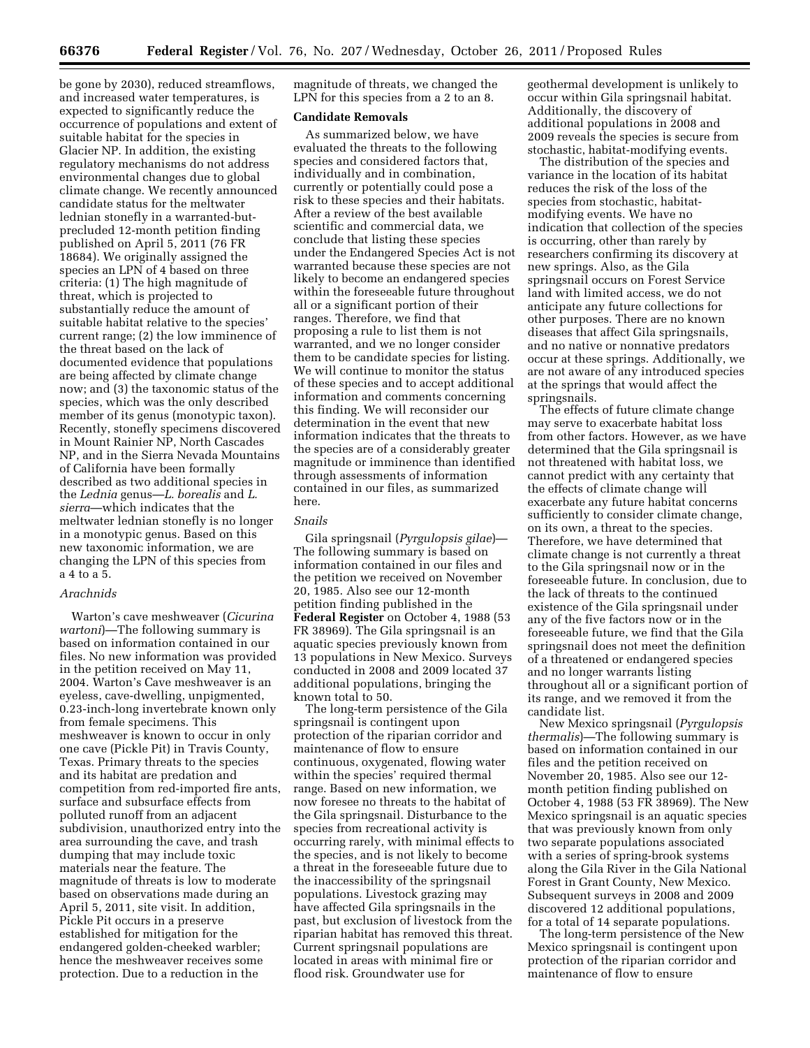be gone by 2030), reduced streamflows, and increased water temperatures, is expected to significantly reduce the occurrence of populations and extent of suitable habitat for the species in Glacier NP. In addition, the existing regulatory mechanisms do not address environmental changes due to global climate change. We recently announced candidate status for the meltwater lednian stonefly in a warranted-butprecluded 12-month petition finding published on April 5, 2011 (76 FR 18684). We originally assigned the species an LPN of 4 based on three criteria: (1) The high magnitude of threat, which is projected to substantially reduce the amount of suitable habitat relative to the species' current range; (2) the low imminence of the threat based on the lack of documented evidence that populations are being affected by climate change now; and (3) the taxonomic status of the species, which was the only described member of its genus (monotypic taxon). Recently, stonefly specimens discovered in Mount Rainier NP, North Cascades NP, and in the Sierra Nevada Mountains of California have been formally described as two additional species in the *Lednia* genus—*L. borealis* and *L. sierra*—which indicates that the meltwater lednian stonefly is no longer in a monotypic genus. Based on this new taxonomic information, we are changing the LPN of this species from a 4 to a 5.

#### *Arachnids*

Warton's cave meshweaver (*Cicurina wartoni*)—The following summary is based on information contained in our files. No new information was provided in the petition received on May 11, 2004. Warton's Cave meshweaver is an eyeless, cave-dwelling, unpigmented, 0.23-inch-long invertebrate known only from female specimens. This meshweaver is known to occur in only one cave (Pickle Pit) in Travis County, Texas. Primary threats to the species and its habitat are predation and competition from red-imported fire ants, surface and subsurface effects from polluted runoff from an adjacent subdivision, unauthorized entry into the area surrounding the cave, and trash dumping that may include toxic materials near the feature. The magnitude of threats is low to moderate based on observations made during an April 5, 2011, site visit. In addition, Pickle Pit occurs in a preserve established for mitigation for the endangered golden-cheeked warbler; hence the meshweaver receives some protection. Due to a reduction in the

magnitude of threats, we changed the LPN for this species from a 2 to an 8.

#### **Candidate Removals**

As summarized below, we have evaluated the threats to the following species and considered factors that, individually and in combination, currently or potentially could pose a risk to these species and their habitats. After a review of the best available scientific and commercial data, we conclude that listing these species under the Endangered Species Act is not warranted because these species are not likely to become an endangered species within the foreseeable future throughout all or a significant portion of their ranges. Therefore, we find that proposing a rule to list them is not warranted, and we no longer consider them to be candidate species for listing. We will continue to monitor the status of these species and to accept additional information and comments concerning this finding. We will reconsider our determination in the event that new information indicates that the threats to the species are of a considerably greater magnitude or imminence than identified through assessments of information contained in our files, as summarized here.

# *Snails*

Gila springsnail (*Pyrgulopsis gilae*)— The following summary is based on information contained in our files and the petition we received on November 20, 1985. Also see our 12-month petition finding published in the **Federal Register** on October 4, 1988 (53 FR 38969). The Gila springsnail is an aquatic species previously known from 13 populations in New Mexico. Surveys conducted in 2008 and 2009 located 37 additional populations, bringing the known total to 50.

The long-term persistence of the Gila springsnail is contingent upon protection of the riparian corridor and maintenance of flow to ensure continuous, oxygenated, flowing water within the species' required thermal range. Based on new information, we now foresee no threats to the habitat of the Gila springsnail. Disturbance to the species from recreational activity is occurring rarely, with minimal effects to the species, and is not likely to become a threat in the foreseeable future due to the inaccessibility of the springsnail populations. Livestock grazing may have affected Gila springsnails in the past, but exclusion of livestock from the riparian habitat has removed this threat. Current springsnail populations are located in areas with minimal fire or flood risk. Groundwater use for

geothermal development is unlikely to occur within Gila springsnail habitat. Additionally, the discovery of additional populations in 2008 and 2009 reveals the species is secure from stochastic, habitat-modifying events.

The distribution of the species and variance in the location of its habitat reduces the risk of the loss of the species from stochastic, habitatmodifying events. We have no indication that collection of the species is occurring, other than rarely by researchers confirming its discovery at new springs. Also, as the Gila springsnail occurs on Forest Service land with limited access, we do not anticipate any future collections for other purposes. There are no known diseases that affect Gila springsnails, and no native or nonnative predators occur at these springs. Additionally, we are not aware of any introduced species at the springs that would affect the springsnails.

The effects of future climate change may serve to exacerbate habitat loss from other factors. However, as we have determined that the Gila springsnail is not threatened with habitat loss, we cannot predict with any certainty that the effects of climate change will exacerbate any future habitat concerns sufficiently to consider climate change, on its own, a threat to the species. Therefore, we have determined that climate change is not currently a threat to the Gila springsnail now or in the foreseeable future. In conclusion, due to the lack of threats to the continued existence of the Gila springsnail under any of the five factors now or in the foreseeable future, we find that the Gila springsnail does not meet the definition of a threatened or endangered species and no longer warrants listing throughout all or a significant portion of its range, and we removed it from the candidate list.

New Mexico springsnail (*Pyrgulopsis thermalis*)—The following summary is based on information contained in our files and the petition received on November 20, 1985. Also see our 12 month petition finding published on October 4, 1988 (53 FR 38969). The New Mexico springsnail is an aquatic species that was previously known from only two separate populations associated with a series of spring-brook systems along the Gila River in the Gila National Forest in Grant County, New Mexico. Subsequent surveys in 2008 and 2009 discovered 12 additional populations, for a total of 14 separate populations.

The long-term persistence of the New Mexico springsnail is contingent upon protection of the riparian corridor and maintenance of flow to ensure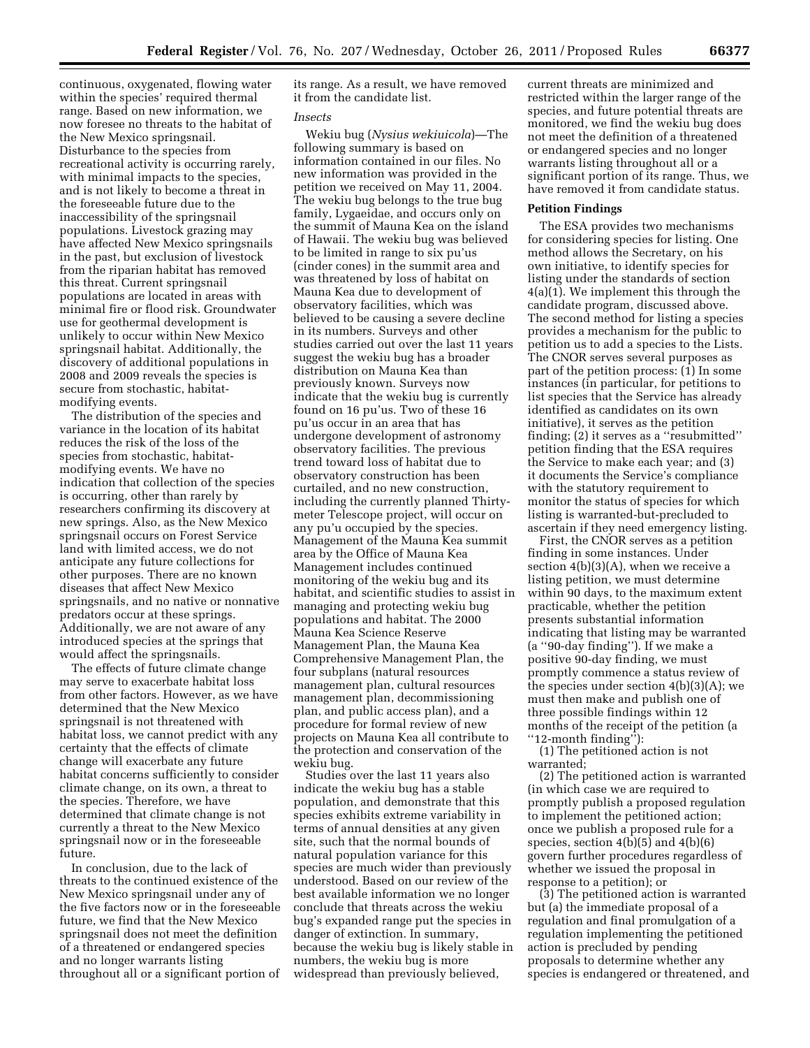continuous, oxygenated, flowing water within the species' required thermal range. Based on new information, we now foresee no threats to the habitat of the New Mexico springsnail. Disturbance to the species from recreational activity is occurring rarely, with minimal impacts to the species, and is not likely to become a threat in the foreseeable future due to the inaccessibility of the springsnail populations. Livestock grazing may have affected New Mexico springsnails in the past, but exclusion of livestock from the riparian habitat has removed this threat. Current springsnail populations are located in areas with minimal fire or flood risk. Groundwater use for geothermal development is unlikely to occur within New Mexico springsnail habitat. Additionally, the discovery of additional populations in 2008 and 2009 reveals the species is secure from stochastic, habitatmodifying events.

The distribution of the species and variance in the location of its habitat reduces the risk of the loss of the species from stochastic, habitatmodifying events. We have no indication that collection of the species is occurring, other than rarely by researchers confirming its discovery at new springs. Also, as the New Mexico springsnail occurs on Forest Service land with limited access, we do not anticipate any future collections for other purposes. There are no known diseases that affect New Mexico springsnails, and no native or nonnative predators occur at these springs. Additionally, we are not aware of any introduced species at the springs that would affect the springsnails.

The effects of future climate change may serve to exacerbate habitat loss from other factors. However, as we have determined that the New Mexico springsnail is not threatened with habitat loss, we cannot predict with any certainty that the effects of climate change will exacerbate any future habitat concerns sufficiently to consider climate change, on its own, a threat to the species. Therefore, we have determined that climate change is not currently a threat to the New Mexico springsnail now or in the foreseeable future.

In conclusion, due to the lack of threats to the continued existence of the New Mexico springsnail under any of the five factors now or in the foreseeable future, we find that the New Mexico springsnail does not meet the definition of a threatened or endangered species and no longer warrants listing throughout all or a significant portion of its range. As a result, we have removed it from the candidate list.

#### *Insects*

Wekiu bug (*Nysius wekiuicola*)—The following summary is based on information contained in our files. No new information was provided in the petition we received on May 11, 2004. The wekiu bug belongs to the true bug family, Lygaeidae, and occurs only on the summit of Mauna Kea on the island of Hawaii. The wekiu bug was believed to be limited in range to six pu'us (cinder cones) in the summit area and was threatened by loss of habitat on Mauna Kea due to development of observatory facilities, which was believed to be causing a severe decline in its numbers. Surveys and other studies carried out over the last 11 years suggest the wekiu bug has a broader distribution on Mauna Kea than previously known. Surveys now indicate that the wekiu bug is currently found on 16 pu'us. Two of these 16 pu'us occur in an area that has undergone development of astronomy observatory facilities. The previous trend toward loss of habitat due to observatory construction has been curtailed, and no new construction, including the currently planned Thirtymeter Telescope project, will occur on any pu'u occupied by the species. Management of the Mauna Kea summit area by the Office of Mauna Kea Management includes continued monitoring of the wekiu bug and its habitat, and scientific studies to assist in managing and protecting wekiu bug populations and habitat. The 2000 Mauna Kea Science Reserve Management Plan, the Mauna Kea Comprehensive Management Plan, the four subplans (natural resources management plan, cultural resources management plan, decommissioning plan, and public access plan), and a procedure for formal review of new projects on Mauna Kea all contribute to the protection and conservation of the wekiu bug.

Studies over the last 11 years also indicate the wekiu bug has a stable population, and demonstrate that this species exhibits extreme variability in terms of annual densities at any given site, such that the normal bounds of natural population variance for this species are much wider than previously understood. Based on our review of the best available information we no longer conclude that threats across the wekiu bug's expanded range put the species in danger of extinction. In summary, because the wekiu bug is likely stable in numbers, the wekiu bug is more widespread than previously believed,

current threats are minimized and restricted within the larger range of the species, and future potential threats are monitored, we find the wekiu bug does not meet the definition of a threatened or endangered species and no longer warrants listing throughout all or a significant portion of its range. Thus, we have removed it from candidate status.

#### **Petition Findings**

The ESA provides two mechanisms for considering species for listing. One method allows the Secretary, on his own initiative, to identify species for listing under the standards of section 4(a)(1). We implement this through the candidate program, discussed above. The second method for listing a species provides a mechanism for the public to petition us to add a species to the Lists. The CNOR serves several purposes as part of the petition process: (1) In some instances (in particular, for petitions to list species that the Service has already identified as candidates on its own initiative), it serves as the petition finding; (2) it serves as a ''resubmitted'' petition finding that the ESA requires the Service to make each year; and (3) it documents the Service's compliance with the statutory requirement to monitor the status of species for which listing is warranted-but-precluded to ascertain if they need emergency listing.

First, the CNOR serves as a petition finding in some instances. Under section 4(b)(3)(A), when we receive a listing petition, we must determine within 90 days, to the maximum extent practicable, whether the petition presents substantial information indicating that listing may be warranted (a ''90-day finding''). If we make a positive 90-day finding, we must promptly commence a status review of the species under section  $4(b)(3)(A)$ ; we must then make and publish one of three possible findings within 12 months of the receipt of the petition (a ''12-month finding''):

(1) The petitioned action is not warranted;

(2) The petitioned action is warranted (in which case we are required to promptly publish a proposed regulation to implement the petitioned action; once we publish a proposed rule for a species, section 4(b)(5) and 4(b)(6) govern further procedures regardless of whether we issued the proposal in response to a petition); or

(3) The petitioned action is warranted but (a) the immediate proposal of a regulation and final promulgation of a regulation implementing the petitioned action is precluded by pending proposals to determine whether any species is endangered or threatened, and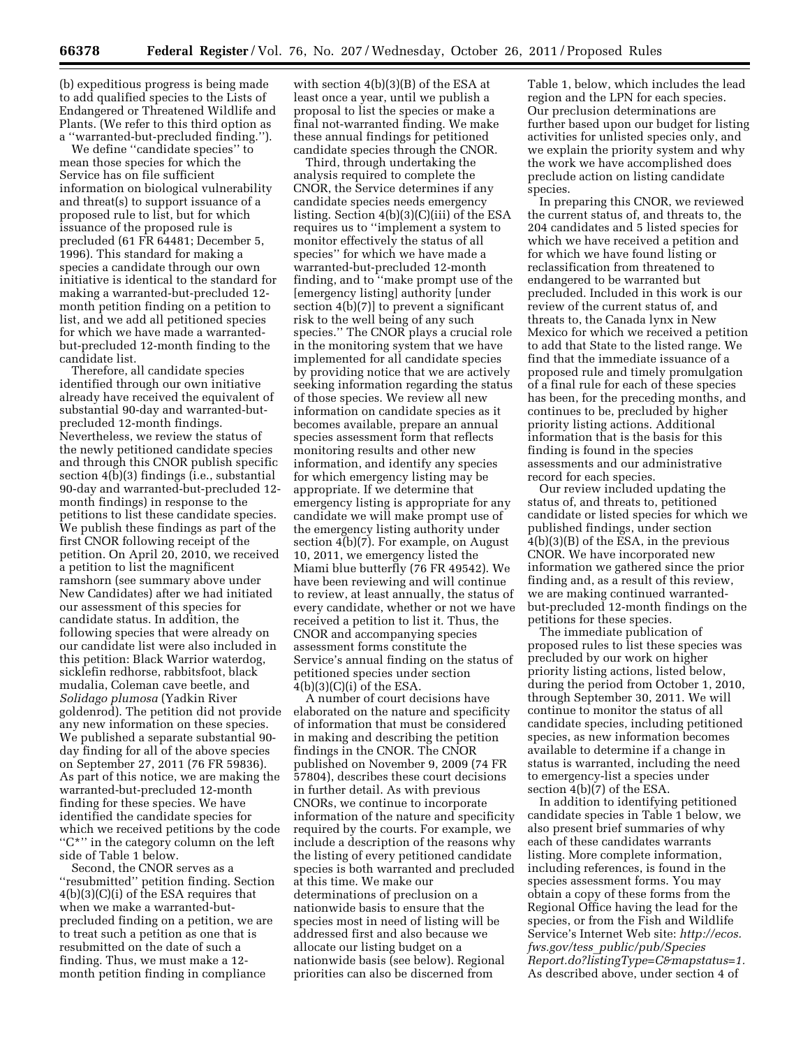(b) expeditious progress is being made to add qualified species to the Lists of Endangered or Threatened Wildlife and Plants. (We refer to this third option as a ''warranted-but-precluded finding.'').

We define ''candidate species'' to mean those species for which the Service has on file sufficient information on biological vulnerability and threat(s) to support issuance of a proposed rule to list, but for which issuance of the proposed rule is precluded (61 FR 64481; December 5, 1996). This standard for making a species a candidate through our own initiative is identical to the standard for making a warranted-but-precluded 12 month petition finding on a petition to list, and we add all petitioned species for which we have made a warrantedbut-precluded 12-month finding to the candidate list.

Therefore, all candidate species identified through our own initiative already have received the equivalent of substantial 90-day and warranted-butprecluded 12-month findings. Nevertheless, we review the status of the newly petitioned candidate species and through this CNOR publish specific section  $4(b)(3)$  findings (i.e., substantial 90-day and warranted-but-precluded 12 month findings) in response to the petitions to list these candidate species. We publish these findings as part of the first CNOR following receipt of the petition. On April 20, 2010, we received a petition to list the magnificent ramshorn (see summary above under New Candidates) after we had initiated our assessment of this species for candidate status. In addition, the following species that were already on our candidate list were also included in this petition: Black Warrior waterdog, sicklefin redhorse, rabbitsfoot, black mudalia, Coleman cave beetle, and *Solidago plumosa* (Yadkin River goldenrod). The petition did not provide any new information on these species. We published a separate substantial 90 day finding for all of the above species on September 27, 2011 (76 FR 59836). As part of this notice, we are making the warranted-but-precluded 12-month finding for these species. We have identified the candidate species for which we received petitions by the code "C\*" in the category column on the left side of Table 1 below.

Second, the CNOR serves as a ''resubmitted'' petition finding. Section 4(b)(3)(C)(i) of the ESA requires that when we make a warranted-butprecluded finding on a petition, we are to treat such a petition as one that is resubmitted on the date of such a finding. Thus, we must make a 12 month petition finding in compliance

with section 4(b)(3)(B) of the ESA at least once a year, until we publish a proposal to list the species or make a final not-warranted finding. We make these annual findings for petitioned candidate species through the CNOR.

Third, through undertaking the analysis required to complete the CNOR, the Service determines if any candidate species needs emergency listing. Section 4(b)(3)(C)(iii) of the ESA requires us to ''implement a system to monitor effectively the status of all species'' for which we have made a warranted-but-precluded 12-month finding, and to ''make prompt use of the [emergency listing] authority [under section 4(b)(7)] to prevent a significant risk to the well being of any such species.'' The CNOR plays a crucial role in the monitoring system that we have implemented for all candidate species by providing notice that we are actively seeking information regarding the status of those species. We review all new information on candidate species as it becomes available, prepare an annual species assessment form that reflects monitoring results and other new information, and identify any species for which emergency listing may be appropriate. If we determine that emergency listing is appropriate for any candidate we will make prompt use of the emergency listing authority under section 4(b)(7). For example, on August 10, 2011, we emergency listed the Miami blue butterfly (76 FR 49542). We have been reviewing and will continue to review, at least annually, the status of every candidate, whether or not we have received a petition to list it. Thus, the CNOR and accompanying species assessment forms constitute the Service's annual finding on the status of petitioned species under section  $4(b)(3)(C)(i)$  of the ESA.

A number of court decisions have elaborated on the nature and specificity of information that must be considered in making and describing the petition findings in the CNOR. The CNOR published on November 9, 2009 (74 FR 57804), describes these court decisions in further detail. As with previous CNORs, we continue to incorporate information of the nature and specificity required by the courts. For example, we include a description of the reasons why the listing of every petitioned candidate species is both warranted and precluded at this time. We make our determinations of preclusion on a nationwide basis to ensure that the species most in need of listing will be addressed first and also because we allocate our listing budget on a nationwide basis (see below). Regional priorities can also be discerned from

Table 1, below, which includes the lead region and the LPN for each species. Our preclusion determinations are further based upon our budget for listing activities for unlisted species only, and we explain the priority system and why the work we have accomplished does preclude action on listing candidate species.

In preparing this CNOR, we reviewed the current status of, and threats to, the 204 candidates and 5 listed species for which we have received a petition and for which we have found listing or reclassification from threatened to endangered to be warranted but precluded. Included in this work is our review of the current status of, and threats to, the Canada lynx in New Mexico for which we received a petition to add that State to the listed range. We find that the immediate issuance of a proposed rule and timely promulgation of a final rule for each of these species has been, for the preceding months, and continues to be, precluded by higher priority listing actions. Additional information that is the basis for this finding is found in the species assessments and our administrative record for each species.

Our review included updating the status of, and threats to, petitioned candidate or listed species for which we published findings, under section 4(b)(3)(B) of the ESA, in the previous CNOR. We have incorporated new information we gathered since the prior finding and, as a result of this review, we are making continued warrantedbut-precluded 12-month findings on the petitions for these species.

The immediate publication of proposed rules to list these species was precluded by our work on higher priority listing actions, listed below, during the period from October 1, 2010, through September 30, 2011. We will continue to monitor the status of all candidate species, including petitioned species, as new information becomes available to determine if a change in status is warranted, including the need to emergency-list a species under section 4(b)(7) of the ESA.

In addition to identifying petitioned candidate species in Table 1 below, we also present brief summaries of why each of these candidates warrants listing. More complete information, including references, is found in the species assessment forms. You may obtain a copy of these forms from the Regional Office having the lead for the species, or from the Fish and Wildlife Service's Internet Web site: *[http://ecos.](http://ecos.fws.gov/tess_public/pub/SpeciesReport.do?listingType=C&mapstatus=1) fws.gov/tess*\_*[public/pub/Species](http://ecos.fws.gov/tess_public/pub/SpeciesReport.do?listingType=C&mapstatus=1) [Report.do?listingType=C&mapstatus=1.](http://ecos.fws.gov/tess_public/pub/SpeciesReport.do?listingType=C&mapstatus=1)*  As described above, under section 4 of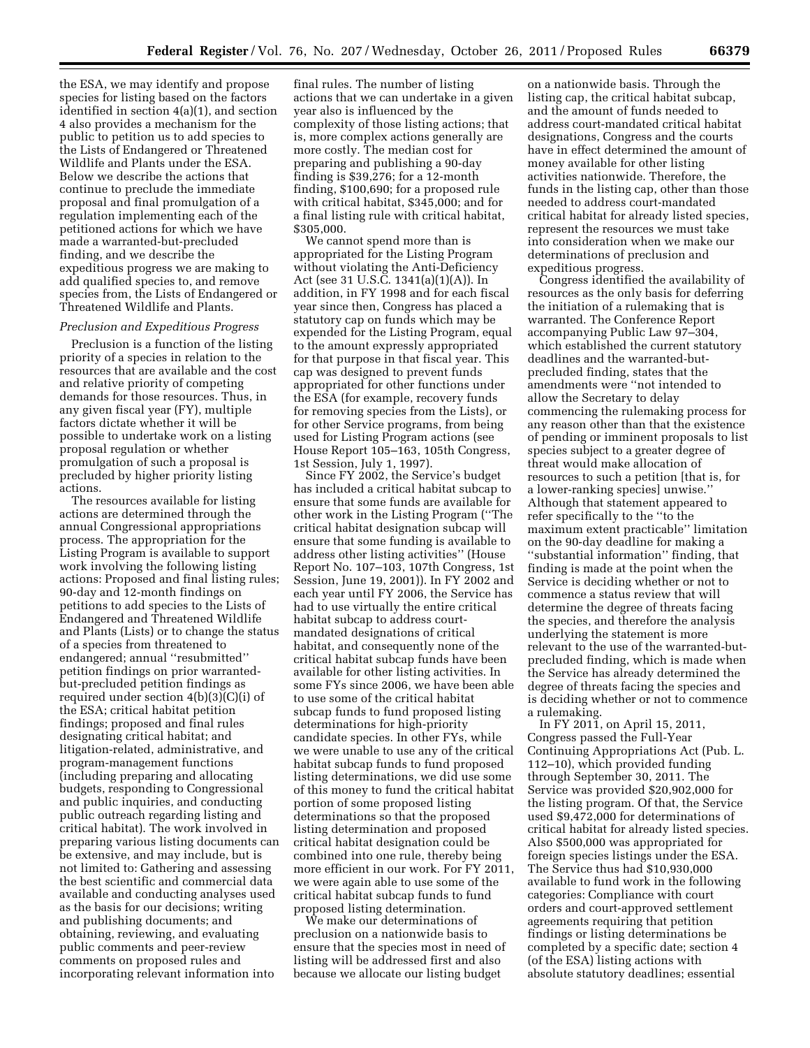the ESA, we may identify and propose species for listing based on the factors identified in section 4(a)(1), and section 4 also provides a mechanism for the public to petition us to add species to the Lists of Endangered or Threatened Wildlife and Plants under the ESA. Below we describe the actions that continue to preclude the immediate proposal and final promulgation of a regulation implementing each of the petitioned actions for which we have made a warranted-but-precluded finding, and we describe the expeditious progress we are making to add qualified species to, and remove species from, the Lists of Endangered or Threatened Wildlife and Plants.

### *Preclusion and Expeditious Progress*

Preclusion is a function of the listing priority of a species in relation to the resources that are available and the cost and relative priority of competing demands for those resources. Thus, in any given fiscal year (FY), multiple factors dictate whether it will be possible to undertake work on a listing proposal regulation or whether promulgation of such a proposal is precluded by higher priority listing actions.

The resources available for listing actions are determined through the annual Congressional appropriations process. The appropriation for the Listing Program is available to support work involving the following listing actions: Proposed and final listing rules; 90-day and 12-month findings on petitions to add species to the Lists of Endangered and Threatened Wildlife and Plants (Lists) or to change the status of a species from threatened to endangered; annual ''resubmitted'' petition findings on prior warrantedbut-precluded petition findings as required under section 4(b)(3)(C)(i) of the ESA; critical habitat petition findings; proposed and final rules designating critical habitat; and litigation-related, administrative, and program-management functions (including preparing and allocating budgets, responding to Congressional and public inquiries, and conducting public outreach regarding listing and critical habitat). The work involved in preparing various listing documents can be extensive, and may include, but is not limited to: Gathering and assessing the best scientific and commercial data available and conducting analyses used as the basis for our decisions; writing and publishing documents; and obtaining, reviewing, and evaluating public comments and peer-review comments on proposed rules and incorporating relevant information into

final rules. The number of listing actions that we can undertake in a given year also is influenced by the complexity of those listing actions; that is, more complex actions generally are more costly. The median cost for preparing and publishing a 90-day finding is \$39,276; for a 12-month finding, \$100,690; for a proposed rule with critical habitat, \$345,000; and for a final listing rule with critical habitat, \$305,000.

We cannot spend more than is appropriated for the Listing Program without violating the Anti-Deficiency Act (see 31 U.S.C. 1341(a)(1)(A)). In addition, in FY 1998 and for each fiscal year since then, Congress has placed a statutory cap on funds which may be expended for the Listing Program, equal to the amount expressly appropriated for that purpose in that fiscal year. This cap was designed to prevent funds appropriated for other functions under the ESA (for example, recovery funds for removing species from the Lists), or for other Service programs, from being used for Listing Program actions (see House Report 105–163, 105th Congress, 1st Session, July 1, 1997).

Since FY 2002, the Service's budget has included a critical habitat subcap to ensure that some funds are available for other work in the Listing Program (''The critical habitat designation subcap will ensure that some funding is available to address other listing activities'' (House Report No. 107–103, 107th Congress, 1st Session, June 19, 2001)). In FY 2002 and each year until FY 2006, the Service has had to use virtually the entire critical habitat subcap to address courtmandated designations of critical habitat, and consequently none of the critical habitat subcap funds have been available for other listing activities. In some FYs since 2006, we have been able to use some of the critical habitat subcap funds to fund proposed listing determinations for high-priority candidate species. In other FYs, while we were unable to use any of the critical habitat subcap funds to fund proposed listing determinations, we did use some of this money to fund the critical habitat portion of some proposed listing determinations so that the proposed listing determination and proposed critical habitat designation could be combined into one rule, thereby being more efficient in our work. For FY 2011, we were again able to use some of the critical habitat subcap funds to fund proposed listing determination.

We make our determinations of preclusion on a nationwide basis to ensure that the species most in need of listing will be addressed first and also because we allocate our listing budget

on a nationwide basis. Through the listing cap, the critical habitat subcap, and the amount of funds needed to address court-mandated critical habitat designations, Congress and the courts have in effect determined the amount of money available for other listing activities nationwide. Therefore, the funds in the listing cap, other than those needed to address court-mandated critical habitat for already listed species, represent the resources we must take into consideration when we make our determinations of preclusion and expeditious progress.

Congress identified the availability of resources as the only basis for deferring the initiation of a rulemaking that is warranted. The Conference Report accompanying Public Law 97–304, which established the current statutory deadlines and the warranted-butprecluded finding, states that the amendments were ''not intended to allow the Secretary to delay commencing the rulemaking process for any reason other than that the existence of pending or imminent proposals to list species subject to a greater degree of threat would make allocation of resources to such a petition [that is, for a lower-ranking species] unwise.'' Although that statement appeared to refer specifically to the ''to the maximum extent practicable'' limitation on the 90-day deadline for making a ''substantial information'' finding, that finding is made at the point when the Service is deciding whether or not to commence a status review that will determine the degree of threats facing the species, and therefore the analysis underlying the statement is more relevant to the use of the warranted-butprecluded finding, which is made when the Service has already determined the degree of threats facing the species and is deciding whether or not to commence a rulemaking.

In FY 2011, on April 15, 2011, Congress passed the Full-Year Continuing Appropriations Act (Pub. L. 112–10), which provided funding through September 30, 2011. The Service was provided \$20,902,000 for the listing program. Of that, the Service used \$9,472,000 for determinations of critical habitat for already listed species. Also \$500,000 was appropriated for foreign species listings under the ESA. The Service thus had \$10,930,000 available to fund work in the following categories: Compliance with court orders and court-approved settlement agreements requiring that petition findings or listing determinations be completed by a specific date; section 4 (of the ESA) listing actions with absolute statutory deadlines; essential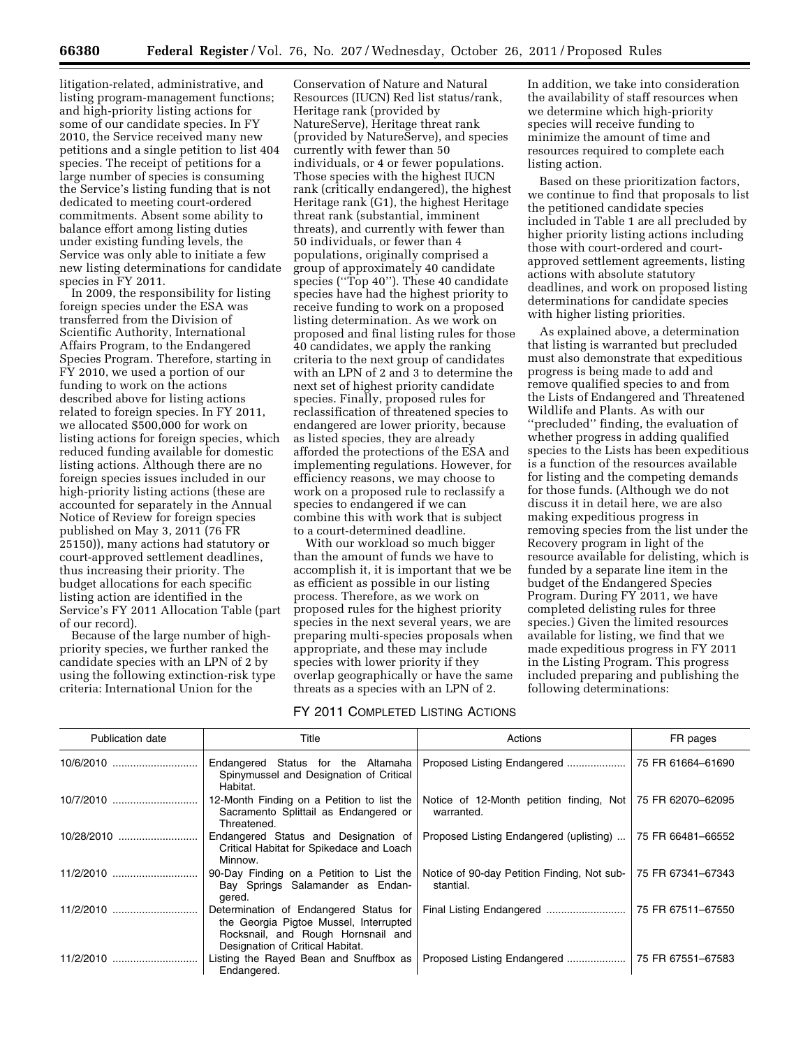litigation-related, administrative, and listing program-management functions; and high-priority listing actions for some of our candidate species. In FY 2010, the Service received many new petitions and a single petition to list 404 species. The receipt of petitions for a large number of species is consuming the Service's listing funding that is not dedicated to meeting court-ordered commitments. Absent some ability to balance effort among listing duties under existing funding levels, the Service was only able to initiate a few new listing determinations for candidate species in FY 2011.

In 2009, the responsibility for listing foreign species under the ESA was transferred from the Division of Scientific Authority, International Affairs Program, to the Endangered Species Program. Therefore, starting in FY 2010, we used a portion of our funding to work on the actions described above for listing actions related to foreign species. In FY 2011, we allocated \$500,000 for work on listing actions for foreign species, which reduced funding available for domestic listing actions. Although there are no foreign species issues included in our high-priority listing actions (these are accounted for separately in the Annual Notice of Review for foreign species published on May 3, 2011 (76 FR 25150)), many actions had statutory or court-approved settlement deadlines, thus increasing their priority. The budget allocations for each specific listing action are identified in the Service's FY 2011 Allocation Table (part of our record).

Because of the large number of highpriority species, we further ranked the candidate species with an LPN of 2 by using the following extinction-risk type criteria: International Union for the

Conservation of Nature and Natural Resources (IUCN) Red list status/rank, Heritage rank (provided by NatureServe), Heritage threat rank (provided by NatureServe), and species currently with fewer than 50 individuals, or 4 or fewer populations. Those species with the highest IUCN rank (critically endangered), the highest Heritage rank (G1), the highest Heritage threat rank (substantial, imminent threats), and currently with fewer than 50 individuals, or fewer than 4 populations, originally comprised a group of approximately 40 candidate species (''Top 40''). These 40 candidate species have had the highest priority to receive funding to work on a proposed listing determination. As we work on proposed and final listing rules for those 40 candidates, we apply the ranking criteria to the next group of candidates with an LPN of 2 and 3 to determine the next set of highest priority candidate species. Finally, proposed rules for reclassification of threatened species to endangered are lower priority, because as listed species, they are already afforded the protections of the ESA and implementing regulations. However, for efficiency reasons, we may choose to work on a proposed rule to reclassify a species to endangered if we can combine this with work that is subject to a court-determined deadline.

With our workload so much bigger than the amount of funds we have to accomplish it, it is important that we be as efficient as possible in our listing process. Therefore, as we work on proposed rules for the highest priority species in the next several years, we are preparing multi-species proposals when appropriate, and these may include species with lower priority if they overlap geographically or have the same threats as a species with an LPN of 2.

### FY 2011 COMPLETED LISTING ACTIONS

In addition, we take into consideration the availability of staff resources when we determine which high-priority species will receive funding to minimize the amount of time and resources required to complete each listing action.

Based on these prioritization factors, we continue to find that proposals to list the petitioned candidate species included in Table 1 are all precluded by higher priority listing actions including those with court-ordered and courtapproved settlement agreements, listing actions with absolute statutory deadlines, and work on proposed listing determinations for candidate species with higher listing priorities.

As explained above, a determination that listing is warranted but precluded must also demonstrate that expeditious progress is being made to add and remove qualified species to and from the Lists of Endangered and Threatened Wildlife and Plants. As with our ''precluded'' finding, the evaluation of whether progress in adding qualified species to the Lists has been expeditious is a function of the resources available for listing and the competing demands for those funds. (Although we do not discuss it in detail here, we are also making expeditious progress in removing species from the list under the Recovery program in light of the resource available for delisting, which is funded by a separate line item in the budget of the Endangered Species Program. During FY 2011, we have completed delisting rules for three species.) Given the limited resources available for listing, we find that we made expeditious progress in FY 2011 in the Listing Program. This progress included preparing and publishing the following determinations:

| <b>Publication date</b> | Title                                                                                                                                                      | Actions                                                                    | FR pages          |
|-------------------------|------------------------------------------------------------------------------------------------------------------------------------------------------------|----------------------------------------------------------------------------|-------------------|
|                         | Endangered Status for the Altamaha<br>Spinymussel and Designation of Critical<br>Habitat.                                                                  | Proposed Listing Endangered                                                | 75 FR 61664-61690 |
|                         | 12-Month Finding on a Petition to list the<br>Sacramento Splittail as Endangered or<br>Threatened.                                                         | Notice of 12-Month petition finding, Not   75 FR 62070-62095<br>warranted. |                   |
| 10/28/2010              | Endangered Status and Designation of<br>Critical Habitat for Spikedace and Loach<br>Minnow.                                                                | Proposed Listing Endangered (uplisting)                                    | 75 FR 66481-66552 |
|                         | 90-Day Finding on a Petition to List the<br>Bay Springs Salamander as Endan-<br>gered.                                                                     | Notice of 90-day Petition Finding, Not sub-<br>stantial.                   | 75 FR 67341-67343 |
|                         | Determination of Endangered Status for<br>the Georgia Pigtoe Mussel, Interrupted<br>Rocksnail, and Rough Hornsnail and<br>Designation of Critical Habitat. |                                                                            | 75 FR 67511-67550 |
| 11/2/2010               | Listing the Rayed Bean and Snuffbox as<br>Endangered.                                                                                                      | Proposed Listing Endangered                                                | 75 FR 67551-67583 |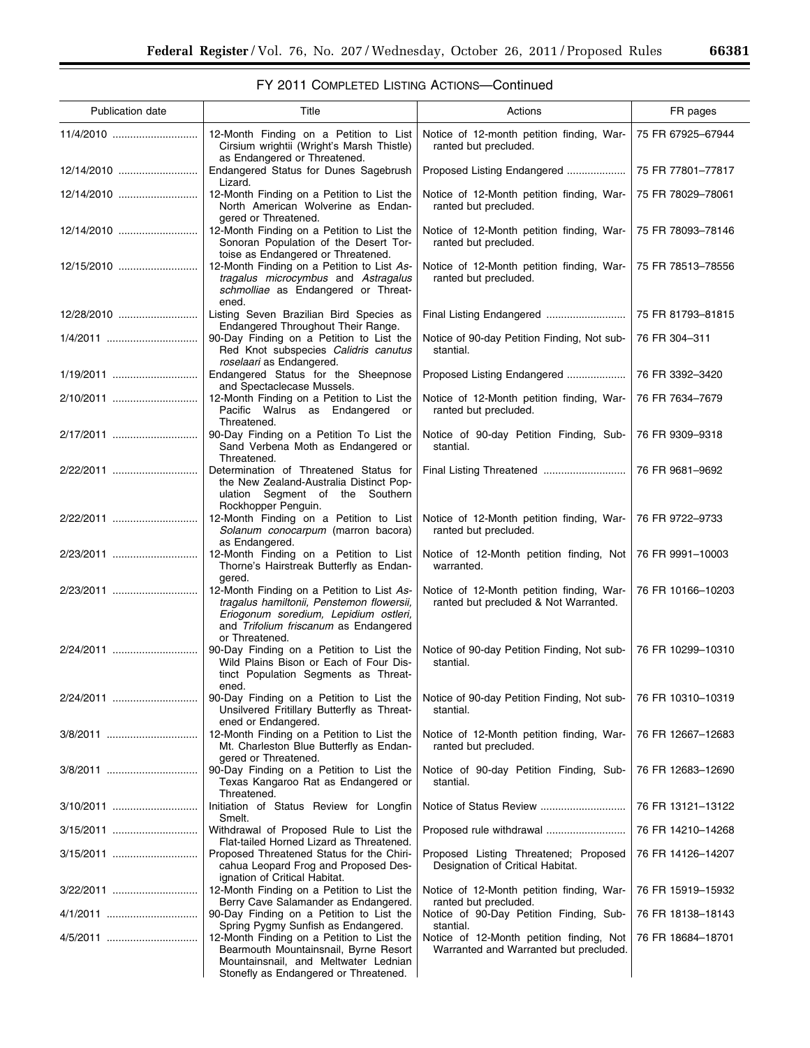۰

# FY 2011 COMPLETED LISTING ACTIONS—Continued

| Publication date | Title                                                                                                                                                                                       | Actions                                                                            | FR pages          |
|------------------|---------------------------------------------------------------------------------------------------------------------------------------------------------------------------------------------|------------------------------------------------------------------------------------|-------------------|
| 11/4/2010        | 12-Month Finding on a Petition to List<br>Cirsium wrightii (Wright's Marsh Thistle)<br>as Endangered or Threatened.                                                                         | Notice of 12-month petition finding, War-<br>ranted but precluded.                 | 75 FR 67925-67944 |
| 12/14/2010       | Endangered Status for Dunes Sagebrush<br>Lizard.                                                                                                                                            | Proposed Listing Endangered                                                        | 75 FR 77801-77817 |
| 12/14/2010       | 12-Month Finding on a Petition to List the<br>North American Wolverine as Endan-<br>gered or Threatened.                                                                                    | Notice of 12-Month petition finding, War-<br>ranted but precluded.                 | 75 FR 78029-78061 |
| 12/14/2010       | 12-Month Finding on a Petition to List the<br>Sonoran Population of the Desert Tor-<br>toise as Endangered or Threatened.                                                                   | Notice of 12-Month petition finding, War-<br>ranted but precluded.                 | 75 FR 78093-78146 |
| 12/15/2010       | 12-Month Finding on a Petition to List As-<br>tragalus microcymbus and Astragalus<br>schmolliae as Endangered or Threat-<br>ened.                                                           | Notice of 12-Month petition finding, War-<br>ranted but precluded.                 | 75 FR 78513-78556 |
| 12/28/2010       | Listing Seven Brazilian Bird Species as<br>Endangered Throughout Their Range.                                                                                                               | Final Listing Endangered                                                           | 75 FR 81793-81815 |
| 1/4/2011         | 90-Day Finding on a Petition to List the<br>Red Knot subspecies Calidris canutus<br>roselaari as Endangered.                                                                                | Notice of 90-day Petition Finding, Not sub-<br>stantial.                           | 76 FR 304-311     |
|                  | Endangered Status for the Sheepnose<br>and Spectaclecase Mussels.                                                                                                                           | Proposed Listing Endangered                                                        | 76 FR 3392-3420   |
| 2/10/2011        | 12-Month Finding on a Petition to List the<br>Pacific Walrus as Endangered or<br>Threatened.                                                                                                | Notice of 12-Month petition finding, War-<br>ranted but precluded.                 | 76 FR 7634-7679   |
| 2/17/2011        | 90-Day Finding on a Petition To List the<br>Sand Verbena Moth as Endangered or<br>Threatened.                                                                                               | Notice of 90-day Petition Finding, Sub-<br>stantial.                               | 76 FR 9309-9318   |
| 2/22/2011        | Determination of Threatened Status for<br>the New Zealand-Australia Distinct Pop-<br>ulation Segment of the Southern<br>Rockhopper Penguin.                                                 |                                                                                    | 76 FR 9681-9692   |
| 2/22/2011        | 12-Month Finding on a Petition to List<br>Solanum conocarpum (marron bacora)<br>as Endangered.                                                                                              | Notice of 12-Month petition finding, War-<br>ranted but precluded.                 | 76 FR 9722-9733   |
| 2/23/2011        | 12-Month Finding on a Petition to List<br>Thorne's Hairstreak Butterfly as Endan-<br>gered.                                                                                                 | Notice of 12-Month petition finding, Not<br>warranted.                             | 76 FR 9991-10003  |
| 2/23/2011        | 12-Month Finding on a Petition to List As-<br>tragalus hamiltonii, Penstemon flowersii,<br>Eriogonum soredium, Lepidium ostleri,<br>and Trifolium friscanum as Endangered<br>or Threatened. | Notice of 12-Month petition finding, War-<br>ranted but precluded & Not Warranted. | 76 FR 10166-10203 |
| 2/24/2011        | 90-Day Finding on a Petition to List the<br>Wild Plains Bison or Each of Four Dis-<br>tinct Population Segments as Threat-<br>ened.                                                         | Notice of 90-day Petition Finding, Not sub-<br>stantial.                           | 76 FR 10299-10310 |
| 2/24/2011        | 90-Day Finding on a Petition to List the<br>Unsilvered Fritillary Butterfly as Threat-<br>ened or Endangered.                                                                               | Notice of 90-day Petition Finding, Not sub-<br>stantial.                           | 76 FR 10310-10319 |
|                  | 12-Month Finding on a Petition to List the<br>Mt. Charleston Blue Butterfly as Endan-<br>gered or Threatened.                                                                               | Notice of 12-Month petition finding, War-<br>ranted but precluded.                 | 76 FR 12667-12683 |
| 3/8/2011         | 90-Day Finding on a Petition to List the<br>Texas Kangaroo Rat as Endangered or<br>Threatened.                                                                                              | Notice of 90-day Petition Finding, Sub-<br>stantial.                               | 76 FR 12683-12690 |
| 3/10/2011        | Initiation of Status Review for Longfin<br>Smelt.                                                                                                                                           |                                                                                    | 76 FR 13121-13122 |
| 3/15/2011        | Withdrawal of Proposed Rule to List the<br>Flat-tailed Horned Lizard as Threatened.                                                                                                         |                                                                                    | 76 FR 14210-14268 |
| 3/15/2011        | Proposed Threatened Status for the Chiri-<br>cahua Leopard Frog and Proposed Des-<br>ignation of Critical Habitat.                                                                          | Proposed Listing Threatened; Proposed<br>Designation of Critical Habitat.          | 76 FR 14126-14207 |
| 3/22/2011        | 12-Month Finding on a Petition to List the<br>Berry Cave Salamander as Endangered.                                                                                                          | Notice of 12-Month petition finding, War-<br>ranted but precluded.                 | 76 FR 15919-15932 |
|                  | 90-Day Finding on a Petition to List the<br>Spring Pygmy Sunfish as Endangered.                                                                                                             | Notice of 90-Day Petition Finding, Sub-<br>stantial.                               | 76 FR 18138-18143 |
| 4/5/2011         | 12-Month Finding on a Petition to List the<br>Bearmouth Mountainsnail, Byrne Resort<br>Mountainsnail, and Meltwater Lednian<br>Stonefly as Endangered or Threatened.                        | Notice of 12-Month petition finding, Not<br>Warranted and Warranted but precluded. | 76 FR 18684-18701 |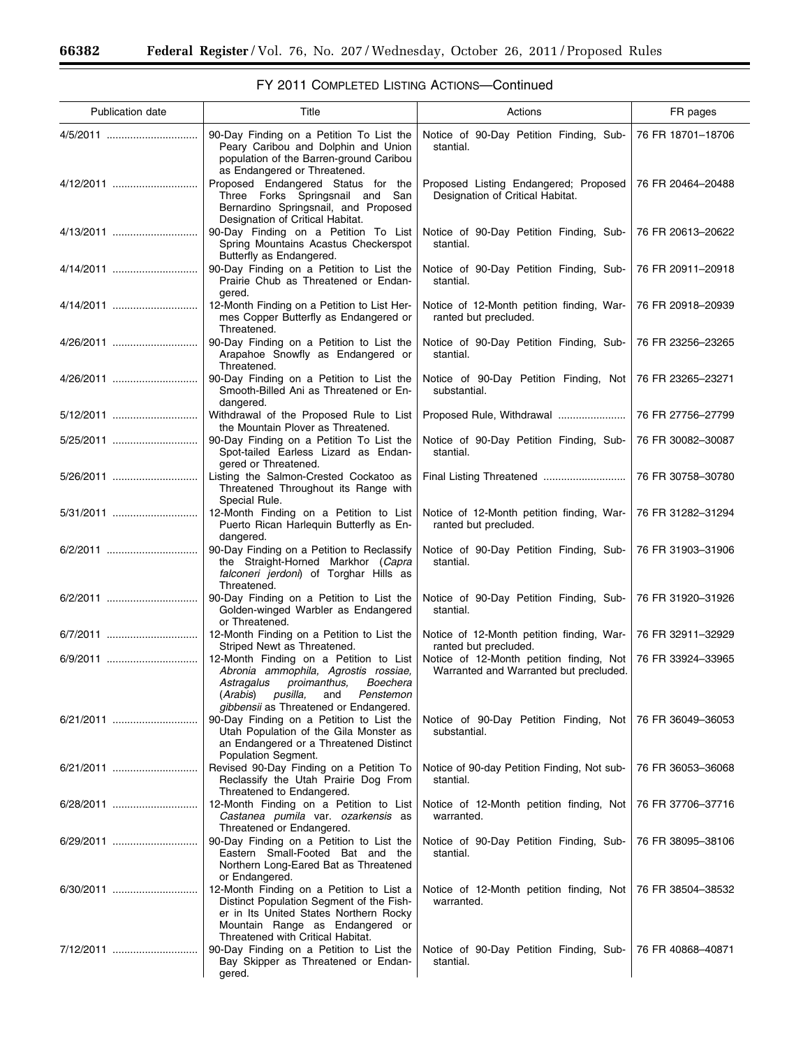$\equiv$ 

÷.

| Publication date | Title                                                                                                                                                                                                          | Actions                                                                            | FR pages          |
|------------------|----------------------------------------------------------------------------------------------------------------------------------------------------------------------------------------------------------------|------------------------------------------------------------------------------------|-------------------|
|                  | 90-Day Finding on a Petition To List the<br>Peary Caribou and Dolphin and Union<br>population of the Barren-ground Caribou<br>as Endangered or Threatened.                                                     | Notice of 90-Day Petition Finding, Sub-<br>stantial.                               | 76 FR 18701-18706 |
| 4/12/2011        | Proposed Endangered Status for the<br>Three Forks Springsnail and San<br>Bernardino Springsnail, and Proposed<br>Designation of Critical Habitat.                                                              | Proposed Listing Endangered; Proposed<br>Designation of Critical Habitat.          | 76 FR 20464-20488 |
| 4/13/2011        | 90-Day Finding on a Petition To List<br>Spring Mountains Acastus Checkerspot<br>Butterfly as Endangered.                                                                                                       | Notice of 90-Day Petition Finding, Sub-<br>stantial.                               | 76 FR 20613-20622 |
| 4/14/2011        | 90-Day Finding on a Petition to List the<br>Prairie Chub as Threatened or Endan-<br>gered.                                                                                                                     | Notice of 90-Day Petition Finding, Sub-<br>stantial.                               | 76 FR 20911-20918 |
| 4/14/2011        | 12-Month Finding on a Petition to List Her-<br>mes Copper Butterfly as Endangered or<br>Threatened.                                                                                                            | Notice of 12-Month petition finding, War-<br>ranted but precluded.                 | 76 FR 20918-20939 |
| 4/26/2011        | 90-Day Finding on a Petition to List the<br>Arapahoe Snowfly as Endangered or<br>Threatened.                                                                                                                   | Notice of 90-Day Petition Finding, Sub-<br>stantial.                               | 76 FR 23256-23265 |
| 4/26/2011        | 90-Day Finding on a Petition to List the<br>Smooth-Billed Ani as Threatened or En-<br>dangered.                                                                                                                | Notice of 90-Day Petition Finding, Not<br>substantial.                             | 76 FR 23265-23271 |
|                  | Withdrawal of the Proposed Rule to List<br>the Mountain Plover as Threatened.                                                                                                                                  | Proposed Rule, Withdrawal                                                          | 76 FR 27756-27799 |
| 5/25/2011        | 90-Day Finding on a Petition To List the<br>Spot-tailed Earless Lizard as Endan-<br>gered or Threatened.                                                                                                       | Notice of 90-Day Petition Finding, Sub-<br>stantial.                               | 76 FR 30082-30087 |
| 5/26/2011        | Listing the Salmon-Crested Cockatoo as<br>Threatened Throughout its Range with<br>Special Rule.                                                                                                                |                                                                                    | 76 FR 30758-30780 |
| 5/31/2011        | 12-Month Finding on a Petition to List<br>Puerto Rican Harlequin Butterfly as En-<br>dangered.                                                                                                                 | Notice of 12-Month petition finding, War-<br>ranted but precluded.                 | 76 FR 31282-31294 |
| 6/2/2011         | 90-Day Finding on a Petition to Reclassify<br>the Straight-Horned Markhor (Capra<br>falconeri jerdoni) of Torghar Hills as<br>Threatened.                                                                      | Notice of 90-Day Petition Finding, Sub-<br>stantial.                               | 76 FR 31903-31906 |
| 6/2/2011         | 90-Day Finding on a Petition to List the<br>Golden-winged Warbler as Endangered<br>or Threatened.                                                                                                              | Notice of 90-Day Petition Finding, Sub-<br>stantial.                               | 76 FR 31920-31926 |
| 6/7/2011         | 12-Month Finding on a Petition to List the<br>Striped Newt as Threatened.                                                                                                                                      | Notice of 12-Month petition finding, War-<br>ranted but precluded.                 | 76 FR 32911-32929 |
| 6/9/2011         | 12-Month Finding on a Petition to List<br>Abronia ammophila, Agrostis rossiae,<br>Astragalus<br>proimanthus,<br>Boechera<br>(Arabis)<br>pusilla,<br>Penstemon<br>and<br>gibbensii as Threatened or Endangered. | Notice of 12-Month petition finding, Not<br>Warranted and Warranted but precluded. | 76 FR 33924-33965 |
| 6/21/2011        | 90-Day Finding on a Petition to List the<br>Utah Population of the Gila Monster as<br>an Endangered or a Threatened Distinct<br>Population Segment.                                                            | Notice of 90-Day Petition Finding, Not<br>substantial.                             | 76 FR 36049-36053 |
| 6/21/2011        | Revised 90-Day Finding on a Petition To<br>Reclassify the Utah Prairie Dog From<br>Threatened to Endangered.                                                                                                   | Notice of 90-day Petition Finding, Not sub-<br>stantial.                           | 76 FR 36053-36068 |
| 6/28/2011        | 12-Month Finding on a Petition to List<br>Castanea pumila var. ozarkensis as<br>Threatened or Endangered.                                                                                                      | Notice of 12-Month petition finding, Not<br>warranted.                             | 76 FR 37706-37716 |
| 6/29/2011        | 90-Day Finding on a Petition to List the<br>Eastern Small-Footed Bat and the<br>Northern Long-Eared Bat as Threatened<br>or Endangered.                                                                        | Notice of 90-Day Petition Finding, Sub-<br>stantial.                               | 76 FR 38095-38106 |
|                  | 12-Month Finding on a Petition to List a<br>Distinct Population Segment of the Fish-<br>er in Its United States Northern Rocky<br>Mountain Range as Endangered or<br>Threatened with Critical Habitat.         | Notice of 12-Month petition finding, Not<br>warranted.                             | 76 FR 38504-38532 |
| 7/12/2011        | 90-Day Finding on a Petition to List the<br>Bay Skipper as Threatened or Endan-<br>gered.                                                                                                                      | Notice of 90-Day Petition Finding, Sub-<br>stantial.                               | 76 FR 40868-40871 |

# FY 2011 COMPLETED LISTING ACTIONS—Continued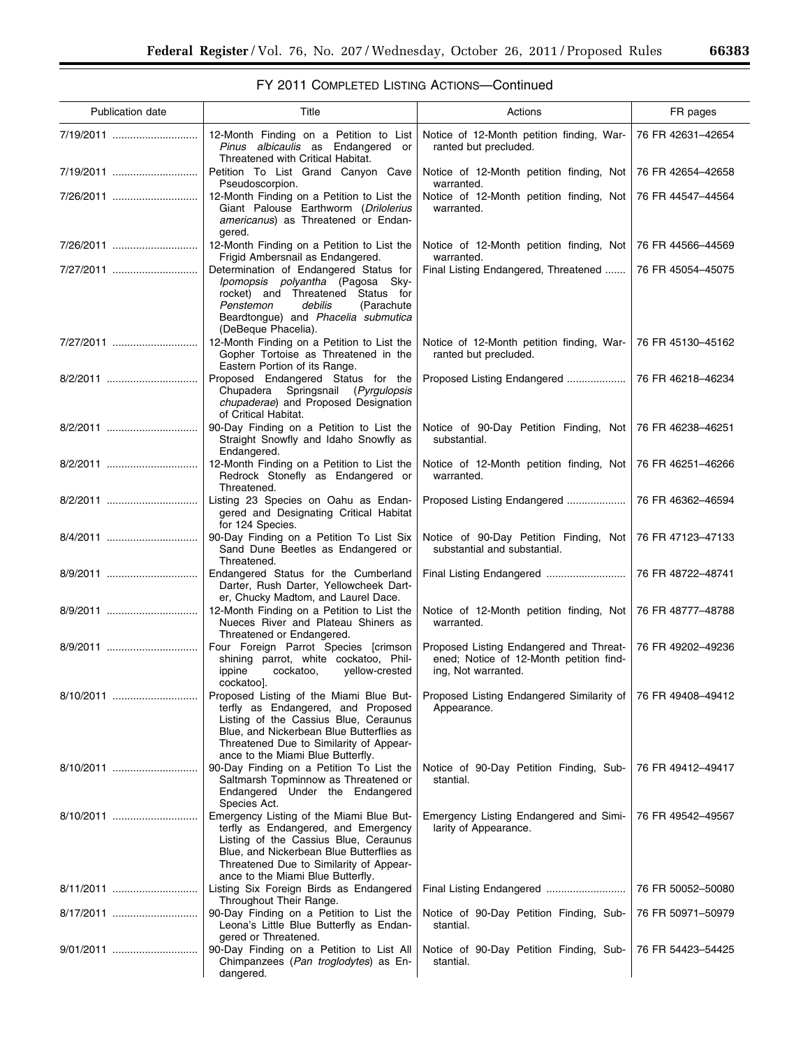▀

| FY 2011 COMPLETED LISTING ACTIONS-Continued |  |  |  |
|---------------------------------------------|--|--|--|
|---------------------------------------------|--|--|--|

| Publication date | Title                                                                                                                                                                                                                                                | Actions                                                                                                   | FR pages          |
|------------------|------------------------------------------------------------------------------------------------------------------------------------------------------------------------------------------------------------------------------------------------------|-----------------------------------------------------------------------------------------------------------|-------------------|
| 7/19/2011        | 12-Month Finding on a Petition to List<br>Pinus albicaulis as Endangered or<br>Threatened with Critical Habitat.                                                                                                                                     | Notice of 12-Month petition finding, War-<br>ranted but precluded.                                        | 76 FR 42631-42654 |
| 7/19/2011        | Petition To List Grand Canyon Cave<br>Pseudoscorpion.                                                                                                                                                                                                | Notice of 12-Month petition finding, Not<br>warranted.                                                    | 76 FR 42654-42658 |
| 7/26/2011        | 12-Month Finding on a Petition to List the<br>Giant Palouse Earthworm (Drilolerius<br>americanus) as Threatened or Endan-<br>gered.                                                                                                                  | Notice of 12-Month petition finding, Not<br>warranted.                                                    | 76 FR 44547-44564 |
| 7/26/2011        | 12-Month Finding on a Petition to List the<br>Frigid Ambersnail as Endangered.                                                                                                                                                                       | Notice of 12-Month petition finding, Not   76 FR 44566-44569<br>warranted.                                |                   |
| 7/27/2011        | Determination of Endangered Status for<br>Ipomopsis polyantha (Pagosa Sky-<br>rocket) and Threatened Status for<br>Penstemon<br>debilis<br>(Parachute<br>Beardtongue) and Phacelia submutica<br>(DeBeque Phacelia).                                  | Final Listing Endangered, Threatened                                                                      | 76 FR 45054-45075 |
| 7/27/2011        | 12-Month Finding on a Petition to List the<br>Gopher Tortoise as Threatened in the<br>Eastern Portion of its Range.                                                                                                                                  | Notice of 12-Month petition finding, War-<br>ranted but precluded.                                        | 76 FR 45130-45162 |
| 8/2/2011         | Proposed Endangered Status for the<br>Springsnail<br>Chupadera<br>(Pyrgulopsis<br>chupaderae) and Proposed Designation<br>of Critical Habitat.                                                                                                       | Proposed Listing Endangered                                                                               | 76 FR 46218-46234 |
| 8/2/2011         | 90-Day Finding on a Petition to List the<br>Straight Snowfly and Idaho Snowfly as<br>Endangered.                                                                                                                                                     | Notice of 90-Day Petition Finding, Not 76 FR 46238-46251<br>substantial.                                  |                   |
| 8/2/2011         | 12-Month Finding on a Petition to List the<br>Redrock Stonefly as Endangered or<br>Threatened.                                                                                                                                                       | Notice of 12-Month petition finding, Not<br>warranted.                                                    | 76 FR 46251-46266 |
| 8/2/2011         | Listing 23 Species on Oahu as Endan-<br>gered and Designating Critical Habitat<br>for 124 Species.                                                                                                                                                   | Proposed Listing Endangered                                                                               | 76 FR 46362-46594 |
| 8/4/2011         | 90-Day Finding on a Petition To List Six<br>Sand Dune Beetles as Endangered or<br>Threatened.                                                                                                                                                        | Notice of 90-Day Petition Finding, Not<br>substantial and substantial.                                    | 76 FR 47123-47133 |
| 8/9/2011         | Endangered Status for the Cumberland<br>Darter, Rush Darter, Yellowcheek Dart-<br>er, Chucky Madtom, and Laurel Dace.                                                                                                                                |                                                                                                           | 76 FR 48722-48741 |
| 8/9/2011         | 12-Month Finding on a Petition to List the<br>Nueces River and Plateau Shiners as<br>Threatened or Endangered.                                                                                                                                       | Notice of 12-Month petition finding, Not<br>warranted.                                                    | 76 FR 48777-48788 |
| 8/9/2011         | Four Foreign Parrot Species [crimson<br>shining parrot, white cockatoo, Phil-<br>yellow-crested<br>ippine<br>cockatoo,<br>cockatoo].                                                                                                                 | Proposed Listing Endangered and Threat-<br>ened; Notice of 12-Month petition find-<br>ing, Not warranted. | 76 FR 49202-49236 |
| 8/10/2011        | Proposed Listing of the Miami Blue But-<br>terfly as Endangered, and Proposed<br>Listing of the Cassius Blue, Ceraunus<br>Blue, and Nickerbean Blue Butterflies as<br>Threatened Due to Similarity of Appear-<br>ance to the Miami Blue Butterfly.   | Proposed Listing Endangered Similarity of   76 FR 49408-49412<br>Appearance.                              |                   |
| 8/10/2011        | 90-Day Finding on a Petition To List the<br>Saltmarsh Topminnow as Threatened or<br>Endangered Under the Endangered<br>Species Act.                                                                                                                  | Notice of 90-Day Petition Finding, Sub-<br>stantial.                                                      | 76 FR 49412-49417 |
| 8/10/2011        | Emergency Listing of the Miami Blue But-<br>terfly as Endangered, and Emergency<br>Listing of the Cassius Blue, Ceraunus<br>Blue, and Nickerbean Blue Butterflies as<br>Threatened Due to Similarity of Appear-<br>ance to the Miami Blue Butterfly. | Emergency Listing Endangered and Simi-<br>larity of Appearance.                                           | 76 FR 49542-49567 |
| 8/11/2011        | Listing Six Foreign Birds as Endangered<br>Throughout Their Range.                                                                                                                                                                                   |                                                                                                           | 76 FR 50052-50080 |
| 8/17/2011        | 90-Day Finding on a Petition to List the<br>Leona's Little Blue Butterfly as Endan-<br>gered or Threatened.                                                                                                                                          | Notice of 90-Day Petition Finding, Sub-<br>stantial.                                                      | 76 FR 50971-50979 |
| 9/01/2011        | 90-Day Finding on a Petition to List All<br>Chimpanzees (Pan troglodytes) as En-<br>dangered.                                                                                                                                                        | Notice of 90-Day Petition Finding, Sub-<br>stantial.                                                      | 76 FR 54423-54425 |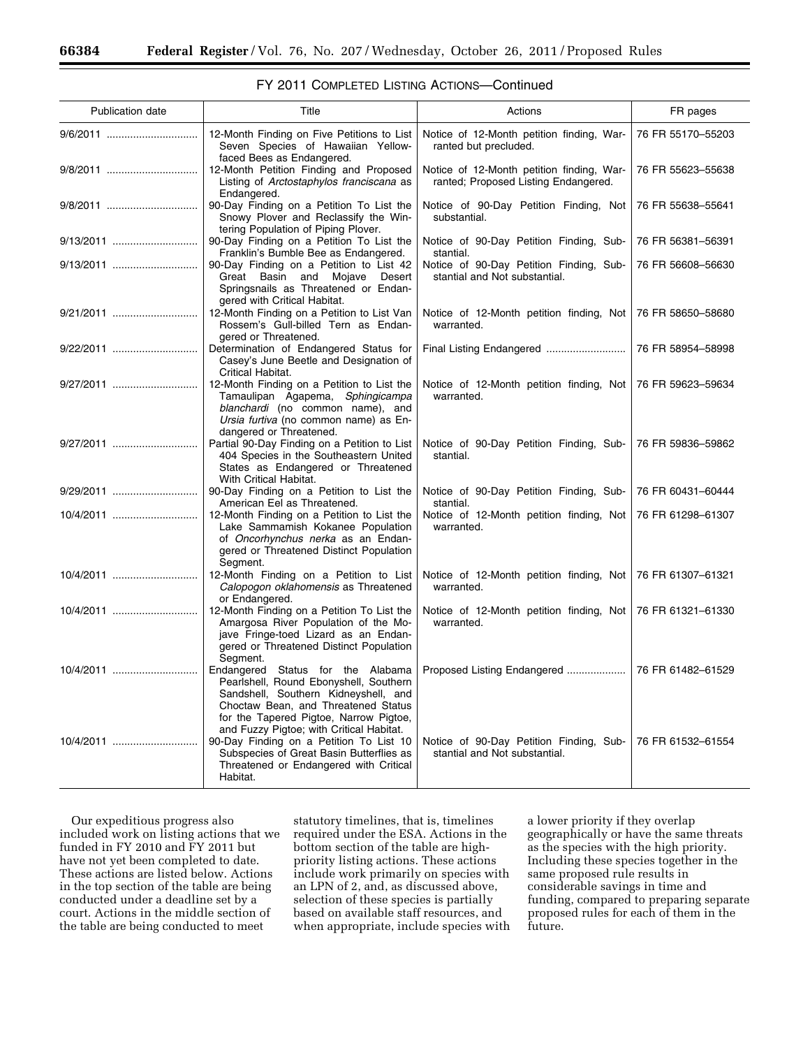| Publication date | Title                                                                                                                                                                                                                                            | Actions                                                                           | FR pages          |
|------------------|--------------------------------------------------------------------------------------------------------------------------------------------------------------------------------------------------------------------------------------------------|-----------------------------------------------------------------------------------|-------------------|
| 9/6/2011         | 12-Month Finding on Five Petitions to List<br>Seven Species of Hawaiian Yellow-<br>faced Bees as Endangered.                                                                                                                                     | Notice of 12-Month petition finding, War-<br>ranted but precluded.                | 76 FR 55170-55203 |
| 9/8/2011         | 12-Month Petition Finding and Proposed<br>Listing of Arctostaphylos franciscana as<br>Endangered.                                                                                                                                                | Notice of 12-Month petition finding, War-<br>ranted; Proposed Listing Endangered. | 76 FR 55623-55638 |
| 9/8/2011         | 90-Day Finding on a Petition To List the<br>Snowy Plover and Reclassify the Win-<br>tering Population of Piping Plover.                                                                                                                          | Notice of 90-Day Petition Finding, Not<br>substantial.                            | 76 FR 55638-55641 |
| 9/13/2011        | 90-Day Finding on a Petition To List the<br>Franklin's Bumble Bee as Endangered.                                                                                                                                                                 | Notice of 90-Day Petition Finding, Sub-<br>stantial.                              | 76 FR 56381-56391 |
|                  | 90-Day Finding on a Petition to List 42<br>Great Basin and Mojave Desert<br>Springsnails as Threatened or Endan-<br>gered with Critical Habitat.                                                                                                 | Notice of 90-Day Petition Finding, Sub-<br>stantial and Not substantial.          | 76 FR 56608-56630 |
| 9/21/2011        | 12-Month Finding on a Petition to List Van<br>Rossem's Gull-billed Tern as Endan-<br>gered or Threatened.                                                                                                                                        | Notice of 12-Month petition finding, Not<br>warranted.                            | 76 FR 58650-58680 |
|                  | Determination of Endangered Status for<br>Casey's June Beetle and Designation of<br>Critical Habitat.                                                                                                                                            | Final Listing Endangered                                                          | 76 FR 58954-58998 |
|                  | 12-Month Finding on a Petition to List the<br>Tamaulipan Agapema, Sphingicampa<br>blanchardi (no common name), and<br>Ursia furtiva (no common name) as En-<br>dangered or Threatened.                                                           | Notice of 12-Month petition finding, Not<br>warranted.                            | 76 FR 59623-59634 |
| 9/27/2011        | Partial 90-Day Finding on a Petition to List<br>404 Species in the Southeastern United<br>States as Endangered or Threatened<br>With Critical Habitat.                                                                                           | Notice of 90-Day Petition Finding, Sub-<br>stantial.                              | 76 FR 59836-59862 |
| 9/29/2011        | 90-Day Finding on a Petition to List the<br>American Eel as Threatened.                                                                                                                                                                          | Notice of 90-Day Petition Finding, Sub-<br>stantial.                              | 76 FR 60431-60444 |
|                  | 12-Month Finding on a Petition to List the<br>Lake Sammamish Kokanee Population<br>of Oncorhynchus nerka as an Endan-<br>gered or Threatened Distinct Population<br>Segment.                                                                     | Notice of 12-Month petition finding, Not<br>warranted.                            | 76 FR 61298-61307 |
|                  | 12-Month Finding on a Petition to List<br>Calopogon oklahomensis as Threatened<br>or Endangered.                                                                                                                                                 | Notice of 12-Month petition finding, Not<br>warranted.                            | 76 FR 61307-61321 |
|                  | 12-Month Finding on a Petition To List the<br>Amargosa River Population of the Mo-<br>jave Fringe-toed Lizard as an Endan-<br>gered or Threatened Distinct Population<br>Segment.                                                                | Notice of 12-Month petition finding, Not<br>warranted.                            | 76 FR 61321-61330 |
| 10/4/2011        | Endangered Status for the Alabama<br>Pearlshell, Round Ebonyshell, Southern<br>Sandshell, Southern Kidneyshell, and<br>Choctaw Bean, and Threatened Status<br>for the Tapered Pigtoe, Narrow Pigtoe,<br>and Fuzzy Pigtoe; with Critical Habitat. | Proposed Listing Endangered                                                       | 76 FR 61482-61529 |
| 10/4/2011        | 90-Day Finding on a Petition To List 10<br>Subspecies of Great Basin Butterflies as<br>Threatened or Endangered with Critical<br>Habitat.                                                                                                        | Notice of 90-Day Petition Finding, Sub-<br>stantial and Not substantial.          | 76 FR 61532-61554 |

| FY 2011 COMPLETED LISTING ACTIONS-Continued |  |  |
|---------------------------------------------|--|--|
|---------------------------------------------|--|--|

Our expeditious progress also included work on listing actions that we funded in FY 2010 and FY 2011 but have not yet been completed to date. These actions are listed below. Actions in the top section of the table are being conducted under a deadline set by a court. Actions in the middle section of the table are being conducted to meet

statutory timelines, that is, timelines required under the ESA. Actions in the bottom section of the table are highpriority listing actions. These actions include work primarily on species with an LPN of 2, and, as discussed above, selection of these species is partially based on available staff resources, and when appropriate, include species with

a lower priority if they overlap geographically or have the same threats as the species with the high priority. Including these species together in the same proposed rule results in considerable savings in time and funding, compared to preparing separate proposed rules for each of them in the future.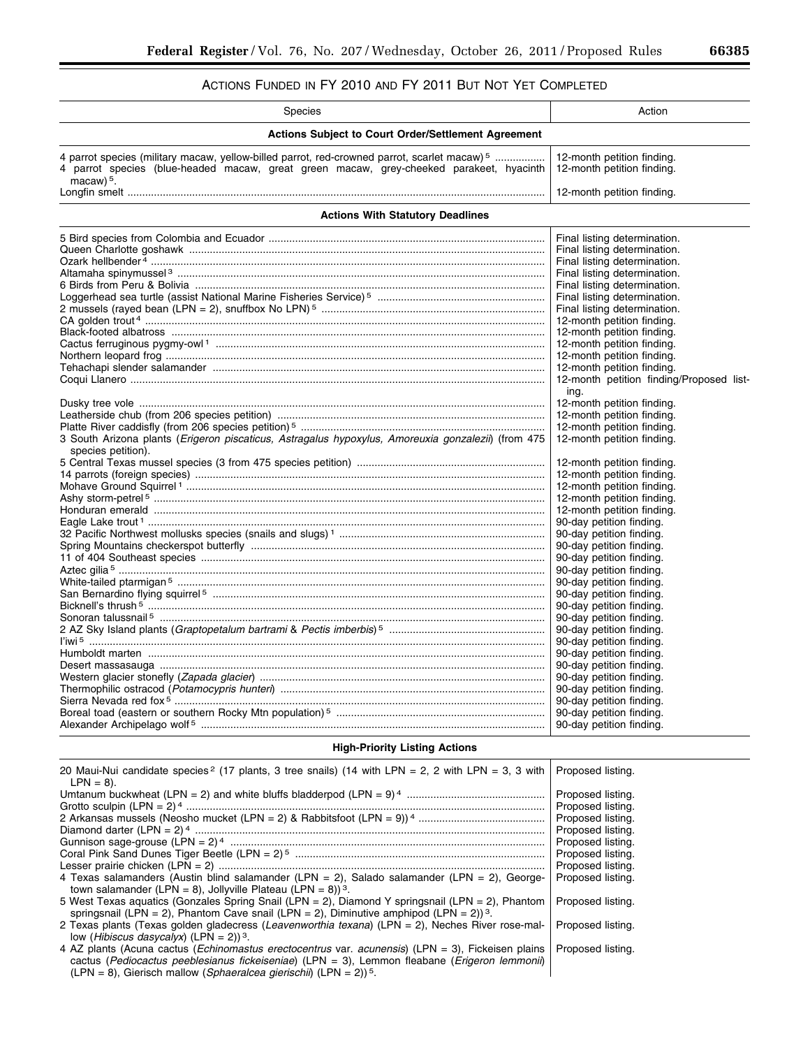# ACTIONS FUNDED IN FY 2010 AND FY 2011 BUT NOT YET COMPLETED

| <b>Species</b>                                                                                                                                                                                                    | Action                                                   |  |  |  |  |
|-------------------------------------------------------------------------------------------------------------------------------------------------------------------------------------------------------------------|----------------------------------------------------------|--|--|--|--|
| <b>Actions Subject to Court Order/Settlement Agreement</b>                                                                                                                                                        |                                                          |  |  |  |  |
| 4 parrot species (military macaw, yellow-billed parrot, red-crowned parrot, scarlet macaw) <sup>5</sup><br>4 parrot species (blue-headed macaw, great green macaw, grey-cheeked parakeet, hyacinth<br>macaw $5$ . | 12-month petition finding.<br>12-month petition finding. |  |  |  |  |
|                                                                                                                                                                                                                   | 12-month petition finding.                               |  |  |  |  |
| <b>Actions With Statutory Deadlines</b>                                                                                                                                                                           |                                                          |  |  |  |  |
|                                                                                                                                                                                                                   | Final listing determination.                             |  |  |  |  |
|                                                                                                                                                                                                                   | Final listing determination.                             |  |  |  |  |
|                                                                                                                                                                                                                   | Final listing determination.                             |  |  |  |  |
|                                                                                                                                                                                                                   | Final listing determination.                             |  |  |  |  |
|                                                                                                                                                                                                                   | Final listing determination.                             |  |  |  |  |
|                                                                                                                                                                                                                   | Final listing determination.                             |  |  |  |  |
|                                                                                                                                                                                                                   | Final listing determination.                             |  |  |  |  |
|                                                                                                                                                                                                                   | 12-month petition finding.                               |  |  |  |  |
|                                                                                                                                                                                                                   | 12-month petition finding.                               |  |  |  |  |
|                                                                                                                                                                                                                   | 12-month petition finding.                               |  |  |  |  |
|                                                                                                                                                                                                                   | 12-month petition finding.                               |  |  |  |  |
|                                                                                                                                                                                                                   | 12-month petition finding.                               |  |  |  |  |
|                                                                                                                                                                                                                   | 12-month petition finding/Proposed list-                 |  |  |  |  |
|                                                                                                                                                                                                                   | ing.                                                     |  |  |  |  |
|                                                                                                                                                                                                                   |                                                          |  |  |  |  |
|                                                                                                                                                                                                                   | 12-month petition finding.<br>12-month petition finding. |  |  |  |  |
|                                                                                                                                                                                                                   |                                                          |  |  |  |  |
| 3 South Arizona plants (Erigeron piscaticus, Astragalus hypoxylus, Amoreuxia gonzalezii) (from 475<br>species petition).                                                                                          | 12-month petition finding.<br>12-month petition finding. |  |  |  |  |
|                                                                                                                                                                                                                   | 12-month petition finding.                               |  |  |  |  |
|                                                                                                                                                                                                                   |                                                          |  |  |  |  |
|                                                                                                                                                                                                                   | 12-month petition finding.                               |  |  |  |  |
|                                                                                                                                                                                                                   | 12-month petition finding.                               |  |  |  |  |
|                                                                                                                                                                                                                   | 12-month petition finding.                               |  |  |  |  |
|                                                                                                                                                                                                                   | 12-month petition finding.                               |  |  |  |  |
|                                                                                                                                                                                                                   | 90-day petition finding.                                 |  |  |  |  |
|                                                                                                                                                                                                                   | 90-day petition finding.                                 |  |  |  |  |
|                                                                                                                                                                                                                   | 90-day petition finding.                                 |  |  |  |  |
|                                                                                                                                                                                                                   | 90-day petition finding.                                 |  |  |  |  |
|                                                                                                                                                                                                                   | 90-day petition finding.                                 |  |  |  |  |
|                                                                                                                                                                                                                   | 90-day petition finding.                                 |  |  |  |  |
|                                                                                                                                                                                                                   | 90-day petition finding.                                 |  |  |  |  |
|                                                                                                                                                                                                                   | 90-day petition finding.                                 |  |  |  |  |
|                                                                                                                                                                                                                   | 90-day petition finding.                                 |  |  |  |  |
|                                                                                                                                                                                                                   | 90-day petition finding.                                 |  |  |  |  |
|                                                                                                                                                                                                                   | 90-day petition finding.                                 |  |  |  |  |
|                                                                                                                                                                                                                   | 90-day petition finding.                                 |  |  |  |  |
|                                                                                                                                                                                                                   | 90-day petition finding.                                 |  |  |  |  |
|                                                                                                                                                                                                                   | 90-day petition finding.                                 |  |  |  |  |
|                                                                                                                                                                                                                   | 90-day petition finding.                                 |  |  |  |  |
|                                                                                                                                                                                                                   | 90-day petition finding.                                 |  |  |  |  |
|                                                                                                                                                                                                                   | 90-day petition finding.<br>90-day petition finding.     |  |  |  |  |
|                                                                                                                                                                                                                   |                                                          |  |  |  |  |
| <b>High-Priority Listing Actions</b>                                                                                                                                                                              |                                                          |  |  |  |  |

| 20 Maui-Nui candidate species <sup>2</sup> (17 plants, 3 tree snails) (14 with LPN = 2, 2 with LPN = 3, 3 with<br>$LPN = 8$ ).                                                                                                                                                                                          | Proposed listing. |
|-------------------------------------------------------------------------------------------------------------------------------------------------------------------------------------------------------------------------------------------------------------------------------------------------------------------------|-------------------|
|                                                                                                                                                                                                                                                                                                                         | Proposed listing. |
|                                                                                                                                                                                                                                                                                                                         | Proposed listing. |
|                                                                                                                                                                                                                                                                                                                         | Proposed listing. |
|                                                                                                                                                                                                                                                                                                                         | Proposed listing. |
|                                                                                                                                                                                                                                                                                                                         | Proposed listing. |
|                                                                                                                                                                                                                                                                                                                         | Proposed listing. |
|                                                                                                                                                                                                                                                                                                                         | Proposed listing. |
| 4 Texas salamanders (Austin blind salamander (LPN = 2), Salado salamander (LPN = 2), George-<br>town salamander (LPN = 8), Jollyville Plateau (LPN = 8)) 3.                                                                                                                                                             | Proposed listing. |
| 5 West Texas aquatics (Gonzales Spring Snail (LPN = 2), Diamond Y springsnail (LPN = 2), Phantom<br>springsnail (LPN = 2), Phantom Cave snail (LPN = 2), Diminutive amphipod (LPN = 2)) <sup>3</sup> .                                                                                                                  | Proposed listing. |
| 2 Texas plants (Texas golden gladecress (Leavenworthia texana) (LPN = 2), Neches River rose-mal-<br>low ( <i>Hibiscus dasycalyx</i> ) (LPN = 2)) <sup>3</sup> .                                                                                                                                                         | Proposed listing. |
| 4 AZ plants (Acuna cactus ( <i>Echinomastus erectocentrus</i> var. <i>acunensis</i> ) (LPN = 3). Fickeisen plains   Proposed listing.<br>cactus (Pediocactus peeblesianus fickeiseniae) (LPN = 3), Lemmon fleabane (Erigeron lemmonii)<br>(LPN = 8), Gierisch mallow (Sphaeralcea gierischii) (LPN = 2)) <sup>5</sup> . |                   |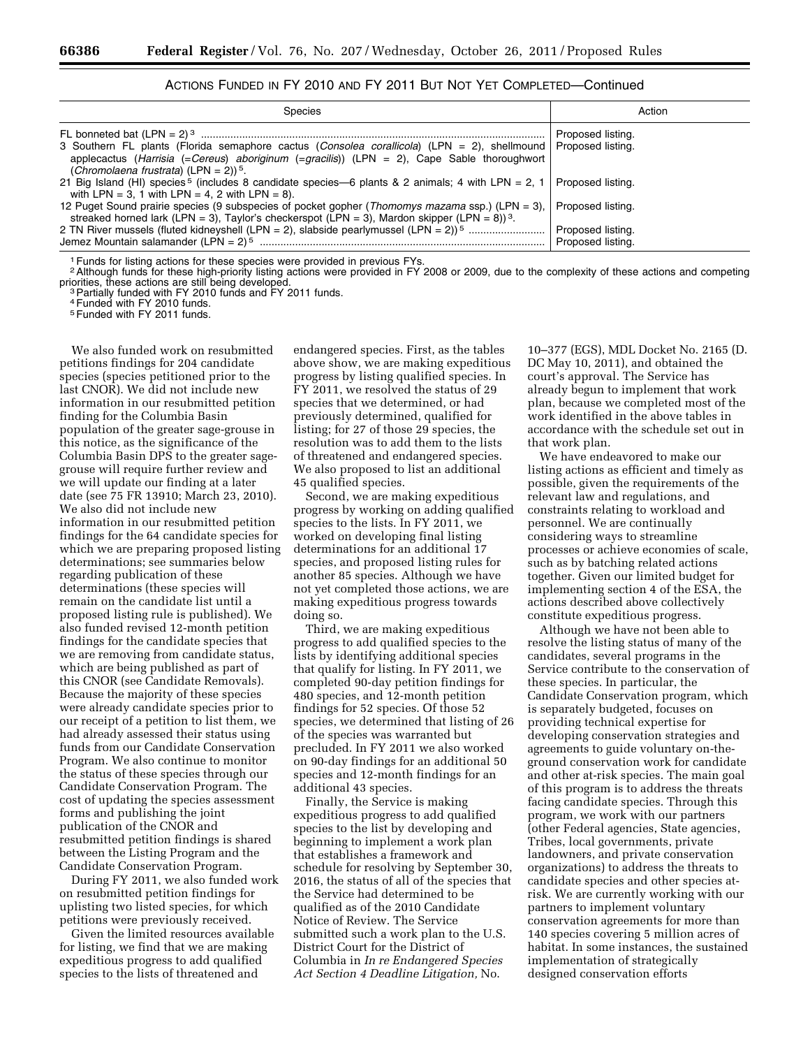| <b>Species</b>                                                                                                                                                                                                                                                   | Action            |
|------------------------------------------------------------------------------------------------------------------------------------------------------------------------------------------------------------------------------------------------------------------|-------------------|
| 3 Southern FL plants (Florida semaphore cactus (Consolea corallicola) (LPN = 2), shellmound Proposed listing.<br>applecactus (Harrisia (=Cereus) aboriginum (=gracilis)) (LPN = 2), Cape Sable thoroughwort<br>(Chromolaena frustrata) (LPN = 2)) <sup>5</sup> . | Proposed listing. |
| 21 Big Island (HI) species <sup>5</sup> (includes 8 candidate species—6 plants & 2 animals; 4 with LPN = 2, 1   Proposed listing.<br>with LPN = 3, 1 with LPN = 4, 2 with LPN = 8).                                                                              |                   |
| 12 Puget Sound prairie species (9 subspecies of pocket gopher ( <i>Thomomys mazama</i> ssp.) (LPN = 3), $ $<br>streaked horned lark (LPN = 3), Taylor's checkerspot (LPN = 3), Mardon skipper (LPN = 8)) <sup>3</sup> .                                          | Proposed listing. |
| 2 TN River mussels (fluted kidneyshell (LPN = 2), slabside pearlymussel (LPN = 2)) <sup>5</sup> ………………………                                                                                                                                                        | Proposed listing. |
|                                                                                                                                                                                                                                                                  | Proposed listing. |

# ACTIONS FUNDED IN FY 2010 AND FY 2011 BUT NOT YET COMPLETED—Continued

<sup>1</sup> Funds for listing actions for these species were provided in previous FYs.

<sup>2</sup> Although funds for these high-priority listing actions were provided in FY 2008 or 2009, due to the complexity of these actions and competing priorities, these actions are still being developed.

<sup>3</sup> Partially funded with FY 2010 funds and FY 2011 funds.

4Funded with FY 2010 funds.

5Funded with FY 2011 funds.

We also funded work on resubmitted petitions findings for 204 candidate species (species petitioned prior to the last CNOR). We did not include new information in our resubmitted petition finding for the Columbia Basin population of the greater sage-grouse in this notice, as the significance of the Columbia Basin DPS to the greater sagegrouse will require further review and we will update our finding at a later date (see 75 FR 13910; March 23, 2010). We also did not include new information in our resubmitted petition findings for the 64 candidate species for which we are preparing proposed listing determinations; see summaries below regarding publication of these determinations (these species will remain on the candidate list until a proposed listing rule is published). We also funded revised 12-month petition findings for the candidate species that we are removing from candidate status, which are being published as part of this CNOR (see Candidate Removals). Because the majority of these species were already candidate species prior to our receipt of a petition to list them, we had already assessed their status using funds from our Candidate Conservation Program. We also continue to monitor the status of these species through our Candidate Conservation Program. The cost of updating the species assessment forms and publishing the joint publication of the CNOR and resubmitted petition findings is shared between the Listing Program and the Candidate Conservation Program.

During FY 2011, we also funded work on resubmitted petition findings for uplisting two listed species, for which petitions were previously received.

Given the limited resources available for listing, we find that we are making expeditious progress to add qualified species to the lists of threatened and

endangered species. First, as the tables above show, we are making expeditious progress by listing qualified species. In FY 2011, we resolved the status of 29 species that we determined, or had previously determined, qualified for listing; for 27 of those 29 species, the resolution was to add them to the lists of threatened and endangered species. We also proposed to list an additional 45 qualified species.

Second, we are making expeditious progress by working on adding qualified species to the lists. In FY 2011, we worked on developing final listing determinations for an additional 17 species, and proposed listing rules for another 85 species. Although we have not yet completed those actions, we are making expeditious progress towards doing so.

Third, we are making expeditious progress to add qualified species to the lists by identifying additional species that qualify for listing. In FY 2011, we completed 90-day petition findings for 480 species, and 12-month petition findings for 52 species. Of those 52 species, we determined that listing of 26 of the species was warranted but precluded. In FY 2011 we also worked on 90-day findings for an additional 50 species and 12-month findings for an additional 43 species.

Finally, the Service is making expeditious progress to add qualified species to the list by developing and beginning to implement a work plan that establishes a framework and schedule for resolving by September 30, 2016, the status of all of the species that the Service had determined to be qualified as of the 2010 Candidate Notice of Review. The Service submitted such a work plan to the U.S. District Court for the District of Columbia in *In re Endangered Species Act Section 4 Deadline Litigation,* No.

10–377 (EGS), MDL Docket No. 2165 (D. DC May 10, 2011), and obtained the court's approval. The Service has already begun to implement that work plan, because we completed most of the work identified in the above tables in accordance with the schedule set out in that work plan.

We have endeavored to make our listing actions as efficient and timely as possible, given the requirements of the relevant law and regulations, and constraints relating to workload and personnel. We are continually considering ways to streamline processes or achieve economies of scale, such as by batching related actions together. Given our limited budget for implementing section 4 of the ESA, the actions described above collectively constitute expeditious progress.

Although we have not been able to resolve the listing status of many of the candidates, several programs in the Service contribute to the conservation of these species. In particular, the Candidate Conservation program, which is separately budgeted, focuses on providing technical expertise for developing conservation strategies and agreements to guide voluntary on-theground conservation work for candidate and other at-risk species. The main goal of this program is to address the threats facing candidate species. Through this program, we work with our partners (other Federal agencies, State agencies, Tribes, local governments, private landowners, and private conservation organizations) to address the threats to candidate species and other species atrisk. We are currently working with our partners to implement voluntary conservation agreements for more than 140 species covering 5 million acres of habitat. In some instances, the sustained implementation of strategically designed conservation efforts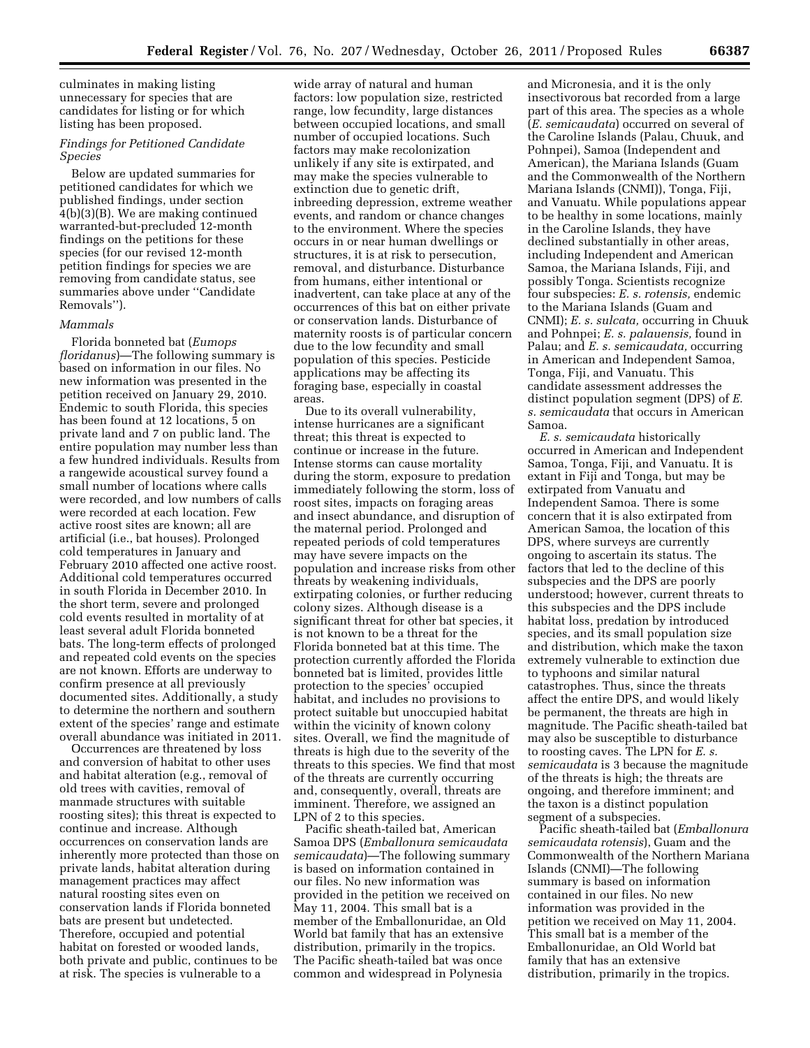culminates in making listing unnecessary for species that are candidates for listing or for which listing has been proposed.

# *Findings for Petitioned Candidate Species*

Below are updated summaries for petitioned candidates for which we published findings, under section 4(b)(3)(B). We are making continued warranted-but-precluded 12-month findings on the petitions for these species (for our revised 12-month petition findings for species we are removing from candidate status, see summaries above under ''Candidate Removals'').

# *Mammals*

Florida bonneted bat (*Eumops floridanus*)—The following summary is based on information in our files. No new information was presented in the petition received on January 29, 2010. Endemic to south Florida, this species has been found at 12 locations, 5 on private land and 7 on public land. The entire population may number less than a few hundred individuals. Results from a rangewide acoustical survey found a small number of locations where calls were recorded, and low numbers of calls were recorded at each location. Few active roost sites are known; all are artificial (i.e., bat houses). Prolonged cold temperatures in January and February 2010 affected one active roost. Additional cold temperatures occurred in south Florida in December 2010. In the short term, severe and prolonged cold events resulted in mortality of at least several adult Florida bonneted bats. The long-term effects of prolonged and repeated cold events on the species are not known. Efforts are underway to confirm presence at all previously documented sites. Additionally, a study to determine the northern and southern extent of the species' range and estimate overall abundance was initiated in 2011.

Occurrences are threatened by loss and conversion of habitat to other uses and habitat alteration (e.g., removal of old trees with cavities, removal of manmade structures with suitable roosting sites); this threat is expected to continue and increase. Although occurrences on conservation lands are inherently more protected than those on private lands, habitat alteration during management practices may affect natural roosting sites even on conservation lands if Florida bonneted bats are present but undetected. Therefore, occupied and potential habitat on forested or wooded lands, both private and public, continues to be at risk. The species is vulnerable to a

wide array of natural and human factors: low population size, restricted range, low fecundity, large distances between occupied locations, and small number of occupied locations. Such factors may make recolonization unlikely if any site is extirpated, and may make the species vulnerable to extinction due to genetic drift, inbreeding depression, extreme weather events, and random or chance changes to the environment. Where the species occurs in or near human dwellings or structures, it is at risk to persecution, removal, and disturbance. Disturbance from humans, either intentional or inadvertent, can take place at any of the occurrences of this bat on either private or conservation lands. Disturbance of maternity roosts is of particular concern due to the low fecundity and small population of this species. Pesticide applications may be affecting its foraging base, especially in coastal areas.

Due to its overall vulnerability, intense hurricanes are a significant threat; this threat is expected to continue or increase in the future. Intense storms can cause mortality during the storm, exposure to predation immediately following the storm, loss of roost sites, impacts on foraging areas and insect abundance, and disruption of the maternal period. Prolonged and repeated periods of cold temperatures may have severe impacts on the population and increase risks from other threats by weakening individuals, extirpating colonies, or further reducing colony sizes. Although disease is a significant threat for other bat species, it is not known to be a threat for the Florida bonneted bat at this time. The protection currently afforded the Florida bonneted bat is limited, provides little protection to the species' occupied habitat, and includes no provisions to protect suitable but unoccupied habitat within the vicinity of known colony sites. Overall, we find the magnitude of threats is high due to the severity of the threats to this species. We find that most of the threats are currently occurring and, consequently, overall, threats are imminent. Therefore, we assigned an LPN of 2 to this species.

Pacific sheath-tailed bat, American Samoa DPS (*Emballonura semicaudata semicaudata*)—The following summary is based on information contained in our files. No new information was provided in the petition we received on May 11, 2004. This small bat is a member of the Emballonuridae, an Old World bat family that has an extensive distribution, primarily in the tropics. The Pacific sheath-tailed bat was once common and widespread in Polynesia

and Micronesia, and it is the only insectivorous bat recorded from a large part of this area. The species as a whole (*E. semicaudata*) occurred on several of the Caroline Islands (Palau, Chuuk, and Pohnpei), Samoa (Independent and American), the Mariana Islands (Guam and the Commonwealth of the Northern Mariana Islands (CNMI)), Tonga, Fiji, and Vanuatu. While populations appear to be healthy in some locations, mainly in the Caroline Islands, they have declined substantially in other areas, including Independent and American Samoa, the Mariana Islands, Fiji, and possibly Tonga. Scientists recognize four subspecies: *E. s. rotensis,* endemic to the Mariana Islands (Guam and CNMI); *E. s. sulcata,* occurring in Chuuk and Pohnpei; *E. s. palauensis,* found in Palau; and *E. s. semicaudata,* occurring in American and Independent Samoa, Tonga, Fiji, and Vanuatu. This candidate assessment addresses the distinct population segment (DPS) of *E. s. semicaudata* that occurs in American Samoa.

*E. s. semicaudata* historically occurred in American and Independent Samoa, Tonga, Fiji, and Vanuatu. It is extant in Fiji and Tonga, but may be extirpated from Vanuatu and Independent Samoa. There is some concern that it is also extirpated from American Samoa, the location of this DPS, where surveys are currently ongoing to ascertain its status. The factors that led to the decline of this subspecies and the DPS are poorly understood; however, current threats to this subspecies and the DPS include habitat loss, predation by introduced species, and its small population size and distribution, which make the taxon extremely vulnerable to extinction due to typhoons and similar natural catastrophes. Thus, since the threats affect the entire DPS, and would likely be permanent, the threats are high in magnitude. The Pacific sheath-tailed bat may also be susceptible to disturbance to roosting caves. The LPN for *E. s. semicaudata* is 3 because the magnitude of the threats is high; the threats are ongoing, and therefore imminent; and the taxon is a distinct population segment of a subspecies.

Pacific sheath-tailed bat (*Emballonura semicaudata rotensis*), Guam and the Commonwealth of the Northern Mariana Islands (CNMI)—The following summary is based on information contained in our files. No new information was provided in the petition we received on May 11, 2004. This small bat is a member of the Emballonuridae, an Old World bat family that has an extensive distribution, primarily in the tropics.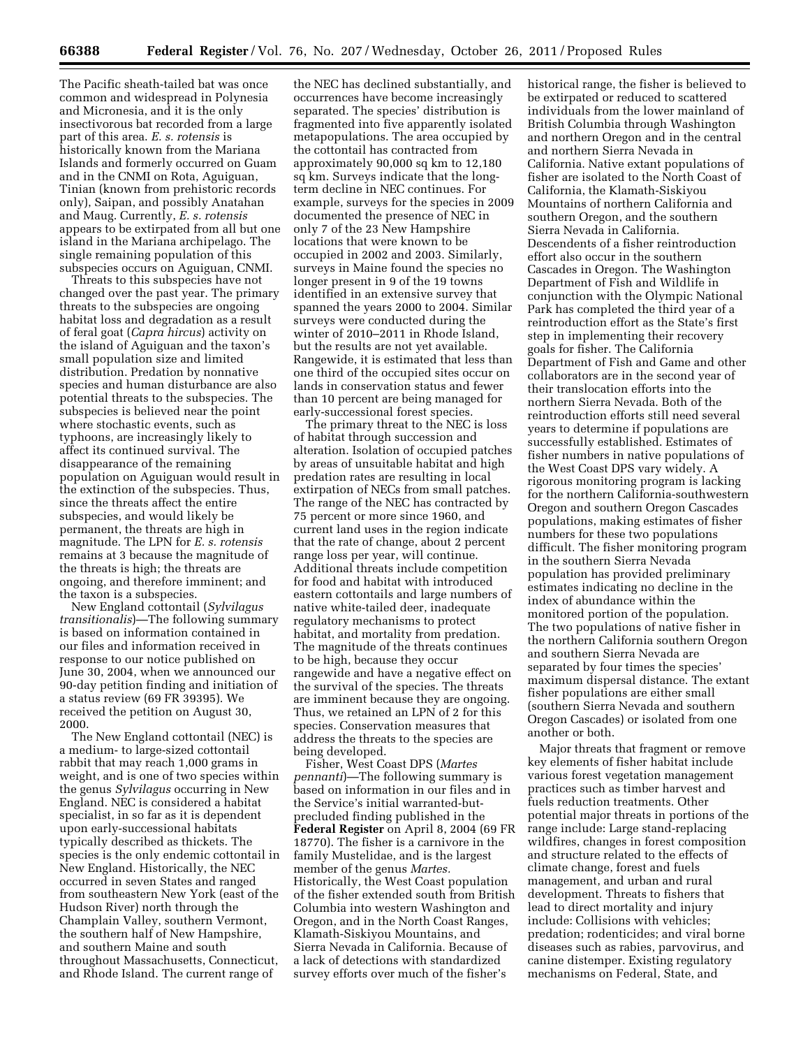The Pacific sheath-tailed bat was once common and widespread in Polynesia and Micronesia, and it is the only insectivorous bat recorded from a large part of this area. *E. s. rotensis* is historically known from the Mariana Islands and formerly occurred on Guam and in the CNMI on Rota, Aguiguan, Tinian (known from prehistoric records only), Saipan, and possibly Anatahan and Maug. Currently, *E. s. rotensis*  appears to be extirpated from all but one island in the Mariana archipelago. The single remaining population of this subspecies occurs on Aguiguan, CNMI.

Threats to this subspecies have not changed over the past year. The primary threats to the subspecies are ongoing habitat loss and degradation as a result of feral goat (*Capra hircus*) activity on the island of Aguiguan and the taxon's small population size and limited distribution. Predation by nonnative species and human disturbance are also potential threats to the subspecies. The subspecies is believed near the point where stochastic events, such as typhoons, are increasingly likely to affect its continued survival. The disappearance of the remaining population on Aguiguan would result in the extinction of the subspecies. Thus, since the threats affect the entire subspecies, and would likely be permanent, the threats are high in magnitude. The LPN for *E. s. rotensis*  remains at 3 because the magnitude of the threats is high; the threats are ongoing, and therefore imminent; and the taxon is a subspecies.

New England cottontail (*Sylvilagus transitionalis*)—The following summary is based on information contained in our files and information received in response to our notice published on June 30, 2004, when we announced our 90-day petition finding and initiation of a status review (69 FR 39395). We received the petition on August 30, 2000.

The New England cottontail (NEC) is a medium- to large-sized cottontail rabbit that may reach 1,000 grams in weight, and is one of two species within the genus *Sylvilagus* occurring in New England. NEC is considered a habitat specialist, in so far as it is dependent upon early-successional habitats typically described as thickets. The species is the only endemic cottontail in New England. Historically, the NEC occurred in seven States and ranged from southeastern New York (east of the Hudson River) north through the Champlain Valley, southern Vermont, the southern half of New Hampshire, and southern Maine and south throughout Massachusetts, Connecticut, and Rhode Island. The current range of

the NEC has declined substantially, and occurrences have become increasingly separated. The species' distribution is fragmented into five apparently isolated metapopulations. The area occupied by the cottontail has contracted from approximately 90,000 sq km to 12,180 sq km. Surveys indicate that the longterm decline in NEC continues. For example, surveys for the species in 2009 documented the presence of NEC in only 7 of the 23 New Hampshire locations that were known to be occupied in 2002 and 2003. Similarly, surveys in Maine found the species no longer present in 9 of the 19 towns identified in an extensive survey that spanned the years 2000 to 2004. Similar surveys were conducted during the winter of 2010–2011 in Rhode Island, but the results are not yet available. Rangewide, it is estimated that less than one third of the occupied sites occur on lands in conservation status and fewer than 10 percent are being managed for early-successional forest species.

The primary threat to the NEC is loss of habitat through succession and alteration. Isolation of occupied patches by areas of unsuitable habitat and high predation rates are resulting in local extirpation of NECs from small patches. The range of the NEC has contracted by 75 percent or more since 1960, and current land uses in the region indicate that the rate of change, about 2 percent range loss per year, will continue. Additional threats include competition for food and habitat with introduced eastern cottontails and large numbers of native white-tailed deer, inadequate regulatory mechanisms to protect habitat, and mortality from predation. The magnitude of the threats continues to be high, because they occur rangewide and have a negative effect on the survival of the species. The threats are imminent because they are ongoing. Thus, we retained an LPN of 2 for this species. Conservation measures that address the threats to the species are being developed.

Fisher, West Coast DPS (*Martes pennanti*)—The following summary is based on information in our files and in the Service's initial warranted-butprecluded finding published in the **Federal Register** on April 8, 2004 (69 FR 18770). The fisher is a carnivore in the family Mustelidae, and is the largest member of the genus *Martes.*  Historically, the West Coast population of the fisher extended south from British Columbia into western Washington and Oregon, and in the North Coast Ranges, Klamath-Siskiyou Mountains, and Sierra Nevada in California. Because of a lack of detections with standardized survey efforts over much of the fisher's

historical range, the fisher is believed to be extirpated or reduced to scattered individuals from the lower mainland of British Columbia through Washington and northern Oregon and in the central and northern Sierra Nevada in California. Native extant populations of fisher are isolated to the North Coast of California, the Klamath-Siskiyou Mountains of northern California and southern Oregon, and the southern Sierra Nevada in California. Descendents of a fisher reintroduction effort also occur in the southern Cascades in Oregon. The Washington Department of Fish and Wildlife in conjunction with the Olympic National Park has completed the third year of a reintroduction effort as the State's first step in implementing their recovery goals for fisher. The California Department of Fish and Game and other collaborators are in the second year of their translocation efforts into the northern Sierra Nevada. Both of the reintroduction efforts still need several years to determine if populations are successfully established. Estimates of fisher numbers in native populations of the West Coast DPS vary widely. A rigorous monitoring program is lacking for the northern California-southwestern Oregon and southern Oregon Cascades populations, making estimates of fisher numbers for these two populations difficult. The fisher monitoring program in the southern Sierra Nevada population has provided preliminary estimates indicating no decline in the index of abundance within the monitored portion of the population. The two populations of native fisher in the northern California southern Oregon and southern Sierra Nevada are separated by four times the species' maximum dispersal distance. The extant fisher populations are either small (southern Sierra Nevada and southern Oregon Cascades) or isolated from one another or both.

Major threats that fragment or remove key elements of fisher habitat include various forest vegetation management practices such as timber harvest and fuels reduction treatments. Other potential major threats in portions of the range include: Large stand-replacing wildfires, changes in forest composition and structure related to the effects of climate change, forest and fuels management, and urban and rural development. Threats to fishers that lead to direct mortality and injury include: Collisions with vehicles; predation; rodenticides; and viral borne diseases such as rabies, parvovirus, and canine distemper. Existing regulatory mechanisms on Federal, State, and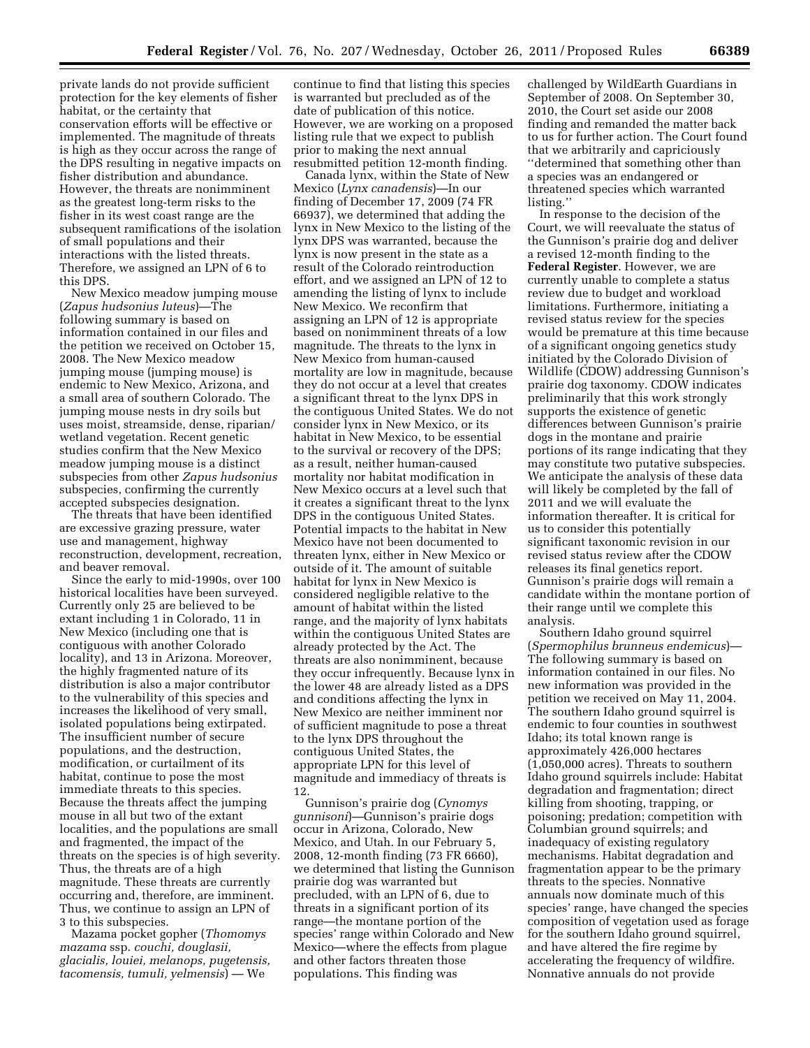private lands do not provide sufficient protection for the key elements of fisher habitat, or the certainty that conservation efforts will be effective or implemented. The magnitude of threats is high as they occur across the range of the DPS resulting in negative impacts on fisher distribution and abundance. However, the threats are nonimminent as the greatest long-term risks to the fisher in its west coast range are the subsequent ramifications of the isolation of small populations and their interactions with the listed threats. Therefore, we assigned an LPN of 6 to this DPS.

New Mexico meadow jumping mouse (*Zapus hudsonius luteus*)—The following summary is based on information contained in our files and the petition we received on October 15, 2008. The New Mexico meadow jumping mouse (jumping mouse) is endemic to New Mexico, Arizona, and a small area of southern Colorado. The jumping mouse nests in dry soils but uses moist, streamside, dense, riparian/ wetland vegetation. Recent genetic studies confirm that the New Mexico meadow jumping mouse is a distinct subspecies from other *Zapus hudsonius*  subspecies, confirming the currently accepted subspecies designation.

The threats that have been identified are excessive grazing pressure, water use and management, highway reconstruction, development, recreation, and beaver removal.

Since the early to mid-1990s, over 100 historical localities have been surveyed. Currently only 25 are believed to be extant including 1 in Colorado, 11 in New Mexico (including one that is contiguous with another Colorado locality), and 13 in Arizona. Moreover, the highly fragmented nature of its distribution is also a major contributor to the vulnerability of this species and increases the likelihood of very small, isolated populations being extirpated. The insufficient number of secure populations, and the destruction, modification, or curtailment of its habitat, continue to pose the most immediate threats to this species. Because the threats affect the jumping mouse in all but two of the extant localities, and the populations are small and fragmented, the impact of the threats on the species is of high severity. Thus, the threats are of a high magnitude. These threats are currently occurring and, therefore, are imminent. Thus, we continue to assign an LPN of 3 to this subspecies.

Mazama pocket gopher (*Thomomys mazama* ssp. *couchi, douglasii, glacialis, louiei, melanops, pugetensis, tacomensis, tumuli, yelmensis*) — We

continue to find that listing this species is warranted but precluded as of the date of publication of this notice. However, we are working on a proposed listing rule that we expect to publish prior to making the next annual resubmitted petition 12-month finding.

Canada lynx, within the State of New Mexico (*Lynx canadensis*)—In our finding of December 17, 2009 (74 FR 66937), we determined that adding the lynx in New Mexico to the listing of the lynx DPS was warranted, because the lynx is now present in the state as a result of the Colorado reintroduction effort, and we assigned an LPN of 12 to amending the listing of lynx to include New Mexico. We reconfirm that assigning an LPN of 12 is appropriate based on nonimminent threats of a low magnitude. The threats to the lynx in New Mexico from human-caused mortality are low in magnitude, because they do not occur at a level that creates a significant threat to the lynx DPS in the contiguous United States. We do not consider lynx in New Mexico, or its habitat in New Mexico, to be essential to the survival or recovery of the DPS; as a result, neither human-caused mortality nor habitat modification in New Mexico occurs at a level such that it creates a significant threat to the lynx DPS in the contiguous United States. Potential impacts to the habitat in New Mexico have not been documented to threaten lynx, either in New Mexico or outside of it. The amount of suitable habitat for lynx in New Mexico is considered negligible relative to the amount of habitat within the listed range, and the majority of lynx habitats within the contiguous United States are already protected by the Act. The threats are also nonimminent, because they occur infrequently. Because lynx in the lower 48 are already listed as a DPS and conditions affecting the lynx in New Mexico are neither imminent nor of sufficient magnitude to pose a threat to the lynx DPS throughout the contiguous United States, the appropriate LPN for this level of magnitude and immediacy of threats is 12.

Gunnison's prairie dog (*Cynomys gunnisoni*)—Gunnison's prairie dogs occur in Arizona, Colorado, New Mexico, and Utah. In our February 5, 2008, 12-month finding (73 FR 6660), we determined that listing the Gunnison prairie dog was warranted but precluded, with an LPN of 6, due to threats in a significant portion of its range—the montane portion of the species' range within Colorado and New Mexico—where the effects from plague and other factors threaten those populations. This finding was

challenged by WildEarth Guardians in September of 2008. On September 30, 2010, the Court set aside our 2008 finding and remanded the matter back to us for further action. The Court found that we arbitrarily and capriciously ''determined that something other than a species was an endangered or threatened species which warranted listing.''

In response to the decision of the Court, we will reevaluate the status of the Gunnison's prairie dog and deliver a revised 12-month finding to the **Federal Register**. However, we are currently unable to complete a status review due to budget and workload limitations. Furthermore, initiating a revised status review for the species would be premature at this time because of a significant ongoing genetics study initiated by the Colorado Division of Wildlife (CDOW) addressing Gunnison's prairie dog taxonomy. CDOW indicates preliminarily that this work strongly supports the existence of genetic differences between Gunnison's prairie dogs in the montane and prairie portions of its range indicating that they may constitute two putative subspecies. We anticipate the analysis of these data will likely be completed by the fall of 2011 and we will evaluate the information thereafter. It is critical for us to consider this potentially significant taxonomic revision in our revised status review after the CDOW releases its final genetics report. Gunnison's prairie dogs will remain a candidate within the montane portion of their range until we complete this analysis.

Southern Idaho ground squirrel (*Spermophilus brunneus endemicus*)— The following summary is based on information contained in our files. No new information was provided in the petition we received on May 11, 2004. The southern Idaho ground squirrel is endemic to four counties in southwest Idaho; its total known range is approximately 426,000 hectares (1,050,000 acres). Threats to southern Idaho ground squirrels include: Habitat degradation and fragmentation; direct killing from shooting, trapping, or poisoning; predation; competition with Columbian ground squirrels; and inadequacy of existing regulatory mechanisms. Habitat degradation and fragmentation appear to be the primary threats to the species. Nonnative annuals now dominate much of this species' range, have changed the species composition of vegetation used as forage for the southern Idaho ground squirrel, and have altered the fire regime by accelerating the frequency of wildfire. Nonnative annuals do not provide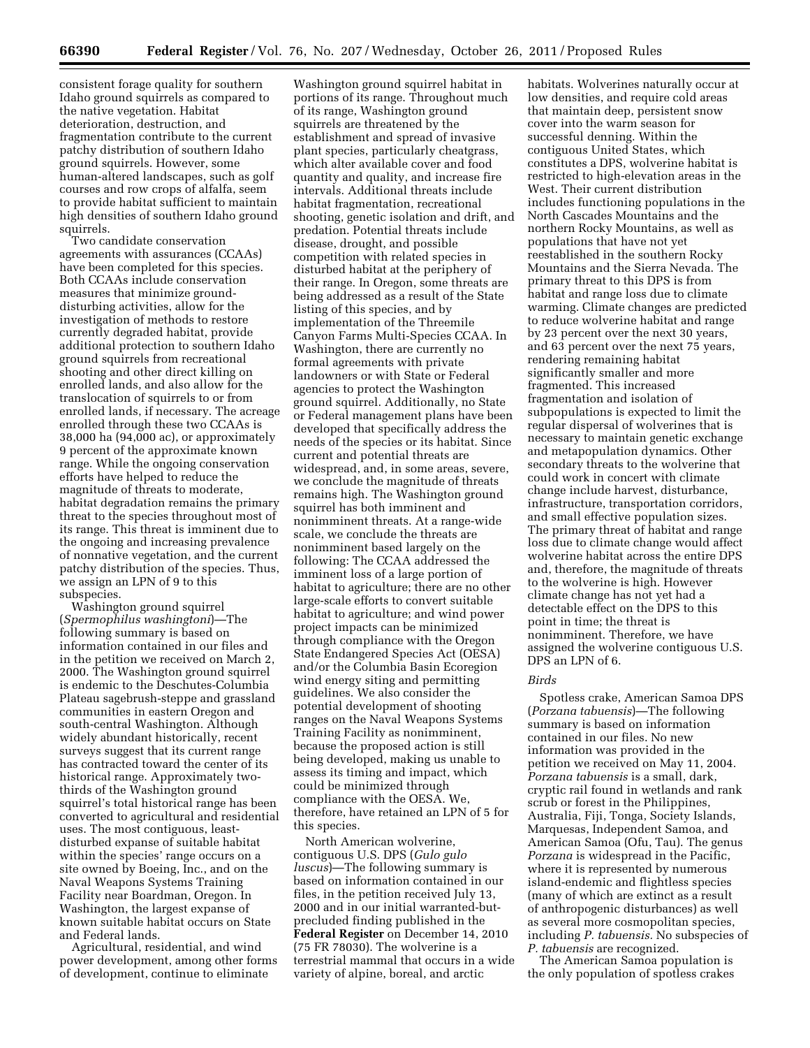consistent forage quality for southern Idaho ground squirrels as compared to the native vegetation. Habitat deterioration, destruction, and fragmentation contribute to the current patchy distribution of southern Idaho ground squirrels. However, some human-altered landscapes, such as golf courses and row crops of alfalfa, seem to provide habitat sufficient to maintain high densities of southern Idaho ground squirrels.

Two candidate conservation agreements with assurances (CCAAs) have been completed for this species. Both CCAAs include conservation measures that minimize grounddisturbing activities, allow for the investigation of methods to restore currently degraded habitat, provide additional protection to southern Idaho ground squirrels from recreational shooting and other direct killing on enrolled lands, and also allow for the translocation of squirrels to or from enrolled lands, if necessary. The acreage enrolled through these two CCAAs is 38,000 ha (94,000 ac), or approximately 9 percent of the approximate known range. While the ongoing conservation efforts have helped to reduce the magnitude of threats to moderate, habitat degradation remains the primary threat to the species throughout most of its range. This threat is imminent due to the ongoing and increasing prevalence of nonnative vegetation, and the current patchy distribution of the species. Thus, we assign an LPN of 9 to this subspecies.

Washington ground squirrel (*Spermophilus washingtoni*)—The following summary is based on information contained in our files and in the petition we received on March 2, 2000. The Washington ground squirrel is endemic to the Deschutes-Columbia Plateau sagebrush-steppe and grassland communities in eastern Oregon and south-central Washington. Although widely abundant historically, recent surveys suggest that its current range has contracted toward the center of its historical range. Approximately twothirds of the Washington ground squirrel's total historical range has been converted to agricultural and residential uses. The most contiguous, leastdisturbed expanse of suitable habitat within the species' range occurs on a site owned by Boeing, Inc., and on the Naval Weapons Systems Training Facility near Boardman, Oregon. In Washington, the largest expanse of known suitable habitat occurs on State and Federal lands.

Agricultural, residential, and wind power development, among other forms of development, continue to eliminate

Washington ground squirrel habitat in portions of its range. Throughout much of its range, Washington ground squirrels are threatened by the establishment and spread of invasive plant species, particularly cheatgrass, which alter available cover and food quantity and quality, and increase fire intervals. Additional threats include habitat fragmentation, recreational shooting, genetic isolation and drift, and predation. Potential threats include disease, drought, and possible competition with related species in disturbed habitat at the periphery of their range. In Oregon, some threats are being addressed as a result of the State listing of this species, and by implementation of the Threemile Canyon Farms Multi-Species CCAA. In Washington, there are currently no formal agreements with private landowners or with State or Federal agencies to protect the Washington ground squirrel. Additionally, no State or Federal management plans have been developed that specifically address the needs of the species or its habitat. Since current and potential threats are widespread, and, in some areas, severe, we conclude the magnitude of threats remains high. The Washington ground squirrel has both imminent and nonimminent threats. At a range-wide scale, we conclude the threats are nonimminent based largely on the following: The CCAA addressed the imminent loss of a large portion of habitat to agriculture; there are no other large-scale efforts to convert suitable habitat to agriculture; and wind power project impacts can be minimized through compliance with the Oregon State Endangered Species Act (OESA) and/or the Columbia Basin Ecoregion wind energy siting and permitting guidelines. We also consider the potential development of shooting ranges on the Naval Weapons Systems Training Facility as nonimminent, because the proposed action is still being developed, making us unable to assess its timing and impact, which could be minimized through compliance with the OESA. We, therefore, have retained an LPN of 5 for this species.

North American wolverine, contiguous U.S. DPS (*Gulo gulo luscus*)—The following summary is based on information contained in our files, in the petition received July 13, 2000 and in our initial warranted-butprecluded finding published in the **Federal Register** on December 14, 2010 (75 FR 78030). The wolverine is a terrestrial mammal that occurs in a wide variety of alpine, boreal, and arctic

habitats. Wolverines naturally occur at low densities, and require cold areas that maintain deep, persistent snow cover into the warm season for successful denning. Within the contiguous United States, which constitutes a DPS, wolverine habitat is restricted to high-elevation areas in the West. Their current distribution includes functioning populations in the North Cascades Mountains and the northern Rocky Mountains, as well as populations that have not yet reestablished in the southern Rocky Mountains and the Sierra Nevada. The primary threat to this DPS is from habitat and range loss due to climate warming. Climate changes are predicted to reduce wolverine habitat and range by 23 percent over the next 30 years, and 63 percent over the next 75 years, rendering remaining habitat significantly smaller and more fragmented. This increased fragmentation and isolation of subpopulations is expected to limit the regular dispersal of wolverines that is necessary to maintain genetic exchange and metapopulation dynamics. Other secondary threats to the wolverine that could work in concert with climate change include harvest, disturbance, infrastructure, transportation corridors, and small effective population sizes. The primary threat of habitat and range loss due to climate change would affect wolverine habitat across the entire DPS and, therefore, the magnitude of threats to the wolverine is high. However climate change has not yet had a detectable effect on the DPS to this point in time; the threat is nonimminent. Therefore, we have assigned the wolverine contiguous U.S. DPS an LPN of 6.

### *Birds*

Spotless crake, American Samoa DPS (*Porzana tabuensis*)—The following summary is based on information contained in our files. No new information was provided in the petition we received on May 11, 2004. *Porzana tabuensis* is a small, dark, cryptic rail found in wetlands and rank scrub or forest in the Philippines, Australia, Fiji, Tonga, Society Islands, Marquesas, Independent Samoa, and American Samoa (Ofu, Tau). The genus *Porzana* is widespread in the Pacific, where it is represented by numerous island-endemic and flightless species (many of which are extinct as a result of anthropogenic disturbances) as well as several more cosmopolitan species, including *P. tabuensis.* No subspecies of *P. tabuensis* are recognized.

The American Samoa population is the only population of spotless crakes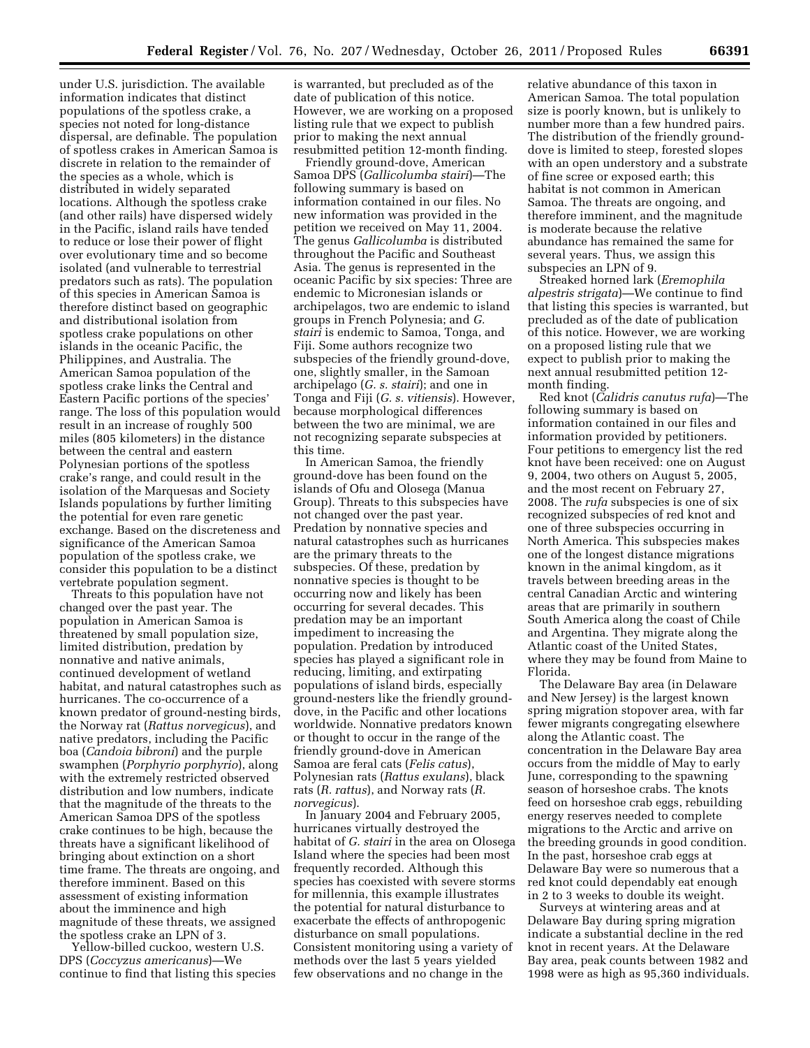under U.S. jurisdiction. The available information indicates that distinct populations of the spotless crake, a species not noted for long-distance dispersal, are definable. The population of spotless crakes in American Samoa is discrete in relation to the remainder of the species as a whole, which is distributed in widely separated locations. Although the spotless crake (and other rails) have dispersed widely in the Pacific, island rails have tended to reduce or lose their power of flight over evolutionary time and so become isolated (and vulnerable to terrestrial predators such as rats). The population of this species in American Samoa is therefore distinct based on geographic and distributional isolation from spotless crake populations on other islands in the oceanic Pacific, the Philippines, and Australia. The American Samoa population of the spotless crake links the Central and Eastern Pacific portions of the species' range. The loss of this population would result in an increase of roughly 500 miles (805 kilometers) in the distance between the central and eastern Polynesian portions of the spotless crake's range, and could result in the isolation of the Marquesas and Society Islands populations by further limiting the potential for even rare genetic exchange. Based on the discreteness and significance of the American Samoa population of the spotless crake, we consider this population to be a distinct vertebrate population segment.

Threats to this population have not changed over the past year. The population in American Samoa is threatened by small population size, limited distribution, predation by nonnative and native animals, continued development of wetland habitat, and natural catastrophes such as hurricanes. The co-occurrence of a known predator of ground-nesting birds, the Norway rat (*Rattus norvegicus*), and native predators, including the Pacific boa (*Candoia bibroni*) and the purple swamphen (*Porphyrio porphyrio*), along with the extremely restricted observed distribution and low numbers, indicate that the magnitude of the threats to the American Samoa DPS of the spotless crake continues to be high, because the threats have a significant likelihood of bringing about extinction on a short time frame. The threats are ongoing, and therefore imminent. Based on this assessment of existing information about the imminence and high magnitude of these threats, we assigned the spotless crake an LPN of 3.

Yellow-billed cuckoo, western U.S. DPS (*Coccyzus americanus*)—We continue to find that listing this species is warranted, but precluded as of the date of publication of this notice. However, we are working on a proposed listing rule that we expect to publish prior to making the next annual resubmitted petition 12-month finding.

Friendly ground-dove, American Samoa DPS (*Gallicolumba stairi*)—The following summary is based on information contained in our files. No new information was provided in the petition we received on May 11, 2004. The genus *Gallicolumba* is distributed throughout the Pacific and Southeast Asia. The genus is represented in the oceanic Pacific by six species: Three are endemic to Micronesian islands or archipelagos, two are endemic to island groups in French Polynesia; and *G. stairi* is endemic to Samoa, Tonga, and Fiji. Some authors recognize two subspecies of the friendly ground-dove, one, slightly smaller, in the Samoan archipelago (*G. s. stairi*); and one in Tonga and Fiji (*G. s. vitiensis*). However, because morphological differences between the two are minimal, we are not recognizing separate subspecies at this time.

In American Samoa, the friendly ground-dove has been found on the islands of Ofu and Olosega (Manua Group). Threats to this subspecies have not changed over the past year. Predation by nonnative species and natural catastrophes such as hurricanes are the primary threats to the subspecies. Of these, predation by nonnative species is thought to be occurring now and likely has been occurring for several decades. This predation may be an important impediment to increasing the population. Predation by introduced species has played a significant role in reducing, limiting, and extirpating populations of island birds, especially ground-nesters like the friendly grounddove, in the Pacific and other locations worldwide. Nonnative predators known or thought to occur in the range of the friendly ground-dove in American Samoa are feral cats (*Felis catus*), Polynesian rats (*Rattus exulans*), black rats (*R. rattus*), and Norway rats (*R. norvegicus*).

In January 2004 and February 2005, hurricanes virtually destroyed the habitat of *G. stairi* in the area on Olosega Island where the species had been most frequently recorded. Although this species has coexisted with severe storms for millennia, this example illustrates the potential for natural disturbance to exacerbate the effects of anthropogenic disturbance on small populations. Consistent monitoring using a variety of methods over the last 5 years yielded few observations and no change in the

relative abundance of this taxon in American Samoa. The total population size is poorly known, but is unlikely to number more than a few hundred pairs. The distribution of the friendly grounddove is limited to steep, forested slopes with an open understory and a substrate of fine scree or exposed earth; this habitat is not common in American Samoa. The threats are ongoing, and therefore imminent, and the magnitude is moderate because the relative abundance has remained the same for several years. Thus, we assign this subspecies an LPN of 9.

Streaked horned lark (*Eremophila alpestris strigata*)—We continue to find that listing this species is warranted, but precluded as of the date of publication of this notice. However, we are working on a proposed listing rule that we expect to publish prior to making the next annual resubmitted petition 12 month finding.

Red knot (*Calidris canutus rufa*)—The following summary is based on information contained in our files and information provided by petitioners. Four petitions to emergency list the red knot have been received: one on August 9, 2004, two others on August 5, 2005, and the most recent on February 27, 2008. The *rufa* subspecies is one of six recognized subspecies of red knot and one of three subspecies occurring in North America. This subspecies makes one of the longest distance migrations known in the animal kingdom, as it travels between breeding areas in the central Canadian Arctic and wintering areas that are primarily in southern South America along the coast of Chile and Argentina. They migrate along the Atlantic coast of the United States, where they may be found from Maine to Florida.

The Delaware Bay area (in Delaware and New Jersey) is the largest known spring migration stopover area, with far fewer migrants congregating elsewhere along the Atlantic coast. The concentration in the Delaware Bay area occurs from the middle of May to early June, corresponding to the spawning season of horseshoe crabs. The knots feed on horseshoe crab eggs, rebuilding energy reserves needed to complete migrations to the Arctic and arrive on the breeding grounds in good condition. In the past, horseshoe crab eggs at Delaware Bay were so numerous that a red knot could dependably eat enough in 2 to 3 weeks to double its weight.

Surveys at wintering areas and at Delaware Bay during spring migration indicate a substantial decline in the red knot in recent years. At the Delaware Bay area, peak counts between 1982 and 1998 were as high as 95,360 individuals.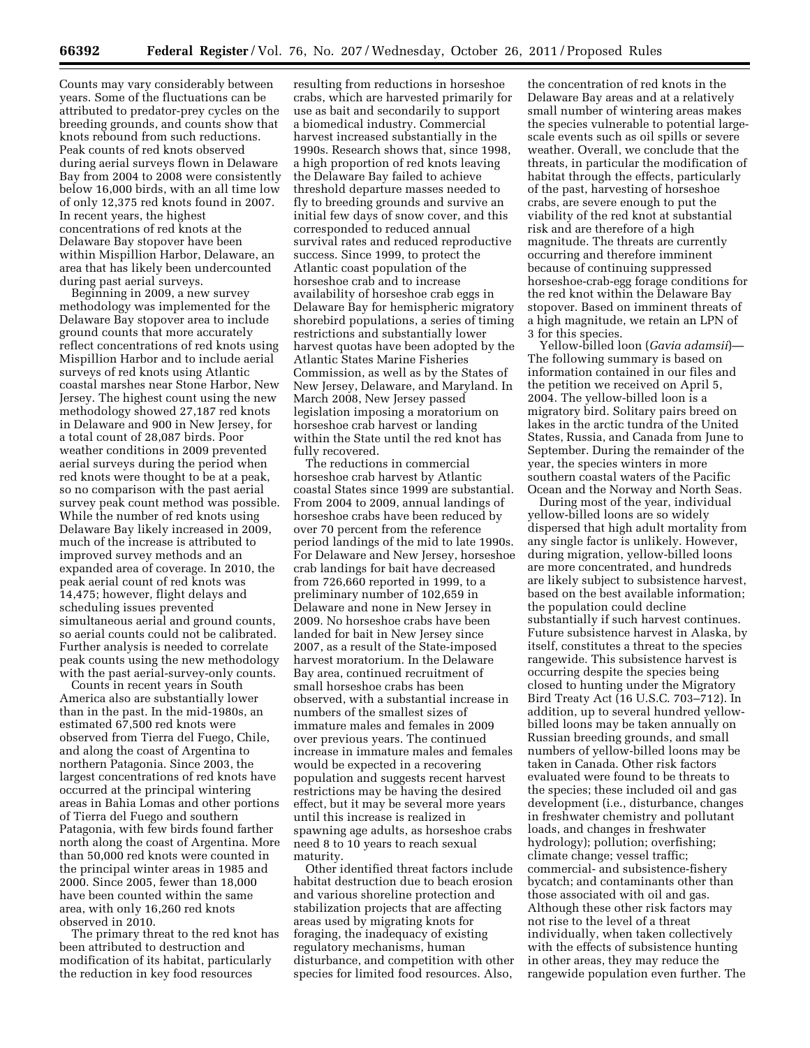Counts may vary considerably between years. Some of the fluctuations can be attributed to predator-prey cycles on the breeding grounds, and counts show that knots rebound from such reductions. Peak counts of red knots observed during aerial surveys flown in Delaware Bay from 2004 to 2008 were consistently below 16,000 birds, with an all time low of only 12,375 red knots found in 2007. In recent years, the highest concentrations of red knots at the Delaware Bay stopover have been within Mispillion Harbor, Delaware, an area that has likely been undercounted during past aerial surveys.

Beginning in 2009, a new survey methodology was implemented for the Delaware Bay stopover area to include ground counts that more accurately reflect concentrations of red knots using Mispillion Harbor and to include aerial surveys of red knots using Atlantic coastal marshes near Stone Harbor, New Jersey. The highest count using the new methodology showed 27,187 red knots in Delaware and 900 in New Jersey, for a total count of 28,087 birds. Poor weather conditions in 2009 prevented aerial surveys during the period when red knots were thought to be at a peak, so no comparison with the past aerial survey peak count method was possible. While the number of red knots using Delaware Bay likely increased in 2009, much of the increase is attributed to improved survey methods and an expanded area of coverage. In 2010, the peak aerial count of red knots was 14,475; however, flight delays and scheduling issues prevented simultaneous aerial and ground counts, so aerial counts could not be calibrated. Further analysis is needed to correlate peak counts using the new methodology with the past aerial-survey-only counts.

Counts in recent years in South America also are substantially lower than in the past. In the mid-1980s, an estimated 67,500 red knots were observed from Tierra del Fuego, Chile, and along the coast of Argentina to northern Patagonia. Since 2003, the largest concentrations of red knots have occurred at the principal wintering areas in Bahia Lomas and other portions of Tierra del Fuego and southern Patagonia, with few birds found farther north along the coast of Argentina. More than 50,000 red knots were counted in the principal winter areas in 1985 and 2000. Since 2005, fewer than 18,000 have been counted within the same area, with only 16,260 red knots observed in 2010.

The primary threat to the red knot has been attributed to destruction and modification of its habitat, particularly the reduction in key food resources

resulting from reductions in horseshoe crabs, which are harvested primarily for use as bait and secondarily to support a biomedical industry. Commercial harvest increased substantially in the 1990s. Research shows that, since 1998, a high proportion of red knots leaving the Delaware Bay failed to achieve threshold departure masses needed to fly to breeding grounds and survive an initial few days of snow cover, and this corresponded to reduced annual survival rates and reduced reproductive success. Since 1999, to protect the Atlantic coast population of the horseshoe crab and to increase availability of horseshoe crab eggs in Delaware Bay for hemispheric migratory shorebird populations, a series of timing restrictions and substantially lower harvest quotas have been adopted by the Atlantic States Marine Fisheries Commission, as well as by the States of New Jersey, Delaware, and Maryland. In March 2008, New Jersey passed legislation imposing a moratorium on horseshoe crab harvest or landing within the State until the red knot has fully recovered.

The reductions in commercial horseshoe crab harvest by Atlantic coastal States since 1999 are substantial. From 2004 to 2009, annual landings of horseshoe crabs have been reduced by over 70 percent from the reference period landings of the mid to late 1990s. For Delaware and New Jersey, horseshoe crab landings for bait have decreased from 726,660 reported in 1999, to a preliminary number of 102,659 in Delaware and none in New Jersey in 2009. No horseshoe crabs have been landed for bait in New Jersey since 2007, as a result of the State-imposed harvest moratorium. In the Delaware Bay area, continued recruitment of small horseshoe crabs has been observed, with a substantial increase in numbers of the smallest sizes of immature males and females in 2009 over previous years. The continued increase in immature males and females would be expected in a recovering population and suggests recent harvest restrictions may be having the desired effect, but it may be several more years until this increase is realized in spawning age adults, as horseshoe crabs need 8 to 10 years to reach sexual maturity.

Other identified threat factors include habitat destruction due to beach erosion and various shoreline protection and stabilization projects that are affecting areas used by migrating knots for foraging, the inadequacy of existing regulatory mechanisms, human disturbance, and competition with other species for limited food resources. Also,

the concentration of red knots in the Delaware Bay areas and at a relatively small number of wintering areas makes the species vulnerable to potential largescale events such as oil spills or severe weather. Overall, we conclude that the threats, in particular the modification of habitat through the effects, particularly of the past, harvesting of horseshoe crabs, are severe enough to put the viability of the red knot at substantial risk and are therefore of a high magnitude. The threats are currently occurring and therefore imminent because of continuing suppressed horseshoe-crab-egg forage conditions for the red knot within the Delaware Bay stopover. Based on imminent threats of a high magnitude, we retain an LPN of 3 for this species.

Yellow-billed loon (*Gavia adamsii*)— The following summary is based on information contained in our files and the petition we received on April 5, 2004. The yellow-billed loon is a migratory bird. Solitary pairs breed on lakes in the arctic tundra of the United States, Russia, and Canada from June to September. During the remainder of the year, the species winters in more southern coastal waters of the Pacific Ocean and the Norway and North Seas.

During most of the year, individual yellow-billed loons are so widely dispersed that high adult mortality from any single factor is unlikely. However, during migration, yellow-billed loons are more concentrated, and hundreds are likely subject to subsistence harvest, based on the best available information; the population could decline substantially if such harvest continues. Future subsistence harvest in Alaska, by itself, constitutes a threat to the species rangewide. This subsistence harvest is occurring despite the species being closed to hunting under the Migratory Bird Treaty Act (16 U.S.C. 703–712). In addition, up to several hundred yellowbilled loons may be taken annually on Russian breeding grounds, and small numbers of yellow-billed loons may be taken in Canada. Other risk factors evaluated were found to be threats to the species; these included oil and gas development (i.e., disturbance, changes in freshwater chemistry and pollutant loads, and changes in freshwater hydrology); pollution; overfishing; climate change; vessel traffic; commercial- and subsistence-fishery bycatch; and contaminants other than those associated with oil and gas. Although these other risk factors may not rise to the level of a threat individually, when taken collectively with the effects of subsistence hunting in other areas, they may reduce the rangewide population even further. The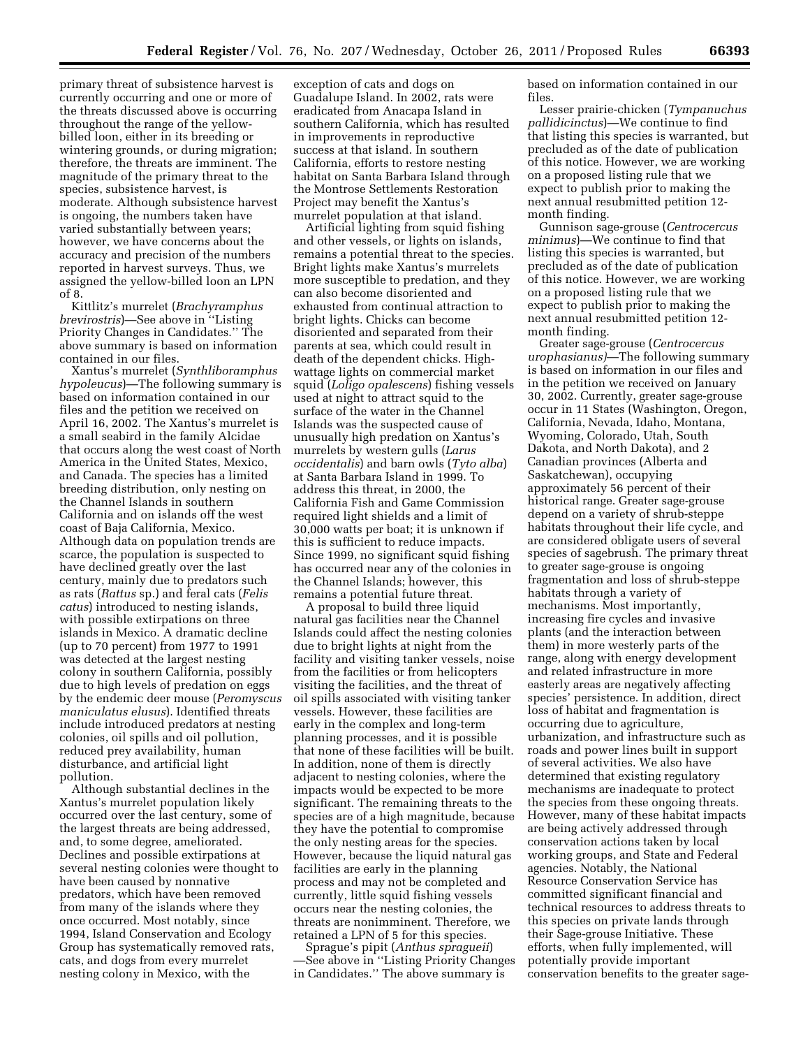primary threat of subsistence harvest is currently occurring and one or more of the threats discussed above is occurring throughout the range of the yellowbilled loon, either in its breeding or wintering grounds, or during migration; therefore, the threats are imminent. The magnitude of the primary threat to the species, subsistence harvest, is moderate. Although subsistence harvest is ongoing, the numbers taken have varied substantially between years; however, we have concerns about the accuracy and precision of the numbers reported in harvest surveys. Thus, we assigned the yellow-billed loon an LPN of 8.

Kittlitz's murrelet (*Brachyramphus brevirostris*)—See above in ''Listing Priority Changes in Candidates.'' The above summary is based on information contained in our files.

Xantus's murrelet (*Synthliboramphus hypoleucus*)—The following summary is based on information contained in our files and the petition we received on April 16, 2002. The Xantus's murrelet is a small seabird in the family Alcidae that occurs along the west coast of North America in the United States, Mexico, and Canada. The species has a limited breeding distribution, only nesting on the Channel Islands in southern California and on islands off the west coast of Baja California, Mexico. Although data on population trends are scarce, the population is suspected to have declined greatly over the last century, mainly due to predators such as rats (*Rattus* sp.) and feral cats (*Felis catus*) introduced to nesting islands, with possible extirpations on three islands in Mexico. A dramatic decline (up to 70 percent) from 1977 to 1991 was detected at the largest nesting colony in southern California, possibly due to high levels of predation on eggs by the endemic deer mouse (*Peromyscus maniculatus elusus*). Identified threats include introduced predators at nesting colonies, oil spills and oil pollution, reduced prey availability, human disturbance, and artificial light pollution.

Although substantial declines in the Xantus's murrelet population likely occurred over the last century, some of the largest threats are being addressed, and, to some degree, ameliorated. Declines and possible extirpations at several nesting colonies were thought to have been caused by nonnative predators, which have been removed from many of the islands where they once occurred. Most notably, since 1994, Island Conservation and Ecology Group has systematically removed rats, cats, and dogs from every murrelet nesting colony in Mexico, with the

exception of cats and dogs on Guadalupe Island. In 2002, rats were eradicated from Anacapa Island in southern California, which has resulted in improvements in reproductive success at that island. In southern California, efforts to restore nesting habitat on Santa Barbara Island through the Montrose Settlements Restoration Project may benefit the Xantus's murrelet population at that island.

Artificial lighting from squid fishing and other vessels, or lights on islands, remains a potential threat to the species. Bright lights make Xantus's murrelets more susceptible to predation, and they can also become disoriented and exhausted from continual attraction to bright lights. Chicks can become disoriented and separated from their parents at sea, which could result in death of the dependent chicks. Highwattage lights on commercial market squid (*Loligo opalescens*) fishing vessels used at night to attract squid to the surface of the water in the Channel Islands was the suspected cause of unusually high predation on Xantus's murrelets by western gulls (*Larus occidentalis*) and barn owls (*Tyto alba*) at Santa Barbara Island in 1999. To address this threat, in 2000, the California Fish and Game Commission required light shields and a limit of 30,000 watts per boat; it is unknown if this is sufficient to reduce impacts. Since 1999, no significant squid fishing has occurred near any of the colonies in the Channel Islands; however, this remains a potential future threat.

A proposal to build three liquid natural gas facilities near the Channel Islands could affect the nesting colonies due to bright lights at night from the facility and visiting tanker vessels, noise from the facilities or from helicopters visiting the facilities, and the threat of oil spills associated with visiting tanker vessels. However, these facilities are early in the complex and long-term planning processes, and it is possible that none of these facilities will be built. In addition, none of them is directly adjacent to nesting colonies, where the impacts would be expected to be more significant. The remaining threats to the species are of a high magnitude, because they have the potential to compromise the only nesting areas for the species. However, because the liquid natural gas facilities are early in the planning process and may not be completed and currently, little squid fishing vessels occurs near the nesting colonies, the threats are nonimminent. Therefore, we retained a LPN of 5 for this species.

Sprague's pipit (*Anthus spragueii*) —See above in ''Listing Priority Changes in Candidates.'' The above summary is

based on information contained in our files.

Lesser prairie-chicken (*Tympanuchus pallidicinctus*)—We continue to find that listing this species is warranted, but precluded as of the date of publication of this notice. However, we are working on a proposed listing rule that we expect to publish prior to making the next annual resubmitted petition 12 month finding.

Gunnison sage-grouse (*Centrocercus minimus*)—We continue to find that listing this species is warranted, but precluded as of the date of publication of this notice. However, we are working on a proposed listing rule that we expect to publish prior to making the next annual resubmitted petition 12 month finding.

Greater sage-grouse (*Centrocercus urophasianus)*—The following summary is based on information in our files and in the petition we received on January 30, 2002. Currently, greater sage-grouse occur in 11 States (Washington, Oregon, California, Nevada, Idaho, Montana, Wyoming, Colorado, Utah, South Dakota, and North Dakota), and 2 Canadian provinces (Alberta and Saskatchewan), occupying approximately 56 percent of their historical range. Greater sage-grouse depend on a variety of shrub-steppe habitats throughout their life cycle, and are considered obligate users of several species of sagebrush. The primary threat to greater sage-grouse is ongoing fragmentation and loss of shrub-steppe habitats through a variety of mechanisms. Most importantly, increasing fire cycles and invasive plants (and the interaction between them) in more westerly parts of the range, along with energy development and related infrastructure in more easterly areas are negatively affecting species' persistence. In addition, direct loss of habitat and fragmentation is occurring due to agriculture, urbanization, and infrastructure such as roads and power lines built in support of several activities. We also have determined that existing regulatory mechanisms are inadequate to protect the species from these ongoing threats. However, many of these habitat impacts are being actively addressed through conservation actions taken by local working groups, and State and Federal agencies. Notably, the National Resource Conservation Service has committed significant financial and technical resources to address threats to this species on private lands through their Sage-grouse Initiative. These efforts, when fully implemented, will potentially provide important conservation benefits to the greater sage-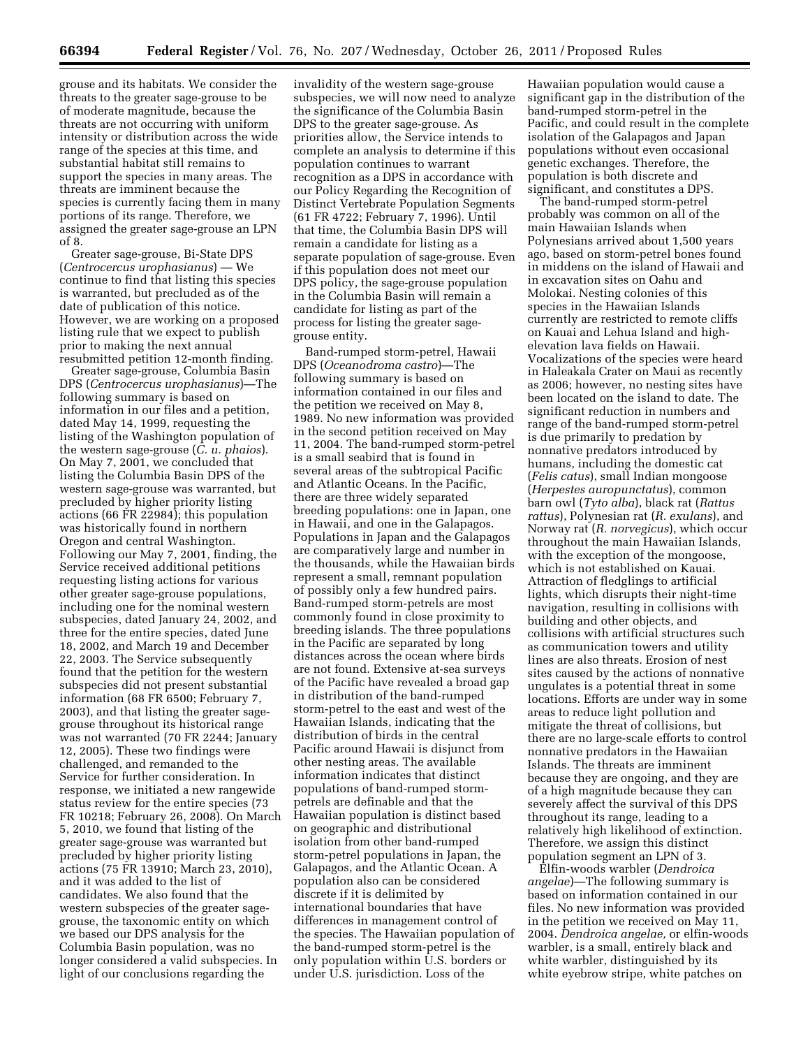grouse and its habitats. We consider the threats to the greater sage-grouse to be of moderate magnitude, because the threats are not occurring with uniform intensity or distribution across the wide range of the species at this time, and substantial habitat still remains to support the species in many areas. The threats are imminent because the species is currently facing them in many portions of its range. Therefore, we assigned the greater sage-grouse an LPN of 8.

Greater sage-grouse, Bi-State DPS (*Centrocercus urophasianus*) — We continue to find that listing this species is warranted, but precluded as of the date of publication of this notice. However, we are working on a proposed listing rule that we expect to publish prior to making the next annual resubmitted petition 12-month finding.

Greater sage-grouse, Columbia Basin DPS (*Centrocercus urophasianus*)—The following summary is based on information in our files and a petition, dated May 14, 1999, requesting the listing of the Washington population of the western sage-grouse (*C. u. phaios*). On May 7, 2001, we concluded that listing the Columbia Basin DPS of the western sage-grouse was warranted, but precluded by higher priority listing actions (66 FR 22984); this population was historically found in northern Oregon and central Washington. Following our May 7, 2001, finding, the Service received additional petitions requesting listing actions for various other greater sage-grouse populations, including one for the nominal western subspecies, dated January 24, 2002, and three for the entire species, dated June 18, 2002, and March 19 and December 22, 2003. The Service subsequently found that the petition for the western subspecies did not present substantial information (68 FR 6500; February 7, 2003), and that listing the greater sagegrouse throughout its historical range was not warranted (70 FR 2244; January 12, 2005). These two findings were challenged, and remanded to the Service for further consideration. In response, we initiated a new rangewide status review for the entire species (73 FR 10218; February 26, 2008). On March 5, 2010, we found that listing of the greater sage-grouse was warranted but precluded by higher priority listing actions (75 FR 13910; March 23, 2010), and it was added to the list of candidates. We also found that the western subspecies of the greater sagegrouse, the taxonomic entity on which we based our DPS analysis for the Columbia Basin population, was no longer considered a valid subspecies. In light of our conclusions regarding the

invalidity of the western sage-grouse subspecies, we will now need to analyze the significance of the Columbia Basin DPS to the greater sage-grouse. As priorities allow, the Service intends to complete an analysis to determine if this population continues to warrant recognition as a DPS in accordance with our Policy Regarding the Recognition of Distinct Vertebrate Population Segments (61 FR 4722; February 7, 1996). Until that time, the Columbia Basin DPS will remain a candidate for listing as a separate population of sage-grouse. Even if this population does not meet our DPS policy, the sage-grouse population in the Columbia Basin will remain a candidate for listing as part of the process for listing the greater sagegrouse entity.

Band-rumped storm-petrel, Hawaii DPS (*Oceanodroma castro*)—The following summary is based on information contained in our files and the petition we received on May 8, 1989. No new information was provided in the second petition received on May 11, 2004. The band-rumped storm-petrel is a small seabird that is found in several areas of the subtropical Pacific and Atlantic Oceans. In the Pacific, there are three widely separated breeding populations: one in Japan, one in Hawaii, and one in the Galapagos. Populations in Japan and the Galapagos are comparatively large and number in the thousands, while the Hawaiian birds represent a small, remnant population of possibly only a few hundred pairs. Band-rumped storm-petrels are most commonly found in close proximity to breeding islands. The three populations in the Pacific are separated by long distances across the ocean where birds are not found. Extensive at-sea surveys of the Pacific have revealed a broad gap in distribution of the band-rumped storm-petrel to the east and west of the Hawaiian Islands, indicating that the distribution of birds in the central Pacific around Hawaii is disjunct from other nesting areas. The available information indicates that distinct populations of band-rumped stormpetrels are definable and that the Hawaiian population is distinct based on geographic and distributional isolation from other band-rumped storm-petrel populations in Japan, the Galapagos, and the Atlantic Ocean. A population also can be considered discrete if it is delimited by international boundaries that have differences in management control of the species. The Hawaiian population of the band-rumped storm-petrel is the only population within U.S. borders or under U.S. jurisdiction. Loss of the

Hawaiian population would cause a significant gap in the distribution of the band-rumped storm-petrel in the Pacific, and could result in the complete isolation of the Galapagos and Japan populations without even occasional genetic exchanges. Therefore, the population is both discrete and significant, and constitutes a DPS.

The band-rumped storm-petrel probably was common on all of the main Hawaiian Islands when Polynesians arrived about 1,500 years ago, based on storm-petrel bones found in middens on the island of Hawaii and in excavation sites on Oahu and Molokai. Nesting colonies of this species in the Hawaiian Islands currently are restricted to remote cliffs on Kauai and Lehua Island and highelevation lava fields on Hawaii. Vocalizations of the species were heard in Haleakala Crater on Maui as recently as 2006; however, no nesting sites have been located on the island to date. The significant reduction in numbers and range of the band-rumped storm-petrel is due primarily to predation by nonnative predators introduced by humans, including the domestic cat (*Felis catus*), small Indian mongoose (*Herpestes auropunctatus*), common barn owl (*Tyto alba*), black rat (*Rattus rattus*), Polynesian rat (*R. exulans*), and Norway rat (*R. norvegicus*), which occur throughout the main Hawaiian Islands, with the exception of the mongoose, which is not established on Kauai. Attraction of fledglings to artificial lights, which disrupts their night-time navigation, resulting in collisions with building and other objects, and collisions with artificial structures such as communication towers and utility lines are also threats. Erosion of nest sites caused by the actions of nonnative ungulates is a potential threat in some locations. Efforts are under way in some areas to reduce light pollution and mitigate the threat of collisions, but there are no large-scale efforts to control nonnative predators in the Hawaiian Islands. The threats are imminent because they are ongoing, and they are of a high magnitude because they can severely affect the survival of this DPS throughout its range, leading to a relatively high likelihood of extinction. Therefore, we assign this distinct population segment an LPN of 3.

Elfin-woods warbler (*Dendroica angelae*)—The following summary is based on information contained in our files. No new information was provided in the petition we received on May 11, 2004. *Dendroica angelae,* or elfin-woods warbler, is a small, entirely black and white warbler, distinguished by its white eyebrow stripe, white patches on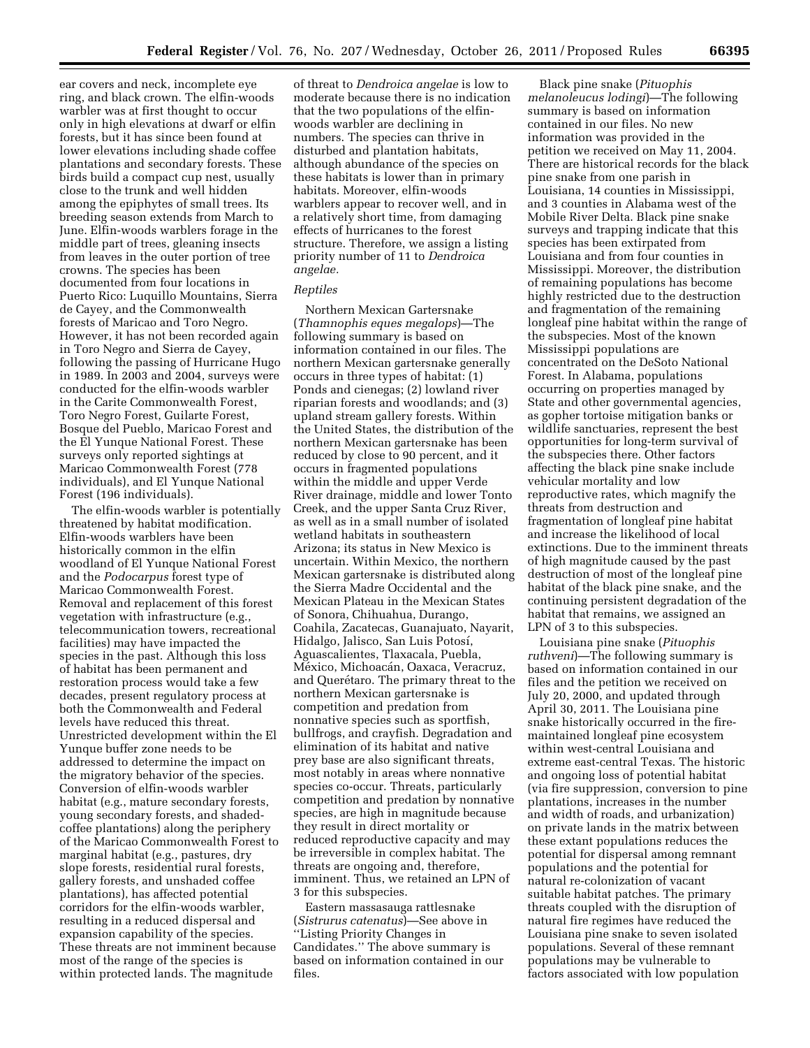ear covers and neck, incomplete eye ring, and black crown. The elfin-woods warbler was at first thought to occur only in high elevations at dwarf or elfin forests, but it has since been found at lower elevations including shade coffee plantations and secondary forests. These birds build a compact cup nest, usually close to the trunk and well hidden among the epiphytes of small trees. Its breeding season extends from March to June. Elfin-woods warblers forage in the middle part of trees, gleaning insects from leaves in the outer portion of tree crowns. The species has been documented from four locations in Puerto Rico: Luquillo Mountains, Sierra de Cayey, and the Commonwealth forests of Maricao and Toro Negro. However, it has not been recorded again in Toro Negro and Sierra de Cayey, following the passing of Hurricane Hugo in 1989. In 2003 and 2004, surveys were conducted for the elfin-woods warbler in the Carite Commonwealth Forest, Toro Negro Forest, Guilarte Forest, Bosque del Pueblo, Maricao Forest and the El Yunque National Forest. These surveys only reported sightings at Maricao Commonwealth Forest (778 individuals), and El Yunque National Forest (196 individuals).

The elfin-woods warbler is potentially threatened by habitat modification. Elfin-woods warblers have been historically common in the elfin woodland of El Yunque National Forest and the *Podocarpus* forest type of Maricao Commonwealth Forest. Removal and replacement of this forest vegetation with infrastructure (e.g., telecommunication towers, recreational facilities) may have impacted the species in the past. Although this loss of habitat has been permanent and restoration process would take a few decades, present regulatory process at both the Commonwealth and Federal levels have reduced this threat. Unrestricted development within the El Yunque buffer zone needs to be addressed to determine the impact on the migratory behavior of the species. Conversion of elfin-woods warbler habitat (e.g., mature secondary forests, young secondary forests, and shadedcoffee plantations) along the periphery of the Maricao Commonwealth Forest to marginal habitat (e.g., pastures, dry slope forests, residential rural forests, gallery forests, and unshaded coffee plantations), has affected potential corridors for the elfin-woods warbler, resulting in a reduced dispersal and expansion capability of the species. These threats are not imminent because most of the range of the species is within protected lands. The magnitude

of threat to *Dendroica angelae* is low to moderate because there is no indication that the two populations of the elfinwoods warbler are declining in numbers. The species can thrive in disturbed and plantation habitats, although abundance of the species on these habitats is lower than in primary habitats. Moreover, elfin-woods warblers appear to recover well, and in a relatively short time, from damaging effects of hurricanes to the forest structure. Therefore, we assign a listing priority number of 11 to *Dendroica angelae.* 

# *Reptiles*

Northern Mexican Gartersnake (*Thamnophis eques megalops*)—The following summary is based on information contained in our files. The northern Mexican gartersnake generally occurs in three types of habitat: (1) Ponds and cienegas; (2) lowland river riparian forests and woodlands; and (3) upland stream gallery forests. Within the United States, the distribution of the northern Mexican gartersnake has been reduced by close to 90 percent, and it occurs in fragmented populations within the middle and upper Verde River drainage, middle and lower Tonto Creek, and the upper Santa Cruz River, as well as in a small number of isolated wetland habitats in southeastern Arizona; its status in New Mexico is uncertain. Within Mexico, the northern Mexican gartersnake is distributed along the Sierra Madre Occidental and the Mexican Plateau in the Mexican States of Sonora, Chihuahua, Durango, Coahila, Zacatecas, Guanajuato, Nayarit, Hidalgo, Jalisco, San Luis Potosı´, Aguascalientes, Tlaxacala, Puebla, México, Michoacán, Oaxaca, Veracruz, and Querétaro. The primary threat to the northern Mexican gartersnake is competition and predation from nonnative species such as sportfish, bullfrogs, and crayfish. Degradation and elimination of its habitat and native prey base are also significant threats, most notably in areas where nonnative species co-occur. Threats, particularly competition and predation by nonnative species, are high in magnitude because they result in direct mortality or reduced reproductive capacity and may be irreversible in complex habitat. The threats are ongoing and, therefore, imminent. Thus, we retained an LPN of 3 for this subspecies.

Eastern massasauga rattlesnake (*Sistrurus catenatus*)—See above in ''Listing Priority Changes in Candidates.'' The above summary is based on information contained in our files.

Black pine snake (*Pituophis melanoleucus lodingi*)—The following summary is based on information contained in our files. No new information was provided in the petition we received on May 11, 2004. There are historical records for the black pine snake from one parish in Louisiana, 14 counties in Mississippi, and 3 counties in Alabama west of the Mobile River Delta. Black pine snake surveys and trapping indicate that this species has been extirpated from Louisiana and from four counties in Mississippi. Moreover, the distribution of remaining populations has become highly restricted due to the destruction and fragmentation of the remaining longleaf pine habitat within the range of the subspecies. Most of the known Mississippi populations are concentrated on the DeSoto National Forest. In Alabama, populations occurring on properties managed by State and other governmental agencies, as gopher tortoise mitigation banks or wildlife sanctuaries, represent the best opportunities for long-term survival of the subspecies there. Other factors affecting the black pine snake include vehicular mortality and low reproductive rates, which magnify the threats from destruction and fragmentation of longleaf pine habitat and increase the likelihood of local extinctions. Due to the imminent threats of high magnitude caused by the past destruction of most of the longleaf pine habitat of the black pine snake, and the continuing persistent degradation of the habitat that remains, we assigned an LPN of 3 to this subspecies.

Louisiana pine snake (*Pituophis ruthveni*)—The following summary is based on information contained in our files and the petition we received on July 20, 2000, and updated through April 30, 2011. The Louisiana pine snake historically occurred in the firemaintained longleaf pine ecosystem within west-central Louisiana and extreme east-central Texas. The historic and ongoing loss of potential habitat (via fire suppression, conversion to pine plantations, increases in the number and width of roads, and urbanization) on private lands in the matrix between these extant populations reduces the potential for dispersal among remnant populations and the potential for natural re-colonization of vacant suitable habitat patches. The primary threats coupled with the disruption of natural fire regimes have reduced the Louisiana pine snake to seven isolated populations. Several of these remnant populations may be vulnerable to factors associated with low population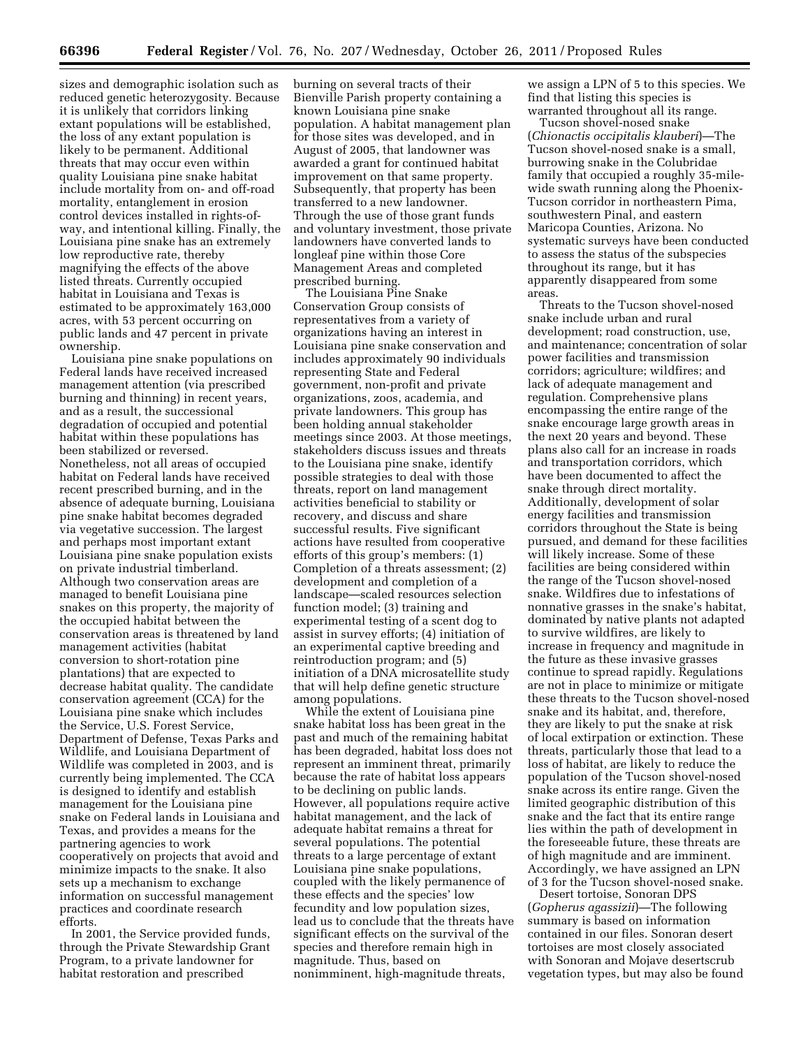sizes and demographic isolation such as reduced genetic heterozygosity. Because it is unlikely that corridors linking extant populations will be established, the loss of any extant population is likely to be permanent. Additional threats that may occur even within quality Louisiana pine snake habitat include mortality from on- and off-road mortality, entanglement in erosion control devices installed in rights-ofway, and intentional killing. Finally, the Louisiana pine snake has an extremely low reproductive rate, thereby magnifying the effects of the above listed threats. Currently occupied habitat in Louisiana and Texas is estimated to be approximately 163,000 acres, with 53 percent occurring on public lands and 47 percent in private ownership.

Louisiana pine snake populations on Federal lands have received increased management attention (via prescribed burning and thinning) in recent years, and as a result, the successional degradation of occupied and potential habitat within these populations has been stabilized or reversed. Nonetheless, not all areas of occupied habitat on Federal lands have received recent prescribed burning, and in the absence of adequate burning, Louisiana pine snake habitat becomes degraded via vegetative succession. The largest and perhaps most important extant Louisiana pine snake population exists on private industrial timberland. Although two conservation areas are managed to benefit Louisiana pine snakes on this property, the majority of the occupied habitat between the conservation areas is threatened by land management activities (habitat conversion to short-rotation pine plantations) that are expected to decrease habitat quality. The candidate conservation agreement (CCA) for the Louisiana pine snake which includes the Service, U.S. Forest Service, Department of Defense, Texas Parks and Wildlife, and Louisiana Department of Wildlife was completed in 2003, and is currently being implemented. The CCA is designed to identify and establish management for the Louisiana pine snake on Federal lands in Louisiana and Texas, and provides a means for the partnering agencies to work cooperatively on projects that avoid and minimize impacts to the snake. It also sets up a mechanism to exchange information on successful management practices and coordinate research efforts.

In 2001, the Service provided funds, through the Private Stewardship Grant Program, to a private landowner for habitat restoration and prescribed

burning on several tracts of their Bienville Parish property containing a known Louisiana pine snake population. A habitat management plan for those sites was developed, and in August of 2005, that landowner was awarded a grant for continued habitat improvement on that same property. Subsequently, that property has been transferred to a new landowner. Through the use of those grant funds and voluntary investment, those private landowners have converted lands to longleaf pine within those Core Management Areas and completed prescribed burning.

The Louisiana Pine Snake Conservation Group consists of representatives from a variety of organizations having an interest in Louisiana pine snake conservation and includes approximately 90 individuals representing State and Federal government, non-profit and private organizations, zoos, academia, and private landowners. This group has been holding annual stakeholder meetings since 2003. At those meetings, stakeholders discuss issues and threats to the Louisiana pine snake, identify possible strategies to deal with those threats, report on land management activities beneficial to stability or recovery, and discuss and share successful results. Five significant actions have resulted from cooperative efforts of this group's members: (1) Completion of a threats assessment; (2) development and completion of a landscape—scaled resources selection function model; (3) training and experimental testing of a scent dog to assist in survey efforts; (4) initiation of an experimental captive breeding and reintroduction program; and (5) initiation of a DNA microsatellite study that will help define genetic structure among populations.

While the extent of Louisiana pine snake habitat loss has been great in the past and much of the remaining habitat has been degraded, habitat loss does not represent an imminent threat, primarily because the rate of habitat loss appears to be declining on public lands. However, all populations require active habitat management, and the lack of adequate habitat remains a threat for several populations. The potential threats to a large percentage of extant Louisiana pine snake populations, coupled with the likely permanence of these effects and the species' low fecundity and low population sizes, lead us to conclude that the threats have significant effects on the survival of the species and therefore remain high in magnitude. Thus, based on nonimminent, high-magnitude threats,

we assign a LPN of 5 to this species. We find that listing this species is warranted throughout all its range.

Tucson shovel-nosed snake (*Chionactis occipitalis klauberi*)—The Tucson shovel-nosed snake is a small, burrowing snake in the Colubridae family that occupied a roughly 35-milewide swath running along the Phoenix-Tucson corridor in northeastern Pima, southwestern Pinal, and eastern Maricopa Counties, Arizona. No systematic surveys have been conducted to assess the status of the subspecies throughout its range, but it has apparently disappeared from some areas.

Threats to the Tucson shovel-nosed snake include urban and rural development; road construction, use, and maintenance; concentration of solar power facilities and transmission corridors; agriculture; wildfires; and lack of adequate management and regulation. Comprehensive plans encompassing the entire range of the snake encourage large growth areas in the next 20 years and beyond. These plans also call for an increase in roads and transportation corridors, which have been documented to affect the snake through direct mortality. Additionally, development of solar energy facilities and transmission corridors throughout the State is being pursued, and demand for these facilities will likely increase. Some of these facilities are being considered within the range of the Tucson shovel-nosed snake. Wildfires due to infestations of nonnative grasses in the snake's habitat, dominated by native plants not adapted to survive wildfires, are likely to increase in frequency and magnitude in the future as these invasive grasses continue to spread rapidly. Regulations are not in place to minimize or mitigate these threats to the Tucson shovel-nosed snake and its habitat, and, therefore, they are likely to put the snake at risk of local extirpation or extinction. These threats, particularly those that lead to a loss of habitat, are likely to reduce the population of the Tucson shovel-nosed snake across its entire range. Given the limited geographic distribution of this snake and the fact that its entire range lies within the path of development in the foreseeable future, these threats are of high magnitude and are imminent. Accordingly, we have assigned an LPN of 3 for the Tucson shovel-nosed snake.

Desert tortoise, Sonoran DPS (*Gopherus agassizii*)—The following summary is based on information contained in our files. Sonoran desert tortoises are most closely associated with Sonoran and Mojave desertscrub vegetation types, but may also be found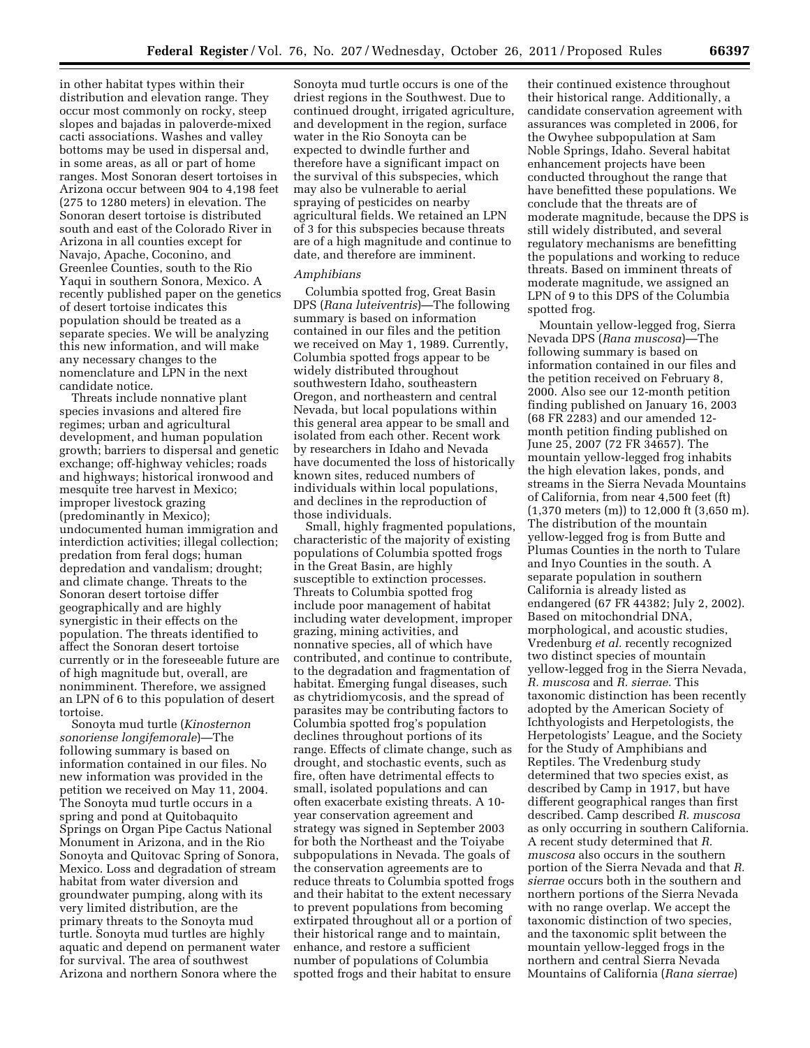in other habitat types within their distribution and elevation range. They occur most commonly on rocky, steep slopes and bajadas in paloverde-mixed cacti associations. Washes and valley bottoms may be used in dispersal and, in some areas, as all or part of home ranges. Most Sonoran desert tortoises in Arizona occur between 904 to 4,198 feet (275 to 1280 meters) in elevation. The Sonoran desert tortoise is distributed south and east of the Colorado River in Arizona in all counties except for Navajo, Apache, Coconino, and Greenlee Counties, south to the Rio Yaqui in southern Sonora, Mexico. A recently published paper on the genetics of desert tortoise indicates this population should be treated as a separate species. We will be analyzing this new information, and will make any necessary changes to the nomenclature and LPN in the next candidate notice.

Threats include nonnative plant species invasions and altered fire regimes; urban and agricultural development, and human population growth; barriers to dispersal and genetic exchange; off-highway vehicles; roads and highways; historical ironwood and mesquite tree harvest in Mexico; improper livestock grazing (predominantly in Mexico); undocumented human immigration and interdiction activities; illegal collection; predation from feral dogs; human depredation and vandalism; drought; and climate change. Threats to the Sonoran desert tortoise differ geographically and are highly synergistic in their effects on the population. The threats identified to affect the Sonoran desert tortoise currently or in the foreseeable future are of high magnitude but, overall, are nonimminent. Therefore, we assigned an LPN of 6 to this population of desert tortoise.

Sonoyta mud turtle (*Kinosternon sonoriense longifemorale*)—The following summary is based on information contained in our files. No new information was provided in the petition we received on May 11, 2004. The Sonoyta mud turtle occurs in a spring and pond at Quitobaquito Springs on Organ Pipe Cactus National Monument in Arizona, and in the Rio Sonoyta and Quitovac Spring of Sonora, Mexico. Loss and degradation of stream habitat from water diversion and groundwater pumping, along with its very limited distribution, are the primary threats to the Sonoyta mud turtle. Sonoyta mud turtles are highly aquatic and depend on permanent water for survival. The area of southwest Arizona and northern Sonora where the

Sonoyta mud turtle occurs is one of the driest regions in the Southwest. Due to continued drought, irrigated agriculture, and development in the region, surface water in the Rio Sonoyta can be expected to dwindle further and therefore have a significant impact on the survival of this subspecies, which may also be vulnerable to aerial spraying of pesticides on nearby agricultural fields. We retained an LPN of 3 for this subspecies because threats are of a high magnitude and continue to date, and therefore are imminent.

#### *Amphibians*

Columbia spotted frog, Great Basin DPS (*Rana luteiventris*)—The following summary is based on information contained in our files and the petition we received on May 1, 1989. Currently, Columbia spotted frogs appear to be widely distributed throughout southwestern Idaho, southeastern Oregon, and northeastern and central Nevada, but local populations within this general area appear to be small and isolated from each other. Recent work by researchers in Idaho and Nevada have documented the loss of historically known sites, reduced numbers of individuals within local populations, and declines in the reproduction of those individuals.

Small, highly fragmented populations, characteristic of the majority of existing populations of Columbia spotted frogs in the Great Basin, are highly susceptible to extinction processes. Threats to Columbia spotted frog include poor management of habitat including water development, improper grazing, mining activities, and nonnative species, all of which have contributed, and continue to contribute, to the degradation and fragmentation of habitat. Emerging fungal diseases, such as chytridiomycosis, and the spread of parasites may be contributing factors to Columbia spotted frog's population declines throughout portions of its range. Effects of climate change, such as drought, and stochastic events, such as fire, often have detrimental effects to small, isolated populations and can often exacerbate existing threats. A 10 year conservation agreement and strategy was signed in September 2003 for both the Northeast and the Toiyabe subpopulations in Nevada. The goals of the conservation agreements are to reduce threats to Columbia spotted frogs and their habitat to the extent necessary to prevent populations from becoming extirpated throughout all or a portion of their historical range and to maintain, enhance, and restore a sufficient number of populations of Columbia spotted frogs and their habitat to ensure

their continued existence throughout their historical range. Additionally, a candidate conservation agreement with assurances was completed in 2006, for the Owyhee subpopulation at Sam Noble Springs, Idaho. Several habitat enhancement projects have been conducted throughout the range that have benefitted these populations. We conclude that the threats are of moderate magnitude, because the DPS is still widely distributed, and several regulatory mechanisms are benefitting the populations and working to reduce threats. Based on imminent threats of moderate magnitude, we assigned an LPN of 9 to this DPS of the Columbia spotted frog.

Mountain yellow-legged frog, Sierra Nevada DPS (*Rana muscosa*)—The following summary is based on information contained in our files and the petition received on February 8, 2000. Also see our 12-month petition finding published on January 16, 2003 (68 FR 2283) and our amended 12 month petition finding published on June 25, 2007 (72 FR 34657). The mountain yellow-legged frog inhabits the high elevation lakes, ponds, and streams in the Sierra Nevada Mountains of California, from near 4,500 feet (ft) (1,370 meters (m)) to 12,000 ft (3,650 m). The distribution of the mountain yellow-legged frog is from Butte and Plumas Counties in the north to Tulare and Inyo Counties in the south. A separate population in southern California is already listed as endangered (67 FR 44382; July 2, 2002). Based on mitochondrial DNA, morphological, and acoustic studies, Vredenburg *et al.* recently recognized two distinct species of mountain yellow-legged frog in the Sierra Nevada, *R. muscosa* and *R. sierrae.* This taxonomic distinction has been recently adopted by the American Society of Ichthyologists and Herpetologists, the Herpetologists' League, and the Society for the Study of Amphibians and Reptiles. The Vredenburg study determined that two species exist, as described by Camp in 1917, but have different geographical ranges than first described. Camp described *R. muscosa*  as only occurring in southern California. A recent study determined that *R. muscosa* also occurs in the southern portion of the Sierra Nevada and that *R. sierrae* occurs both in the southern and northern portions of the Sierra Nevada with no range overlap. We accept the taxonomic distinction of two species, and the taxonomic split between the mountain yellow-legged frogs in the northern and central Sierra Nevada Mountains of California (*Rana sierrae*)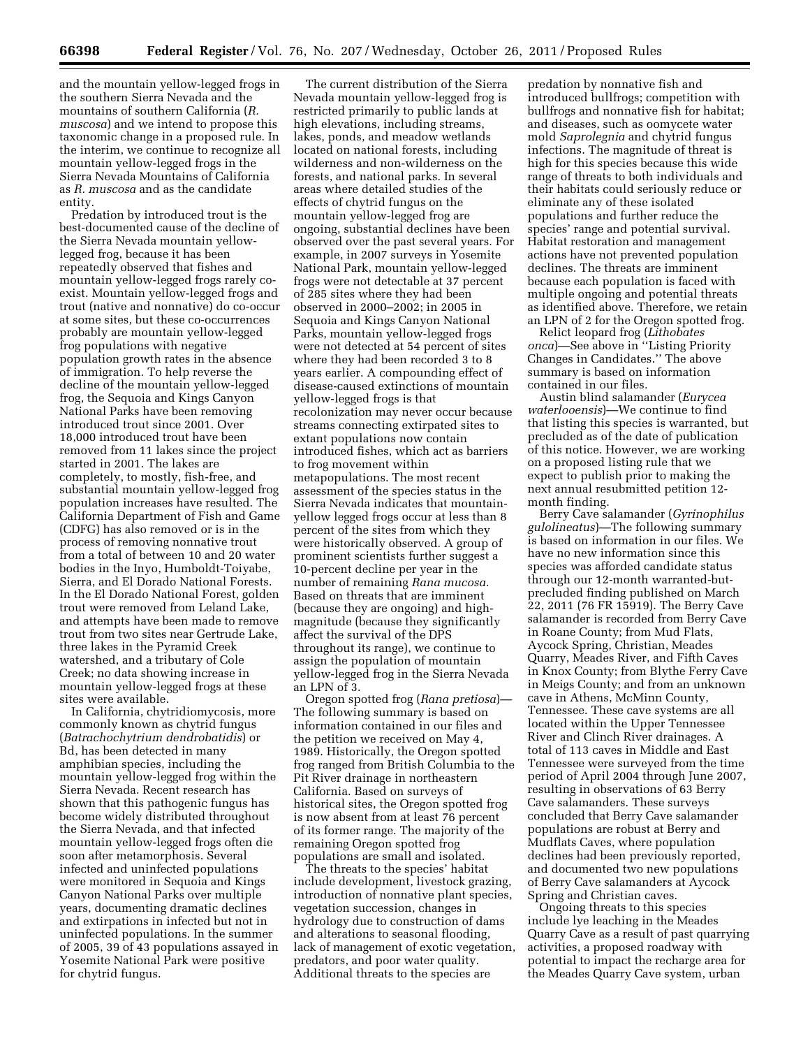and the mountain yellow-legged frogs in the southern Sierra Nevada and the mountains of southern California (*R. muscosa*) and we intend to propose this taxonomic change in a proposed rule. In the interim, we continue to recognize all mountain yellow-legged frogs in the Sierra Nevada Mountains of California as *R. muscosa* and as the candidate entity.

Predation by introduced trout is the best-documented cause of the decline of the Sierra Nevada mountain yellowlegged frog, because it has been repeatedly observed that fishes and mountain yellow-legged frogs rarely coexist. Mountain yellow-legged frogs and trout (native and nonnative) do co-occur at some sites, but these co-occurrences probably are mountain yellow-legged frog populations with negative population growth rates in the absence of immigration. To help reverse the decline of the mountain yellow-legged frog, the Sequoia and Kings Canyon National Parks have been removing introduced trout since 2001. Over 18,000 introduced trout have been removed from 11 lakes since the project started in 2001. The lakes are completely, to mostly, fish-free, and substantial mountain yellow-legged frog population increases have resulted. The California Department of Fish and Game (CDFG) has also removed or is in the process of removing nonnative trout from a total of between 10 and 20 water bodies in the Inyo, Humboldt-Toiyabe, Sierra, and El Dorado National Forests. In the El Dorado National Forest, golden trout were removed from Leland Lake, and attempts have been made to remove trout from two sites near Gertrude Lake, three lakes in the Pyramid Creek watershed, and a tributary of Cole Creek; no data showing increase in mountain yellow-legged frogs at these sites were available.

In California, chytridiomycosis, more commonly known as chytrid fungus (*Batrachochytrium dendrobatidis*) or Bd, has been detected in many amphibian species, including the mountain yellow-legged frog within the Sierra Nevada. Recent research has shown that this pathogenic fungus has become widely distributed throughout the Sierra Nevada, and that infected mountain yellow-legged frogs often die soon after metamorphosis. Several infected and uninfected populations were monitored in Sequoia and Kings Canyon National Parks over multiple years, documenting dramatic declines and extirpations in infected but not in uninfected populations. In the summer of 2005, 39 of 43 populations assayed in Yosemite National Park were positive for chytrid fungus.

The current distribution of the Sierra Nevada mountain yellow-legged frog is restricted primarily to public lands at high elevations, including streams, lakes, ponds, and meadow wetlands located on national forests, including wilderness and non-wilderness on the forests, and national parks. In several areas where detailed studies of the effects of chytrid fungus on the mountain yellow-legged frog are ongoing, substantial declines have been observed over the past several years. For example, in 2007 surveys in Yosemite National Park, mountain yellow-legged frogs were not detectable at 37 percent of 285 sites where they had been observed in 2000–2002; in 2005 in Sequoia and Kings Canyon National Parks, mountain yellow-legged frogs were not detected at 54 percent of sites where they had been recorded 3 to 8 years earlier. A compounding effect of disease-caused extinctions of mountain yellow-legged frogs is that recolonization may never occur because streams connecting extirpated sites to extant populations now contain introduced fishes, which act as barriers to frog movement within metapopulations. The most recent assessment of the species status in the Sierra Nevada indicates that mountainyellow legged frogs occur at less than 8 percent of the sites from which they were historically observed. A group of prominent scientists further suggest a 10-percent decline per year in the number of remaining *Rana mucosa.*  Based on threats that are imminent (because they are ongoing) and highmagnitude (because they significantly affect the survival of the DPS throughout its range), we continue to assign the population of mountain yellow-legged frog in the Sierra Nevada an LPN of 3.

Oregon spotted frog (*Rana pretiosa*)— The following summary is based on information contained in our files and the petition we received on May 4, 1989. Historically, the Oregon spotted frog ranged from British Columbia to the Pit River drainage in northeastern California. Based on surveys of historical sites, the Oregon spotted frog is now absent from at least 76 percent of its former range. The majority of the remaining Oregon spotted frog populations are small and isolated.

The threats to the species' habitat include development, livestock grazing, introduction of nonnative plant species, vegetation succession, changes in hydrology due to construction of dams and alterations to seasonal flooding, lack of management of exotic vegetation, predators, and poor water quality. Additional threats to the species are

predation by nonnative fish and introduced bullfrogs; competition with bullfrogs and nonnative fish for habitat; and diseases, such as oomycete water mold *Saprolegnia* and chytrid fungus infections. The magnitude of threat is high for this species because this wide range of threats to both individuals and their habitats could seriously reduce or eliminate any of these isolated populations and further reduce the species' range and potential survival. Habitat restoration and management actions have not prevented population declines. The threats are imminent because each population is faced with multiple ongoing and potential threats as identified above. Therefore, we retain an LPN of 2 for the Oregon spotted frog.

Relict leopard frog (*Lithobates onca*)—See above in ''Listing Priority Changes in Candidates.'' The above summary is based on information contained in our files.

Austin blind salamander (*Eurycea waterlooensis*)—We continue to find that listing this species is warranted, but precluded as of the date of publication of this notice. However, we are working on a proposed listing rule that we expect to publish prior to making the next annual resubmitted petition 12 month finding.

Berry Cave salamander (*Gyrinophilus gulolineatus*)—The following summary is based on information in our files. We have no new information since this species was afforded candidate status through our 12-month warranted-butprecluded finding published on March 22, 2011 (76 FR 15919). The Berry Cave salamander is recorded from Berry Cave in Roane County; from Mud Flats, Aycock Spring, Christian, Meades Quarry, Meades River, and Fifth Caves in Knox County; from Blythe Ferry Cave in Meigs County; and from an unknown cave in Athens, McMinn County, Tennessee. These cave systems are all located within the Upper Tennessee River and Clinch River drainages. A total of 113 caves in Middle and East Tennessee were surveyed from the time period of April 2004 through June 2007, resulting in observations of 63 Berry Cave salamanders. These surveys concluded that Berry Cave salamander populations are robust at Berry and Mudflats Caves, where population declines had been previously reported, and documented two new populations of Berry Cave salamanders at Aycock Spring and Christian caves.

Ongoing threats to this species include lye leaching in the Meades Quarry Cave as a result of past quarrying activities, a proposed roadway with potential to impact the recharge area for the Meades Quarry Cave system, urban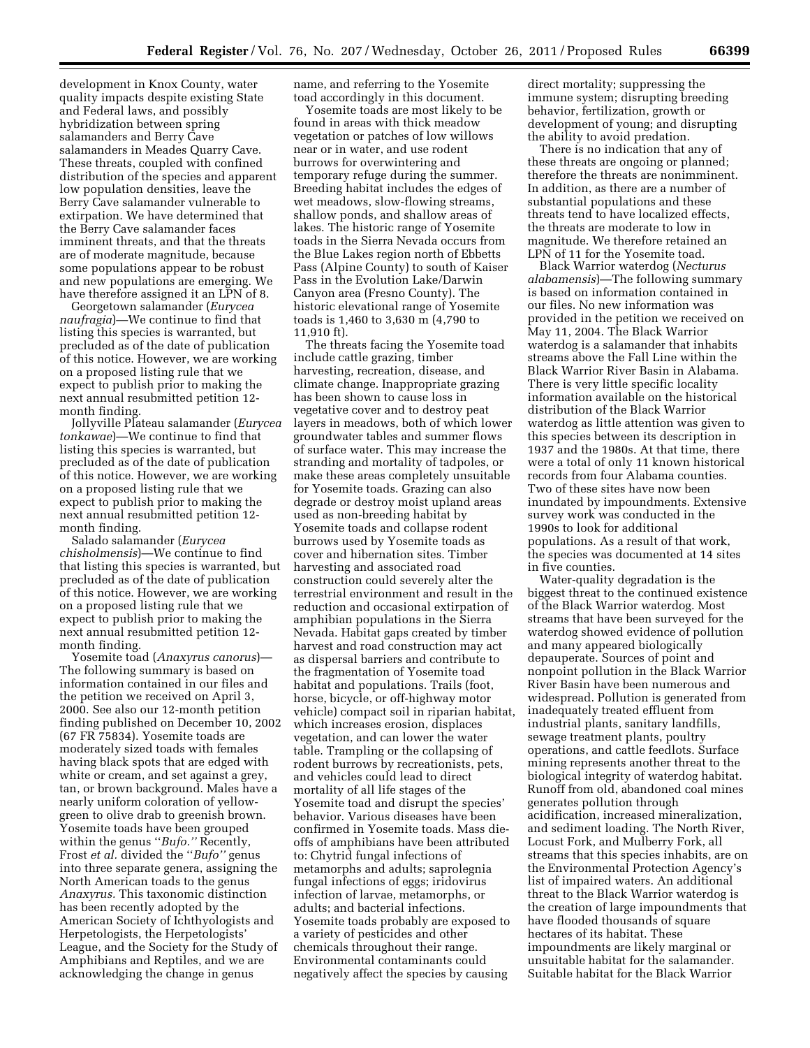development in Knox County, water quality impacts despite existing State and Federal laws, and possibly hybridization between spring salamanders and Berry Cave salamanders in Meades Quarry Cave. These threats, coupled with confined distribution of the species and apparent low population densities, leave the Berry Cave salamander vulnerable to extirpation. We have determined that the Berry Cave salamander faces imminent threats, and that the threats are of moderate magnitude, because some populations appear to be robust and new populations are emerging. We have therefore assigned it an LPN of 8.

Georgetown salamander (*Eurycea naufragia*)—We continue to find that listing this species is warranted, but precluded as of the date of publication of this notice. However, we are working on a proposed listing rule that we expect to publish prior to making the next annual resubmitted petition 12 month finding.

Jollyville Plateau salamander (*Eurycea tonkawae*)—We continue to find that listing this species is warranted, but precluded as of the date of publication of this notice. However, we are working on a proposed listing rule that we expect to publish prior to making the next annual resubmitted petition 12 month finding.

Salado salamander (*Eurycea chisholmensis*)—We continue to find that listing this species is warranted, but precluded as of the date of publication of this notice. However, we are working on a proposed listing rule that we expect to publish prior to making the next annual resubmitted petition 12 month finding.

Yosemite toad (*Anaxyrus canorus*)— The following summary is based on information contained in our files and the petition we received on April 3, 2000. See also our 12-month petition finding published on December 10, 2002 (67 FR 75834). Yosemite toads are moderately sized toads with females having black spots that are edged with white or cream, and set against a grey. tan, or brown background. Males have a nearly uniform coloration of yellowgreen to olive drab to greenish brown. Yosemite toads have been grouped within the genus ''*Bufo.''* Recently, Frost *et al.* divided the ''*Bufo''* genus into three separate genera, assigning the North American toads to the genus *Anaxyrus.* This taxonomic distinction has been recently adopted by the American Society of Ichthyologists and Herpetologists, the Herpetologists' League, and the Society for the Study of Amphibians and Reptiles, and we are acknowledging the change in genus

name, and referring to the Yosemite toad accordingly in this document.

Yosemite toads are most likely to be found in areas with thick meadow vegetation or patches of low willows near or in water, and use rodent burrows for overwintering and temporary refuge during the summer. Breeding habitat includes the edges of wet meadows, slow-flowing streams, shallow ponds, and shallow areas of lakes. The historic range of Yosemite toads in the Sierra Nevada occurs from the Blue Lakes region north of Ebbetts Pass (Alpine County) to south of Kaiser Pass in the Evolution Lake/Darwin Canyon area (Fresno County). The historic elevational range of Yosemite toads is 1,460 to 3,630 m (4,790 to 11,910 ft).

The threats facing the Yosemite toad include cattle grazing, timber harvesting, recreation, disease, and climate change. Inappropriate grazing has been shown to cause loss in vegetative cover and to destroy peat layers in meadows, both of which lower groundwater tables and summer flows of surface water. This may increase the stranding and mortality of tadpoles, or make these areas completely unsuitable for Yosemite toads. Grazing can also degrade or destroy moist upland areas used as non-breeding habitat by Yosemite toads and collapse rodent burrows used by Yosemite toads as cover and hibernation sites. Timber harvesting and associated road construction could severely alter the terrestrial environment and result in the reduction and occasional extirpation of amphibian populations in the Sierra Nevada. Habitat gaps created by timber harvest and road construction may act as dispersal barriers and contribute to the fragmentation of Yosemite toad habitat and populations. Trails (foot, horse, bicycle, or off-highway motor vehicle) compact soil in riparian habitat, which increases erosion, displaces vegetation, and can lower the water table. Trampling or the collapsing of rodent burrows by recreationists, pets, and vehicles could lead to direct mortality of all life stages of the Yosemite toad and disrupt the species' behavior. Various diseases have been confirmed in Yosemite toads. Mass dieoffs of amphibians have been attributed to: Chytrid fungal infections of metamorphs and adults; saprolegnia fungal infections of eggs; iridovirus infection of larvae, metamorphs, or adults; and bacterial infections. Yosemite toads probably are exposed to a variety of pesticides and other chemicals throughout their range. Environmental contaminants could negatively affect the species by causing

direct mortality; suppressing the immune system; disrupting breeding behavior, fertilization, growth or development of young; and disrupting the ability to avoid predation.

There is no indication that any of these threats are ongoing or planned; therefore the threats are nonimminent. In addition, as there are a number of substantial populations and these threats tend to have localized effects, the threats are moderate to low in magnitude. We therefore retained an LPN of 11 for the Yosemite toad.

Black Warrior waterdog (*Necturus alabamensis*)—The following summary is based on information contained in our files. No new information was provided in the petition we received on May 11, 2004. The Black Warrior waterdog is a salamander that inhabits streams above the Fall Line within the Black Warrior River Basin in Alabama. There is very little specific locality information available on the historical distribution of the Black Warrior waterdog as little attention was given to this species between its description in 1937 and the 1980s. At that time, there were a total of only 11 known historical records from four Alabama counties. Two of these sites have now been inundated by impoundments. Extensive survey work was conducted in the 1990s to look for additional populations. As a result of that work, the species was documented at 14 sites in five counties.

Water-quality degradation is the biggest threat to the continued existence of the Black Warrior waterdog. Most streams that have been surveyed for the waterdog showed evidence of pollution and many appeared biologically depauperate. Sources of point and nonpoint pollution in the Black Warrior River Basin have been numerous and widespread. Pollution is generated from inadequately treated effluent from industrial plants, sanitary landfills, sewage treatment plants, poultry operations, and cattle feedlots. Surface mining represents another threat to the biological integrity of waterdog habitat. Runoff from old, abandoned coal mines generates pollution through acidification, increased mineralization, and sediment loading. The North River, Locust Fork, and Mulberry Fork, all streams that this species inhabits, are on the Environmental Protection Agency's list of impaired waters. An additional threat to the Black Warrior waterdog is the creation of large impoundments that have flooded thousands of square hectares of its habitat. These impoundments are likely marginal or unsuitable habitat for the salamander. Suitable habitat for the Black Warrior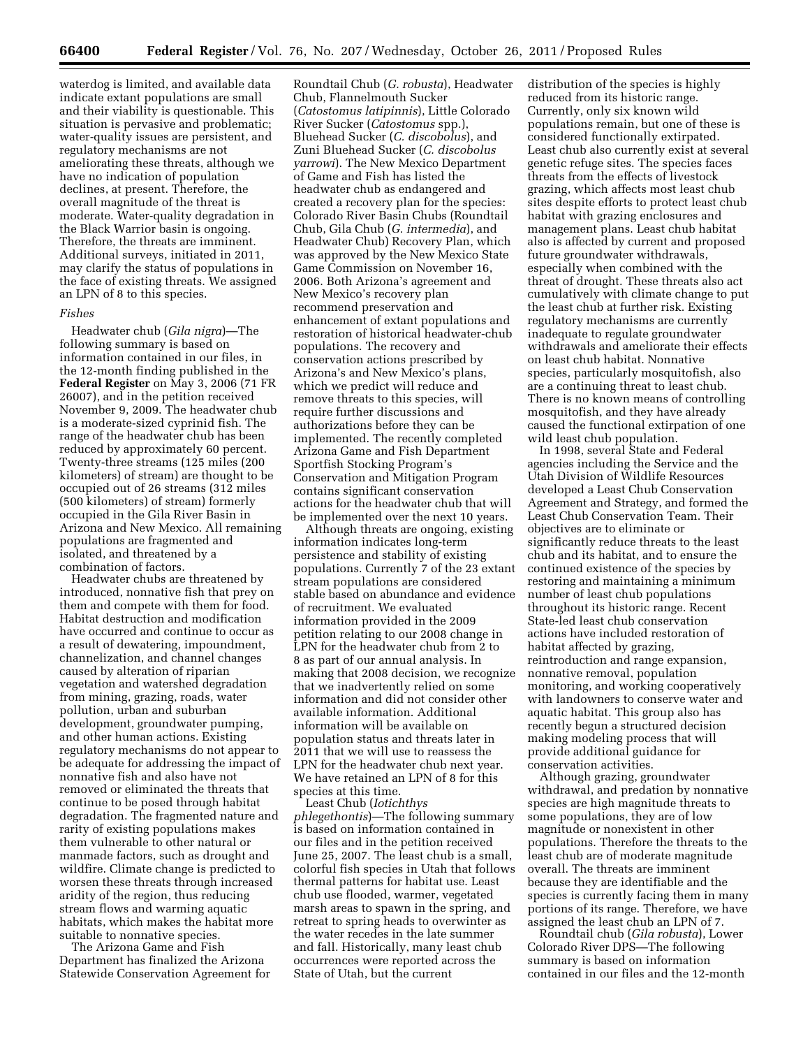waterdog is limited, and available data indicate extant populations are small and their viability is questionable. This situation is pervasive and problematic; water-quality issues are persistent, and regulatory mechanisms are not ameliorating these threats, although we have no indication of population declines, at present. Therefore, the overall magnitude of the threat is moderate. Water-quality degradation in the Black Warrior basin is ongoing. Therefore, the threats are imminent. Additional surveys, initiated in 2011, may clarify the status of populations in the face of existing threats. We assigned an LPN of 8 to this species.

#### *Fishes*

Headwater chub (*Gila nigra*)—The following summary is based on information contained in our files, in the 12-month finding published in the **Federal Register** on May 3, 2006 (71 FR 26007), and in the petition received November 9, 2009. The headwater chub is a moderate-sized cyprinid fish. The range of the headwater chub has been reduced by approximately 60 percent. Twenty-three streams (125 miles (200 kilometers) of stream) are thought to be occupied out of 26 streams (312 miles (500 kilometers) of stream) formerly occupied in the Gila River Basin in Arizona and New Mexico. All remaining populations are fragmented and isolated, and threatened by a combination of factors.

Headwater chubs are threatened by introduced, nonnative fish that prey on them and compete with them for food. Habitat destruction and modification have occurred and continue to occur as a result of dewatering, impoundment, channelization, and channel changes caused by alteration of riparian vegetation and watershed degradation from mining, grazing, roads, water pollution, urban and suburban development, groundwater pumping, and other human actions. Existing regulatory mechanisms do not appear to be adequate for addressing the impact of nonnative fish and also have not removed or eliminated the threats that continue to be posed through habitat degradation. The fragmented nature and rarity of existing populations makes them vulnerable to other natural or manmade factors, such as drought and wildfire. Climate change is predicted to worsen these threats through increased aridity of the region, thus reducing stream flows and warming aquatic habitats, which makes the habitat more suitable to nonnative species.

The Arizona Game and Fish Department has finalized the Arizona Statewide Conservation Agreement for

Roundtail Chub (*G. robusta*), Headwater Chub, Flannelmouth Sucker (*Catostomus latipinnis*), Little Colorado River Sucker (*Catostomus* spp.), Bluehead Sucker (*C. discobolus*), and Zuni Bluehead Sucker (*C. discobolus yarrowi*). The New Mexico Department of Game and Fish has listed the headwater chub as endangered and created a recovery plan for the species: Colorado River Basin Chubs (Roundtail Chub, Gila Chub (*G. intermedia*), and Headwater Chub) Recovery Plan, which was approved by the New Mexico State Game Commission on November 16, 2006. Both Arizona's agreement and New Mexico's recovery plan recommend preservation and enhancement of extant populations and restoration of historical headwater-chub populations. The recovery and conservation actions prescribed by Arizona's and New Mexico's plans, which we predict will reduce and remove threats to this species, will require further discussions and authorizations before they can be implemented. The recently completed Arizona Game and Fish Department Sportfish Stocking Program's Conservation and Mitigation Program contains significant conservation actions for the headwater chub that will be implemented over the next 10 years.

Although threats are ongoing, existing information indicates long-term persistence and stability of existing populations. Currently 7 of the 23 extant stream populations are considered stable based on abundance and evidence of recruitment. We evaluated information provided in the 2009 petition relating to our 2008 change in LPN for the headwater chub from 2 to 8 as part of our annual analysis. In making that 2008 decision, we recognize that we inadvertently relied on some information and did not consider other available information. Additional information will be available on population status and threats later in 2011 that we will use to reassess the LPN for the headwater chub next year. We have retained an LPN of 8 for this species at this time.

Least Chub (*Iotichthys phlegethontis*)—The following summary is based on information contained in our files and in the petition received June 25, 2007. The least chub is a small, colorful fish species in Utah that follows thermal patterns for habitat use. Least chub use flooded, warmer, vegetated marsh areas to spawn in the spring, and retreat to spring heads to overwinter as the water recedes in the late summer and fall. Historically, many least chub occurrences were reported across the State of Utah, but the current

distribution of the species is highly reduced from its historic range. Currently, only six known wild populations remain, but one of these is considered functionally extirpated. Least chub also currently exist at several genetic refuge sites. The species faces threats from the effects of livestock grazing, which affects most least chub sites despite efforts to protect least chub habitat with grazing enclosures and management plans. Least chub habitat also is affected by current and proposed future groundwater withdrawals, especially when combined with the threat of drought. These threats also act cumulatively with climate change to put the least chub at further risk. Existing regulatory mechanisms are currently inadequate to regulate groundwater withdrawals and ameliorate their effects on least chub habitat. Nonnative species, particularly mosquitofish, also are a continuing threat to least chub. There is no known means of controlling mosquitofish, and they have already caused the functional extirpation of one wild least chub population.

In 1998, several State and Federal agencies including the Service and the Utah Division of Wildlife Resources developed a Least Chub Conservation Agreement and Strategy, and formed the Least Chub Conservation Team. Their objectives are to eliminate or significantly reduce threats to the least chub and its habitat, and to ensure the continued existence of the species by restoring and maintaining a minimum number of least chub populations throughout its historic range. Recent State-led least chub conservation actions have included restoration of habitat affected by grazing, reintroduction and range expansion, nonnative removal, population monitoring, and working cooperatively with landowners to conserve water and aquatic habitat. This group also has recently begun a structured decision making modeling process that will provide additional guidance for conservation activities.

Although grazing, groundwater withdrawal, and predation by nonnative species are high magnitude threats to some populations, they are of low magnitude or nonexistent in other populations. Therefore the threats to the least chub are of moderate magnitude overall. The threats are imminent because they are identifiable and the species is currently facing them in many portions of its range. Therefore, we have assigned the least chub an LPN of 7.

Roundtail chub (*Gila robusta*), Lower Colorado River DPS—The following summary is based on information contained in our files and the 12-month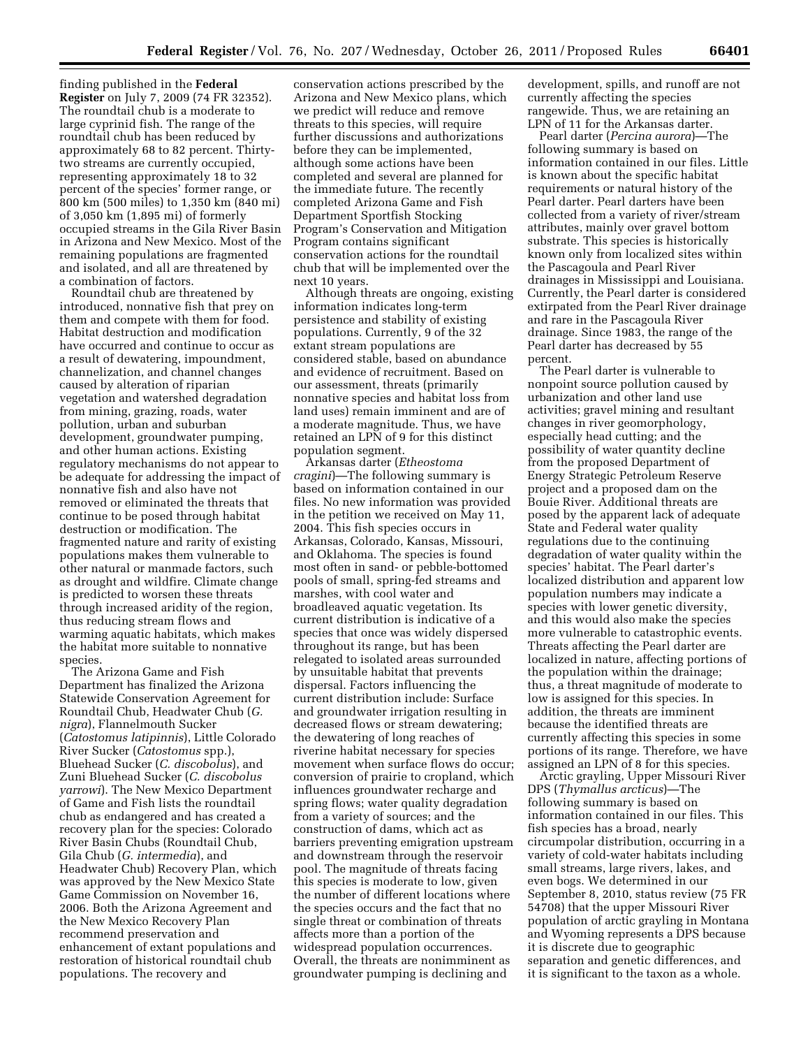finding published in the **Federal Register** on July 7, 2009 (74 FR 32352). The roundtail chub is a moderate to large cyprinid fish. The range of the roundtail chub has been reduced by approximately 68 to 82 percent. Thirtytwo streams are currently occupied, representing approximately 18 to 32 percent of the species' former range, or 800 km (500 miles) to 1,350 km (840 mi) of 3,050 km (1,895 mi) of formerly occupied streams in the Gila River Basin in Arizona and New Mexico. Most of the remaining populations are fragmented and isolated, and all are threatened by a combination of factors.

Roundtail chub are threatened by introduced, nonnative fish that prey on them and compete with them for food. Habitat destruction and modification have occurred and continue to occur as a result of dewatering, impoundment, channelization, and channel changes caused by alteration of riparian vegetation and watershed degradation from mining, grazing, roads, water pollution, urban and suburban development, groundwater pumping, and other human actions. Existing regulatory mechanisms do not appear to be adequate for addressing the impact of nonnative fish and also have not removed or eliminated the threats that continue to be posed through habitat destruction or modification. The fragmented nature and rarity of existing populations makes them vulnerable to other natural or manmade factors, such as drought and wildfire. Climate change is predicted to worsen these threats through increased aridity of the region, thus reducing stream flows and warming aquatic habitats, which makes the habitat more suitable to nonnative species.

The Arizona Game and Fish Department has finalized the Arizona Statewide Conservation Agreement for Roundtail Chub, Headwater Chub (*G. nigra*), Flannelmouth Sucker (*Catostomus latipinnis*), Little Colorado River Sucker (*Catostomus* spp.), Bluehead Sucker (*C. discobolus*), and Zuni Bluehead Sucker (*C. discobolus yarrowi*). The New Mexico Department of Game and Fish lists the roundtail chub as endangered and has created a recovery plan for the species: Colorado River Basin Chubs (Roundtail Chub, Gila Chub (*G. intermedia*), and Headwater Chub) Recovery Plan, which was approved by the New Mexico State Game Commission on November 16, 2006. Both the Arizona Agreement and the New Mexico Recovery Plan recommend preservation and enhancement of extant populations and restoration of historical roundtail chub populations. The recovery and

conservation actions prescribed by the Arizona and New Mexico plans, which we predict will reduce and remove threats to this species, will require further discussions and authorizations before they can be implemented, although some actions have been completed and several are planned for the immediate future. The recently completed Arizona Game and Fish Department Sportfish Stocking Program's Conservation and Mitigation Program contains significant conservation actions for the roundtail chub that will be implemented over the next 10 years.

Although threats are ongoing, existing information indicates long-term persistence and stability of existing populations. Currently, 9 of the 32 extant stream populations are considered stable, based on abundance and evidence of recruitment. Based on our assessment, threats (primarily nonnative species and habitat loss from land uses) remain imminent and are of a moderate magnitude. Thus, we have retained an LPN of 9 for this distinct population segment.

Arkansas darter (*Etheostoma cragini*)—The following summary is based on information contained in our files. No new information was provided in the petition we received on May 11, 2004. This fish species occurs in Arkansas, Colorado, Kansas, Missouri, and Oklahoma. The species is found most often in sand- or pebble-bottomed pools of small, spring-fed streams and marshes, with cool water and broadleaved aquatic vegetation. Its current distribution is indicative of a species that once was widely dispersed throughout its range, but has been relegated to isolated areas surrounded by unsuitable habitat that prevents dispersal. Factors influencing the current distribution include: Surface and groundwater irrigation resulting in decreased flows or stream dewatering; the dewatering of long reaches of riverine habitat necessary for species movement when surface flows do occur; conversion of prairie to cropland, which influences groundwater recharge and spring flows; water quality degradation from a variety of sources; and the construction of dams, which act as barriers preventing emigration upstream and downstream through the reservoir pool. The magnitude of threats facing this species is moderate to low, given the number of different locations where the species occurs and the fact that no single threat or combination of threats affects more than a portion of the widespread population occurrences. Overall, the threats are nonimminent as groundwater pumping is declining and

development, spills, and runoff are not currently affecting the species rangewide. Thus, we are retaining an LPN of 11 for the Arkansas darter.

Pearl darter (*Percina aurora*)—The following summary is based on information contained in our files. Little is known about the specific habitat requirements or natural history of the Pearl darter. Pearl darters have been collected from a variety of river/stream attributes, mainly over gravel bottom substrate. This species is historically known only from localized sites within the Pascagoula and Pearl River drainages in Mississippi and Louisiana. Currently, the Pearl darter is considered extirpated from the Pearl River drainage and rare in the Pascagoula River drainage. Since 1983, the range of the Pearl darter has decreased by 55 percent.

The Pearl darter is vulnerable to nonpoint source pollution caused by urbanization and other land use activities; gravel mining and resultant changes in river geomorphology, especially head cutting; and the possibility of water quantity decline from the proposed Department of Energy Strategic Petroleum Reserve project and a proposed dam on the Bouie River. Additional threats are posed by the apparent lack of adequate State and Federal water quality regulations due to the continuing degradation of water quality within the species' habitat. The Pearl darter's localized distribution and apparent low population numbers may indicate a species with lower genetic diversity, and this would also make the species more vulnerable to catastrophic events. Threats affecting the Pearl darter are localized in nature, affecting portions of the population within the drainage; thus, a threat magnitude of moderate to low is assigned for this species. In addition, the threats are imminent because the identified threats are currently affecting this species in some portions of its range. Therefore, we have assigned an LPN of 8 for this species.

Arctic grayling, Upper Missouri River DPS (*Thymallus arcticus*)—The following summary is based on information contained in our files. This fish species has a broad, nearly circumpolar distribution, occurring in a variety of cold-water habitats including small streams, large rivers, lakes, and even bogs. We determined in our September 8, 2010, status review (75 FR 54708) that the upper Missouri River population of arctic grayling in Montana and Wyoming represents a DPS because it is discrete due to geographic separation and genetic differences, and it is significant to the taxon as a whole.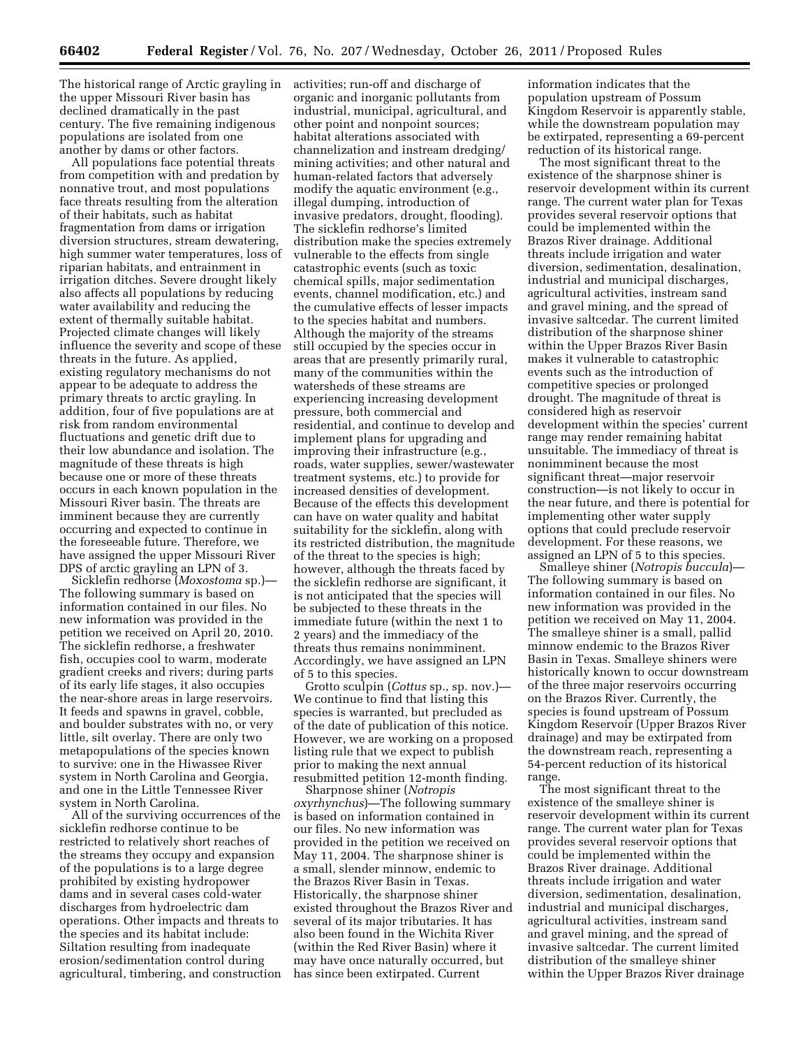The historical range of Arctic grayling in activities; run-off and discharge of the upper Missouri River basin has declined dramatically in the past century. The five remaining indigenous populations are isolated from one another by dams or other factors.

All populations face potential threats from competition with and predation by nonnative trout, and most populations face threats resulting from the alteration of their habitats, such as habitat fragmentation from dams or irrigation diversion structures, stream dewatering, high summer water temperatures, loss of riparian habitats, and entrainment in irrigation ditches. Severe drought likely also affects all populations by reducing water availability and reducing the extent of thermally suitable habitat. Projected climate changes will likely influence the severity and scope of these threats in the future. As applied, existing regulatory mechanisms do not appear to be adequate to address the primary threats to arctic grayling. In addition, four of five populations are at risk from random environmental fluctuations and genetic drift due to their low abundance and isolation. The magnitude of these threats is high because one or more of these threats occurs in each known population in the Missouri River basin. The threats are imminent because they are currently occurring and expected to continue in the foreseeable future. Therefore, we have assigned the upper Missouri River DPS of arctic grayling an LPN of 3.

Sicklefin redhorse (*Moxostoma* sp.)— The following summary is based on information contained in our files. No new information was provided in the petition we received on April 20, 2010. The sicklefin redhorse, a freshwater fish, occupies cool to warm, moderate gradient creeks and rivers; during parts of its early life stages, it also occupies the near-shore areas in large reservoirs. It feeds and spawns in gravel, cobble, and boulder substrates with no, or very little, silt overlay. There are only two metapopulations of the species known to survive: one in the Hiwassee River system in North Carolina and Georgia, and one in the Little Tennessee River system in North Carolina.

All of the surviving occurrences of the sicklefin redhorse continue to be restricted to relatively short reaches of the streams they occupy and expansion of the populations is to a large degree prohibited by existing hydropower dams and in several cases cold-water discharges from hydroelectric dam operations. Other impacts and threats to the species and its habitat include: Siltation resulting from inadequate erosion/sedimentation control during agricultural, timbering, and construction

organic and inorganic pollutants from industrial, municipal, agricultural, and other point and nonpoint sources; habitat alterations associated with channelization and instream dredging/ mining activities; and other natural and human-related factors that adversely modify the aquatic environment (e.g., illegal dumping, introduction of invasive predators, drought, flooding). The sicklefin redhorse's limited distribution make the species extremely vulnerable to the effects from single catastrophic events (such as toxic chemical spills, major sedimentation events, channel modification, etc.) and the cumulative effects of lesser impacts to the species habitat and numbers. Although the majority of the streams still occupied by the species occur in areas that are presently primarily rural, many of the communities within the watersheds of these streams are experiencing increasing development pressure, both commercial and residential, and continue to develop and implement plans for upgrading and improving their infrastructure (e.g., roads, water supplies, sewer/wastewater treatment systems, etc.) to provide for increased densities of development. Because of the effects this development can have on water quality and habitat suitability for the sicklefin, along with its restricted distribution, the magnitude of the threat to the species is high; however, although the threats faced by the sicklefin redhorse are significant, it is not anticipated that the species will be subjected to these threats in the immediate future (within the next 1 to 2 years) and the immediacy of the threats thus remains nonimminent. Accordingly, we have assigned an LPN of 5 to this species.

Grotto sculpin (*Cottus* sp., sp. nov.)— We continue to find that listing this species is warranted, but precluded as of the date of publication of this notice. However, we are working on a proposed listing rule that we expect to publish prior to making the next annual resubmitted petition 12-month finding.

Sharpnose shiner (*Notropis oxyrhynchus*)—The following summary is based on information contained in our files. No new information was provided in the petition we received on May 11, 2004. The sharpnose shiner is a small, slender minnow, endemic to the Brazos River Basin in Texas. Historically, the sharpnose shiner existed throughout the Brazos River and several of its major tributaries. It has also been found in the Wichita River (within the Red River Basin) where it may have once naturally occurred, but has since been extirpated. Current

information indicates that the population upstream of Possum Kingdom Reservoir is apparently stable, while the downstream population may be extirpated, representing a 69-percent reduction of its historical range.

The most significant threat to the existence of the sharpnose shiner is reservoir development within its current range. The current water plan for Texas provides several reservoir options that could be implemented within the Brazos River drainage. Additional threats include irrigation and water diversion, sedimentation, desalination, industrial and municipal discharges, agricultural activities, instream sand and gravel mining, and the spread of invasive saltcedar. The current limited distribution of the sharpnose shiner within the Upper Brazos River Basin makes it vulnerable to catastrophic events such as the introduction of competitive species or prolonged drought. The magnitude of threat is considered high as reservoir development within the species' current range may render remaining habitat unsuitable. The immediacy of threat is nonimminent because the most significant threat—major reservoir construction—is not likely to occur in the near future, and there is potential for implementing other water supply options that could preclude reservoir development. For these reasons, we assigned an LPN of 5 to this species.

Smalleye shiner (*Notropis buccula*)— The following summary is based on information contained in our files. No new information was provided in the petition we received on May 11, 2004. The smalleye shiner is a small, pallid minnow endemic to the Brazos River Basin in Texas. Smalleye shiners were historically known to occur downstream of the three major reservoirs occurring on the Brazos River. Currently, the species is found upstream of Possum Kingdom Reservoir (Upper Brazos River drainage) and may be extirpated from the downstream reach, representing a 54-percent reduction of its historical range.

The most significant threat to the existence of the smalleye shiner is reservoir development within its current range. The current water plan for Texas provides several reservoir options that could be implemented within the Brazos River drainage. Additional threats include irrigation and water diversion, sedimentation, desalination, industrial and municipal discharges, agricultural activities, instream sand and gravel mining, and the spread of invasive saltcedar. The current limited distribution of the smalleye shiner within the Upper Brazos River drainage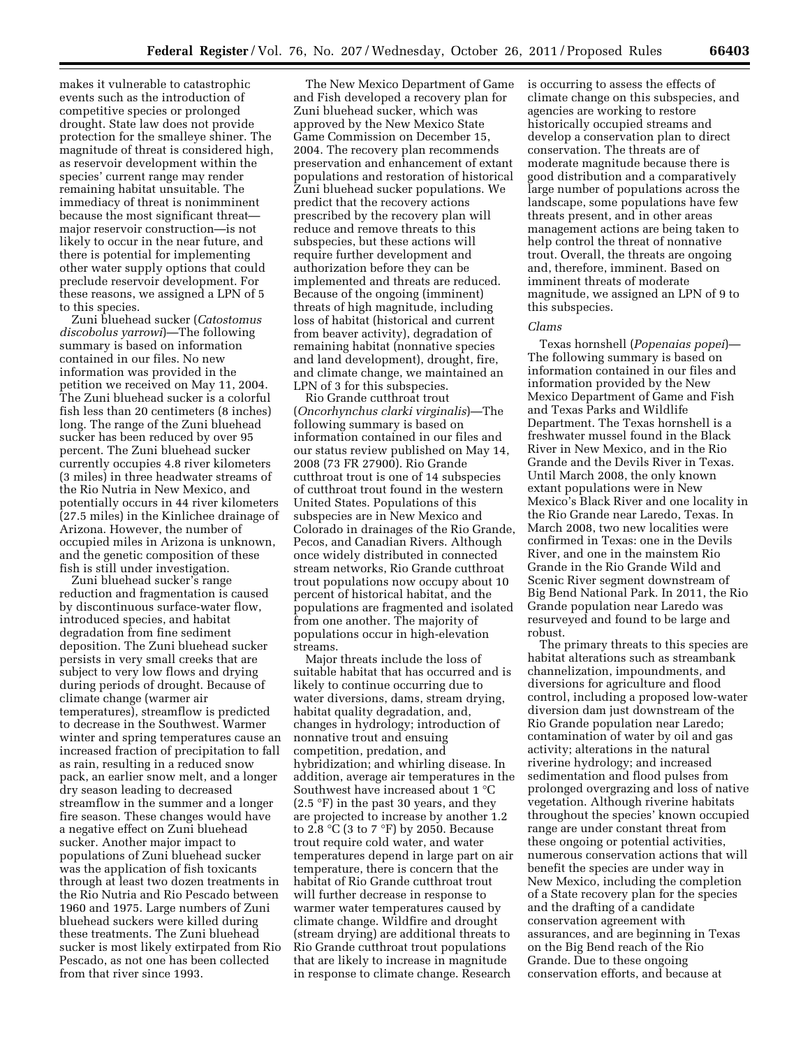makes it vulnerable to catastrophic events such as the introduction of competitive species or prolonged drought. State law does not provide protection for the smalleye shiner. The magnitude of threat is considered high, as reservoir development within the species' current range may render remaining habitat unsuitable. The immediacy of threat is nonimminent because the most significant threat major reservoir construction—is not likely to occur in the near future, and there is potential for implementing other water supply options that could preclude reservoir development. For these reasons, we assigned a LPN of 5 to this species.

Zuni bluehead sucker (*Catostomus discobolus yarrowi*)—The following summary is based on information contained in our files. No new information was provided in the petition we received on May 11, 2004. The Zuni bluehead sucker is a colorful fish less than 20 centimeters (8 inches) long. The range of the Zuni bluehead sucker has been reduced by over 95 percent. The Zuni bluehead sucker currently occupies 4.8 river kilometers (3 miles) in three headwater streams of the Rio Nutria in New Mexico, and potentially occurs in 44 river kilometers (27.5 miles) in the Kinlichee drainage of Arizona. However, the number of occupied miles in Arizona is unknown, and the genetic composition of these fish is still under investigation.

Zuni bluehead sucker's range reduction and fragmentation is caused by discontinuous surface-water flow, introduced species, and habitat degradation from fine sediment deposition. The Zuni bluehead sucker persists in very small creeks that are subject to very low flows and drying during periods of drought. Because of climate change (warmer air temperatures), streamflow is predicted to decrease in the Southwest. Warmer winter and spring temperatures cause an increased fraction of precipitation to fall as rain, resulting in a reduced snow pack, an earlier snow melt, and a longer dry season leading to decreased streamflow in the summer and a longer fire season. These changes would have a negative effect on Zuni bluehead sucker. Another major impact to populations of Zuni bluehead sucker was the application of fish toxicants through at least two dozen treatments in the Rio Nutria and Rio Pescado between 1960 and 1975. Large numbers of Zuni bluehead suckers were killed during these treatments. The Zuni bluehead sucker is most likely extirpated from Rio Pescado, as not one has been collected from that river since 1993.

The New Mexico Department of Game and Fish developed a recovery plan for Zuni bluehead sucker, which was approved by the New Mexico State Game Commission on December 15, 2004. The recovery plan recommends preservation and enhancement of extant populations and restoration of historical Zuni bluehead sucker populations. We predict that the recovery actions prescribed by the recovery plan will reduce and remove threats to this subspecies, but these actions will require further development and authorization before they can be implemented and threats are reduced. Because of the ongoing (imminent) threats of high magnitude, including loss of habitat (historical and current from beaver activity), degradation of remaining habitat (nonnative species and land development), drought, fire, and climate change, we maintained an LPN of 3 for this subspecies.

Rio Grande cutthroat trout (*Oncorhynchus clarki virginalis*)—The following summary is based on information contained in our files and our status review published on May 14, 2008 (73 FR 27900). Rio Grande cutthroat trout is one of 14 subspecies of cutthroat trout found in the western United States. Populations of this subspecies are in New Mexico and Colorado in drainages of the Rio Grande, Pecos, and Canadian Rivers. Although once widely distributed in connected stream networks, Rio Grande cutthroat trout populations now occupy about 10 percent of historical habitat, and the populations are fragmented and isolated from one another. The majority of populations occur in high-elevation streams.

Major threats include the loss of suitable habitat that has occurred and is likely to continue occurring due to water diversions, dams, stream drying, habitat quality degradation, and, changes in hydrology; introduction of nonnative trout and ensuing competition, predation, and hybridization; and whirling disease. In addition, average air temperatures in the Southwest have increased about 1 °C  $(2.5 \text{ °F})$  in the past 30 years, and they are projected to increase by another 1.2 to 2.8  $\rm{°C}$  (3 to 7  $\rm{°F}$ ) by 2050. Because trout require cold water, and water temperatures depend in large part on air temperature, there is concern that the habitat of Rio Grande cutthroat trout will further decrease in response to warmer water temperatures caused by climate change. Wildfire and drought (stream drying) are additional threats to Rio Grande cutthroat trout populations that are likely to increase in magnitude in response to climate change. Research

is occurring to assess the effects of climate change on this subspecies, and agencies are working to restore historically occupied streams and develop a conservation plan to direct conservation. The threats are of moderate magnitude because there is good distribution and a comparatively large number of populations across the landscape, some populations have few threats present, and in other areas management actions are being taken to help control the threat of nonnative trout. Overall, the threats are ongoing and, therefore, imminent. Based on imminent threats of moderate magnitude, we assigned an LPN of 9 to this subspecies.

## *Clams*

Texas hornshell (*Popenaias popei*)— The following summary is based on information contained in our files and information provided by the New Mexico Department of Game and Fish and Texas Parks and Wildlife Department. The Texas hornshell is a freshwater mussel found in the Black River in New Mexico, and in the Rio Grande and the Devils River in Texas. Until March 2008, the only known extant populations were in New Mexico's Black River and one locality in the Rio Grande near Laredo, Texas. In March 2008, two new localities were confirmed in Texas: one in the Devils River, and one in the mainstem Rio Grande in the Rio Grande Wild and Scenic River segment downstream of Big Bend National Park. In 2011, the Rio Grande population near Laredo was resurveyed and found to be large and robust.

The primary threats to this species are habitat alterations such as streambank channelization, impoundments, and diversions for agriculture and flood control, including a proposed low-water diversion dam just downstream of the Rio Grande population near Laredo; contamination of water by oil and gas activity; alterations in the natural riverine hydrology; and increased sedimentation and flood pulses from prolonged overgrazing and loss of native vegetation. Although riverine habitats throughout the species' known occupied range are under constant threat from these ongoing or potential activities, numerous conservation actions that will benefit the species are under way in New Mexico, including the completion of a State recovery plan for the species and the drafting of a candidate conservation agreement with assurances, and are beginning in Texas on the Big Bend reach of the Rio Grande. Due to these ongoing conservation efforts, and because at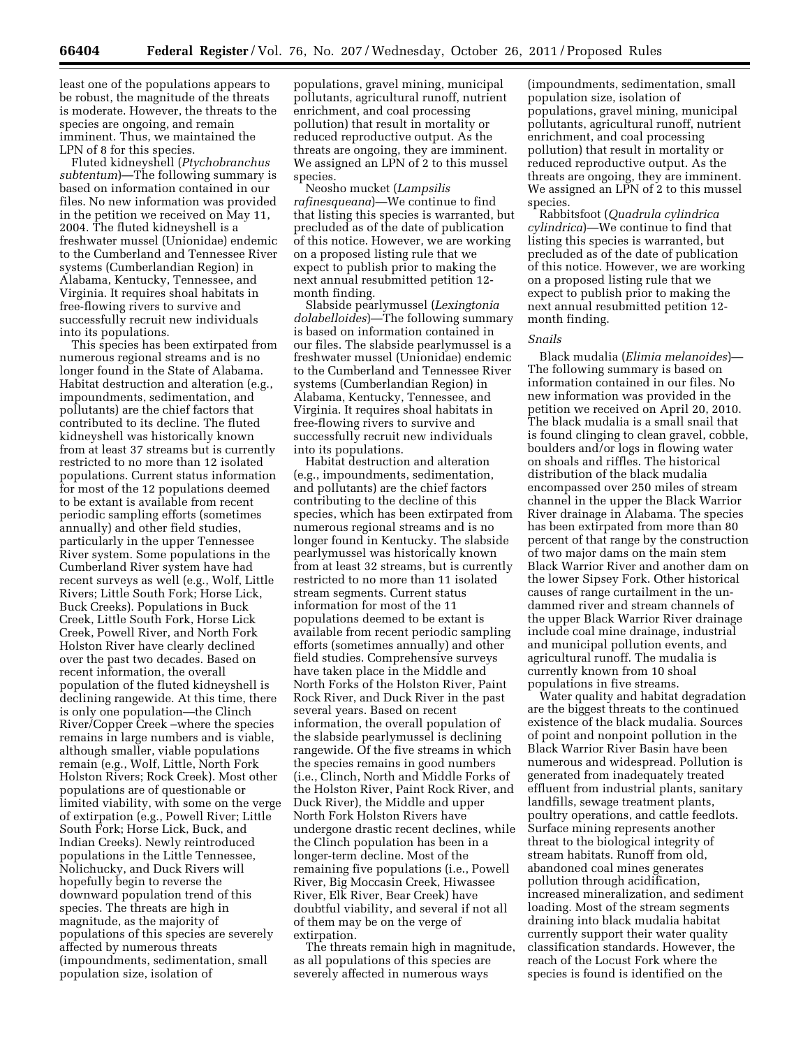least one of the populations appears to be robust, the magnitude of the threats is moderate. However, the threats to the species are ongoing, and remain imminent. Thus, we maintained the LPN of 8 for this species.

Fluted kidneyshell (*Ptychobranchus subtentum*)—The following summary is based on information contained in our files. No new information was provided in the petition we received on May 11, 2004. The fluted kidneyshell is a freshwater mussel (Unionidae) endemic to the Cumberland and Tennessee River systems (Cumberlandian Region) in Alabama, Kentucky, Tennessee, and Virginia. It requires shoal habitats in free-flowing rivers to survive and successfully recruit new individuals into its populations.

This species has been extirpated from numerous regional streams and is no longer found in the State of Alabama. Habitat destruction and alteration (e.g., impoundments, sedimentation, and pollutants) are the chief factors that contributed to its decline. The fluted kidneyshell was historically known from at least 37 streams but is currently restricted to no more than 12 isolated populations. Current status information for most of the 12 populations deemed to be extant is available from recent periodic sampling efforts (sometimes annually) and other field studies, particularly in the upper Tennessee River system. Some populations in the Cumberland River system have had recent surveys as well (e.g., Wolf, Little Rivers; Little South Fork; Horse Lick, Buck Creeks). Populations in Buck Creek, Little South Fork, Horse Lick Creek, Powell River, and North Fork Holston River have clearly declined over the past two decades. Based on recent information, the overall population of the fluted kidneyshell is declining rangewide. At this time, there is only one population—the Clinch River/Copper Creek –where the species remains in large numbers and is viable, although smaller, viable populations remain (e.g., Wolf, Little, North Fork Holston Rivers; Rock Creek). Most other populations are of questionable or limited viability, with some on the verge of extirpation (e.g., Powell River; Little South Fork; Horse Lick, Buck, and Indian Creeks). Newly reintroduced populations in the Little Tennessee, Nolichucky, and Duck Rivers will hopefully begin to reverse the downward population trend of this species. The threats are high in magnitude, as the majority of populations of this species are severely affected by numerous threats (impoundments, sedimentation, small population size, isolation of

populations, gravel mining, municipal pollutants, agricultural runoff, nutrient enrichment, and coal processing pollution) that result in mortality or reduced reproductive output. As the threats are ongoing, they are imminent. We assigned an LPN of 2 to this mussel species.

Neosho mucket (*Lampsilis rafinesqueana*)—We continue to find that listing this species is warranted, but precluded as of the date of publication of this notice. However, we are working on a proposed listing rule that we expect to publish prior to making the next annual resubmitted petition 12 month finding.

Slabside pearlymussel (*Lexingtonia dolabelloides*)—The following summary is based on information contained in our files. The slabside pearlymussel is a freshwater mussel (Unionidae) endemic to the Cumberland and Tennessee River systems (Cumberlandian Region) in Alabama, Kentucky, Tennessee, and Virginia. It requires shoal habitats in free-flowing rivers to survive and successfully recruit new individuals into its populations.

Habitat destruction and alteration (e.g., impoundments, sedimentation, and pollutants) are the chief factors contributing to the decline of this species, which has been extirpated from numerous regional streams and is no longer found in Kentucky. The slabside pearlymussel was historically known from at least 32 streams, but is currently restricted to no more than 11 isolated stream segments. Current status information for most of the 11 populations deemed to be extant is available from recent periodic sampling efforts (sometimes annually) and other field studies. Comprehensive surveys have taken place in the Middle and North Forks of the Holston River, Paint Rock River, and Duck River in the past several years. Based on recent information, the overall population of the slabside pearlymussel is declining rangewide. Of the five streams in which the species remains in good numbers (i.e., Clinch, North and Middle Forks of the Holston River, Paint Rock River, and Duck River), the Middle and upper North Fork Holston Rivers have undergone drastic recent declines, while the Clinch population has been in a longer-term decline. Most of the remaining five populations (i.e., Powell River, Big Moccasin Creek, Hiwassee River, Elk River, Bear Creek) have doubtful viability, and several if not all of them may be on the verge of extirpation.

The threats remain high in magnitude, as all populations of this species are severely affected in numerous ways

(impoundments, sedimentation, small population size, isolation of populations, gravel mining, municipal pollutants, agricultural runoff, nutrient enrichment, and coal processing pollution) that result in mortality or reduced reproductive output. As the threats are ongoing, they are imminent. We assigned an LPN of 2 to this mussel species.

Rabbitsfoot (*Quadrula cylindrica cylindrica*)—We continue to find that listing this species is warranted, but precluded as of the date of publication of this notice. However, we are working on a proposed listing rule that we expect to publish prior to making the next annual resubmitted petition 12 month finding.

## *Snails*

Black mudalia (*Elimia melanoides*)— The following summary is based on information contained in our files. No new information was provided in the petition we received on April 20, 2010. The black mudalia is a small snail that is found clinging to clean gravel, cobble, boulders and/or logs in flowing water on shoals and riffles. The historical distribution of the black mudalia encompassed over 250 miles of stream channel in the upper the Black Warrior River drainage in Alabama. The species has been extirpated from more than 80 percent of that range by the construction of two major dams on the main stem Black Warrior River and another dam on the lower Sipsey Fork. Other historical causes of range curtailment in the undammed river and stream channels of the upper Black Warrior River drainage include coal mine drainage, industrial and municipal pollution events, and agricultural runoff. The mudalia is currently known from 10 shoal populations in five streams.

Water quality and habitat degradation are the biggest threats to the continued existence of the black mudalia. Sources of point and nonpoint pollution in the Black Warrior River Basin have been numerous and widespread. Pollution is generated from inadequately treated effluent from industrial plants, sanitary landfills, sewage treatment plants, poultry operations, and cattle feedlots. Surface mining represents another threat to the biological integrity of stream habitats. Runoff from old, abandoned coal mines generates pollution through acidification, increased mineralization, and sediment loading. Most of the stream segments draining into black mudalia habitat currently support their water quality classification standards. However, the reach of the Locust Fork where the species is found is identified on the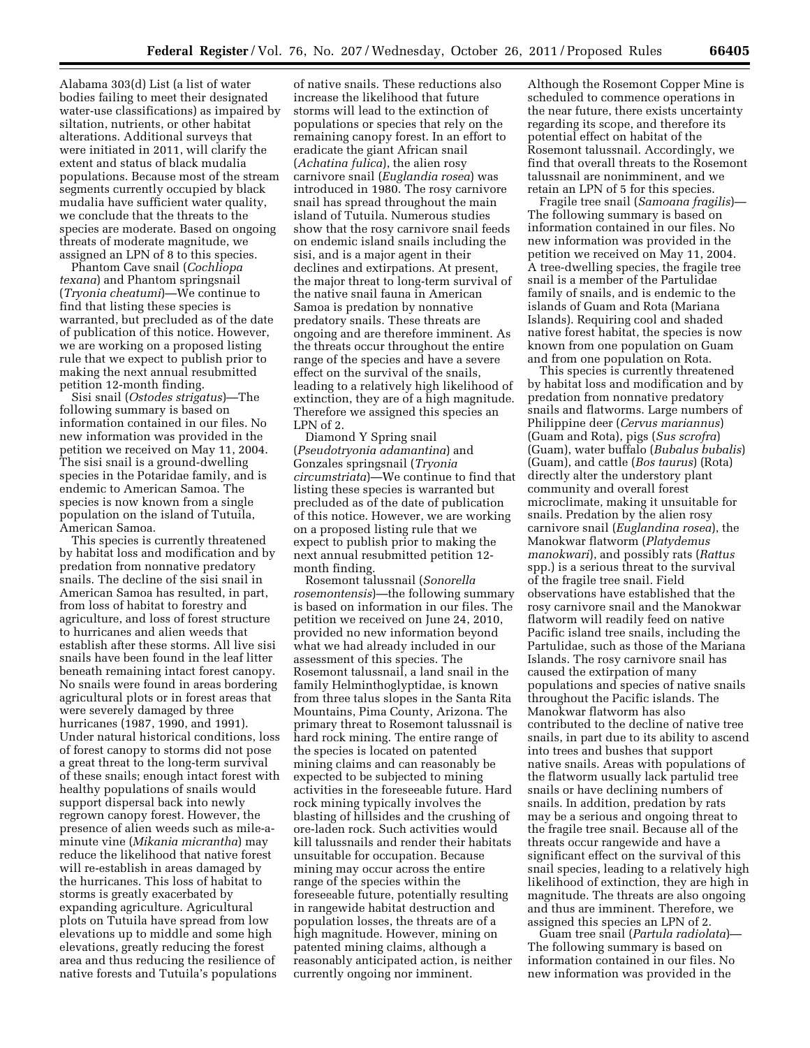Alabama 303(d) List (a list of water bodies failing to meet their designated water-use classifications) as impaired by siltation, nutrients, or other habitat alterations. Additional surveys that were initiated in 2011, will clarify the extent and status of black mudalia populations. Because most of the stream segments currently occupied by black mudalia have sufficient water quality, we conclude that the threats to the species are moderate. Based on ongoing threats of moderate magnitude, we assigned an LPN of 8 to this species.

Phantom Cave snail (*Cochliopa texana*) and Phantom springsnail (*Tryonia cheatumi*)—We continue to find that listing these species is warranted, but precluded as of the date of publication of this notice. However, we are working on a proposed listing rule that we expect to publish prior to making the next annual resubmitted petition 12-month finding.

Sisi snail (*Ostodes strigatus*)—The following summary is based on information contained in our files. No new information was provided in the petition we received on May 11, 2004. The sisi snail is a ground-dwelling species in the Potaridae family, and is endemic to American Samoa. The species is now known from a single population on the island of Tutuila, American Samoa.

This species is currently threatened by habitat loss and modification and by predation from nonnative predatory snails. The decline of the sisi snail in American Samoa has resulted, in part, from loss of habitat to forestry and agriculture, and loss of forest structure to hurricanes and alien weeds that establish after these storms. All live sisi snails have been found in the leaf litter beneath remaining intact forest canopy. No snails were found in areas bordering agricultural plots or in forest areas that were severely damaged by three hurricanes (1987, 1990, and 1991). Under natural historical conditions, loss of forest canopy to storms did not pose a great threat to the long-term survival of these snails; enough intact forest with healthy populations of snails would support dispersal back into newly regrown canopy forest. However, the presence of alien weeds such as mile-aminute vine (*Mikania micrantha*) may reduce the likelihood that native forest will re-establish in areas damaged by the hurricanes. This loss of habitat to storms is greatly exacerbated by expanding agriculture. Agricultural plots on Tutuila have spread from low elevations up to middle and some high elevations, greatly reducing the forest area and thus reducing the resilience of native forests and Tutuila's populations

of native snails. These reductions also increase the likelihood that future storms will lead to the extinction of populations or species that rely on the remaining canopy forest. In an effort to eradicate the giant African snail (*Achatina fulica*), the alien rosy carnivore snail (*Euglandia rosea*) was introduced in 1980. The rosy carnivore snail has spread throughout the main island of Tutuila. Numerous studies show that the rosy carnivore snail feeds on endemic island snails including the sisi, and is a major agent in their declines and extirpations. At present, the major threat to long-term survival of the native snail fauna in American Samoa is predation by nonnative predatory snails. These threats are ongoing and are therefore imminent. As the threats occur throughout the entire range of the species and have a severe effect on the survival of the snails, leading to a relatively high likelihood of extinction, they are of a high magnitude. Therefore we assigned this species an LPN of 2.

Diamond Y Spring snail (*Pseudotryonia adamantina*) and Gonzales springsnail (*Tryonia circumstriata*)—We continue to find that listing these species is warranted but precluded as of the date of publication of this notice. However, we are working on a proposed listing rule that we expect to publish prior to making the next annual resubmitted petition 12 month finding.

Rosemont talussnail (*Sonorella rosemontensis*)—the following summary is based on information in our files. The petition we received on June 24, 2010, provided no new information beyond what we had already included in our assessment of this species. The Rosemont talussnail, a land snail in the family Helminthoglyptidae, is known from three talus slopes in the Santa Rita Mountains, Pima County, Arizona. The primary threat to Rosemont talussnail is hard rock mining. The entire range of the species is located on patented mining claims and can reasonably be expected to be subjected to mining activities in the foreseeable future. Hard rock mining typically involves the blasting of hillsides and the crushing of ore-laden rock. Such activities would kill talussnails and render their habitats unsuitable for occupation. Because mining may occur across the entire range of the species within the foreseeable future, potentially resulting in rangewide habitat destruction and population losses, the threats are of a high magnitude. However, mining on patented mining claims, although a reasonably anticipated action, is neither currently ongoing nor imminent.

Although the Rosemont Copper Mine is scheduled to commence operations in the near future, there exists uncertainty regarding its scope, and therefore its potential effect on habitat of the Rosemont talussnail. Accordingly, we find that overall threats to the Rosemont talussnail are nonimminent, and we retain an LPN of 5 for this species.

Fragile tree snail (*Samoana fragilis*)— The following summary is based on information contained in our files. No new information was provided in the petition we received on May 11, 2004. A tree-dwelling species, the fragile tree snail is a member of the Partulidae family of snails, and is endemic to the islands of Guam and Rota (Mariana Islands). Requiring cool and shaded native forest habitat, the species is now known from one population on Guam and from one population on Rota.

This species is currently threatened by habitat loss and modification and by predation from nonnative predatory snails and flatworms. Large numbers of Philippine deer (*Cervus mariannus*) (Guam and Rota), pigs (*Sus scrofra*) (Guam), water buffalo (*Bubalus bubalis*) (Guam), and cattle (*Bos taurus*) (Rota) directly alter the understory plant community and overall forest microclimate, making it unsuitable for snails. Predation by the alien rosy carnivore snail (*Euglandina rosea*), the Manokwar flatworm (*Platydemus manokwari*), and possibly rats (*Rattus*  spp.) is a serious threat to the survival of the fragile tree snail. Field observations have established that the rosy carnivore snail and the Manokwar flatworm will readily feed on native Pacific island tree snails, including the Partulidae, such as those of the Mariana Islands. The rosy carnivore snail has caused the extirpation of many populations and species of native snails throughout the Pacific islands. The Manokwar flatworm has also contributed to the decline of native tree snails, in part due to its ability to ascend into trees and bushes that support native snails. Areas with populations of the flatworm usually lack partulid tree snails or have declining numbers of snails. In addition, predation by rats may be a serious and ongoing threat to the fragile tree snail. Because all of the threats occur rangewide and have a significant effect on the survival of this snail species, leading to a relatively high likelihood of extinction, they are high in magnitude. The threats are also ongoing and thus are imminent. Therefore, we assigned this species an LPN of 2.

Guam tree snail (*Partula radiolata*)— The following summary is based on information contained in our files. No new information was provided in the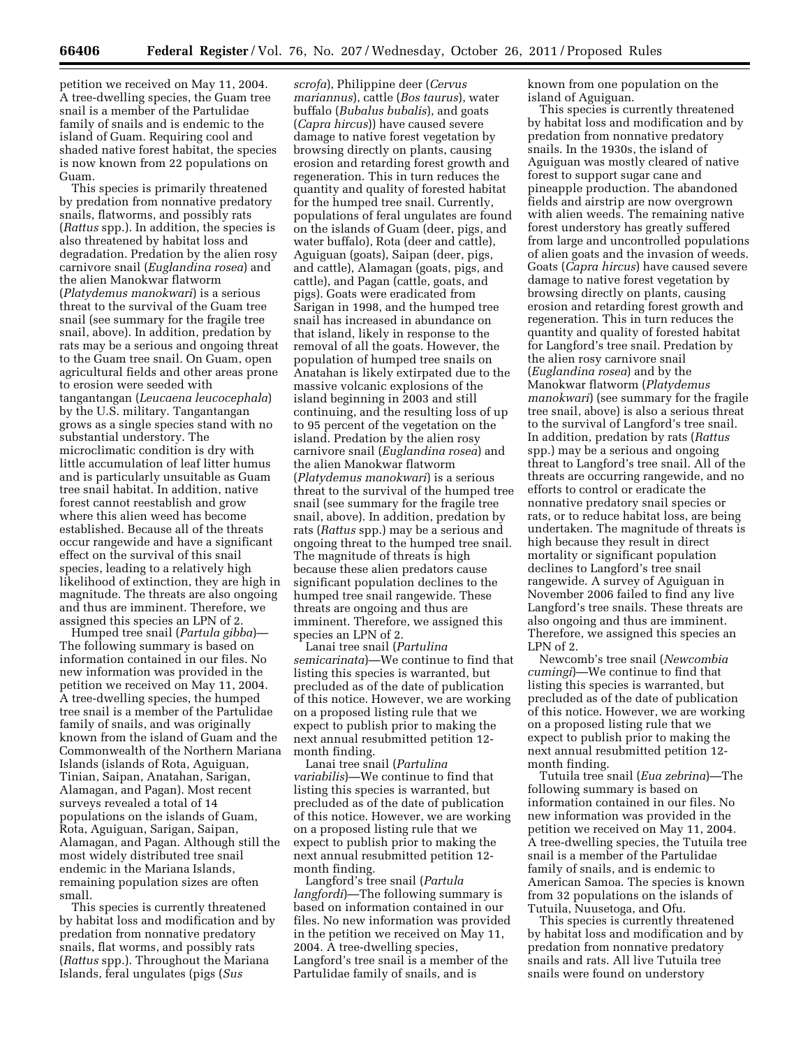petition we received on May 11, 2004. A tree-dwelling species, the Guam tree snail is a member of the Partulidae family of snails and is endemic to the island of Guam. Requiring cool and shaded native forest habitat, the species is now known from 22 populations on Guam.

This species is primarily threatened by predation from nonnative predatory snails, flatworms, and possibly rats (*Rattus* spp.). In addition, the species is also threatened by habitat loss and degradation. Predation by the alien rosy carnivore snail (*Euglandina rosea*) and the alien Manokwar flatworm (*Platydemus manokwari*) is a serious threat to the survival of the Guam tree snail (see summary for the fragile tree snail, above). In addition, predation by rats may be a serious and ongoing threat to the Guam tree snail. On Guam, open agricultural fields and other areas prone to erosion were seeded with tangantangan (*Leucaena leucocephala*) by the U.S. military. Tangantangan grows as a single species stand with no substantial understory. The microclimatic condition is dry with little accumulation of leaf litter humus and is particularly unsuitable as Guam tree snail habitat. In addition, native forest cannot reestablish and grow where this alien weed has become established. Because all of the threats occur rangewide and have a significant effect on the survival of this snail species, leading to a relatively high likelihood of extinction, they are high in magnitude. The threats are also ongoing and thus are imminent. Therefore, we assigned this species an LPN of 2.

Humped tree snail (*Partula gibba*)— The following summary is based on information contained in our files. No new information was provided in the petition we received on May 11, 2004. A tree-dwelling species, the humped tree snail is a member of the Partulidae family of snails, and was originally known from the island of Guam and the Commonwealth of the Northern Mariana Islands (islands of Rota, Aguiguan, Tinian, Saipan, Anatahan, Sarigan, Alamagan, and Pagan). Most recent surveys revealed a total of 14 populations on the islands of Guam, Rota, Aguiguan, Sarigan, Saipan, Alamagan, and Pagan. Although still the most widely distributed tree snail endemic in the Mariana Islands, remaining population sizes are often small.

This species is currently threatened by habitat loss and modification and by predation from nonnative predatory snails, flat worms, and possibly rats (*Rattus* spp.). Throughout the Mariana Islands, feral ungulates (pigs (*Sus* 

*scrofa*), Philippine deer (*Cervus mariannus*), cattle (*Bos taurus*), water buffalo (*Bubalus bubalis*), and goats (*Capra hircus*)) have caused severe damage to native forest vegetation by browsing directly on plants, causing erosion and retarding forest growth and regeneration. This in turn reduces the quantity and quality of forested habitat for the humped tree snail. Currently, populations of feral ungulates are found on the islands of Guam (deer, pigs, and water buffalo), Rota (deer and cattle), Aguiguan (goats), Saipan (deer, pigs, and cattle), Alamagan (goats, pigs, and cattle), and Pagan (cattle, goats, and pigs). Goats were eradicated from Sarigan in 1998, and the humped tree snail has increased in abundance on that island, likely in response to the removal of all the goats. However, the population of humped tree snails on Anatahan is likely extirpated due to the massive volcanic explosions of the island beginning in 2003 and still continuing, and the resulting loss of up to 95 percent of the vegetation on the island. Predation by the alien rosy carnivore snail (*Euglandina rosea*) and the alien Manokwar flatworm (*Platydemus manokwari*) is a serious threat to the survival of the humped tree snail (see summary for the fragile tree snail, above). In addition, predation by rats (*Rattus* spp.) may be a serious and ongoing threat to the humped tree snail. The magnitude of threats is high because these alien predators cause significant population declines to the humped tree snail rangewide. These threats are ongoing and thus are imminent. Therefore, we assigned this species an LPN of 2.

Lanai tree snail (*Partulina semicarinata*)—We continue to find that listing this species is warranted, but precluded as of the date of publication of this notice. However, we are working on a proposed listing rule that we expect to publish prior to making the next annual resubmitted petition 12 month finding.

Lanai tree snail (*Partulina variabilis*)—We continue to find that listing this species is warranted, but precluded as of the date of publication of this notice. However, we are working on a proposed listing rule that we expect to publish prior to making the next annual resubmitted petition 12 month finding.

Langford's tree snail (*Partula langfordi*)—The following summary is based on information contained in our files. No new information was provided in the petition we received on May 11, 2004. A tree-dwelling species, Langford's tree snail is a member of the Partulidae family of snails, and is

known from one population on the island of Aguiguan.

This species is currently threatened by habitat loss and modification and by predation from nonnative predatory snails. In the 1930s, the island of Aguiguan was mostly cleared of native forest to support sugar cane and pineapple production. The abandoned fields and airstrip are now overgrown with alien weeds. The remaining native forest understory has greatly suffered from large and uncontrolled populations of alien goats and the invasion of weeds. Goats (*Capra hircus*) have caused severe damage to native forest vegetation by browsing directly on plants, causing erosion and retarding forest growth and regeneration. This in turn reduces the quantity and quality of forested habitat for Langford's tree snail. Predation by the alien rosy carnivore snail (*Euglandina rosea*) and by the Manokwar flatworm (*Platydemus manokwari*) (see summary for the fragile tree snail, above) is also a serious threat to the survival of Langford's tree snail. In addition, predation by rats (*Rattus*  spp.) may be a serious and ongoing threat to Langford's tree snail. All of the threats are occurring rangewide, and no efforts to control or eradicate the nonnative predatory snail species or rats, or to reduce habitat loss, are being undertaken. The magnitude of threats is high because they result in direct mortality or significant population declines to Langford's tree snail rangewide. A survey of Aguiguan in November 2006 failed to find any live Langford's tree snails. These threats are also ongoing and thus are imminent. Therefore, we assigned this species an LPN of 2.

Newcomb's tree snail (*Newcombia cumingi*)—We continue to find that listing this species is warranted, but precluded as of the date of publication of this notice. However, we are working on a proposed listing rule that we expect to publish prior to making the next annual resubmitted petition 12 month finding.

Tutuila tree snail (*Eua zebrina*)—The following summary is based on information contained in our files. No new information was provided in the petition we received on May 11, 2004. A tree-dwelling species, the Tutuila tree snail is a member of the Partulidae family of snails, and is endemic to American Samoa. The species is known from 32 populations on the islands of Tutuila, Nuusetoga, and Ofu.

This species is currently threatened by habitat loss and modification and by predation from nonnative predatory snails and rats. All live Tutuila tree snails were found on understory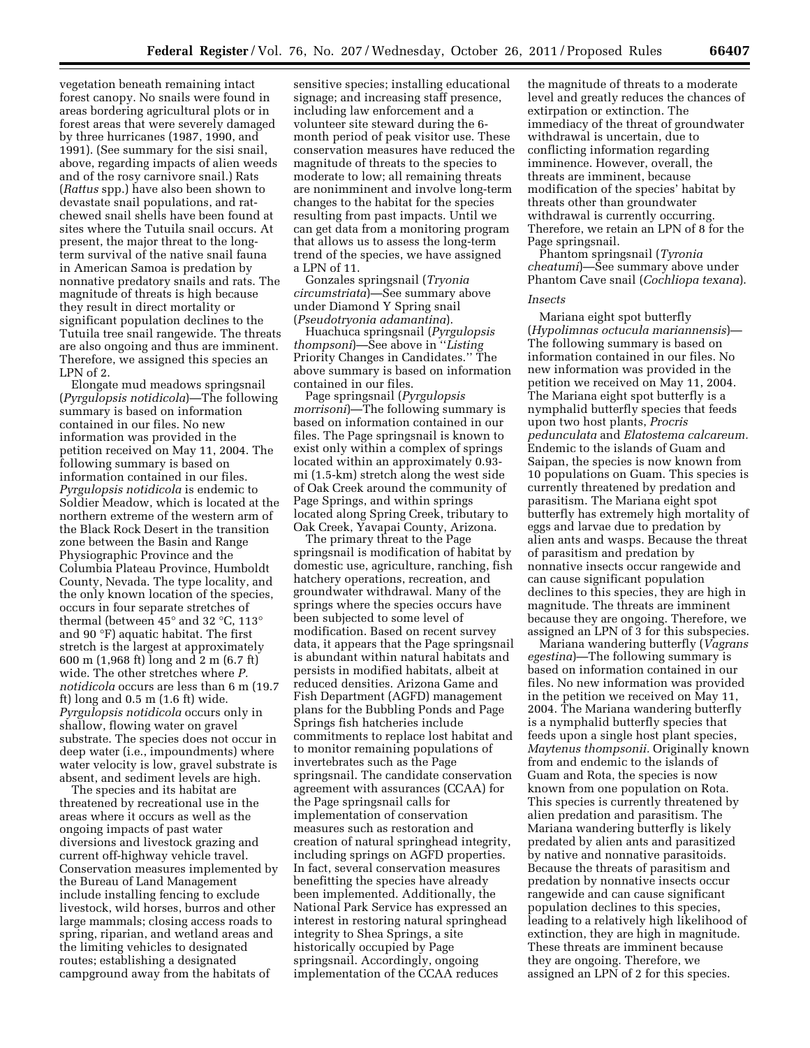vegetation beneath remaining intact forest canopy. No snails were found in areas bordering agricultural plots or in forest areas that were severely damaged by three hurricanes (1987, 1990, and 1991). (See summary for the sisi snail, above, regarding impacts of alien weeds and of the rosy carnivore snail.) Rats (*Rattus* spp.) have also been shown to devastate snail populations, and ratchewed snail shells have been found at sites where the Tutuila snail occurs. At present, the major threat to the longterm survival of the native snail fauna in American Samoa is predation by nonnative predatory snails and rats. The magnitude of threats is high because they result in direct mortality or significant population declines to the Tutuila tree snail rangewide. The threats are also ongoing and thus are imminent. Therefore, we assigned this species an LPN of 2.

Elongate mud meadows springsnail (*Pyrgulopsis notidicola*)—The following summary is based on information contained in our files. No new information was provided in the petition received on May 11, 2004. The following summary is based on information contained in our files. *Pyrgulopsis notidicola* is endemic to Soldier Meadow, which is located at the northern extreme of the western arm of the Black Rock Desert in the transition zone between the Basin and Range Physiographic Province and the Columbia Plateau Province, Humboldt County, Nevada. The type locality, and the only known location of the species, occurs in four separate stretches of thermal (between 45° and 32 °C, 113° and 90 °F) aquatic habitat. The first stretch is the largest at approximately 600 m (1,968 ft) long and 2 m (6.7 ft) wide. The other stretches where *P. notidicola* occurs are less than 6 m (19.7 ft) long and 0.5 m (1.6 ft) wide. *Pyrgulopsis notidicola* occurs only in shallow, flowing water on gravel substrate. The species does not occur in deep water (i.e., impoundments) where water velocity is low, gravel substrate is absent, and sediment levels are high.

The species and its habitat are threatened by recreational use in the areas where it occurs as well as the ongoing impacts of past water diversions and livestock grazing and current off-highway vehicle travel. Conservation measures implemented by the Bureau of Land Management include installing fencing to exclude livestock, wild horses, burros and other large mammals; closing access roads to spring, riparian, and wetland areas and the limiting vehicles to designated routes; establishing a designated campground away from the habitats of

sensitive species; installing educational signage; and increasing staff presence, including law enforcement and a volunteer site steward during the 6 month period of peak visitor use. These conservation measures have reduced the magnitude of threats to the species to moderate to low; all remaining threats are nonimminent and involve long-term changes to the habitat for the species resulting from past impacts. Until we can get data from a monitoring program that allows us to assess the long-term trend of the species, we have assigned a LPN of 11.

Gonzales springsnail (*Tryonia circumstriata*)—See summary above under Diamond Y Spring snail (*Pseudotryonia adamantina*).

Huachuca springsnail (*Pyrgulopsis thompsoni*)—See above in ''*Listing*  Priority Changes in Candidates.'' The above summary is based on information contained in our files.

Page springsnail (*Pyrgulopsis morrisoni*)—The following summary is based on information contained in our files. The Page springsnail is known to exist only within a complex of springs located within an approximately 0.93 mi (1.5-km) stretch along the west side of Oak Creek around the community of Page Springs, and within springs located along Spring Creek, tributary to Oak Creek, Yavapai County, Arizona.

The primary threat to the Page springsnail is modification of habitat by domestic use, agriculture, ranching, fish hatchery operations, recreation, and groundwater withdrawal. Many of the springs where the species occurs have been subjected to some level of modification. Based on recent survey data, it appears that the Page springsnail is abundant within natural habitats and persists in modified habitats, albeit at reduced densities. Arizona Game and Fish Department (AGFD) management plans for the Bubbling Ponds and Page Springs fish hatcheries include commitments to replace lost habitat and to monitor remaining populations of invertebrates such as the Page springsnail. The candidate conservation agreement with assurances (CCAA) for the Page springsnail calls for implementation of conservation measures such as restoration and creation of natural springhead integrity, including springs on AGFD properties. In fact, several conservation measures benefitting the species have already been implemented. Additionally, the National Park Service has expressed an interest in restoring natural springhead integrity to Shea Springs, a site historically occupied by Page springsnail. Accordingly, ongoing implementation of the CCAA reduces

the magnitude of threats to a moderate level and greatly reduces the chances of extirpation or extinction. The immediacy of the threat of groundwater withdrawal is uncertain, due to conflicting information regarding imminence. However, overall, the threats are imminent, because modification of the species' habitat by threats other than groundwater withdrawal is currently occurring. Therefore, we retain an LPN of 8 for the Page springsnail.

Phantom springsnail (*Tyronia cheatumi*)—See summary above under Phantom Cave snail (*Cochliopa texana*).

#### *Insects*

Mariana eight spot butterfly (*Hypolimnas octucula mariannensis*)— The following summary is based on information contained in our files. No new information was provided in the petition we received on May 11, 2004. The Mariana eight spot butterfly is a nymphalid butterfly species that feeds upon two host plants, *Procris pedunculata* and *Elatostema calcareum.*  Endemic to the islands of Guam and Saipan, the species is now known from 10 populations on Guam. This species is currently threatened by predation and parasitism. The Mariana eight spot butterfly has extremely high mortality of eggs and larvae due to predation by alien ants and wasps. Because the threat of parasitism and predation by nonnative insects occur rangewide and can cause significant population declines to this species, they are high in magnitude. The threats are imminent because they are ongoing. Therefore, we assigned an LPN of 3 for this subspecies.

Mariana wandering butterfly (*Vagrans egestina*)—The following summary is based on information contained in our files. No new information was provided in the petition we received on May 11, 2004. The Mariana wandering butterfly is a nymphalid butterfly species that feeds upon a single host plant species, *Maytenus thompsonii.* Originally known from and endemic to the islands of Guam and Rota, the species is now known from one population on Rota. This species is currently threatened by alien predation and parasitism. The Mariana wandering butterfly is likely predated by alien ants and parasitized by native and nonnative parasitoids. Because the threats of parasitism and predation by nonnative insects occur rangewide and can cause significant population declines to this species, leading to a relatively high likelihood of extinction, they are high in magnitude. These threats are imminent because they are ongoing. Therefore, we assigned an LPN of 2 for this species.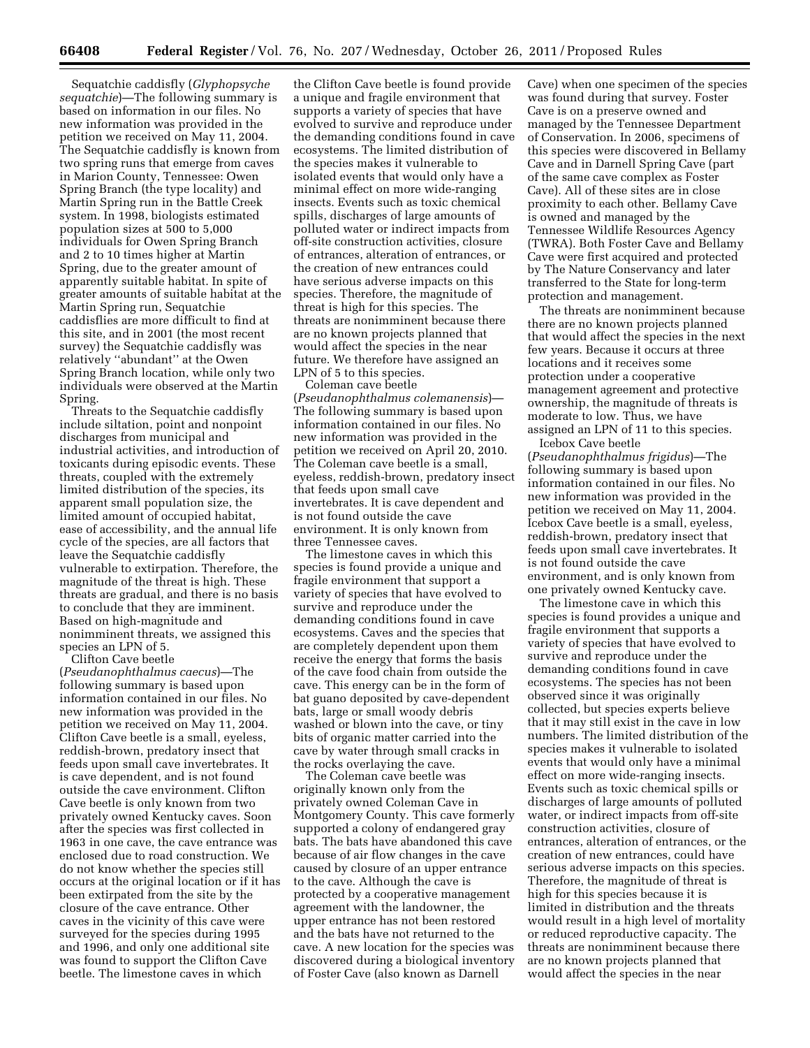Sequatchie caddisfly (*Glyphopsyche sequatchie*)—The following summary is based on information in our files. No new information was provided in the petition we received on May 11, 2004. The Sequatchie caddisfly is known from two spring runs that emerge from caves in Marion County, Tennessee: Owen Spring Branch (the type locality) and Martin Spring run in the Battle Creek system. In 1998, biologists estimated population sizes at 500 to 5,000 individuals for Owen Spring Branch and 2 to 10 times higher at Martin Spring, due to the greater amount of apparently suitable habitat. In spite of greater amounts of suitable habitat at the Martin Spring run, Sequatchie caddisflies are more difficult to find at this site, and in 2001 (the most recent survey) the Sequatchie caddisfly was relatively ''abundant'' at the Owen Spring Branch location, while only two individuals were observed at the Martin Spring.

Threats to the Sequatchie caddisfly include siltation, point and nonpoint discharges from municipal and industrial activities, and introduction of toxicants during episodic events. These threats, coupled with the extremely limited distribution of the species, its apparent small population size, the limited amount of occupied habitat, ease of accessibility, and the annual life cycle of the species, are all factors that leave the Sequatchie caddisfly vulnerable to extirpation. Therefore, the magnitude of the threat is high. These threats are gradual, and there is no basis to conclude that they are imminent. Based on high-magnitude and nonimminent threats, we assigned this species an LPN of 5.

Clifton Cave beetle (*Pseudanophthalmus caecus*)—The following summary is based upon information contained in our files. No new information was provided in the petition we received on May 11, 2004. Clifton Cave beetle is a small, eyeless, reddish-brown, predatory insect that feeds upon small cave invertebrates. It is cave dependent, and is not found outside the cave environment. Clifton Cave beetle is only known from two privately owned Kentucky caves. Soon after the species was first collected in 1963 in one cave, the cave entrance was enclosed due to road construction. We do not know whether the species still occurs at the original location or if it has been extirpated from the site by the closure of the cave entrance. Other caves in the vicinity of this cave were surveyed for the species during 1995 and 1996, and only one additional site was found to support the Clifton Cave beetle. The limestone caves in which

the Clifton Cave beetle is found provide a unique and fragile environment that supports a variety of species that have evolved to survive and reproduce under the demanding conditions found in cave ecosystems. The limited distribution of the species makes it vulnerable to isolated events that would only have a minimal effect on more wide-ranging insects. Events such as toxic chemical spills, discharges of large amounts of polluted water or indirect impacts from off-site construction activities, closure of entrances, alteration of entrances, or the creation of new entrances could have serious adverse impacts on this species. Therefore, the magnitude of threat is high for this species. The threats are nonimminent because there are no known projects planned that would affect the species in the near future. We therefore have assigned an LPN of 5 to this species.

Coleman cave beetle (*Pseudanophthalmus colemanensis*)— The following summary is based upon information contained in our files. No new information was provided in the petition we received on April 20, 2010. The Coleman cave beetle is a small, eyeless, reddish-brown, predatory insect that feeds upon small cave invertebrates. It is cave dependent and is not found outside the cave environment. It is only known from three Tennessee caves.

The limestone caves in which this species is found provide a unique and fragile environment that support a variety of species that have evolved to survive and reproduce under the demanding conditions found in cave ecosystems. Caves and the species that are completely dependent upon them receive the energy that forms the basis of the cave food chain from outside the cave. This energy can be in the form of bat guano deposited by cave-dependent bats, large or small woody debris washed or blown into the cave, or tiny bits of organic matter carried into the cave by water through small cracks in the rocks overlaying the cave.

The Coleman cave beetle was originally known only from the privately owned Coleman Cave in Montgomery County. This cave formerly supported a colony of endangered gray bats. The bats have abandoned this cave because of air flow changes in the cave caused by closure of an upper entrance to the cave. Although the cave is protected by a cooperative management agreement with the landowner, the upper entrance has not been restored and the bats have not returned to the cave. A new location for the species was discovered during a biological inventory of Foster Cave (also known as Darnell

Cave) when one specimen of the species was found during that survey. Foster Cave is on a preserve owned and managed by the Tennessee Department of Conservation. In 2006, specimens of this species were discovered in Bellamy Cave and in Darnell Spring Cave (part of the same cave complex as Foster Cave). All of these sites are in close proximity to each other. Bellamy Cave is owned and managed by the Tennessee Wildlife Resources Agency (TWRA). Both Foster Cave and Bellamy Cave were first acquired and protected by The Nature Conservancy and later transferred to the State for long-term protection and management.

The threats are nonimminent because there are no known projects planned that would affect the species in the next few years. Because it occurs at three locations and it receives some protection under a cooperative management agreement and protective ownership, the magnitude of threats is moderate to low. Thus, we have assigned an LPN of 11 to this species.

Icebox Cave beetle (*Pseudanophthalmus frigidus*)—The following summary is based upon information contained in our files. No new information was provided in the petition we received on May 11, 2004. Icebox Cave beetle is a small, eyeless, reddish-brown, predatory insect that feeds upon small cave invertebrates. It is not found outside the cave environment, and is only known from one privately owned Kentucky cave.

The limestone cave in which this species is found provides a unique and fragile environment that supports a variety of species that have evolved to survive and reproduce under the demanding conditions found in cave ecosystems. The species has not been observed since it was originally collected, but species experts believe that it may still exist in the cave in low numbers. The limited distribution of the species makes it vulnerable to isolated events that would only have a minimal effect on more wide-ranging insects. Events such as toxic chemical spills or discharges of large amounts of polluted water, or indirect impacts from off-site construction activities, closure of entrances, alteration of entrances, or the creation of new entrances, could have serious adverse impacts on this species. Therefore, the magnitude of threat is high for this species because it is limited in distribution and the threats would result in a high level of mortality or reduced reproductive capacity. The threats are nonimminent because there are no known projects planned that would affect the species in the near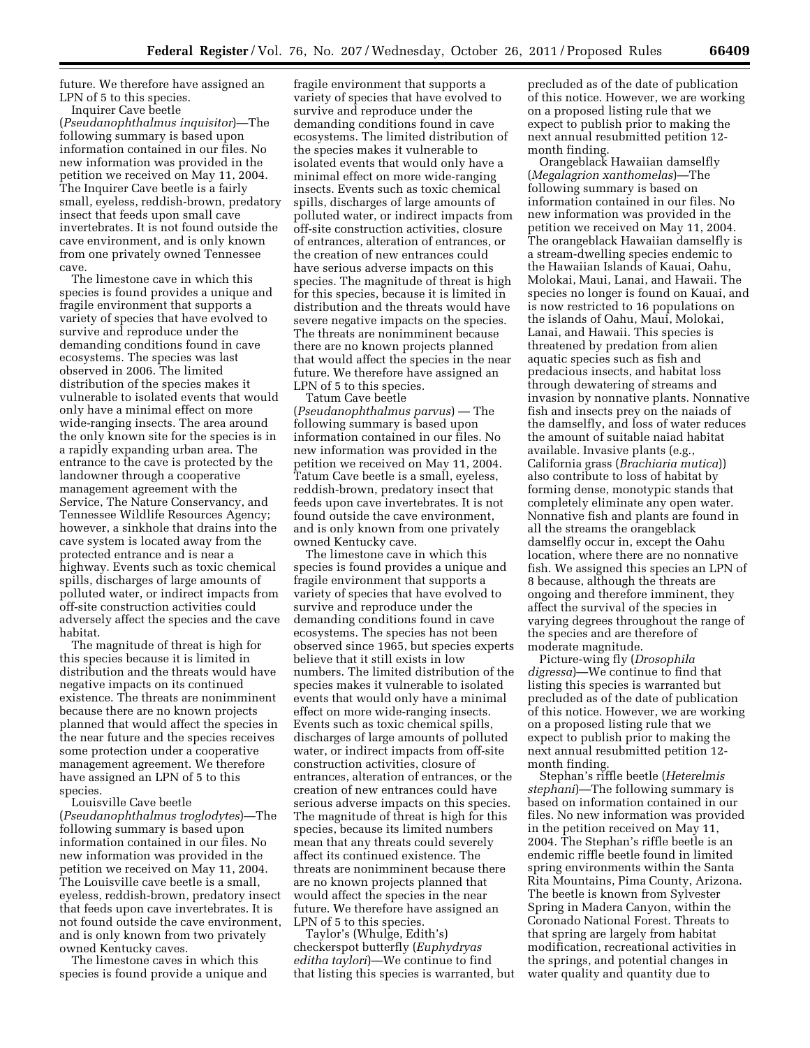future. We therefore have assigned an LPN of 5 to this species.

Inquirer Cave beetle (*Pseudanophthalmus inquisitor*)—The following summary is based upon information contained in our files. No new information was provided in the petition we received on May 11, 2004. The Inquirer Cave beetle is a fairly small, eyeless, reddish-brown, predatory insect that feeds upon small cave invertebrates. It is not found outside the cave environment, and is only known from one privately owned Tennessee cave.

The limestone cave in which this species is found provides a unique and fragile environment that supports a variety of species that have evolved to survive and reproduce under the demanding conditions found in cave ecosystems. The species was last observed in 2006. The limited distribution of the species makes it vulnerable to isolated events that would only have a minimal effect on more wide-ranging insects. The area around the only known site for the species is in a rapidly expanding urban area. The entrance to the cave is protected by the landowner through a cooperative management agreement with the Service, The Nature Conservancy, and Tennessee Wildlife Resources Agency; however, a sinkhole that drains into the cave system is located away from the protected entrance and is near a highway. Events such as toxic chemical spills, discharges of large amounts of polluted water, or indirect impacts from off-site construction activities could adversely affect the species and the cave habitat.

The magnitude of threat is high for this species because it is limited in distribution and the threats would have negative impacts on its continued existence. The threats are nonimminent because there are no known projects planned that would affect the species in the near future and the species receives some protection under a cooperative management agreement. We therefore have assigned an LPN of 5 to this species.

Louisville Cave beetle (*Pseudanophthalmus troglodytes*)—The following summary is based upon information contained in our files. No new information was provided in the petition we received on May 11, 2004. The Louisville cave beetle is a small, eyeless, reddish-brown, predatory insect that feeds upon cave invertebrates. It is not found outside the cave environment, and is only known from two privately owned Kentucky caves.

The limestone caves in which this species is found provide a unique and

fragile environment that supports a variety of species that have evolved to survive and reproduce under the demanding conditions found in cave ecosystems. The limited distribution of the species makes it vulnerable to isolated events that would only have a minimal effect on more wide-ranging insects. Events such as toxic chemical spills, discharges of large amounts of polluted water, or indirect impacts from off-site construction activities, closure of entrances, alteration of entrances, or the creation of new entrances could have serious adverse impacts on this species. The magnitude of threat is high for this species, because it is limited in distribution and the threats would have severe negative impacts on the species. The threats are nonimminent because there are no known projects planned that would affect the species in the near future. We therefore have assigned an LPN of 5 to this species.

Tatum Cave beetle (*Pseudanophthalmus parvus*) — The following summary is based upon information contained in our files. No new information was provided in the petition we received on May 11, 2004. Tatum Cave beetle is a small, eyeless, reddish-brown, predatory insect that feeds upon cave invertebrates. It is not found outside the cave environment, and is only known from one privately owned Kentucky cave.

The limestone cave in which this species is found provides a unique and fragile environment that supports a variety of species that have evolved to survive and reproduce under the demanding conditions found in cave ecosystems. The species has not been observed since 1965, but species experts believe that it still exists in low numbers. The limited distribution of the species makes it vulnerable to isolated events that would only have a minimal effect on more wide-ranging insects. Events such as toxic chemical spills, discharges of large amounts of polluted water, or indirect impacts from off-site construction activities, closure of entrances, alteration of entrances, or the creation of new entrances could have serious adverse impacts on this species. The magnitude of threat is high for this species, because its limited numbers mean that any threats could severely affect its continued existence. The threats are nonimminent because there are no known projects planned that would affect the species in the near future. We therefore have assigned an LPN of 5 to this species.

Taylor's (Whulge, Edith's) checkerspot butterfly (*Euphydryas editha taylori*)—We continue to find that listing this species is warranted, but

precluded as of the date of publication of this notice. However, we are working on a proposed listing rule that we expect to publish prior to making the next annual resubmitted petition 12 month finding.

Orangeblack Hawaiian damselfly (*Megalagrion xanthomelas*)—The following summary is based on information contained in our files. No new information was provided in the petition we received on May 11, 2004. The orangeblack Hawaiian damselfly is a stream-dwelling species endemic to the Hawaiian Islands of Kauai, Oahu, Molokai, Maui, Lanai, and Hawaii. The species no longer is found on Kauai, and is now restricted to 16 populations on the islands of Oahu, Maui, Molokai, Lanai, and Hawaii. This species is threatened by predation from alien aquatic species such as fish and predacious insects, and habitat loss through dewatering of streams and invasion by nonnative plants. Nonnative fish and insects prey on the naiads of the damselfly, and loss of water reduces the amount of suitable naiad habitat available. Invasive plants (e.g., California grass (*Brachiaria mutica*)) also contribute to loss of habitat by forming dense, monotypic stands that completely eliminate any open water. Nonnative fish and plants are found in all the streams the orangeblack damselfly occur in, except the Oahu location, where there are no nonnative fish. We assigned this species an LPN of 8 because, although the threats are ongoing and therefore imminent, they affect the survival of the species in varying degrees throughout the range of the species and are therefore of moderate magnitude.

Picture-wing fly (*Drosophila digressa*)—We continue to find that listing this species is warranted but precluded as of the date of publication of this notice. However, we are working on a proposed listing rule that we expect to publish prior to making the next annual resubmitted petition 12 month finding.

Stephan's riffle beetle (*Heterelmis stephani*)—The following summary is based on information contained in our files. No new information was provided in the petition received on May 11, 2004. The Stephan's riffle beetle is an endemic riffle beetle found in limited spring environments within the Santa Rita Mountains, Pima County, Arizona. The beetle is known from Sylvester Spring in Madera Canyon, within the Coronado National Forest. Threats to that spring are largely from habitat modification, recreational activities in the springs, and potential changes in water quality and quantity due to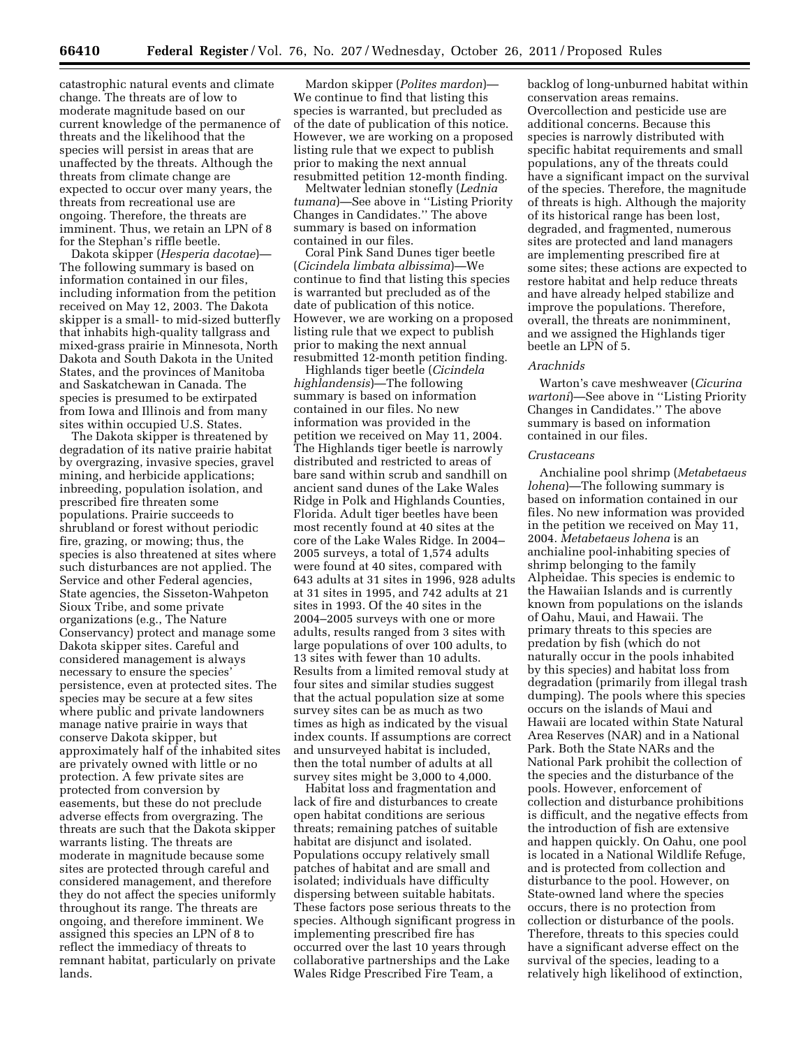catastrophic natural events and climate change. The threats are of low to moderate magnitude based on our current knowledge of the permanence of threats and the likelihood that the species will persist in areas that are unaffected by the threats. Although the threats from climate change are expected to occur over many years, the threats from recreational use are ongoing. Therefore, the threats are imminent. Thus, we retain an LPN of 8 for the Stephan's riffle beetle.

Dakota skipper (*Hesperia dacotae*)— The following summary is based on information contained in our files, including information from the petition received on May 12, 2003. The Dakota skipper is a small- to mid-sized butterfly that inhabits high-quality tallgrass and mixed-grass prairie in Minnesota, North Dakota and South Dakota in the United States, and the provinces of Manitoba and Saskatchewan in Canada. The species is presumed to be extirpated from Iowa and Illinois and from many sites within occupied U.S. States.

The Dakota skipper is threatened by degradation of its native prairie habitat by overgrazing, invasive species, gravel mining, and herbicide applications; inbreeding, population isolation, and prescribed fire threaten some populations. Prairie succeeds to shrubland or forest without periodic fire, grazing, or mowing; thus, the species is also threatened at sites where such disturbances are not applied. The Service and other Federal agencies, State agencies, the Sisseton-Wahpeton Sioux Tribe, and some private organizations (e.g., The Nature Conservancy) protect and manage some Dakota skipper sites. Careful and considered management is always necessary to ensure the species' persistence, even at protected sites. The species may be secure at a few sites where public and private landowners manage native prairie in ways that conserve Dakota skipper, but approximately half of the inhabited sites are privately owned with little or no protection. A few private sites are protected from conversion by easements, but these do not preclude adverse effects from overgrazing. The threats are such that the Dakota skipper warrants listing. The threats are moderate in magnitude because some sites are protected through careful and considered management, and therefore they do not affect the species uniformly throughout its range. The threats are ongoing, and therefore imminent. We assigned this species an LPN of 8 to reflect the immediacy of threats to remnant habitat, particularly on private lands.

Mardon skipper (*Polites mardon*)— We continue to find that listing this species is warranted, but precluded as of the date of publication of this notice. However, we are working on a proposed listing rule that we expect to publish prior to making the next annual resubmitted petition 12-month finding.

Meltwater lednian stonefly (*Lednia tumana*)—See above in ''Listing Priority Changes in Candidates.'' The above summary is based on information contained in our files.

Coral Pink Sand Dunes tiger beetle (*Cicindela limbata albissima*)—We continue to find that listing this species is warranted but precluded as of the date of publication of this notice. However, we are working on a proposed listing rule that we expect to publish prior to making the next annual resubmitted 12-month petition finding.

Highlands tiger beetle (*Cicindela highlandensis*)—The following summary is based on information contained in our files. No new information was provided in the petition we received on May 11, 2004. The Highlands tiger beetle is narrowly distributed and restricted to areas of bare sand within scrub and sandhill on ancient sand dunes of the Lake Wales Ridge in Polk and Highlands Counties, Florida. Adult tiger beetles have been most recently found at 40 sites at the core of the Lake Wales Ridge. In 2004– 2005 surveys, a total of 1,574 adults were found at 40 sites, compared with 643 adults at 31 sites in 1996, 928 adults at 31 sites in 1995, and 742 adults at 21 sites in 1993. Of the 40 sites in the 2004–2005 surveys with one or more adults, results ranged from 3 sites with large populations of over 100 adults, to 13 sites with fewer than 10 adults. Results from a limited removal study at four sites and similar studies suggest that the actual population size at some survey sites can be as much as two times as high as indicated by the visual index counts. If assumptions are correct and unsurveyed habitat is included, then the total number of adults at all survey sites might be 3,000 to 4,000.

Habitat loss and fragmentation and lack of fire and disturbances to create open habitat conditions are serious threats; remaining patches of suitable habitat are disjunct and isolated. Populations occupy relatively small patches of habitat and are small and isolated; individuals have difficulty dispersing between suitable habitats. These factors pose serious threats to the species. Although significant progress in implementing prescribed fire has occurred over the last 10 years through collaborative partnerships and the Lake Wales Ridge Prescribed Fire Team, a

backlog of long-unburned habitat within conservation areas remains. Overcollection and pesticide use are additional concerns. Because this species is narrowly distributed with specific habitat requirements and small populations, any of the threats could have a significant impact on the survival of the species. Therefore, the magnitude of threats is high. Although the majority of its historical range has been lost, degraded, and fragmented, numerous sites are protected and land managers are implementing prescribed fire at some sites; these actions are expected to restore habitat and help reduce threats and have already helped stabilize and improve the populations. Therefore, overall, the threats are nonimminent, and we assigned the Highlands tiger beetle an LPN of 5.

### *Arachnids*

Warton's cave meshweaver (*Cicurina wartoni*)—See above in ''Listing Priority Changes in Candidates.'' The above summary is based on information contained in our files.

## *Crustaceans*

Anchialine pool shrimp (*Metabetaeus lohena*)—The following summary is based on information contained in our files. No new information was provided in the petition we received on May 11, 2004. *Metabetaeus lohena* is an anchialine pool-inhabiting species of shrimp belonging to the family Alpheidae. This species is endemic to the Hawaiian Islands and is currently known from populations on the islands of Oahu, Maui, and Hawaii. The primary threats to this species are predation by fish (which do not naturally occur in the pools inhabited by this species) and habitat loss from degradation (primarily from illegal trash dumping). The pools where this species occurs on the islands of Maui and Hawaii are located within State Natural Area Reserves (NAR) and in a National Park. Both the State NARs and the National Park prohibit the collection of the species and the disturbance of the pools. However, enforcement of collection and disturbance prohibitions is difficult, and the negative effects from the introduction of fish are extensive and happen quickly. On Oahu, one pool is located in a National Wildlife Refuge, and is protected from collection and disturbance to the pool. However, on State-owned land where the species occurs, there is no protection from collection or disturbance of the pools. Therefore, threats to this species could have a significant adverse effect on the survival of the species, leading to a relatively high likelihood of extinction,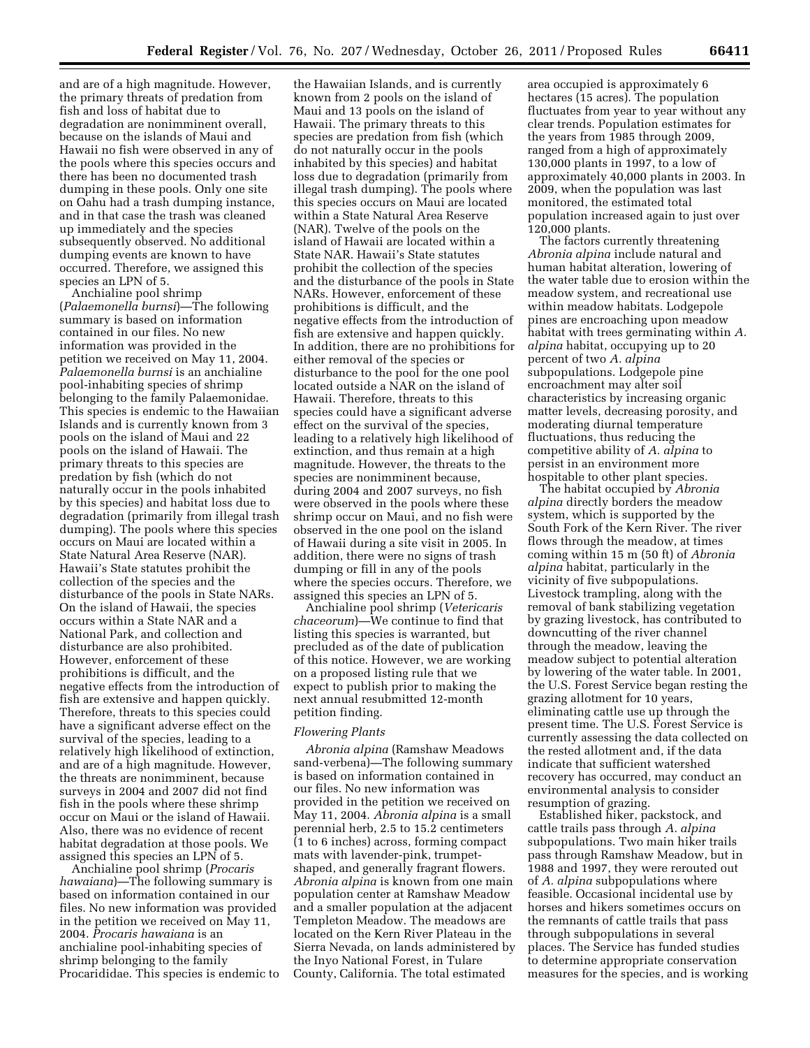and are of a high magnitude. However, the primary threats of predation from fish and loss of habitat due to degradation are nonimminent overall, because on the islands of Maui and Hawaii no fish were observed in any of the pools where this species occurs and there has been no documented trash dumping in these pools. Only one site on Oahu had a trash dumping instance, and in that case the trash was cleaned up immediately and the species subsequently observed. No additional dumping events are known to have occurred. Therefore, we assigned this species an LPN of 5.

Anchialine pool shrimp (*Palaemonella burnsi*)—The following summary is based on information contained in our files. No new information was provided in the petition we received on May 11, 2004. *Palaemonella burnsi* is an anchialine pool-inhabiting species of shrimp belonging to the family Palaemonidae. This species is endemic to the Hawaiian Islands and is currently known from 3 pools on the island of Maui and 22 pools on the island of Hawaii. The primary threats to this species are predation by fish (which do not naturally occur in the pools inhabited by this species) and habitat loss due to degradation (primarily from illegal trash dumping). The pools where this species occurs on Maui are located within a State Natural Area Reserve (NAR). Hawaii's State statutes prohibit the collection of the species and the disturbance of the pools in State NARs. On the island of Hawaii, the species occurs within a State NAR and a National Park, and collection and disturbance are also prohibited. However, enforcement of these prohibitions is difficult, and the negative effects from the introduction of fish are extensive and happen quickly. Therefore, threats to this species could have a significant adverse effect on the survival of the species, leading to a relatively high likelihood of extinction, and are of a high magnitude. However, the threats are nonimminent, because surveys in 2004 and 2007 did not find fish in the pools where these shrimp occur on Maui or the island of Hawaii. Also, there was no evidence of recent habitat degradation at those pools. We assigned this species an LPN of 5.

Anchialine pool shrimp (*Procaris hawaiana*)—The following summary is based on information contained in our files. No new information was provided in the petition we received on May 11, 2004. *Procaris hawaiana* is an anchialine pool-inhabiting species of shrimp belonging to the family Procarididae. This species is endemic to

the Hawaiian Islands, and is currently known from 2 pools on the island of Maui and 13 pools on the island of Hawaii. The primary threats to this species are predation from fish (which do not naturally occur in the pools inhabited by this species) and habitat loss due to degradation (primarily from illegal trash dumping). The pools where this species occurs on Maui are located within a State Natural Area Reserve (NAR). Twelve of the pools on the island of Hawaii are located within a State NAR. Hawaii's State statutes prohibit the collection of the species and the disturbance of the pools in State NARs. However, enforcement of these prohibitions is difficult, and the negative effects from the introduction of fish are extensive and happen quickly. In addition, there are no prohibitions for either removal of the species or disturbance to the pool for the one pool located outside a NAR on the island of Hawaii. Therefore, threats to this species could have a significant adverse effect on the survival of the species, leading to a relatively high likelihood of extinction, and thus remain at a high magnitude. However, the threats to the species are nonimminent because, during 2004 and 2007 surveys, no fish were observed in the pools where these shrimp occur on Maui, and no fish were observed in the one pool on the island of Hawaii during a site visit in 2005. In addition, there were no signs of trash dumping or fill in any of the pools where the species occurs. Therefore, we assigned this species an LPN of 5.

Anchialine pool shrimp (*Vetericaris chaceorum*)—We continue to find that listing this species is warranted, but precluded as of the date of publication of this notice. However, we are working on a proposed listing rule that we expect to publish prior to making the next annual resubmitted 12-month petition finding.

#### *Flowering Plants*

*Abronia alpina* (Ramshaw Meadows sand-verbena)—The following summary is based on information contained in our files. No new information was provided in the petition we received on May 11, 2004. *Abronia alpina* is a small perennial herb, 2.5 to 15.2 centimeters (1 to 6 inches) across, forming compact mats with lavender-pink, trumpetshaped, and generally fragrant flowers. *Abronia alpina* is known from one main population center at Ramshaw Meadow and a smaller population at the adjacent Templeton Meadow. The meadows are located on the Kern River Plateau in the Sierra Nevada, on lands administered by the Inyo National Forest, in Tulare County, California. The total estimated

area occupied is approximately 6 hectares (15 acres). The population fluctuates from year to year without any clear trends. Population estimates for the years from 1985 through 2009, ranged from a high of approximately 130,000 plants in 1997, to a low of approximately 40,000 plants in 2003. In 2009, when the population was last monitored, the estimated total population increased again to just over 120,000 plants.

The factors currently threatening *Abronia alpina* include natural and human habitat alteration, lowering of the water table due to erosion within the meadow system, and recreational use within meadow habitats. Lodgepole pines are encroaching upon meadow habitat with trees germinating within *A. alpina* habitat, occupying up to 20 percent of two *A. alpina*  subpopulations. Lodgepole pine encroachment may alter soil characteristics by increasing organic matter levels, decreasing porosity, and moderating diurnal temperature fluctuations, thus reducing the competitive ability of *A. alpina* to persist in an environment more hospitable to other plant species.

The habitat occupied by *Abronia alpina* directly borders the meadow system, which is supported by the South Fork of the Kern River. The river flows through the meadow, at times coming within 15 m (50 ft) of *Abronia alpina* habitat, particularly in the vicinity of five subpopulations. Livestock trampling, along with the removal of bank stabilizing vegetation by grazing livestock, has contributed to downcutting of the river channel through the meadow, leaving the meadow subject to potential alteration by lowering of the water table. In 2001, the U.S. Forest Service began resting the grazing allotment for 10 years, eliminating cattle use up through the present time. The U.S. Forest Service is currently assessing the data collected on the rested allotment and, if the data indicate that sufficient watershed recovery has occurred, may conduct an environmental analysis to consider resumption of grazing.

Established hiker, packstock, and cattle trails pass through *A. alpina*  subpopulations. Two main hiker trails pass through Ramshaw Meadow, but in 1988 and 1997, they were rerouted out of *A. alpina* subpopulations where feasible. Occasional incidental use by horses and hikers sometimes occurs on the remnants of cattle trails that pass through subpopulations in several places. The Service has funded studies to determine appropriate conservation measures for the species, and is working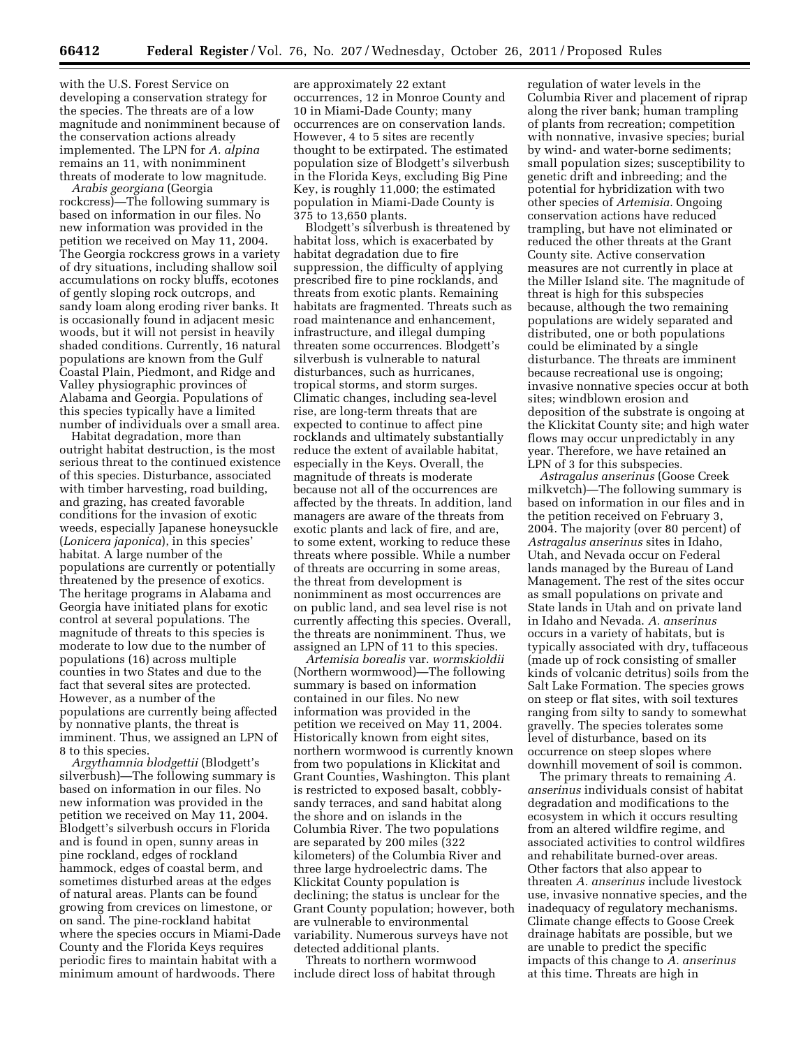with the U.S. Forest Service on developing a conservation strategy for the species. The threats are of a low magnitude and nonimminent because of the conservation actions already implemented. The LPN for *A. alpina*  remains an 11, with nonimminent threats of moderate to low magnitude.

*Arabis georgiana* (Georgia rockcress)—The following summary is based on information in our files. No new information was provided in the petition we received on May 11, 2004. The Georgia rockcress grows in a variety of dry situations, including shallow soil accumulations on rocky bluffs, ecotones of gently sloping rock outcrops, and sandy loam along eroding river banks. It is occasionally found in adjacent mesic woods, but it will not persist in heavily shaded conditions. Currently, 16 natural populations are known from the Gulf Coastal Plain, Piedmont, and Ridge and Valley physiographic provinces of Alabama and Georgia. Populations of this species typically have a limited number of individuals over a small area.

Habitat degradation, more than outright habitat destruction, is the most serious threat to the continued existence of this species. Disturbance, associated with timber harvesting, road building, and grazing, has created favorable conditions for the invasion of exotic weeds, especially Japanese honeysuckle (*Lonicera japonica*), in this species' habitat. A large number of the populations are currently or potentially threatened by the presence of exotics. The heritage programs in Alabama and Georgia have initiated plans for exotic control at several populations. The magnitude of threats to this species is moderate to low due to the number of populations (16) across multiple counties in two States and due to the fact that several sites are protected. However, as a number of the populations are currently being affected by nonnative plants, the threat is imminent. Thus, we assigned an LPN of 8 to this species.

*Argythamnia blodgettii* (Blodgett's silverbush)—The following summary is based on information in our files. No new information was provided in the petition we received on May 11, 2004. Blodgett's silverbush occurs in Florida and is found in open, sunny areas in pine rockland, edges of rockland hammock, edges of coastal berm, and sometimes disturbed areas at the edges of natural areas. Plants can be found growing from crevices on limestone, or on sand. The pine-rockland habitat where the species occurs in Miami-Dade County and the Florida Keys requires periodic fires to maintain habitat with a minimum amount of hardwoods. There

are approximately 22 extant occurrences, 12 in Monroe County and 10 in Miami-Dade County; many occurrences are on conservation lands. However, 4 to 5 sites are recently thought to be extirpated. The estimated population size of Blodgett's silverbush in the Florida Keys, excluding Big Pine Key, is roughly 11,000; the estimated population in Miami-Dade County is 375 to 13,650 plants.

Blodgett's silverbush is threatened by habitat loss, which is exacerbated by habitat degradation due to fire suppression, the difficulty of applying prescribed fire to pine rocklands, and threats from exotic plants. Remaining habitats are fragmented. Threats such as road maintenance and enhancement, infrastructure, and illegal dumping threaten some occurrences. Blodgett's silverbush is vulnerable to natural disturbances, such as hurricanes, tropical storms, and storm surges. Climatic changes, including sea-level rise, are long-term threats that are expected to continue to affect pine rocklands and ultimately substantially reduce the extent of available habitat, especially in the Keys. Overall, the magnitude of threats is moderate because not all of the occurrences are affected by the threats. In addition, land managers are aware of the threats from exotic plants and lack of fire, and are, to some extent, working to reduce these threats where possible. While a number of threats are occurring in some areas, the threat from development is nonimminent as most occurrences are on public land, and sea level rise is not currently affecting this species. Overall, the threats are nonimminent. Thus, we assigned an LPN of 11 to this species.

*Artemisia borealis* var. *wormskioldii*  (Northern wormwood)—The following summary is based on information contained in our files. No new information was provided in the petition we received on May 11, 2004. Historically known from eight sites, northern wormwood is currently known from two populations in Klickitat and Grant Counties, Washington. This plant is restricted to exposed basalt, cobblysandy terraces, and sand habitat along the shore and on islands in the Columbia River. The two populations are separated by 200 miles (322 kilometers) of the Columbia River and three large hydroelectric dams. The Klickitat County population is declining; the status is unclear for the Grant County population; however, both are vulnerable to environmental variability. Numerous surveys have not detected additional plants.

Threats to northern wormwood include direct loss of habitat through

regulation of water levels in the Columbia River and placement of riprap along the river bank; human trampling of plants from recreation; competition with nonnative, invasive species; burial by wind- and water-borne sediments; small population sizes; susceptibility to genetic drift and inbreeding; and the potential for hybridization with two other species of *Artemisia.* Ongoing conservation actions have reduced trampling, but have not eliminated or reduced the other threats at the Grant County site. Active conservation measures are not currently in place at the Miller Island site. The magnitude of threat is high for this subspecies because, although the two remaining populations are widely separated and distributed, one or both populations could be eliminated by a single disturbance. The threats are imminent because recreational use is ongoing; invasive nonnative species occur at both sites; windblown erosion and deposition of the substrate is ongoing at the Klickitat County site; and high water flows may occur unpredictably in any year. Therefore, we have retained an LPN of 3 for this subspecies.

*Astragalus anserinus* (Goose Creek milkvetch)—The following summary is based on information in our files and in the petition received on February 3, 2004. The majority (over 80 percent) of *Astragalus anserinus* sites in Idaho, Utah, and Nevada occur on Federal lands managed by the Bureau of Land Management. The rest of the sites occur as small populations on private and State lands in Utah and on private land in Idaho and Nevada. *A. anserinus*  occurs in a variety of habitats, but is typically associated with dry, tuffaceous (made up of rock consisting of smaller kinds of volcanic detritus) soils from the Salt Lake Formation. The species grows on steep or flat sites, with soil textures ranging from silty to sandy to somewhat gravelly. The species tolerates some level of disturbance, based on its occurrence on steep slopes where downhill movement of soil is common.

The primary threats to remaining *A. anserinus* individuals consist of habitat degradation and modifications to the ecosystem in which it occurs resulting from an altered wildfire regime, and associated activities to control wildfires and rehabilitate burned-over areas. Other factors that also appear to threaten *A. anserinus* include livestock use, invasive nonnative species, and the inadequacy of regulatory mechanisms. Climate change effects to Goose Creek drainage habitats are possible, but we are unable to predict the specific impacts of this change to *A. anserinus*  at this time. Threats are high in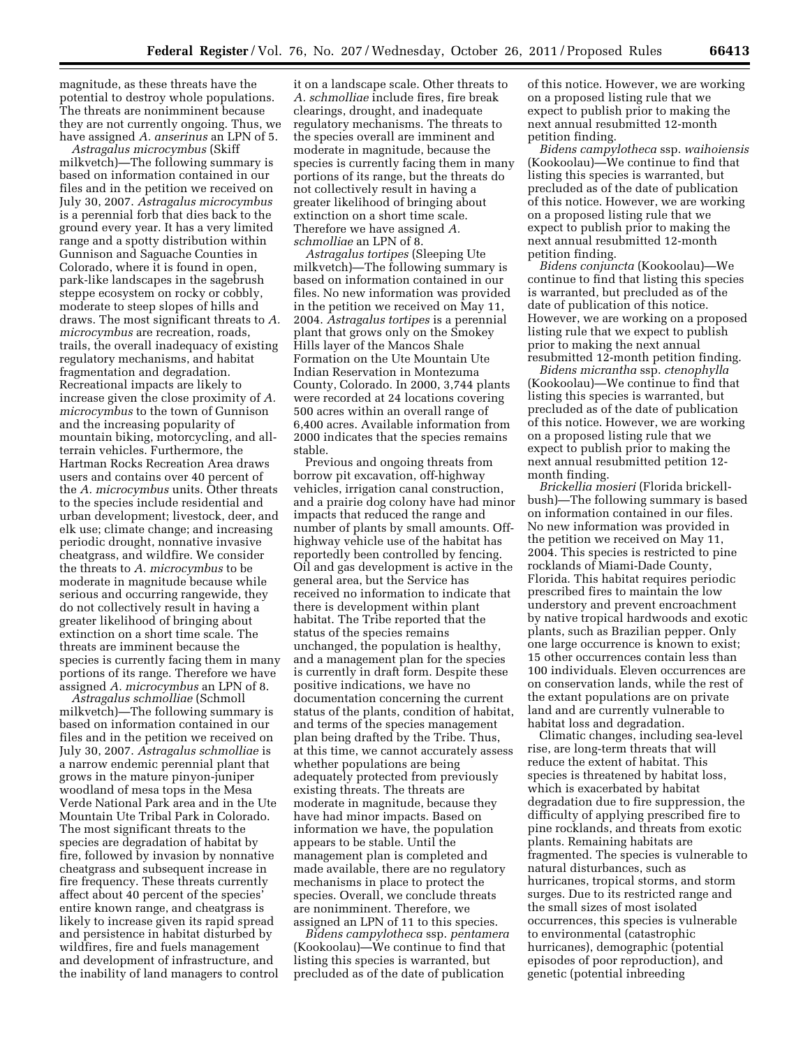magnitude, as these threats have the potential to destroy whole populations. The threats are nonimminent because they are not currently ongoing. Thus, we have assigned *A. anserinus* an LPN of 5.

*Astragalus microcymbus* (Skiff milkvetch)—The following summary is based on information contained in our files and in the petition we received on July 30, 2007. *Astragalus microcymbus*  is a perennial forb that dies back to the ground every year. It has a very limited range and a spotty distribution within Gunnison and Saguache Counties in Colorado, where it is found in open, park-like landscapes in the sagebrush steppe ecosystem on rocky or cobbly, moderate to steep slopes of hills and draws. The most significant threats to *A. microcymbus* are recreation, roads, trails, the overall inadequacy of existing regulatory mechanisms, and habitat fragmentation and degradation. Recreational impacts are likely to increase given the close proximity of *A. microcymbus* to the town of Gunnison and the increasing popularity of mountain biking, motorcycling, and allterrain vehicles. Furthermore, the Hartman Rocks Recreation Area draws users and contains over 40 percent of the *A. microcymbus* units. Other threats to the species include residential and urban development; livestock, deer, and elk use; climate change; and increasing periodic drought, nonnative invasive cheatgrass, and wildfire. We consider the threats to *A. microcymbus* to be moderate in magnitude because while serious and occurring rangewide, they do not collectively result in having a greater likelihood of bringing about extinction on a short time scale. The threats are imminent because the species is currently facing them in many portions of its range. Therefore we have assigned *A. microcymbus* an LPN of 8.

*Astragalus schmolliae* (Schmoll milkvetch)—The following summary is based on information contained in our files and in the petition we received on July 30, 2007. *Astragalus schmolliae* is a narrow endemic perennial plant that grows in the mature pinyon-juniper woodland of mesa tops in the Mesa Verde National Park area and in the Ute Mountain Ute Tribal Park in Colorado. The most significant threats to the species are degradation of habitat by fire, followed by invasion by nonnative cheatgrass and subsequent increase in fire frequency. These threats currently affect about 40 percent of the species' entire known range, and cheatgrass is likely to increase given its rapid spread and persistence in habitat disturbed by wildfires, fire and fuels management and development of infrastructure, and the inability of land managers to control

it on a landscape scale. Other threats to *A. schmolliae* include fires, fire break clearings, drought, and inadequate regulatory mechanisms. The threats to the species overall are imminent and moderate in magnitude, because the species is currently facing them in many portions of its range, but the threats do not collectively result in having a greater likelihood of bringing about extinction on a short time scale. Therefore we have assigned *A. schmolliae* an LPN of 8.

*Astragalus tortipes* (Sleeping Ute milkvetch)—The following summary is based on information contained in our files. No new information was provided in the petition we received on May 11, 2004. *Astragalus tortipes* is a perennial plant that grows only on the Smokey Hills layer of the Mancos Shale Formation on the Ute Mountain Ute Indian Reservation in Montezuma County, Colorado. In 2000, 3,744 plants were recorded at 24 locations covering 500 acres within an overall range of 6,400 acres. Available information from 2000 indicates that the species remains stable.

Previous and ongoing threats from borrow pit excavation, off-highway vehicles, irrigation canal construction, and a prairie dog colony have had minor impacts that reduced the range and number of plants by small amounts. Offhighway vehicle use of the habitat has reportedly been controlled by fencing. Oil and gas development is active in the general area, but the Service has received no information to indicate that there is development within plant habitat. The Tribe reported that the status of the species remains unchanged, the population is healthy, and a management plan for the species is currently in draft form. Despite these positive indications, we have no documentation concerning the current status of the plants, condition of habitat, and terms of the species management plan being drafted by the Tribe. Thus, at this time, we cannot accurately assess whether populations are being adequately protected from previously existing threats. The threats are moderate in magnitude, because they have had minor impacts. Based on information we have, the population appears to be stable. Until the management plan is completed and made available, there are no regulatory mechanisms in place to protect the species. Overall, we conclude threats are nonimminent. Therefore, we assigned an LPN of 11 to this species.

*Bidens campylotheca* ssp. *pentamera*  (Kookoolau)—We continue to find that listing this species is warranted, but precluded as of the date of publication

of this notice. However, we are working on a proposed listing rule that we expect to publish prior to making the next annual resubmitted 12-month petition finding.

*Bidens campylotheca* ssp. *waihoiensis*  (Kookoolau)—We continue to find that listing this species is warranted, but precluded as of the date of publication of this notice. However, we are working on a proposed listing rule that we expect to publish prior to making the next annual resubmitted 12-month petition finding.

*Bidens conjuncta* (Kookoolau)—We continue to find that listing this species is warranted, but precluded as of the date of publication of this notice. However, we are working on a proposed listing rule that we expect to publish prior to making the next annual resubmitted 12-month petition finding.

*Bidens micrantha* ssp. *ctenophylla*  (Kookoolau)—We continue to find that listing this species is warranted, but precluded as of the date of publication of this notice. However, we are working on a proposed listing rule that we expect to publish prior to making the next annual resubmitted petition 12 month finding.

*Brickellia mosieri* (Florida brickellbush)—The following summary is based on information contained in our files. No new information was provided in the petition we received on May 11, 2004. This species is restricted to pine rocklands of Miami-Dade County, Florida. This habitat requires periodic prescribed fires to maintain the low understory and prevent encroachment by native tropical hardwoods and exotic plants, such as Brazilian pepper. Only one large occurrence is known to exist; 15 other occurrences contain less than 100 individuals. Eleven occurrences are on conservation lands, while the rest of the extant populations are on private land and are currently vulnerable to habitat loss and degradation.

Climatic changes, including sea-level rise, are long-term threats that will reduce the extent of habitat. This species is threatened by habitat loss, which is exacerbated by habitat degradation due to fire suppression, the difficulty of applying prescribed fire to pine rocklands, and threats from exotic plants. Remaining habitats are fragmented. The species is vulnerable to natural disturbances, such as hurricanes, tropical storms, and storm surges. Due to its restricted range and the small sizes of most isolated occurrences, this species is vulnerable to environmental (catastrophic hurricanes), demographic (potential episodes of poor reproduction), and genetic (potential inbreeding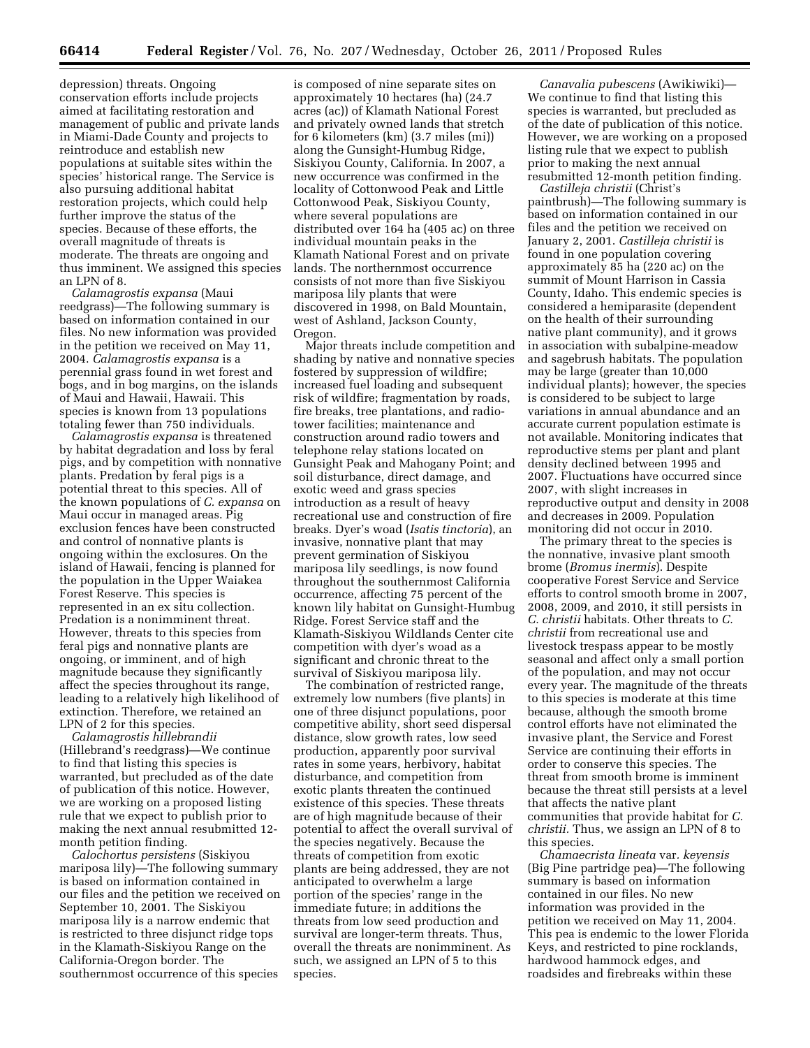depression) threats. Ongoing conservation efforts include projects aimed at facilitating restoration and management of public and private lands in Miami-Dade County and projects to reintroduce and establish new populations at suitable sites within the species' historical range. The Service is also pursuing additional habitat restoration projects, which could help further improve the status of the species. Because of these efforts, the overall magnitude of threats is moderate. The threats are ongoing and thus imminent. We assigned this species an LPN of 8.

*Calamagrostis expansa* (Maui reedgrass)—The following summary is based on information contained in our files. No new information was provided in the petition we received on May 11, 2004. *Calamagrostis expansa* is a perennial grass found in wet forest and bogs, and in bog margins, on the islands of Maui and Hawaii, Hawaii. This species is known from 13 populations totaling fewer than 750 individuals.

*Calamagrostis expansa* is threatened by habitat degradation and loss by feral pigs, and by competition with nonnative plants. Predation by feral pigs is a potential threat to this species. All of the known populations of *C. expansa* on Maui occur in managed areas. Pig exclusion fences have been constructed and control of nonnative plants is ongoing within the exclosures. On the island of Hawaii, fencing is planned for the population in the Upper Waiakea Forest Reserve. This species is represented in an ex situ collection. Predation is a nonimminent threat. However, threats to this species from feral pigs and nonnative plants are ongoing, or imminent, and of high magnitude because they significantly affect the species throughout its range, leading to a relatively high likelihood of extinction. Therefore, we retained an LPN of 2 for this species.

*Calamagrostis hillebrandii*  (Hillebrand's reedgrass)—We continue to find that listing this species is warranted, but precluded as of the date of publication of this notice. However, we are working on a proposed listing rule that we expect to publish prior to making the next annual resubmitted 12 month petition finding.

*Calochortus persistens* (Siskiyou mariposa lily)—The following summary is based on information contained in our files and the petition we received on September 10, 2001. The Siskiyou mariposa lily is a narrow endemic that is restricted to three disjunct ridge tops in the Klamath-Siskiyou Range on the California-Oregon border. The southernmost occurrence of this species

is composed of nine separate sites on approximately 10 hectares (ha) (24.7 acres (ac)) of Klamath National Forest and privately owned lands that stretch for 6 kilometers (km) (3.7 miles (mi)) along the Gunsight-Humbug Ridge, Siskiyou County, California. In 2007, a new occurrence was confirmed in the locality of Cottonwood Peak and Little Cottonwood Peak, Siskiyou County, where several populations are distributed over 164 ha (405 ac) on three individual mountain peaks in the Klamath National Forest and on private lands. The northernmost occurrence consists of not more than five Siskiyou mariposa lily plants that were discovered in 1998, on Bald Mountain, west of Ashland, Jackson County, Oregon.

Major threats include competition and shading by native and nonnative species fostered by suppression of wildfire; increased fuel loading and subsequent risk of wildfire; fragmentation by roads, fire breaks, tree plantations, and radiotower facilities; maintenance and construction around radio towers and telephone relay stations located on Gunsight Peak and Mahogany Point; and soil disturbance, direct damage, and exotic weed and grass species introduction as a result of heavy recreational use and construction of fire breaks. Dyer's woad (*Isatis tinctoria*), an invasive, nonnative plant that may prevent germination of Siskiyou mariposa lily seedlings, is now found throughout the southernmost California occurrence, affecting 75 percent of the known lily habitat on Gunsight-Humbug Ridge. Forest Service staff and the Klamath-Siskiyou Wildlands Center cite competition with dyer's woad as a significant and chronic threat to the survival of Siskiyou mariposa lily.

The combination of restricted range, extremely low numbers (five plants) in one of three disjunct populations, poor competitive ability, short seed dispersal distance, slow growth rates, low seed production, apparently poor survival rates in some years, herbivory, habitat disturbance, and competition from exotic plants threaten the continued existence of this species. These threats are of high magnitude because of their potential to affect the overall survival of the species negatively. Because the threats of competition from exotic plants are being addressed, they are not anticipated to overwhelm a large portion of the species' range in the immediate future; in additions the threats from low seed production and survival are longer-term threats. Thus, overall the threats are nonimminent. As such, we assigned an LPN of 5 to this species.

*Canavalia pubescens* (Awikiwiki)— We continue to find that listing this species is warranted, but precluded as of the date of publication of this notice. However, we are working on a proposed listing rule that we expect to publish prior to making the next annual resubmitted 12-month petition finding.

*Castilleja christii* (Christ's paintbrush)—The following summary is based on information contained in our files and the petition we received on January 2, 2001. *Castilleja christii* is found in one population covering approximately 85 ha (220 ac) on the summit of Mount Harrison in Cassia County, Idaho. This endemic species is considered a hemiparasite (dependent on the health of their surrounding native plant community), and it grows in association with subalpine-meadow and sagebrush habitats. The population may be large (greater than 10,000 individual plants); however, the species is considered to be subject to large variations in annual abundance and an accurate current population estimate is not available. Monitoring indicates that reproductive stems per plant and plant density declined between 1995 and 2007. Fluctuations have occurred since 2007, with slight increases in reproductive output and density in 2008 and decreases in 2009. Population monitoring did not occur in 2010.

The primary threat to the species is the nonnative, invasive plant smooth brome (*Bromus inermis*). Despite cooperative Forest Service and Service efforts to control smooth brome in 2007, 2008, 2009, and 2010, it still persists in *C. christii* habitats. Other threats to *C. christii* from recreational use and livestock trespass appear to be mostly seasonal and affect only a small portion of the population, and may not occur every year. The magnitude of the threats to this species is moderate at this time because, although the smooth brome control efforts have not eliminated the invasive plant, the Service and Forest Service are continuing their efforts in order to conserve this species. The threat from smooth brome is imminent because the threat still persists at a level that affects the native plant communities that provide habitat for *C. christii.* Thus, we assign an LPN of 8 to this species.

*Chamaecrista lineata* var*. keyensis*  (Big Pine partridge pea)—The following summary is based on information contained in our files. No new information was provided in the petition we received on May 11, 2004. This pea is endemic to the lower Florida Keys, and restricted to pine rocklands, hardwood hammock edges, and roadsides and firebreaks within these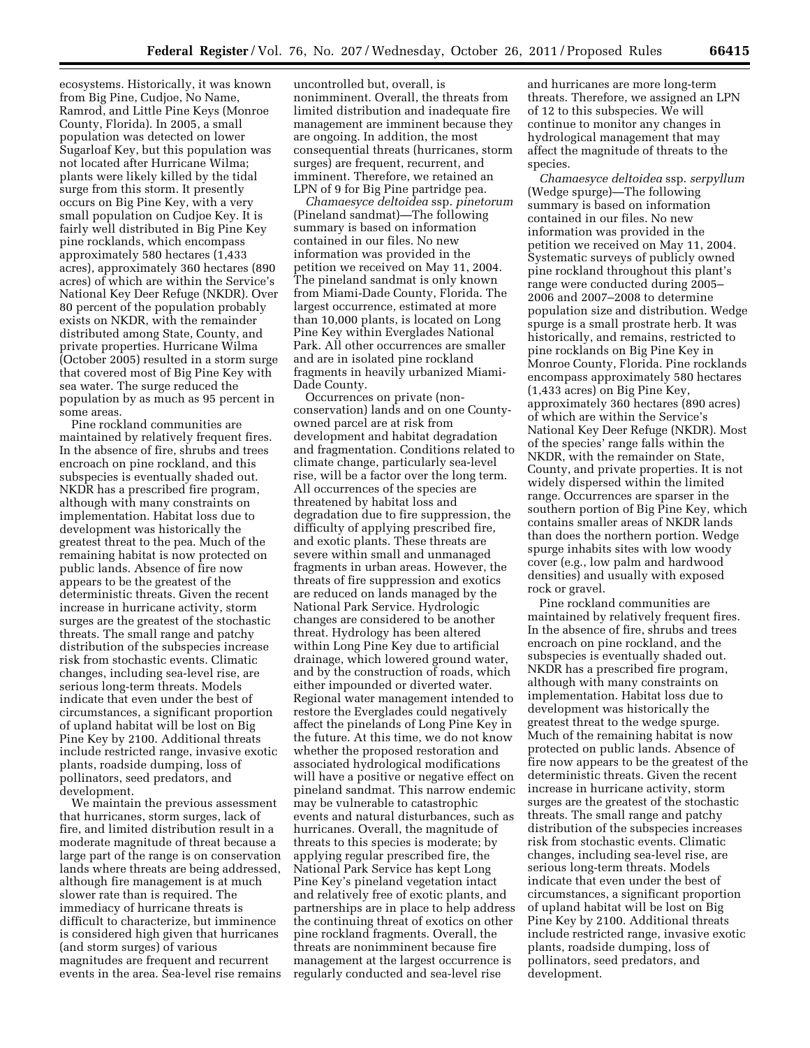ecosystems. Historically, it was known from Big Pine, Cudjoe, No Name, Ramrod, and Little Pine Keys (Monroe County, Florida). In 2005, a small population was detected on lower Sugarloaf Key, but this population was not located after Hurricane Wilma; plants were likely killed by the tidal surge from this storm. It presently occurs on Big Pine Key, with a very small population on Cudjoe Key. It is fairly well distributed in Big Pine Key pine rocklands, which encompass approximately 580 hectares (1,433 acres), approximately 360 hectares (890 acres) of which are within the Service's National Key Deer Refuge (NKDR). Over 80 percent of the population probably exists on NKDR, with the remainder distributed among State, County, and private properties. Hurricane Wilma (October 2005) resulted in a storm surge that covered most of Big Pine Key with sea water. The surge reduced the population by as much as 95 percent in some areas.

Pine rockland communities are maintained by relatively frequent fires. In the absence of fire, shrubs and trees encroach on pine rockland, and this subspecies is eventually shaded out. NKDR has a prescribed fire program, although with many constraints on implementation. Habitat loss due to development was historically the greatest threat to the pea. Much of the remaining habitat is now protected on public lands. Absence of fire now appears to be the greatest of the deterministic threats. Given the recent increase in hurricane activity, storm surges are the greatest of the stochastic threats. The small range and patchy distribution of the subspecies increase risk from stochastic events. Climatic changes, including sea-level rise, are serious long-term threats. Models indicate that even under the best of circumstances, a significant proportion of upland habitat will be lost on Big Pine Key by 2100. Additional threats include restricted range, invasive exotic plants, roadside dumping, loss of pollinators, seed predators, and development.

We maintain the previous assessment that hurricanes, storm surges, lack of fire, and limited distribution result in a moderate magnitude of threat because a large part of the range is on conservation lands where threats are being addressed, although fire management is at much slower rate than is required. The immediacy of hurricane threats is difficult to characterize, but imminence is considered high given that hurricanes (and storm surges) of various magnitudes are frequent and recurrent events in the area. Sea-level rise remains

uncontrolled but, overall, is nonimminent. Overall, the threats from limited distribution and inadequate fire management are imminent because they are ongoing. In addition, the most consequential threats (hurricanes, storm surges) are frequent, recurrent, and imminent. Therefore, we retained an LPN of 9 for Big Pine partridge pea.

*Chamaesyce deltoidea* ssp. *pinetorum*  (Pineland sandmat)—The following summary is based on information contained in our files. No new information was provided in the petition we received on May 11, 2004. The pineland sandmat is only known from Miami-Dade County, Florida. The largest occurrence, estimated at more than 10,000 plants, is located on Long Pine Key within Everglades National Park. All other occurrences are smaller and are in isolated pine rockland fragments in heavily urbanized Miami-Dade County.

Occurrences on private (nonconservation) lands and on one Countyowned parcel are at risk from development and habitat degradation and fragmentation. Conditions related to climate change, particularly sea-level rise, will be a factor over the long term. All occurrences of the species are threatened by habitat loss and degradation due to fire suppression, the difficulty of applying prescribed fire, and exotic plants. These threats are severe within small and unmanaged fragments in urban areas. However, the threats of fire suppression and exotics are reduced on lands managed by the National Park Service. Hydrologic changes are considered to be another threat. Hydrology has been altered within Long Pine Key due to artificial drainage, which lowered ground water, and by the construction of roads, which either impounded or diverted water. Regional water management intended to restore the Everglades could negatively affect the pinelands of Long Pine Key in the future. At this time, we do not know whether the proposed restoration and associated hydrological modifications will have a positive or negative effect on pineland sandmat. This narrow endemic may be vulnerable to catastrophic events and natural disturbances, such as hurricanes. Overall, the magnitude of threats to this species is moderate; by applying regular prescribed fire, the National Park Service has kept Long Pine Key's pineland vegetation intact and relatively free of exotic plants, and partnerships are in place to help address the continuing threat of exotics on other pine rockland fragments. Overall, the threats are nonimminent because fire management at the largest occurrence is regularly conducted and sea-level rise

and hurricanes are more long-term threats. Therefore, we assigned an LPN of 12 to this subspecies. We will continue to monitor any changes in hydrological management that may affect the magnitude of threats to the species.

*Chamaesyce deltoidea* ssp. *serpyllum*  (Wedge spurge)—The following summary is based on information contained in our files. No new information was provided in the petition we received on May 11, 2004. Systematic surveys of publicly owned pine rockland throughout this plant's range were conducted during 2005– 2006 and 2007–2008 to determine population size and distribution. Wedge spurge is a small prostrate herb. It was historically, and remains, restricted to pine rocklands on Big Pine Key in Monroe County, Florida. Pine rocklands encompass approximately 580 hectares (1,433 acres) on Big Pine Key, approximately 360 hectares (890 acres) of which are within the Service's National Key Deer Refuge (NKDR). Most of the species' range falls within the NKDR, with the remainder on State, County, and private properties. It is not widely dispersed within the limited range. Occurrences are sparser in the southern portion of Big Pine Key, which contains smaller areas of NKDR lands than does the northern portion. Wedge spurge inhabits sites with low woody cover (e.g., low palm and hardwood densities) and usually with exposed rock or gravel.

Pine rockland communities are maintained by relatively frequent fires. In the absence of fire, shrubs and trees encroach on pine rockland, and the subspecies is eventually shaded out. NKDR has a prescribed fire program, although with many constraints on implementation. Habitat loss due to development was historically the greatest threat to the wedge spurge. Much of the remaining habitat is now protected on public lands. Absence of fire now appears to be the greatest of the deterministic threats. Given the recent increase in hurricane activity, storm surges are the greatest of the stochastic threats. The small range and patchy distribution of the subspecies increases risk from stochastic events. Climatic changes, including sea-level rise, are serious long-term threats. Models indicate that even under the best of circumstances, a significant proportion of upland habitat will be lost on Big Pine Key by 2100. Additional threats include restricted range, invasive exotic plants, roadside dumping, loss of pollinators, seed predators, and development.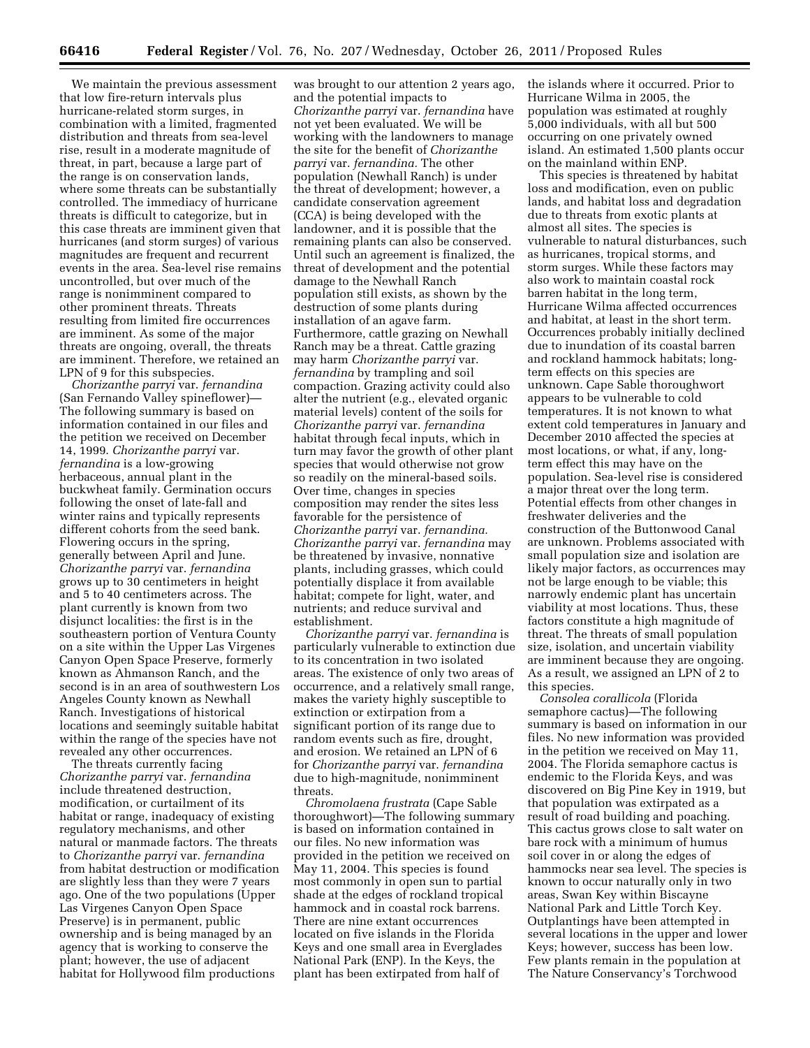We maintain the previous assessment that low fire-return intervals plus hurricane-related storm surges, in combination with a limited, fragmented distribution and threats from sea-level rise, result in a moderate magnitude of threat, in part, because a large part of the range is on conservation lands, where some threats can be substantially controlled. The immediacy of hurricane threats is difficult to categorize, but in this case threats are imminent given that hurricanes (and storm surges) of various magnitudes are frequent and recurrent events in the area. Sea-level rise remains uncontrolled, but over much of the range is nonimminent compared to other prominent threats. Threats resulting from limited fire occurrences are imminent. As some of the major threats are ongoing, overall, the threats are imminent. Therefore, we retained an LPN of 9 for this subspecies.

*Chorizanthe parryi* var. *fernandina*  (San Fernando Valley spineflower)— The following summary is based on information contained in our files and the petition we received on December 14, 1999. *Chorizanthe parryi* var. *fernandina* is a low-growing herbaceous, annual plant in the buckwheat family. Germination occurs following the onset of late-fall and winter rains and typically represents different cohorts from the seed bank. Flowering occurs in the spring, generally between April and June. *Chorizanthe parryi* var. *fernandina*  grows up to 30 centimeters in height and 5 to 40 centimeters across. The plant currently is known from two disjunct localities: the first is in the southeastern portion of Ventura County on a site within the Upper Las Virgenes Canyon Open Space Preserve, formerly known as Ahmanson Ranch, and the second is in an area of southwestern Los Angeles County known as Newhall Ranch. Investigations of historical locations and seemingly suitable habitat within the range of the species have not revealed any other occurrences.

The threats currently facing *Chorizanthe parryi* var. *fernandina*  include threatened destruction, modification, or curtailment of its habitat or range, inadequacy of existing regulatory mechanisms, and other natural or manmade factors. The threats to *Chorizanthe parryi* var. *fernandina*  from habitat destruction or modification are slightly less than they were 7 years ago. One of the two populations (Upper Las Virgenes Canyon Open Space Preserve) is in permanent, public ownership and is being managed by an agency that is working to conserve the plant; however, the use of adjacent habitat for Hollywood film productions

was brought to our attention 2 years ago, and the potential impacts to *Chorizanthe parryi* var. *fernandina* have not yet been evaluated. We will be working with the landowners to manage the site for the benefit of *Chorizanthe parryi* var. *fernandina.* The other population (Newhall Ranch) is under the threat of development; however, a candidate conservation agreement (CCA) is being developed with the landowner, and it is possible that the remaining plants can also be conserved. Until such an agreement is finalized, the threat of development and the potential damage to the Newhall Ranch population still exists, as shown by the destruction of some plants during installation of an agave farm. Furthermore, cattle grazing on Newhall Ranch may be a threat. Cattle grazing may harm *Chorizanthe parryi* var. *fernandina* by trampling and soil compaction. Grazing activity could also alter the nutrient (e.g., elevated organic material levels) content of the soils for *Chorizanthe parryi* var. *fernandina*  habitat through fecal inputs, which in turn may favor the growth of other plant species that would otherwise not grow so readily on the mineral-based soils. Over time, changes in species composition may render the sites less favorable for the persistence of *Chorizanthe parryi* var. *fernandina. Chorizanthe parryi* var. *fernandina* may be threatened by invasive, nonnative plants, including grasses, which could potentially displace it from available habitat; compete for light, water, and nutrients; and reduce survival and establishment.

*Chorizanthe parryi* var. *fernandina* is particularly vulnerable to extinction due to its concentration in two isolated areas. The existence of only two areas of occurrence, and a relatively small range, makes the variety highly susceptible to extinction or extirpation from a significant portion of its range due to random events such as fire, drought, and erosion. We retained an LPN of 6 for *Chorizanthe parryi* var. *fernandina*  due to high-magnitude, nonimminent threats.

*Chromolaena frustrata* (Cape Sable thoroughwort)—The following summary is based on information contained in our files. No new information was provided in the petition we received on May 11, 2004. This species is found most commonly in open sun to partial shade at the edges of rockland tropical hammock and in coastal rock barrens. There are nine extant occurrences located on five islands in the Florida Keys and one small area in Everglades National Park (ENP). In the Keys, the plant has been extirpated from half of

the islands where it occurred. Prior to Hurricane Wilma in 2005, the population was estimated at roughly 5,000 individuals, with all but 500 occurring on one privately owned island. An estimated 1,500 plants occur on the mainland within ENP.

This species is threatened by habitat loss and modification, even on public lands, and habitat loss and degradation due to threats from exotic plants at almost all sites. The species is vulnerable to natural disturbances, such as hurricanes, tropical storms, and storm surges. While these factors may also work to maintain coastal rock barren habitat in the long term, Hurricane Wilma affected occurrences and habitat, at least in the short term. Occurrences probably initially declined due to inundation of its coastal barren and rockland hammock habitats; longterm effects on this species are unknown. Cape Sable thoroughwort appears to be vulnerable to cold temperatures. It is not known to what extent cold temperatures in January and December 2010 affected the species at most locations, or what, if any, longterm effect this may have on the population. Sea-level rise is considered a major threat over the long term. Potential effects from other changes in freshwater deliveries and the construction of the Buttonwood Canal are unknown. Problems associated with small population size and isolation are likely major factors, as occurrences may not be large enough to be viable; this narrowly endemic plant has uncertain viability at most locations. Thus, these factors constitute a high magnitude of threat. The threats of small population size, isolation, and uncertain viability are imminent because they are ongoing. As a result, we assigned an LPN of 2 to this species.

*Consolea corallicola* (Florida semaphore cactus)—The following summary is based on information in our files. No new information was provided in the petition we received on May 11, 2004. The Florida semaphore cactus is endemic to the Florida Keys, and was discovered on Big Pine Key in 1919, but that population was extirpated as a result of road building and poaching. This cactus grows close to salt water on bare rock with a minimum of humus soil cover in or along the edges of hammocks near sea level. The species is known to occur naturally only in two areas, Swan Key within Biscayne National Park and Little Torch Key. Outplantings have been attempted in several locations in the upper and lower Keys; however, success has been low. Few plants remain in the population at The Nature Conservancy's Torchwood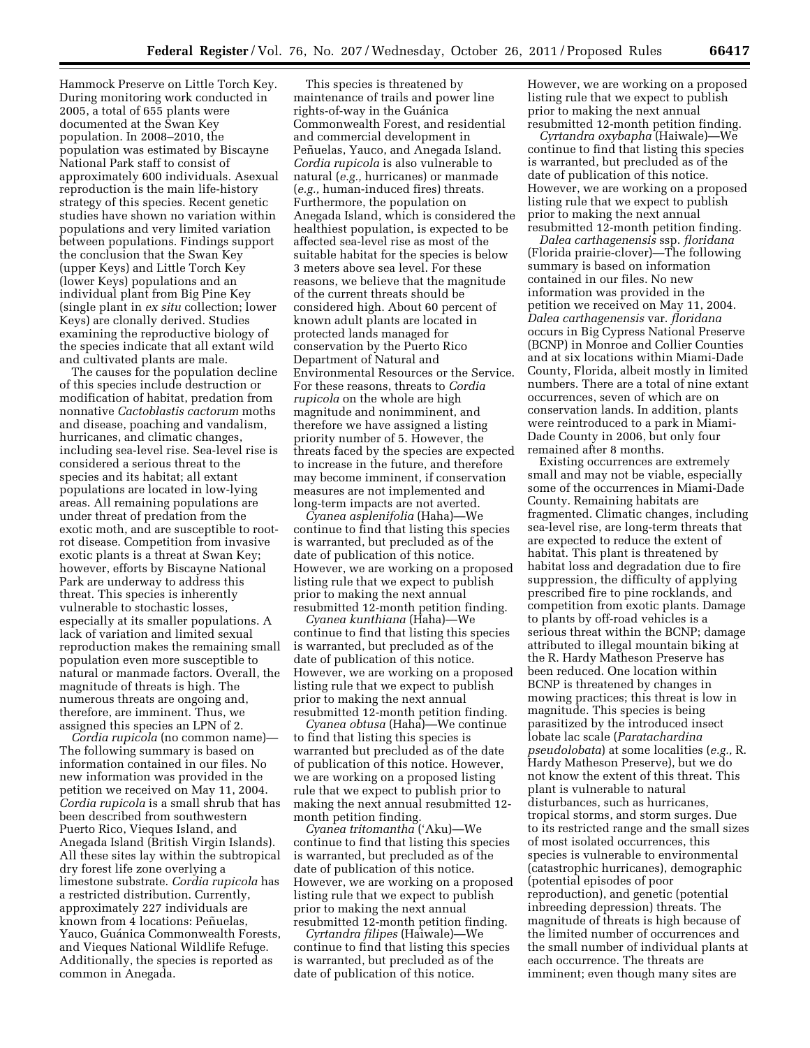Hammock Preserve on Little Torch Key. During monitoring work conducted in 2005, a total of 655 plants were documented at the Swan Key population. In 2008–2010, the population was estimated by Biscayne National Park staff to consist of approximately 600 individuals. Asexual reproduction is the main life-history strategy of this species. Recent genetic studies have shown no variation within populations and very limited variation between populations. Findings support the conclusion that the Swan Key (upper Keys) and Little Torch Key (lower Keys) populations and an individual plant from Big Pine Key (single plant in *ex situ* collection; lower Keys) are clonally derived. Studies examining the reproductive biology of the species indicate that all extant wild and cultivated plants are male.

The causes for the population decline of this species include destruction or modification of habitat, predation from nonnative *Cactoblastis cactorum* moths and disease, poaching and vandalism, hurricanes, and climatic changes, including sea-level rise. Sea-level rise is considered a serious threat to the species and its habitat; all extant populations are located in low-lying areas. All remaining populations are under threat of predation from the exotic moth, and are susceptible to rootrot disease. Competition from invasive exotic plants is a threat at Swan Key; however, efforts by Biscayne National Park are underway to address this threat. This species is inherently vulnerable to stochastic losses, especially at its smaller populations. A lack of variation and limited sexual reproduction makes the remaining small population even more susceptible to natural or manmade factors. Overall, the magnitude of threats is high. The numerous threats are ongoing and, therefore, are imminent. Thus, we assigned this species an LPN of 2.

*Cordia rupicola* (no common name)— The following summary is based on information contained in our files. No new information was provided in the petition we received on May 11, 2004. *Cordia rupicola* is a small shrub that has been described from southwestern Puerto Rico, Vieques Island, and Anegada Island (British Virgin Islands). All these sites lay within the subtropical dry forest life zone overlying a limestone substrate. *Cordia rupicola* has a restricted distribution. Currently, approximately 227 individuals are known from 4 locations: Peñuelas, Yauco, Guánica Commonwealth Forests, and Vieques National Wildlife Refuge. Additionally, the species is reported as common in Anegada.

This species is threatened by maintenance of trails and power line rights-of-way in the Guánica Commonwealth Forest, and residential and commercial development in Peñuelas, Yauco, and Anegada Island. *Cordia rupicola* is also vulnerable to natural (*e.g.,* hurricanes) or manmade (*e.g.,* human-induced fires) threats. Furthermore, the population on Anegada Island, which is considered the healthiest population, is expected to be affected sea-level rise as most of the suitable habitat for the species is below 3 meters above sea level. For these reasons, we believe that the magnitude of the current threats should be considered high. About 60 percent of known adult plants are located in protected lands managed for conservation by the Puerto Rico Department of Natural and Environmental Resources or the Service. For these reasons, threats to *Cordia rupicola* on the whole are high magnitude and nonimminent, and therefore we have assigned a listing priority number of 5. However, the threats faced by the species are expected to increase in the future, and therefore may become imminent, if conservation measures are not implemented and long-term impacts are not averted.

*Cyanea asplenifolia* (Haha)—We continue to find that listing this species is warranted, but precluded as of the date of publication of this notice. However, we are working on a proposed listing rule that we expect to publish prior to making the next annual resubmitted 12-month petition finding.

*Cyanea kunthiana* (Haha)—We continue to find that listing this species is warranted, but precluded as of the date of publication of this notice. However, we are working on a proposed listing rule that we expect to publish prior to making the next annual resubmitted 12-month petition finding.

*Cyanea obtusa* (Haha)—We continue to find that listing this species is warranted but precluded as of the date of publication of this notice. However, we are working on a proposed listing rule that we expect to publish prior to making the next annual resubmitted 12 month petition finding.

*Cyanea tritomantha* ('Aku)—We continue to find that listing this species is warranted, but precluded as of the date of publication of this notice. However, we are working on a proposed listing rule that we expect to publish prior to making the next annual resubmitted 12-month petition finding.

*Cyrtandra filipes* (Haiwale)—We continue to find that listing this species is warranted, but precluded as of the date of publication of this notice.

However, we are working on a proposed listing rule that we expect to publish prior to making the next annual resubmitted 12-month petition finding.

*Cyrtandra oxybapha* (Haiwale)—We continue to find that listing this species is warranted, but precluded as of the date of publication of this notice. However, we are working on a proposed listing rule that we expect to publish prior to making the next annual resubmitted 12-month petition finding.

*Dalea carthagenensis* ssp. *floridana*  (Florida prairie-clover)—The following summary is based on information contained in our files. No new information was provided in the petition we received on May 11, 2004. *Dalea carthagenensis* var. *floridana*  occurs in Big Cypress National Preserve (BCNP) in Monroe and Collier Counties and at six locations within Miami-Dade County, Florida, albeit mostly in limited numbers. There are a total of nine extant occurrences, seven of which are on conservation lands. In addition, plants were reintroduced to a park in Miami-Dade County in 2006, but only four remained after 8 months.

Existing occurrences are extremely small and may not be viable, especially some of the occurrences in Miami-Dade County. Remaining habitats are fragmented. Climatic changes, including sea-level rise, are long-term threats that are expected to reduce the extent of habitat. This plant is threatened by habitat loss and degradation due to fire suppression, the difficulty of applying prescribed fire to pine rocklands, and competition from exotic plants. Damage to plants by off-road vehicles is a serious threat within the BCNP; damage attributed to illegal mountain biking at the R. Hardy Matheson Preserve has been reduced. One location within BCNP is threatened by changes in mowing practices; this threat is low in magnitude. This species is being parasitized by the introduced insect lobate lac scale (*Paratachardina pseudolobata*) at some localities (*e.g.,* R. Hardy Matheson Preserve), but we do not know the extent of this threat. This plant is vulnerable to natural disturbances, such as hurricanes, tropical storms, and storm surges. Due to its restricted range and the small sizes of most isolated occurrences, this species is vulnerable to environmental (catastrophic hurricanes), demographic (potential episodes of poor reproduction), and genetic (potential inbreeding depression) threats. The magnitude of threats is high because of the limited number of occurrences and the small number of individual plants at each occurrence. The threats are imminent; even though many sites are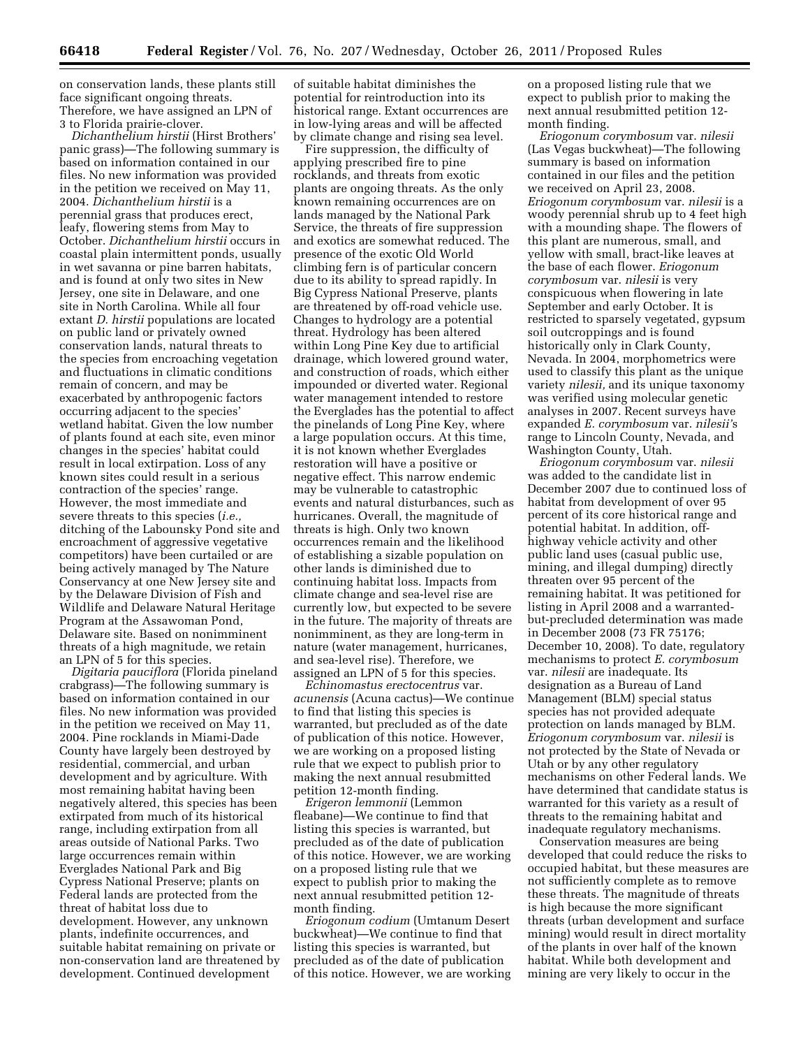on conservation lands, these plants still face significant ongoing threats. Therefore, we have assigned an LPN of 3 to Florida prairie-clover.

*Dichanthelium hirstii* (Hirst Brothers' panic grass)—The following summary is based on information contained in our files. No new information was provided in the petition we received on May 11, 2004. *Dichanthelium hirstii* is a perennial grass that produces erect, leafy, flowering stems from May to October. *Dichanthelium hirstii* occurs in coastal plain intermittent ponds, usually in wet savanna or pine barren habitats, and is found at only two sites in New Jersey, one site in Delaware, and one site in North Carolina. While all four extant *D. hirstii* populations are located on public land or privately owned conservation lands, natural threats to the species from encroaching vegetation and fluctuations in climatic conditions remain of concern, and may be exacerbated by anthropogenic factors occurring adjacent to the species' wetland habitat. Given the low number of plants found at each site, even minor changes in the species' habitat could result in local extirpation. Loss of any known sites could result in a serious contraction of the species' range. However, the most immediate and severe threats to this species (*i.e.,*  ditching of the Labounsky Pond site and encroachment of aggressive vegetative competitors) have been curtailed or are being actively managed by The Nature Conservancy at one New Jersey site and by the Delaware Division of Fish and Wildlife and Delaware Natural Heritage Program at the Assawoman Pond, Delaware site. Based on nonimminent threats of a high magnitude, we retain an LPN of 5 for this species.

*Digitaria pauciflora* (Florida pineland crabgrass)—The following summary is based on information contained in our files. No new information was provided in the petition we received on May 11, 2004. Pine rocklands in Miami-Dade County have largely been destroyed by residential, commercial, and urban development and by agriculture. With most remaining habitat having been negatively altered, this species has been extirpated from much of its historical range, including extirpation from all areas outside of National Parks. Two large occurrences remain within Everglades National Park and Big Cypress National Preserve; plants on Federal lands are protected from the threat of habitat loss due to development. However, any unknown plants, indefinite occurrences, and suitable habitat remaining on private or non-conservation land are threatened by development. Continued development

of suitable habitat diminishes the potential for reintroduction into its historical range. Extant occurrences are in low-lying areas and will be affected by climate change and rising sea level.

Fire suppression, the difficulty of applying prescribed fire to pine rocklands, and threats from exotic plants are ongoing threats. As the only known remaining occurrences are on lands managed by the National Park Service, the threats of fire suppression and exotics are somewhat reduced. The presence of the exotic Old World climbing fern is of particular concern due to its ability to spread rapidly. In Big Cypress National Preserve, plants are threatened by off-road vehicle use. Changes to hydrology are a potential threat. Hydrology has been altered within Long Pine Key due to artificial drainage, which lowered ground water, and construction of roads, which either impounded or diverted water. Regional water management intended to restore the Everglades has the potential to affect the pinelands of Long Pine Key, where a large population occurs. At this time, it is not known whether Everglades restoration will have a positive or negative effect. This narrow endemic may be vulnerable to catastrophic events and natural disturbances, such as hurricanes. Overall, the magnitude of threats is high. Only two known occurrences remain and the likelihood of establishing a sizable population on other lands is diminished due to continuing habitat loss. Impacts from climate change and sea-level rise are currently low, but expected to be severe in the future. The majority of threats are nonimminent, as they are long-term in nature (water management, hurricanes, and sea-level rise). Therefore, we assigned an LPN of 5 for this species.

*Echinomastus erectocentrus* var. *acunensis* (Acuna cactus)—We continue to find that listing this species is warranted, but precluded as of the date of publication of this notice. However, we are working on a proposed listing rule that we expect to publish prior to making the next annual resubmitted petition 12-month finding.

*Erigeron lemmonii* (Lemmon fleabane)—We continue to find that listing this species is warranted, but precluded as of the date of publication of this notice. However, we are working on a proposed listing rule that we expect to publish prior to making the next annual resubmitted petition 12 month finding.

*Eriogonum codium* (Umtanum Desert buckwheat)—We continue to find that listing this species is warranted, but precluded as of the date of publication of this notice. However, we are working

on a proposed listing rule that we expect to publish prior to making the next annual resubmitted petition 12 month finding.

*Eriogonum corymbosum* var. *nilesii*  (Las Vegas buckwheat)—The following summary is based on information contained in our files and the petition we received on April 23, 2008. *Eriogonum corymbosum* var. *nilesii* is a woody perennial shrub up to 4 feet high with a mounding shape. The flowers of this plant are numerous, small, and yellow with small, bract-like leaves at the base of each flower. *Eriogonum corymbosum* var. *nilesii* is very conspicuous when flowering in late September and early October. It is restricted to sparsely vegetated, gypsum soil outcroppings and is found historically only in Clark County, Nevada. In 2004, morphometrics were used to classify this plant as the unique variety *nilesii,* and its unique taxonomy was verified using molecular genetic analyses in 2007. Recent surveys have expanded *E. corymbosum* var. *nilesii'*s range to Lincoln County, Nevada, and Washington County, Utah.

*Eriogonum corymbosum* var. *nilesii*  was added to the candidate list in December 2007 due to continued loss of habitat from development of over 95 percent of its core historical range and potential habitat. In addition, offhighway vehicle activity and other public land uses (casual public use, mining, and illegal dumping) directly threaten over 95 percent of the remaining habitat. It was petitioned for listing in April 2008 and a warrantedbut-precluded determination was made in December 2008 (73 FR 75176; December 10, 2008). To date, regulatory mechanisms to protect *E. corymbosum*  var. *nilesii* are inadequate. Its designation as a Bureau of Land Management (BLM) special status species has not provided adequate protection on lands managed by BLM. *Eriogonum corymbosum* var. *nilesii* is not protected by the State of Nevada or Utah or by any other regulatory mechanisms on other Federal lands. We have determined that candidate status is warranted for this variety as a result of threats to the remaining habitat and inadequate regulatory mechanisms.

Conservation measures are being developed that could reduce the risks to occupied habitat, but these measures are not sufficiently complete as to remove these threats. The magnitude of threats is high because the more significant threats (urban development and surface mining) would result in direct mortality of the plants in over half of the known habitat. While both development and mining are very likely to occur in the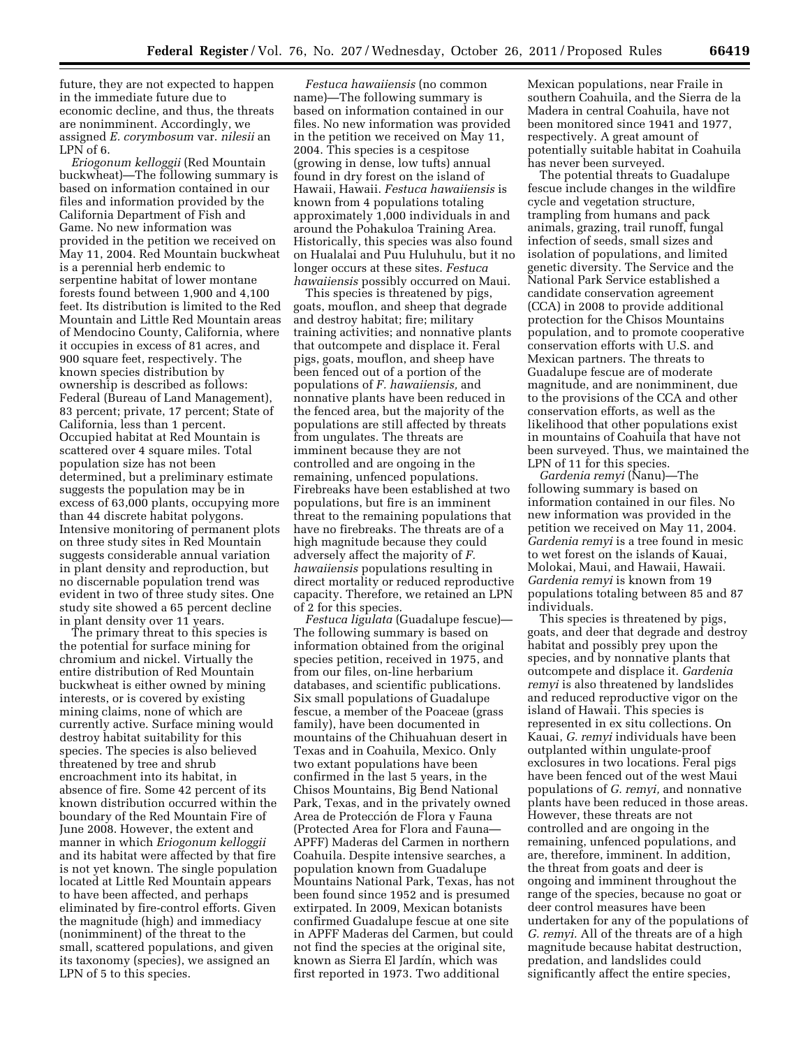future, they are not expected to happen in the immediate future due to economic decline, and thus, the threats are nonimminent. Accordingly, we assigned *E. corymbosum* var. *nilesii* an LPN of 6.

*Eriogonum kelloggii* (Red Mountain buckwheat)—The following summary is based on information contained in our files and information provided by the California Department of Fish and Game. No new information was provided in the petition we received on May 11, 2004. Red Mountain buckwheat is a perennial herb endemic to serpentine habitat of lower montane forests found between 1,900 and 4,100 feet. Its distribution is limited to the Red Mountain and Little Red Mountain areas of Mendocino County, California, where it occupies in excess of 81 acres, and 900 square feet, respectively. The known species distribution by ownership is described as follows: Federal (Bureau of Land Management), 83 percent; private, 17 percent; State of California, less than 1 percent. Occupied habitat at Red Mountain is scattered over 4 square miles. Total population size has not been determined, but a preliminary estimate suggests the population may be in excess of 63,000 plants, occupying more than 44 discrete habitat polygons. Intensive monitoring of permanent plots on three study sites in Red Mountain suggests considerable annual variation in plant density and reproduction, but no discernable population trend was evident in two of three study sites. One study site showed a 65 percent decline in plant density over 11 years.

The primary threat to this species is the potential for surface mining for chromium and nickel. Virtually the entire distribution of Red Mountain buckwheat is either owned by mining interests, or is covered by existing mining claims, none of which are currently active. Surface mining would destroy habitat suitability for this species. The species is also believed threatened by tree and shrub encroachment into its habitat, in absence of fire. Some 42 percent of its known distribution occurred within the boundary of the Red Mountain Fire of June 2008. However, the extent and manner in which *Eriogonum kelloggii*  and its habitat were affected by that fire is not yet known. The single population located at Little Red Mountain appears to have been affected, and perhaps eliminated by fire-control efforts. Given the magnitude (high) and immediacy (nonimminent) of the threat to the small, scattered populations, and given its taxonomy (species), we assigned an LPN of 5 to this species.

*Festuca hawaiiensis* (no common name)—The following summary is based on information contained in our files. No new information was provided in the petition we received on May 11, 2004. This species is a cespitose (growing in dense, low tufts) annual found in dry forest on the island of Hawaii, Hawaii. *Festuca hawaiiensis* is known from 4 populations totaling approximately 1,000 individuals in and around the Pohakuloa Training Area. Historically, this species was also found on Hualalai and Puu Huluhulu, but it no longer occurs at these sites. *Festuca hawaiiensis* possibly occurred on Maui.

This species is threatened by pigs, goats, mouflon, and sheep that degrade and destroy habitat; fire; military training activities; and nonnative plants that outcompete and displace it. Feral pigs, goats, mouflon, and sheep have been fenced out of a portion of the populations of *F. hawaiiensis,* and nonnative plants have been reduced in the fenced area, but the majority of the populations are still affected by threats from ungulates. The threats are imminent because they are not controlled and are ongoing in the remaining, unfenced populations. Firebreaks have been established at two populations, but fire is an imminent threat to the remaining populations that have no firebreaks. The threats are of a high magnitude because they could adversely affect the majority of *F. hawaiiensis* populations resulting in direct mortality or reduced reproductive capacity. Therefore, we retained an LPN of 2 for this species.

*Festuca ligulata* (Guadalupe fescue)— The following summary is based on information obtained from the original species petition, received in 1975, and from our files, on-line herbarium databases, and scientific publications. Six small populations of Guadalupe fescue, a member of the Poaceae (grass family), have been documented in mountains of the Chihuahuan desert in Texas and in Coahuila, Mexico. Only two extant populations have been confirmed in the last 5 years, in the Chisos Mountains, Big Bend National Park, Texas, and in the privately owned Area de Protección de Flora y Fauna (Protected Area for Flora and Fauna— APFF) Maderas del Carmen in northern Coahuila. Despite intensive searches, a population known from Guadalupe Mountains National Park, Texas, has not been found since 1952 and is presumed extirpated. In 2009, Mexican botanists confirmed Guadalupe fescue at one site in APFF Maderas del Carmen, but could not find the species at the original site, known as Sierra El Jardín, which was first reported in 1973. Two additional

Mexican populations, near Fraile in southern Coahuila, and the Sierra de la Madera in central Coahuila, have not been monitored since 1941 and 1977, respectively. A great amount of potentially suitable habitat in Coahuila has never been surveyed.

The potential threats to Guadalupe fescue include changes in the wildfire cycle and vegetation structure, trampling from humans and pack animals, grazing, trail runoff, fungal infection of seeds, small sizes and isolation of populations, and limited genetic diversity. The Service and the National Park Service established a candidate conservation agreement (CCA) in 2008 to provide additional protection for the Chisos Mountains population, and to promote cooperative conservation efforts with U.S. and Mexican partners. The threats to Guadalupe fescue are of moderate magnitude, and are nonimminent, due to the provisions of the CCA and other conservation efforts, as well as the likelihood that other populations exist in mountains of Coahuila that have not been surveyed. Thus, we maintained the LPN of 11 for this species.

*Gardenia remyi* (Nanu)—The following summary is based on information contained in our files. No new information was provided in the petition we received on May 11, 2004. *Gardenia remyi* is a tree found in mesic to wet forest on the islands of Kauai, Molokai, Maui, and Hawaii, Hawaii. *Gardenia remyi* is known from 19 populations totaling between 85 and 87 individuals.

This species is threatened by pigs, goats, and deer that degrade and destroy habitat and possibly prey upon the species, and by nonnative plants that outcompete and displace it. *Gardenia remyi* is also threatened by landslides and reduced reproductive vigor on the island of Hawaii. This species is represented in ex situ collections. On Kauai, *G. remyi* individuals have been outplanted within ungulate-proof exclosures in two locations. Feral pigs have been fenced out of the west Maui populations of *G. remyi,* and nonnative plants have been reduced in those areas. However, these threats are not controlled and are ongoing in the remaining, unfenced populations, and are, therefore, imminent. In addition, the threat from goats and deer is ongoing and imminent throughout the range of the species, because no goat or deer control measures have been undertaken for any of the populations of *G. remyi.* All of the threats are of a high magnitude because habitat destruction, predation, and landslides could significantly affect the entire species,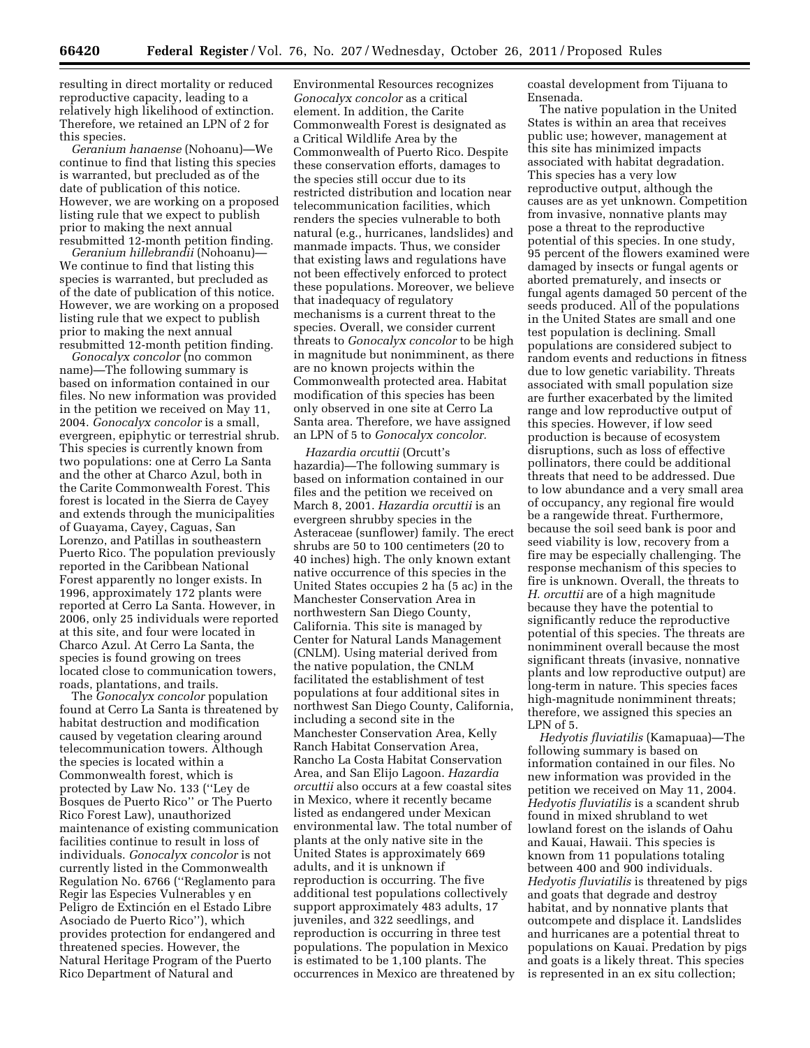resulting in direct mortality or reduced reproductive capacity, leading to a relatively high likelihood of extinction. Therefore, we retained an LPN of 2 for this species.

*Geranium hanaense* (Nohoanu)—We continue to find that listing this species is warranted, but precluded as of the date of publication of this notice. However, we are working on a proposed listing rule that we expect to publish prior to making the next annual resubmitted 12-month petition finding.

*Geranium hillebrandii* (Nohoanu)— We continue to find that listing this species is warranted, but precluded as of the date of publication of this notice. However, we are working on a proposed listing rule that we expect to publish prior to making the next annual resubmitted 12-month petition finding.

*Gonocalyx concolor* (no common name)—The following summary is based on information contained in our files. No new information was provided in the petition we received on May 11, 2004. *Gonocalyx concolor* is a small, evergreen, epiphytic or terrestrial shrub. This species is currently known from two populations: one at Cerro La Santa and the other at Charco Azul, both in the Carite Commonwealth Forest. This forest is located in the Sierra de Cayey and extends through the municipalities of Guayama, Cayey, Caguas, San Lorenzo, and Patillas in southeastern Puerto Rico. The population previously reported in the Caribbean National Forest apparently no longer exists. In 1996, approximately 172 plants were reported at Cerro La Santa. However, in 2006, only 25 individuals were reported at this site, and four were located in Charco Azul. At Cerro La Santa, the species is found growing on trees located close to communication towers, roads, plantations, and trails.

The *Gonocalyx concolor* population found at Cerro La Santa is threatened by habitat destruction and modification caused by vegetation clearing around telecommunication towers. Although the species is located within a Commonwealth forest, which is protected by Law No. 133 (''Ley de Bosques de Puerto Rico'' or The Puerto Rico Forest Law), unauthorized maintenance of existing communication facilities continue to result in loss of individuals. *Gonocalyx concolor* is not currently listed in the Commonwealth Regulation No. 6766 (''Reglamento para Regir las Especies Vulnerables y en Peligro de Extinción en el Estado Libre Asociado de Puerto Rico''), which provides protection for endangered and threatened species. However, the Natural Heritage Program of the Puerto Rico Department of Natural and

Environmental Resources recognizes *Gonocalyx concolor* as a critical element. In addition, the Carite Commonwealth Forest is designated as a Critical Wildlife Area by the Commonwealth of Puerto Rico. Despite these conservation efforts, damages to the species still occur due to its restricted distribution and location near telecommunication facilities, which renders the species vulnerable to both natural (e.g., hurricanes, landslides) and manmade impacts. Thus, we consider that existing laws and regulations have not been effectively enforced to protect these populations. Moreover, we believe that inadequacy of regulatory mechanisms is a current threat to the species. Overall, we consider current threats to *Gonocalyx concolor* to be high in magnitude but nonimminent, as there are no known projects within the Commonwealth protected area. Habitat modification of this species has been only observed in one site at Cerro La Santa area. Therefore, we have assigned an LPN of 5 to *Gonocalyx concolor.* 

*Hazardia orcuttii* (Orcutt's hazardia)—The following summary is based on information contained in our files and the petition we received on March 8, 2001. *Hazardia orcuttii* is an evergreen shrubby species in the Asteraceae (sunflower) family. The erect shrubs are 50 to 100 centimeters (20 to 40 inches) high. The only known extant native occurrence of this species in the United States occupies 2 ha (5 ac) in the Manchester Conservation Area in northwestern San Diego County, California. This site is managed by Center for Natural Lands Management (CNLM). Using material derived from the native population, the CNLM facilitated the establishment of test populations at four additional sites in northwest San Diego County, California, including a second site in the Manchester Conservation Area, Kelly Ranch Habitat Conservation Area, Rancho La Costa Habitat Conservation Area, and San Elijo Lagoon. *Hazardia orcuttii* also occurs at a few coastal sites in Mexico, where it recently became listed as endangered under Mexican environmental law. The total number of plants at the only native site in the United States is approximately 669 adults, and it is unknown if reproduction is occurring. The five additional test populations collectively support approximately 483 adults, 17 juveniles, and 322 seedlings, and reproduction is occurring in three test populations. The population in Mexico is estimated to be 1,100 plants. The occurrences in Mexico are threatened by coastal development from Tijuana to Ensenada.

The native population in the United States is within an area that receives public use; however, management at this site has minimized impacts associated with habitat degradation. This species has a very low reproductive output, although the causes are as yet unknown. Competition from invasive, nonnative plants may pose a threat to the reproductive potential of this species. In one study, 95 percent of the flowers examined were damaged by insects or fungal agents or aborted prematurely, and insects or fungal agents damaged 50 percent of the seeds produced. All of the populations in the United States are small and one test population is declining. Small populations are considered subject to random events and reductions in fitness due to low genetic variability. Threats associated with small population size are further exacerbated by the limited range and low reproductive output of this species. However, if low seed production is because of ecosystem disruptions, such as loss of effective pollinators, there could be additional threats that need to be addressed. Due to low abundance and a very small area of occupancy, any regional fire would be a rangewide threat. Furthermore, because the soil seed bank is poor and seed viability is low, recovery from a fire may be especially challenging. The response mechanism of this species to fire is unknown. Overall, the threats to *H. orcuttii* are of a high magnitude because they have the potential to significantly reduce the reproductive potential of this species. The threats are nonimminent overall because the most significant threats (invasive, nonnative plants and low reproductive output) are long-term in nature. This species faces high-magnitude nonimminent threats; therefore, we assigned this species an LPN of 5.

*Hedyotis fluviatilis* (Kamapuaa)—The following summary is based on information contained in our files. No new information was provided in the petition we received on May 11, 2004. *Hedyotis fluviatilis* is a scandent shrub found in mixed shrubland to wet lowland forest on the islands of Oahu and Kauai, Hawaii. This species is known from 11 populations totaling between 400 and 900 individuals. *Hedyotis fluviatilis* is threatened by pigs and goats that degrade and destroy habitat, and by nonnative plants that outcompete and displace it. Landslides and hurricanes are a potential threat to populations on Kauai. Predation by pigs and goats is a likely threat. This species is represented in an ex situ collection;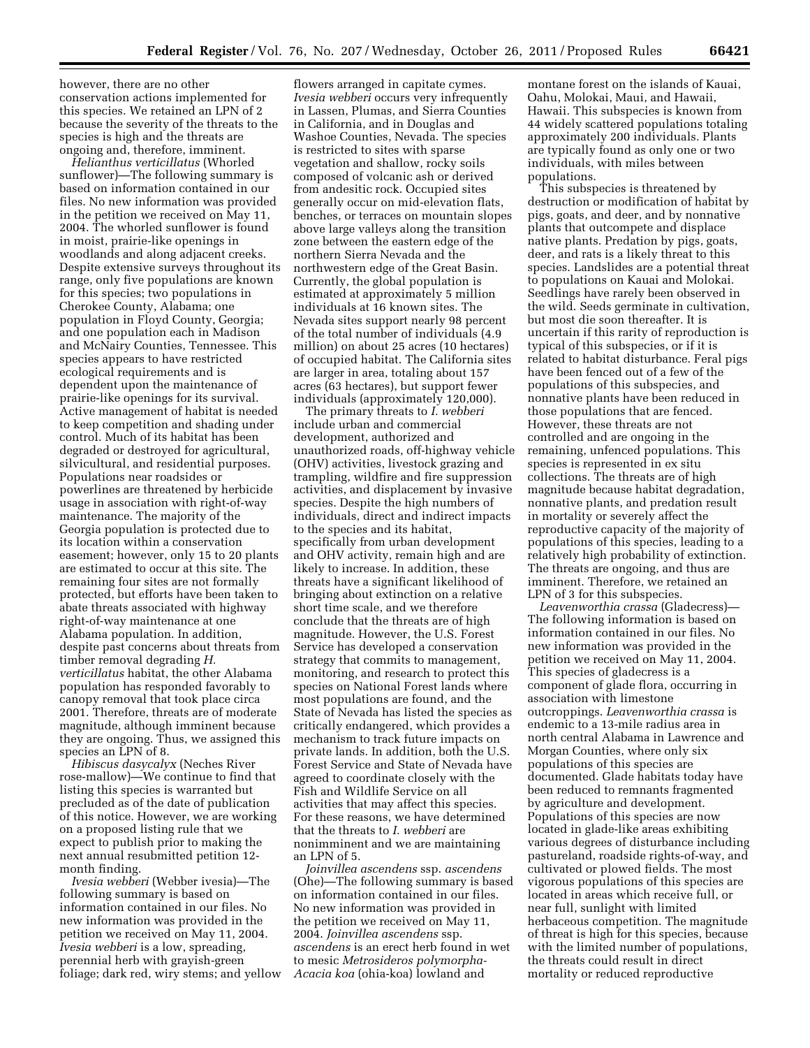however, there are no other conservation actions implemented for this species. We retained an LPN of 2 because the severity of the threats to the species is high and the threats are ongoing and, therefore, imminent.

*Helianthus verticillatus* (Whorled sunflower)—The following summary is based on information contained in our files. No new information was provided in the petition we received on May 11, 2004. The whorled sunflower is found in moist, prairie-like openings in woodlands and along adjacent creeks. Despite extensive surveys throughout its range, only five populations are known for this species; two populations in Cherokee County, Alabama; one population in Floyd County, Georgia; and one population each in Madison and McNairy Counties, Tennessee. This species appears to have restricted ecological requirements and is dependent upon the maintenance of prairie-like openings for its survival. Active management of habitat is needed to keep competition and shading under control. Much of its habitat has been degraded or destroyed for agricultural, silvicultural, and residential purposes. Populations near roadsides or powerlines are threatened by herbicide usage in association with right-of-way maintenance. The majority of the Georgia population is protected due to its location within a conservation easement; however, only 15 to 20 plants are estimated to occur at this site. The remaining four sites are not formally protected, but efforts have been taken to abate threats associated with highway right-of-way maintenance at one Alabama population. In addition, despite past concerns about threats from timber removal degrading *H. verticillatus* habitat, the other Alabama population has responded favorably to canopy removal that took place circa 2001. Therefore, threats are of moderate magnitude, although imminent because they are ongoing. Thus, we assigned this species an LPN of 8.

*Hibiscus dasycalyx* (Neches River rose-mallow)—We continue to find that listing this species is warranted but precluded as of the date of publication of this notice. However, we are working on a proposed listing rule that we expect to publish prior to making the next annual resubmitted petition 12 month finding.

*Ivesia webberi* (Webber ivesia)—The following summary is based on information contained in our files. No new information was provided in the petition we received on May 11, 2004. *Ivesia webberi* is a low, spreading, perennial herb with grayish-green foliage; dark red, wiry stems; and yellow

flowers arranged in capitate cymes. *Ivesia webberi* occurs very infrequently in Lassen, Plumas, and Sierra Counties in California, and in Douglas and Washoe Counties, Nevada. The species is restricted to sites with sparse vegetation and shallow, rocky soils composed of volcanic ash or derived from andesitic rock. Occupied sites generally occur on mid-elevation flats, benches, or terraces on mountain slopes above large valleys along the transition zone between the eastern edge of the northern Sierra Nevada and the northwestern edge of the Great Basin. Currently, the global population is estimated at approximately 5 million individuals at 16 known sites. The Nevada sites support nearly 98 percent of the total number of individuals (4.9 million) on about 25 acres (10 hectares) of occupied habitat. The California sites are larger in area, totaling about 157 acres (63 hectares), but support fewer individuals (approximately 120,000).

The primary threats to *I. webberi*  include urban and commercial development, authorized and unauthorized roads, off-highway vehicle (OHV) activities, livestock grazing and trampling, wildfire and fire suppression activities, and displacement by invasive species. Despite the high numbers of individuals, direct and indirect impacts to the species and its habitat, specifically from urban development and OHV activity, remain high and are likely to increase. In addition, these threats have a significant likelihood of bringing about extinction on a relative short time scale, and we therefore conclude that the threats are of high magnitude. However, the U.S. Forest Service has developed a conservation strategy that commits to management, monitoring, and research to protect this species on National Forest lands where most populations are found, and the State of Nevada has listed the species as critically endangered, which provides a mechanism to track future impacts on private lands. In addition, both the U.S. Forest Service and State of Nevada have agreed to coordinate closely with the Fish and Wildlife Service on all activities that may affect this species. For these reasons, we have determined that the threats to *I. webberi* are nonimminent and we are maintaining an LPN of 5.

*Joinvillea ascendens* ssp. *ascendens*  (Ohe)—The following summary is based on information contained in our files. No new information was provided in the petition we received on May 11, 2004. *Joinvillea ascendens* ssp. *ascendens* is an erect herb found in wet to mesic *Metrosideros polymorpha-Acacia koa* (ohia-koa) lowland and

montane forest on the islands of Kauai, Oahu, Molokai, Maui, and Hawaii, Hawaii. This subspecies is known from 44 widely scattered populations totaling approximately 200 individuals. Plants are typically found as only one or two individuals, with miles between populations.

This subspecies is threatened by destruction or modification of habitat by pigs, goats, and deer, and by nonnative plants that outcompete and displace native plants. Predation by pigs, goats, deer, and rats is a likely threat to this species. Landslides are a potential threat to populations on Kauai and Molokai. Seedlings have rarely been observed in the wild. Seeds germinate in cultivation, but most die soon thereafter. It is uncertain if this rarity of reproduction is typical of this subspecies, or if it is related to habitat disturbance. Feral pigs have been fenced out of a few of the populations of this subspecies, and nonnative plants have been reduced in those populations that are fenced. However, these threats are not controlled and are ongoing in the remaining, unfenced populations. This species is represented in ex situ collections. The threats are of high magnitude because habitat degradation, nonnative plants, and predation result in mortality or severely affect the reproductive capacity of the majority of populations of this species, leading to a relatively high probability of extinction. The threats are ongoing, and thus are imminent. Therefore, we retained an LPN of 3 for this subspecies.

*Leavenworthia crassa* (Gladecress)— The following information is based on information contained in our files. No new information was provided in the petition we received on May 11, 2004. This species of gladecress is a component of glade flora, occurring in association with limestone outcroppings. *Leavenworthia crassa* is endemic to a 13-mile radius area in north central Alabama in Lawrence and Morgan Counties, where only six populations of this species are documented. Glade habitats today have been reduced to remnants fragmented by agriculture and development. Populations of this species are now located in glade-like areas exhibiting various degrees of disturbance including pastureland, roadside rights-of-way, and cultivated or plowed fields. The most vigorous populations of this species are located in areas which receive full, or near full, sunlight with limited herbaceous competition. The magnitude of threat is high for this species, because with the limited number of populations, the threats could result in direct mortality or reduced reproductive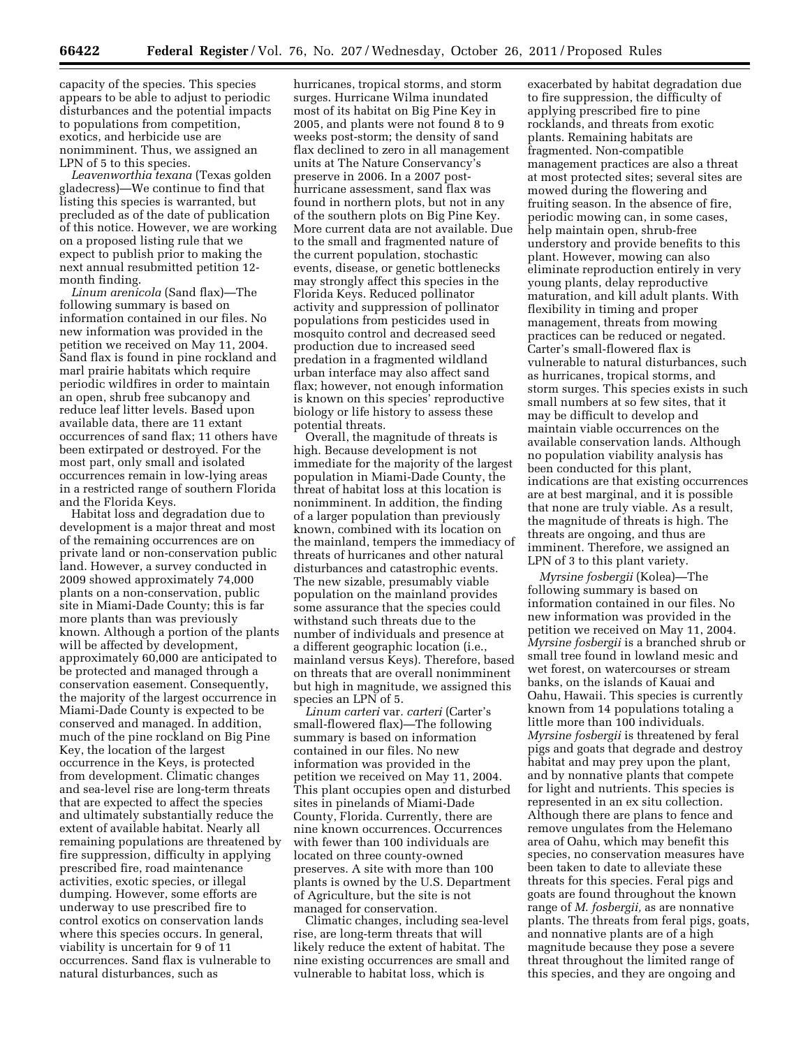capacity of the species. This species appears to be able to adjust to periodic disturbances and the potential impacts to populations from competition, exotics, and herbicide use are nonimminent. Thus, we assigned an LPN of 5 to this species.

*Leavenworthia texana* (Texas golden gladecress)—We continue to find that listing this species is warranted, but precluded as of the date of publication of this notice. However, we are working on a proposed listing rule that we expect to publish prior to making the next annual resubmitted petition 12 month finding.

*Linum arenicola* (Sand flax)—The following summary is based on information contained in our files. No new information was provided in the petition we received on May 11, 2004. Sand flax is found in pine rockland and marl prairie habitats which require periodic wildfires in order to maintain an open, shrub free subcanopy and reduce leaf litter levels. Based upon available data, there are 11 extant occurrences of sand flax; 11 others have been extirpated or destroyed. For the most part, only small and isolated occurrences remain in low-lying areas in a restricted range of southern Florida and the Florida Keys.

Habitat loss and degradation due to development is a major threat and most of the remaining occurrences are on private land or non-conservation public land. However, a survey conducted in 2009 showed approximately 74,000 plants on a non-conservation, public site in Miami-Dade County; this is far more plants than was previously known. Although a portion of the plants will be affected by development, approximately 60,000 are anticipated to be protected and managed through a conservation easement. Consequently, the majority of the largest occurrence in Miami-Dade County is expected to be conserved and managed. In addition, much of the pine rockland on Big Pine Key, the location of the largest occurrence in the Keys, is protected from development. Climatic changes and sea-level rise are long-term threats that are expected to affect the species and ultimately substantially reduce the extent of available habitat. Nearly all remaining populations are threatened by fire suppression, difficulty in applying prescribed fire, road maintenance activities, exotic species, or illegal dumping. However, some efforts are underway to use prescribed fire to control exotics on conservation lands where this species occurs. In general, viability is uncertain for 9 of 11 occurrences. Sand flax is vulnerable to natural disturbances, such as

hurricanes, tropical storms, and storm surges. Hurricane Wilma inundated most of its habitat on Big Pine Key in 2005, and plants were not found 8 to 9 weeks post-storm; the density of sand flax declined to zero in all management units at The Nature Conservancy's preserve in 2006. In a 2007 posthurricane assessment, sand flax was found in northern plots, but not in any of the southern plots on Big Pine Key. More current data are not available. Due to the small and fragmented nature of the current population, stochastic events, disease, or genetic bottlenecks may strongly affect this species in the Florida Keys. Reduced pollinator activity and suppression of pollinator populations from pesticides used in mosquito control and decreased seed production due to increased seed predation in a fragmented wildland urban interface may also affect sand flax; however, not enough information is known on this species' reproductive biology or life history to assess these potential threats.

Overall, the magnitude of threats is high. Because development is not immediate for the majority of the largest population in Miami-Dade County, the threat of habitat loss at this location is nonimminent. In addition, the finding of a larger population than previously known, combined with its location on the mainland, tempers the immediacy of threats of hurricanes and other natural disturbances and catastrophic events. The new sizable, presumably viable population on the mainland provides some assurance that the species could withstand such threats due to the number of individuals and presence at a different geographic location (i.e., mainland versus Keys). Therefore, based on threats that are overall nonimminent but high in magnitude, we assigned this species an LPN of 5.

*Linum carteri* var*. carteri* (Carter's small-flowered flax)—The following summary is based on information contained in our files. No new information was provided in the petition we received on May 11, 2004. This plant occupies open and disturbed sites in pinelands of Miami-Dade County, Florida. Currently, there are nine known occurrences. Occurrences with fewer than 100 individuals are located on three county-owned preserves. A site with more than 100 plants is owned by the U.S. Department of Agriculture, but the site is not managed for conservation.

Climatic changes, including sea-level rise, are long-term threats that will likely reduce the extent of habitat. The nine existing occurrences are small and vulnerable to habitat loss, which is

exacerbated by habitat degradation due to fire suppression, the difficulty of applying prescribed fire to pine rocklands, and threats from exotic plants. Remaining habitats are fragmented. Non-compatible management practices are also a threat at most protected sites; several sites are mowed during the flowering and fruiting season. In the absence of fire, periodic mowing can, in some cases, help maintain open, shrub-free understory and provide benefits to this plant. However, mowing can also eliminate reproduction entirely in very young plants, delay reproductive maturation, and kill adult plants. With flexibility in timing and proper management, threats from mowing practices can be reduced or negated. Carter's small-flowered flax is vulnerable to natural disturbances, such as hurricanes, tropical storms, and storm surges. This species exists in such small numbers at so few sites, that it may be difficult to develop and maintain viable occurrences on the available conservation lands. Although no population viability analysis has been conducted for this plant, indications are that existing occurrences are at best marginal, and it is possible that none are truly viable. As a result, the magnitude of threats is high. The threats are ongoing, and thus are imminent. Therefore, we assigned an LPN of 3 to this plant variety.

*Myrsine fosbergii* (Kolea)—The following summary is based on information contained in our files. No new information was provided in the petition we received on May 11, 2004. *Myrsine fosbergii* is a branched shrub or small tree found in lowland mesic and wet forest, on watercourses or stream banks, on the islands of Kauai and Oahu, Hawaii. This species is currently known from 14 populations totaling a little more than 100 individuals. *Myrsine fosbergii* is threatened by feral pigs and goats that degrade and destroy habitat and may prey upon the plant, and by nonnative plants that compete for light and nutrients. This species is represented in an ex situ collection. Although there are plans to fence and remove ungulates from the Helemano area of Oahu, which may benefit this species, no conservation measures have been taken to date to alleviate these threats for this species. Feral pigs and goats are found throughout the known range of *M. fosbergii,* as are nonnative plants. The threats from feral pigs, goats, and nonnative plants are of a high magnitude because they pose a severe threat throughout the limited range of this species, and they are ongoing and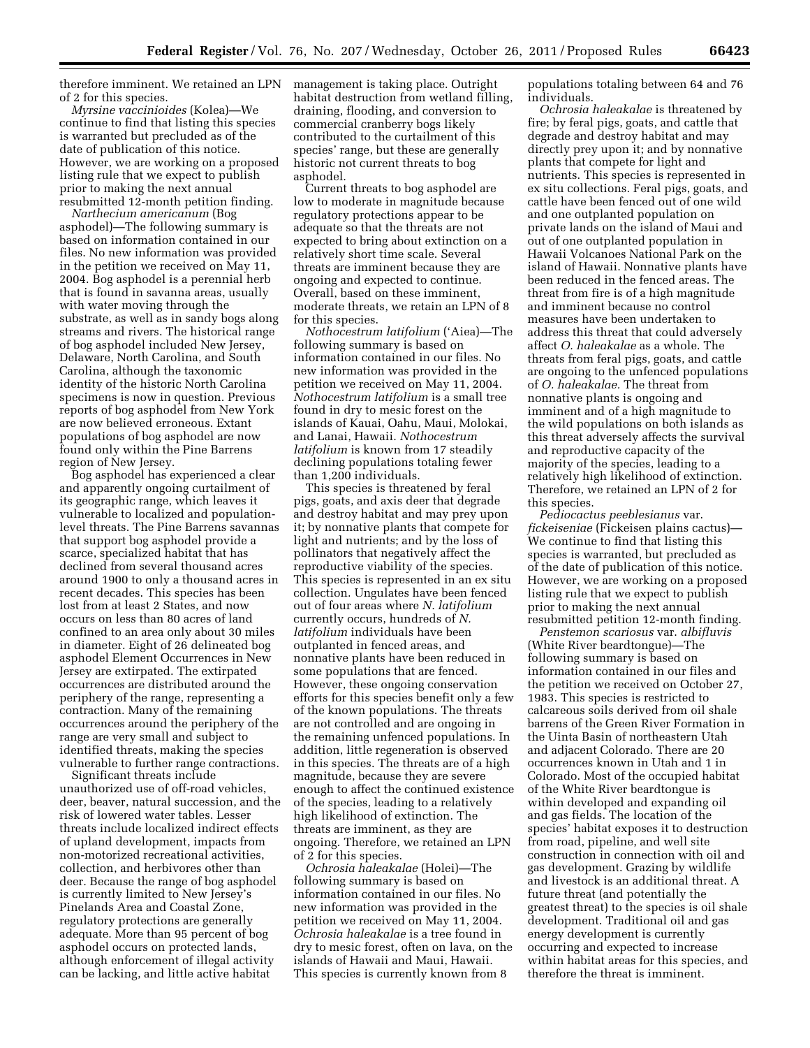therefore imminent. We retained an LPN of 2 for this species.

*Myrsine vaccinioides* (Kolea)—We continue to find that listing this species is warranted but precluded as of the date of publication of this notice. However, we are working on a proposed listing rule that we expect to publish prior to making the next annual resubmitted 12-month petition finding.

*Narthecium americanum* (Bog asphodel)—The following summary is based on information contained in our files. No new information was provided in the petition we received on May 11, 2004. Bog asphodel is a perennial herb that is found in savanna areas, usually with water moving through the substrate, as well as in sandy bogs along streams and rivers. The historical range of bog asphodel included New Jersey, Delaware, North Carolina, and South Carolina, although the taxonomic identity of the historic North Carolina specimens is now in question. Previous reports of bog asphodel from New York are now believed erroneous. Extant populations of bog asphodel are now found only within the Pine Barrens region of New Jersey.

Bog asphodel has experienced a clear and apparently ongoing curtailment of its geographic range, which leaves it vulnerable to localized and populationlevel threats. The Pine Barrens savannas that support bog asphodel provide a scarce, specialized habitat that has declined from several thousand acres around 1900 to only a thousand acres in recent decades. This species has been lost from at least 2 States, and now occurs on less than 80 acres of land confined to an area only about 30 miles in diameter. Eight of 26 delineated bog asphodel Element Occurrences in New Jersey are extirpated. The extirpated occurrences are distributed around the periphery of the range, representing a contraction. Many of the remaining occurrences around the periphery of the range are very small and subject to identified threats, making the species vulnerable to further range contractions.

Significant threats include unauthorized use of off-road vehicles, deer, beaver, natural succession, and the risk of lowered water tables. Lesser threats include localized indirect effects of upland development, impacts from non-motorized recreational activities, collection, and herbivores other than deer. Because the range of bog asphodel is currently limited to New Jersey's Pinelands Area and Coastal Zone, regulatory protections are generally adequate. More than 95 percent of bog asphodel occurs on protected lands, although enforcement of illegal activity can be lacking, and little active habitat

management is taking place. Outright habitat destruction from wetland filling, draining, flooding, and conversion to commercial cranberry bogs likely contributed to the curtailment of this species' range, but these are generally historic not current threats to bog asphodel.

Current threats to bog asphodel are low to moderate in magnitude because regulatory protections appear to be adequate so that the threats are not expected to bring about extinction on a relatively short time scale. Several threats are imminent because they are ongoing and expected to continue. Overall, based on these imminent, moderate threats, we retain an LPN of 8 for this species.

*Nothocestrum latifolium* ('Aiea)—The following summary is based on information contained in our files. No new information was provided in the petition we received on May 11, 2004. *Nothocestrum latifolium* is a small tree found in dry to mesic forest on the islands of Kauai, Oahu, Maui, Molokai, and Lanai, Hawaii. *Nothocestrum latifolium* is known from 17 steadily declining populations totaling fewer than 1,200 individuals.

This species is threatened by feral pigs, goats, and axis deer that degrade and destroy habitat and may prey upon it; by nonnative plants that compete for light and nutrients; and by the loss of pollinators that negatively affect the reproductive viability of the species. This species is represented in an ex situ collection. Ungulates have been fenced out of four areas where *N. latifolium*  currently occurs, hundreds of *N. latifolium* individuals have been outplanted in fenced areas, and nonnative plants have been reduced in some populations that are fenced. However, these ongoing conservation efforts for this species benefit only a few of the known populations. The threats are not controlled and are ongoing in the remaining unfenced populations. In addition, little regeneration is observed in this species. The threats are of a high magnitude, because they are severe enough to affect the continued existence of the species, leading to a relatively high likelihood of extinction. The threats are imminent, as they are ongoing. Therefore, we retained an LPN of 2 for this species.

*Ochrosia haleakalae* (Holei)—The following summary is based on information contained in our files. No new information was provided in the petition we received on May 11, 2004. *Ochrosia haleakalae* is a tree found in dry to mesic forest, often on lava, on the islands of Hawaii and Maui, Hawaii. This species is currently known from 8

populations totaling between 64 and 76 individuals.

*Ochrosia haleakalae* is threatened by fire; by feral pigs, goats, and cattle that degrade and destroy habitat and may directly prey upon it; and by nonnative plants that compete for light and nutrients. This species is represented in ex situ collections. Feral pigs, goats, and cattle have been fenced out of one wild and one outplanted population on private lands on the island of Maui and out of one outplanted population in Hawaii Volcanoes National Park on the island of Hawaii. Nonnative plants have been reduced in the fenced areas. The threat from fire is of a high magnitude and imminent because no control measures have been undertaken to address this threat that could adversely affect *O. haleakalae* as a whole. The threats from feral pigs, goats, and cattle are ongoing to the unfenced populations of *O. haleakalae.* The threat from nonnative plants is ongoing and imminent and of a high magnitude to the wild populations on both islands as this threat adversely affects the survival and reproductive capacity of the majority of the species, leading to a relatively high likelihood of extinction. Therefore, we retained an LPN of 2 for this species.

*Pediocactus peeblesianus* var. *fickeiseniae* (Fickeisen plains cactus)— We continue to find that listing this species is warranted, but precluded as of the date of publication of this notice. However, we are working on a proposed listing rule that we expect to publish prior to making the next annual resubmitted petition 12-month finding.

*Penstemon scariosus* var. *albifluvis*  (White River beardtongue)—The following summary is based on information contained in our files and the petition we received on October 27, 1983. This species is restricted to calcareous soils derived from oil shale barrens of the Green River Formation in the Uinta Basin of northeastern Utah and adjacent Colorado. There are 20 occurrences known in Utah and 1 in Colorado. Most of the occupied habitat of the White River beardtongue is within developed and expanding oil and gas fields. The location of the species' habitat exposes it to destruction from road, pipeline, and well site construction in connection with oil and gas development. Grazing by wildlife and livestock is an additional threat. A future threat (and potentially the greatest threat) to the species is oil shale development. Traditional oil and gas energy development is currently occurring and expected to increase within habitat areas for this species, and therefore the threat is imminent.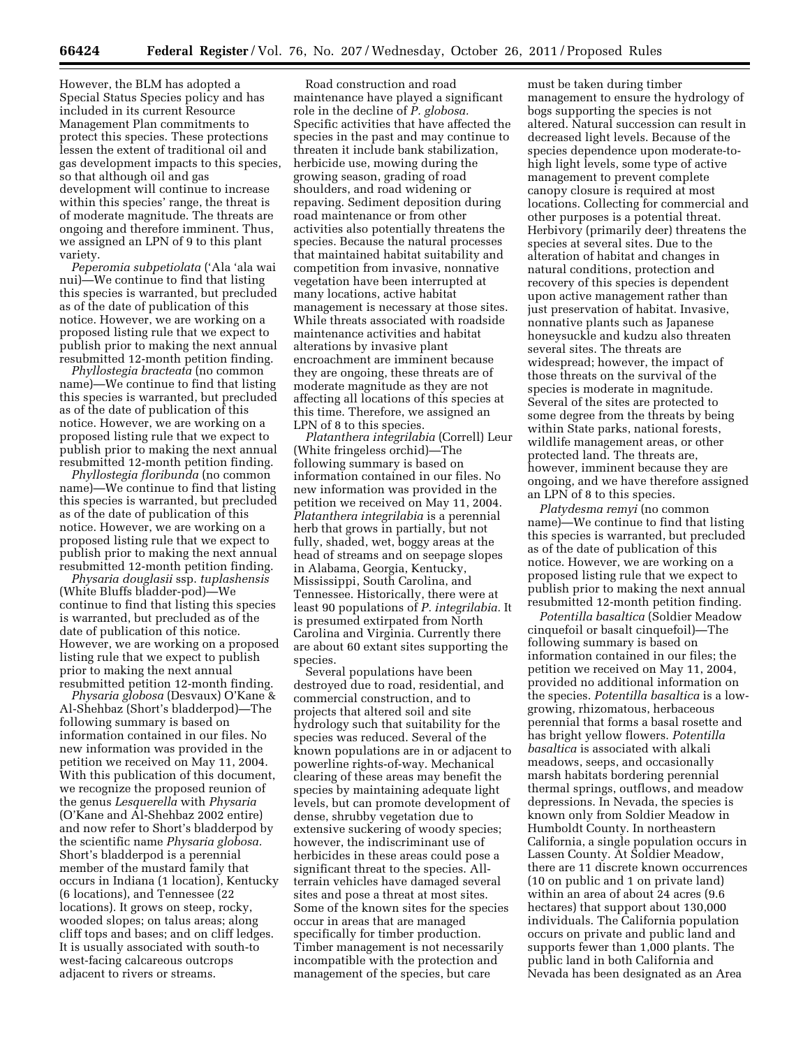However, the BLM has adopted a Special Status Species policy and has included in its current Resource Management Plan commitments to protect this species. These protections lessen the extent of traditional oil and gas development impacts to this species, so that although oil and gas development will continue to increase within this species' range, the threat is of moderate magnitude. The threats are ongoing and therefore imminent. Thus, we assigned an LPN of 9 to this plant variety.

*Peperomia subpetiolata* ('Ala 'ala wai nui)—We continue to find that listing this species is warranted, but precluded as of the date of publication of this notice. However, we are working on a proposed listing rule that we expect to publish prior to making the next annual resubmitted 12-month petition finding.

*Phyllostegia bracteata* (no common name)—We continue to find that listing this species is warranted, but precluded as of the date of publication of this notice. However, we are working on a proposed listing rule that we expect to publish prior to making the next annual resubmitted 12-month petition finding.

*Phyllostegia floribunda* (no common name)—We continue to find that listing this species is warranted, but precluded as of the date of publication of this notice. However, we are working on a proposed listing rule that we expect to publish prior to making the next annual resubmitted 12-month petition finding.

*Physaria douglasii* ssp. *tuplashensis*  (White Bluffs bladder-pod)—We continue to find that listing this species is warranted, but precluded as of the date of publication of this notice. However, we are working on a proposed listing rule that we expect to publish prior to making the next annual resubmitted petition 12-month finding.

*Physaria globosa* (Desvaux) O'Kane & Al-Shehbaz (Short's bladderpod)—The following summary is based on information contained in our files. No new information was provided in the petition we received on May 11, 2004. With this publication of this document, we recognize the proposed reunion of the genus *Lesquerella* with *Physaria*  (O'Kane and Al-Shehbaz 2002 entire) and now refer to Short's bladderpod by the scientific name *Physaria globosa.*  Short's bladderpod is a perennial member of the mustard family that occurs in Indiana (1 location), Kentucky (6 locations), and Tennessee (22 locations). It grows on steep, rocky, wooded slopes; on talus areas; along cliff tops and bases; and on cliff ledges. It is usually associated with south-to west-facing calcareous outcrops adjacent to rivers or streams.

Road construction and road maintenance have played a significant role in the decline of *P. globosa.*  Specific activities that have affected the species in the past and may continue to threaten it include bank stabilization, herbicide use, mowing during the growing season, grading of road shoulders, and road widening or repaving. Sediment deposition during road maintenance or from other activities also potentially threatens the species. Because the natural processes that maintained habitat suitability and competition from invasive, nonnative vegetation have been interrupted at many locations, active habitat management is necessary at those sites. While threats associated with roadside maintenance activities and habitat alterations by invasive plant encroachment are imminent because they are ongoing, these threats are of moderate magnitude as they are not affecting all locations of this species at this time. Therefore, we assigned an LPN of 8 to this species.

*Platanthera integrilabia* (Correll) Leur (White fringeless orchid)—The following summary is based on information contained in our files. No new information was provided in the petition we received on May 11, 2004. *Platanthera integrilabia* is a perennial herb that grows in partially, but not fully, shaded, wet, boggy areas at the head of streams and on seepage slopes in Alabama, Georgia, Kentucky, Mississippi, South Carolina, and Tennessee. Historically, there were at least 90 populations of *P. integrilabia.* It is presumed extirpated from North Carolina and Virginia. Currently there are about 60 extant sites supporting the species.

Several populations have been destroyed due to road, residential, and commercial construction, and to projects that altered soil and site hydrology such that suitability for the species was reduced. Several of the known populations are in or adjacent to powerline rights-of-way. Mechanical clearing of these areas may benefit the species by maintaining adequate light levels, but can promote development of dense, shrubby vegetation due to extensive suckering of woody species; however, the indiscriminant use of herbicides in these areas could pose a significant threat to the species. Allterrain vehicles have damaged several sites and pose a threat at most sites. Some of the known sites for the species occur in areas that are managed specifically for timber production. Timber management is not necessarily incompatible with the protection and management of the species, but care

must be taken during timber management to ensure the hydrology of bogs supporting the species is not altered. Natural succession can result in decreased light levels. Because of the species dependence upon moderate-tohigh light levels, some type of active management to prevent complete canopy closure is required at most locations. Collecting for commercial and other purposes is a potential threat. Herbivory (primarily deer) threatens the species at several sites. Due to the alteration of habitat and changes in natural conditions, protection and recovery of this species is dependent upon active management rather than just preservation of habitat. Invasive, nonnative plants such as Japanese honeysuckle and kudzu also threaten several sites. The threats are widespread; however, the impact of those threats on the survival of the species is moderate in magnitude. Several of the sites are protected to some degree from the threats by being within State parks, national forests, wildlife management areas, or other protected land. The threats are, however, imminent because they are ongoing, and we have therefore assigned an LPN of 8 to this species.

*Platydesma remyi* (no common name)—We continue to find that listing this species is warranted, but precluded as of the date of publication of this notice. However, we are working on a proposed listing rule that we expect to publish prior to making the next annual resubmitted 12-month petition finding.

*Potentilla basaltica* (Soldier Meadow cinquefoil or basalt cinquefoil)—The following summary is based on information contained in our files; the petition we received on May 11, 2004, provided no additional information on the species. *Potentilla basaltica* is a lowgrowing, rhizomatous, herbaceous perennial that forms a basal rosette and has bright yellow flowers. *Potentilla basaltica* is associated with alkali meadows, seeps, and occasionally marsh habitats bordering perennial thermal springs, outflows, and meadow depressions. In Nevada, the species is known only from Soldier Meadow in Humboldt County. In northeastern California, a single population occurs in Lassen County. At Soldier Meadow, there are 11 discrete known occurrences (10 on public and 1 on private land) within an area of about 24 acres (9.6 hectares) that support about 130,000 individuals. The California population occurs on private and public land and supports fewer than 1,000 plants. The public land in both California and Nevada has been designated as an Area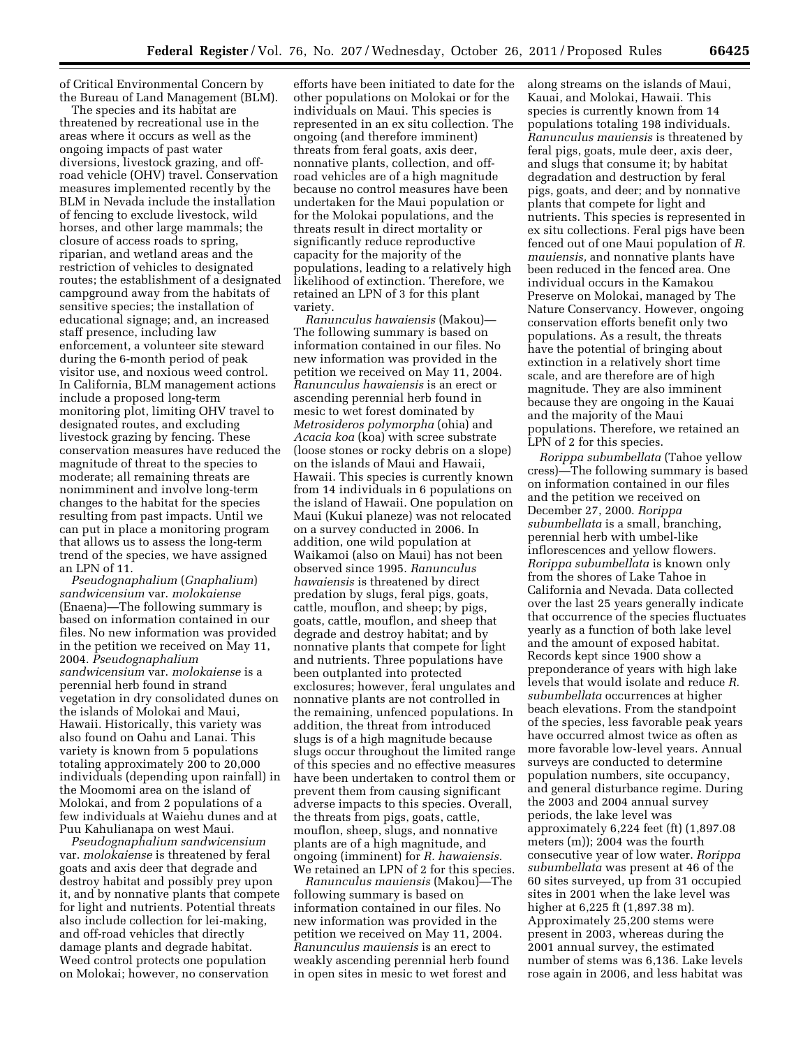of Critical Environmental Concern by the Bureau of Land Management (BLM).

The species and its habitat are threatened by recreational use in the areas where it occurs as well as the ongoing impacts of past water diversions, livestock grazing, and offroad vehicle (OHV) travel. Conservation measures implemented recently by the BLM in Nevada include the installation of fencing to exclude livestock, wild horses, and other large mammals; the closure of access roads to spring, riparian, and wetland areas and the restriction of vehicles to designated routes; the establishment of a designated campground away from the habitats of sensitive species; the installation of educational signage; and, an increased staff presence, including law enforcement, a volunteer site steward during the 6-month period of peak visitor use, and noxious weed control. In California, BLM management actions include a proposed long-term monitoring plot, limiting OHV travel to designated routes, and excluding livestock grazing by fencing. These conservation measures have reduced the magnitude of threat to the species to moderate; all remaining threats are nonimminent and involve long-term changes to the habitat for the species resulting from past impacts. Until we can put in place a monitoring program that allows us to assess the long-term trend of the species, we have assigned an LPN of 11.

*Pseudognaphalium* (*Gnaphalium*) *sandwicensium* var. *molokaiense*  (Enaena)—The following summary is based on information contained in our files. No new information was provided in the petition we received on May 11, 2004. *Pseudognaphalium sandwicensium* var. *molokaiense* is a perennial herb found in strand vegetation in dry consolidated dunes on the islands of Molokai and Maui, Hawaii. Historically, this variety was also found on Oahu and Lanai. This variety is known from 5 populations totaling approximately 200 to 20,000 individuals (depending upon rainfall) in the Moomomi area on the island of Molokai, and from 2 populations of a few individuals at Waiehu dunes and at Puu Kahulianapa on west Maui.

*Pseudognaphalium sandwicensium*  var. *molokaiense* is threatened by feral goats and axis deer that degrade and destroy habitat and possibly prey upon it, and by nonnative plants that compete for light and nutrients. Potential threats also include collection for lei-making, and off-road vehicles that directly damage plants and degrade habitat. Weed control protects one population on Molokai; however, no conservation

efforts have been initiated to date for the other populations on Molokai or for the individuals on Maui. This species is represented in an ex situ collection. The ongoing (and therefore imminent) threats from feral goats, axis deer, nonnative plants, collection, and offroad vehicles are of a high magnitude because no control measures have been undertaken for the Maui population or for the Molokai populations, and the threats result in direct mortality or significantly reduce reproductive capacity for the majority of the populations, leading to a relatively high likelihood of extinction. Therefore, we retained an LPN of 3 for this plant variety.

*Ranunculus hawaiensis* (Makou)— The following summary is based on information contained in our files. No new information was provided in the petition we received on May 11, 2004. *Ranunculus hawaiensis* is an erect or ascending perennial herb found in mesic to wet forest dominated by *Metrosideros polymorpha* (ohia) and *Acacia koa* (koa) with scree substrate (loose stones or rocky debris on a slope) on the islands of Maui and Hawaii, Hawaii. This species is currently known from 14 individuals in 6 populations on the island of Hawaii. One population on Maui (Kukui planeze) was not relocated on a survey conducted in 2006. In addition, one wild population at Waikamoi (also on Maui) has not been observed since 1995. *Ranunculus hawaiensis* is threatened by direct predation by slugs, feral pigs, goats, cattle, mouflon, and sheep; by pigs, goats, cattle, mouflon, and sheep that degrade and destroy habitat; and by nonnative plants that compete for light and nutrients. Three populations have been outplanted into protected exclosures; however, feral ungulates and nonnative plants are not controlled in the remaining, unfenced populations. In addition, the threat from introduced slugs is of a high magnitude because slugs occur throughout the limited range of this species and no effective measures have been undertaken to control them or prevent them from causing significant adverse impacts to this species. Overall, the threats from pigs, goats, cattle, mouflon, sheep, slugs, and nonnative plants are of a high magnitude, and ongoing (imminent) for *R. hawaiensis.*  We retained an LPN of 2 for this species.

*Ranunculus mauiensis* (Makou)—The following summary is based on information contained in our files. No new information was provided in the petition we received on May 11, 2004. *Ranunculus mauiensis* is an erect to weakly ascending perennial herb found in open sites in mesic to wet forest and

along streams on the islands of Maui, Kauai, and Molokai, Hawaii. This species is currently known from 14 populations totaling 198 individuals. *Ranunculus mauiensis* is threatened by feral pigs, goats, mule deer, axis deer, and slugs that consume it; by habitat degradation and destruction by feral pigs, goats, and deer; and by nonnative plants that compete for light and nutrients. This species is represented in ex situ collections. Feral pigs have been fenced out of one Maui population of *R. mauiensis,* and nonnative plants have been reduced in the fenced area. One individual occurs in the Kamakou Preserve on Molokai, managed by The Nature Conservancy. However, ongoing conservation efforts benefit only two populations. As a result, the threats have the potential of bringing about extinction in a relatively short time scale, and are therefore are of high magnitude. They are also imminent because they are ongoing in the Kauai and the majority of the Maui populations. Therefore, we retained an LPN of 2 for this species.

*Rorippa subumbellata* (Tahoe yellow cress)—The following summary is based on information contained in our files and the petition we received on December 27, 2000. *Rorippa subumbellata* is a small, branching, perennial herb with umbel-like inflorescences and yellow flowers. *Rorippa subumbellata* is known only from the shores of Lake Tahoe in California and Nevada. Data collected over the last 25 years generally indicate that occurrence of the species fluctuates yearly as a function of both lake level and the amount of exposed habitat. Records kept since 1900 show a preponderance of years with high lake levels that would isolate and reduce *R. subumbellata* occurrences at higher beach elevations. From the standpoint of the species, less favorable peak years have occurred almost twice as often as more favorable low-level years. Annual surveys are conducted to determine population numbers, site occupancy, and general disturbance regime. During the 2003 and 2004 annual survey periods, the lake level was approximately 6,224 feet (ft) (1,897.08 meters (m)); 2004 was the fourth consecutive year of low water. *Rorippa subumbellata* was present at 46 of the 60 sites surveyed, up from 31 occupied sites in 2001 when the lake level was higher at 6,225 ft (1,897.38 m). Approximately 25,200 stems were present in 2003, whereas during the 2001 annual survey, the estimated number of stems was 6,136. Lake levels rose again in 2006, and less habitat was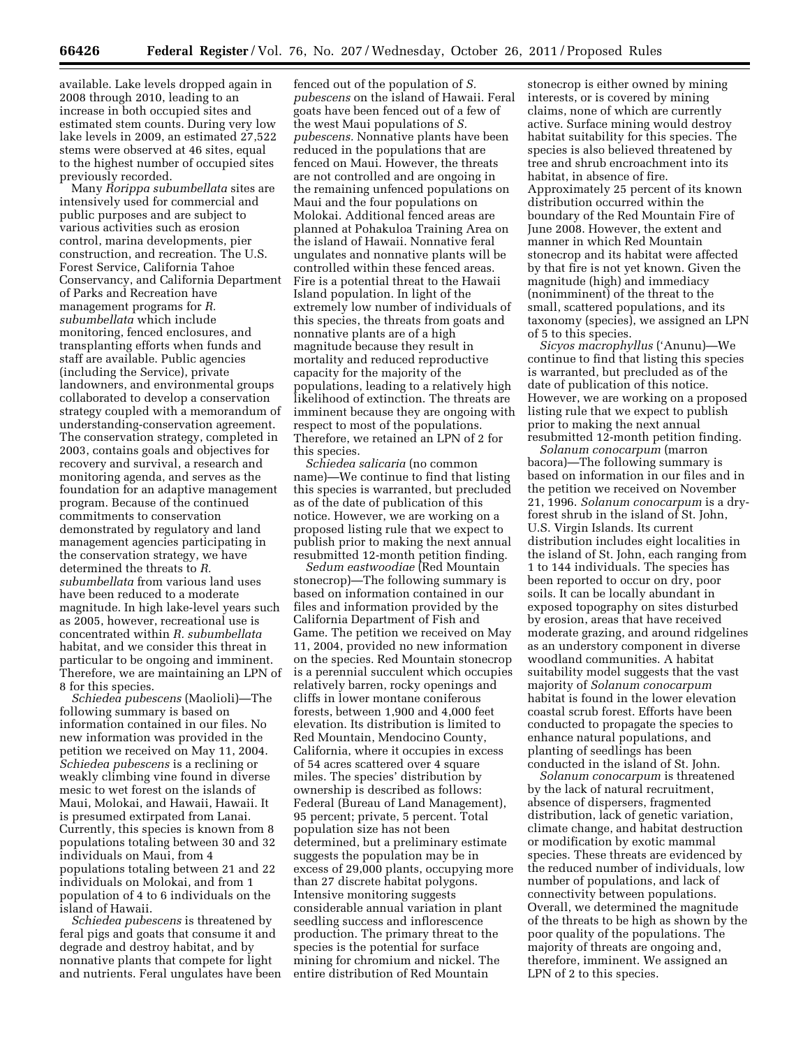available. Lake levels dropped again in 2008 through 2010, leading to an increase in both occupied sites and estimated stem counts. During very low lake levels in 2009, an estimated 27,522 stems were observed at 46 sites, equal to the highest number of occupied sites previously recorded.

Many *Rorippa subumbellata* sites are intensively used for commercial and public purposes and are subject to various activities such as erosion control, marina developments, pier construction, and recreation. The U.S. Forest Service, California Tahoe Conservancy, and California Department of Parks and Recreation have management programs for *R. subumbellata* which include monitoring, fenced enclosures, and transplanting efforts when funds and staff are available. Public agencies (including the Service), private landowners, and environmental groups collaborated to develop a conservation strategy coupled with a memorandum of understanding-conservation agreement. The conservation strategy, completed in 2003, contains goals and objectives for recovery and survival, a research and monitoring agenda, and serves as the foundation for an adaptive management program. Because of the continued commitments to conservation demonstrated by regulatory and land management agencies participating in the conservation strategy, we have determined the threats to *R. subumbellata* from various land uses have been reduced to a moderate magnitude. In high lake-level years such as 2005, however, recreational use is concentrated within *R. subumbellata*  habitat, and we consider this threat in particular to be ongoing and imminent. Therefore, we are maintaining an LPN of 8 for this species.

*Schiedea pubescens* (Maolioli)—The following summary is based on information contained in our files. No new information was provided in the petition we received on May 11, 2004. *Schiedea pubescens* is a reclining or weakly climbing vine found in diverse mesic to wet forest on the islands of Maui, Molokai, and Hawaii, Hawaii. It is presumed extirpated from Lanai. Currently, this species is known from 8 populations totaling between 30 and 32 individuals on Maui, from 4 populations totaling between 21 and 22 individuals on Molokai, and from 1 population of 4 to 6 individuals on the island of Hawaii.

*Schiedea pubescens* is threatened by feral pigs and goats that consume it and degrade and destroy habitat, and by nonnative plants that compete for light and nutrients. Feral ungulates have been

fenced out of the population of *S. pubescens* on the island of Hawaii. Feral goats have been fenced out of a few of the west Maui populations of *S. pubescens.* Nonnative plants have been reduced in the populations that are fenced on Maui. However, the threats are not controlled and are ongoing in the remaining unfenced populations on Maui and the four populations on Molokai. Additional fenced areas are planned at Pohakuloa Training Area on the island of Hawaii. Nonnative feral ungulates and nonnative plants will be controlled within these fenced areas. Fire is a potential threat to the Hawaii Island population. In light of the extremely low number of individuals of this species, the threats from goats and nonnative plants are of a high magnitude because they result in mortality and reduced reproductive capacity for the majority of the populations, leading to a relatively high likelihood of extinction. The threats are imminent because they are ongoing with respect to most of the populations. Therefore, we retained an LPN of 2 for this species.

*Schiedea salicaria* (no common name)—We continue to find that listing this species is warranted, but precluded as of the date of publication of this notice. However, we are working on a proposed listing rule that we expect to publish prior to making the next annual resubmitted 12-month petition finding.

*Sedum eastwoodiae* (Red Mountain stonecrop)—The following summary is based on information contained in our files and information provided by the California Department of Fish and Game. The petition we received on May 11, 2004, provided no new information on the species. Red Mountain stonecrop is a perennial succulent which occupies relatively barren, rocky openings and cliffs in lower montane coniferous forests, between 1,900 and 4,000 feet elevation. Its distribution is limited to Red Mountain, Mendocino County, California, where it occupies in excess of 54 acres scattered over 4 square miles. The species' distribution by ownership is described as follows: Federal (Bureau of Land Management), 95 percent; private, 5 percent. Total population size has not been determined, but a preliminary estimate suggests the population may be in excess of 29,000 plants, occupying more than 27 discrete habitat polygons. Intensive monitoring suggests considerable annual variation in plant seedling success and inflorescence production. The primary threat to the species is the potential for surface mining for chromium and nickel. The entire distribution of Red Mountain

stonecrop is either owned by mining interests, or is covered by mining claims, none of which are currently active. Surface mining would destroy habitat suitability for this species. The species is also believed threatened by tree and shrub encroachment into its habitat, in absence of fire. Approximately 25 percent of its known distribution occurred within the boundary of the Red Mountain Fire of June 2008. However, the extent and manner in which Red Mountain stonecrop and its habitat were affected by that fire is not yet known. Given the magnitude (high) and immediacy (nonimminent) of the threat to the small, scattered populations, and its taxonomy (species), we assigned an LPN of 5 to this species.

*Sicyos macrophyllus* ('Anunu)—We continue to find that listing this species is warranted, but precluded as of the date of publication of this notice. However, we are working on a proposed listing rule that we expect to publish prior to making the next annual resubmitted 12-month petition finding.

*Solanum conocarpum* (marron bacora)—The following summary is based on information in our files and in the petition we received on November 21, 1996. *Solanum conocarpum* is a dryforest shrub in the island of St. John, U.S. Virgin Islands. Its current distribution includes eight localities in the island of St. John, each ranging from 1 to 144 individuals. The species has been reported to occur on dry, poor soils. It can be locally abundant in exposed topography on sites disturbed by erosion, areas that have received moderate grazing, and around ridgelines as an understory component in diverse woodland communities. A habitat suitability model suggests that the vast majority of *Solanum conocarpum*  habitat is found in the lower elevation coastal scrub forest. Efforts have been conducted to propagate the species to enhance natural populations, and planting of seedlings has been conducted in the island of St. John.

*Solanum conocarpum* is threatened by the lack of natural recruitment, absence of dispersers, fragmented distribution, lack of genetic variation, climate change, and habitat destruction or modification by exotic mammal species. These threats are evidenced by the reduced number of individuals, low number of populations, and lack of connectivity between populations. Overall, we determined the magnitude of the threats to be high as shown by the poor quality of the populations. The majority of threats are ongoing and, therefore, imminent. We assigned an LPN of 2 to this species.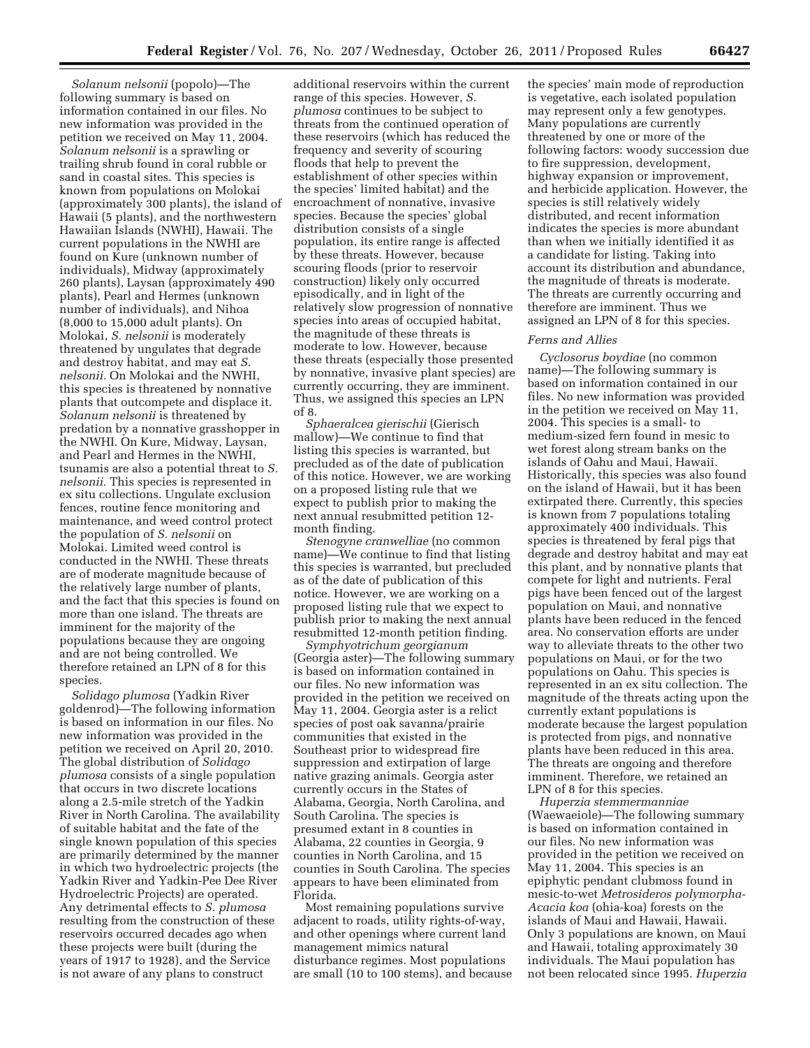*Solanum nelsonii* (popolo)—The following summary is based on information contained in our files. No new information was provided in the petition we received on May 11, 2004. *Solanum nelsonii* is a sprawling or trailing shrub found in coral rubble or sand in coastal sites. This species is known from populations on Molokai (approximately 300 plants), the island of Hawaii (5 plants), and the northwestern Hawaiian Islands (NWHI), Hawaii. The current populations in the NWHI are found on Kure (unknown number of individuals), Midway (approximately 260 plants), Laysan (approximately 490 plants), Pearl and Hermes (unknown number of individuals), and Nihoa (8,000 to 15,000 adult plants). On Molokai, *S. nelsonii* is moderately threatened by ungulates that degrade and destroy habitat, and may eat *S. nelsonii.* On Molokai and the NWHI, this species is threatened by nonnative plants that outcompete and displace it. *Solanum nelsonii* is threatened by predation by a nonnative grasshopper in the NWHI. On Kure, Midway, Laysan, and Pearl and Hermes in the NWHI, tsunamis are also a potential threat to *S. nelsonii.* This species is represented in ex situ collections. Ungulate exclusion fences, routine fence monitoring and maintenance, and weed control protect the population of *S. nelsonii* on Molokai. Limited weed control is conducted in the NWHI. These threats are of moderate magnitude because of the relatively large number of plants, and the fact that this species is found on more than one island. The threats are imminent for the majority of the populations because they are ongoing and are not being controlled. We therefore retained an LPN of 8 for this species.

*Solidago plumosa* (Yadkin River goldenrod)—The following information is based on information in our files. No new information was provided in the petition we received on April 20, 2010. The global distribution of *Solidago plumosa* consists of a single population that occurs in two discrete locations along a 2.5-mile stretch of the Yadkin River in North Carolina. The availability of suitable habitat and the fate of the single known population of this species are primarily determined by the manner in which two hydroelectric projects (the Yadkin River and Yadkin-Pee Dee River Hydroelectric Projects) are operated. Any detrimental effects to *S. plumosa*  resulting from the construction of these reservoirs occurred decades ago when these projects were built (during the years of 1917 to 1928), and the Service is not aware of any plans to construct

additional reservoirs within the current range of this species. However, *S. plumosa* continues to be subject to threats from the continued operation of these reservoirs (which has reduced the frequency and severity of scouring floods that help to prevent the establishment of other species within the species' limited habitat) and the encroachment of nonnative, invasive species. Because the species' global distribution consists of a single population, its entire range is affected by these threats. However, because scouring floods (prior to reservoir construction) likely only occurred episodically, and in light of the relatively slow progression of nonnative species into areas of occupied habitat, the magnitude of these threats is moderate to low. However, because these threats (especially those presented by nonnative, invasive plant species) are currently occurring, they are imminent. Thus, we assigned this species an LPN of 8.

*Sphaeralcea gierischii* (Gierisch mallow)—We continue to find that listing this species is warranted, but precluded as of the date of publication of this notice. However, we are working on a proposed listing rule that we expect to publish prior to making the next annual resubmitted petition 12 month finding.

*Stenogyne cranwelliae* (no common name)—We continue to find that listing this species is warranted, but precluded as of the date of publication of this notice. However, we are working on a proposed listing rule that we expect to publish prior to making the next annual resubmitted 12-month petition finding.

*Symphyotrichum georgianum*  (Georgia aster)—The following summary is based on information contained in our files. No new information was provided in the petition we received on May 11, 2004. Georgia aster is a relict species of post oak savanna/prairie communities that existed in the Southeast prior to widespread fire suppression and extirpation of large native grazing animals. Georgia aster currently occurs in the States of Alabama, Georgia, North Carolina, and South Carolina. The species is presumed extant in 8 counties in Alabama, 22 counties in Georgia, 9 counties in North Carolina, and 15 counties in South Carolina. The species appears to have been eliminated from Florida.

Most remaining populations survive adjacent to roads, utility rights-of-way, and other openings where current land management mimics natural disturbance regimes. Most populations are small (10 to 100 stems), and because the species' main mode of reproduction is vegetative, each isolated population may represent only a few genotypes. Many populations are currently threatened by one or more of the following factors: woody succession due to fire suppression, development, highway expansion or improvement, and herbicide application. However, the species is still relatively widely distributed, and recent information indicates the species is more abundant than when we initially identified it as a candidate for listing. Taking into account its distribution and abundance, the magnitude of threats is moderate. The threats are currently occurring and therefore are imminent. Thus we assigned an LPN of 8 for this species.

# *Ferns and Allies*

*Cyclosorus boydiae* (no common name)—The following summary is based on information contained in our files. No new information was provided in the petition we received on May 11, 2004. This species is a small- to medium-sized fern found in mesic to wet forest along stream banks on the islands of Oahu and Maui, Hawaii. Historically, this species was also found on the island of Hawaii, but it has been extirpated there. Currently, this species is known from 7 populations totaling approximately 400 individuals. This species is threatened by feral pigs that degrade and destroy habitat and may eat this plant, and by nonnative plants that compete for light and nutrients. Feral pigs have been fenced out of the largest population on Maui, and nonnative plants have been reduced in the fenced area. No conservation efforts are under way to alleviate threats to the other two populations on Maui, or for the two populations on Oahu. This species is represented in an ex situ collection. The magnitude of the threats acting upon the currently extant populations is moderate because the largest population is protected from pigs, and nonnative plants have been reduced in this area. The threats are ongoing and therefore imminent. Therefore, we retained an LPN of 8 for this species.

*Huperzia stemmermanniae*  (Waewaeiole)—The following summary is based on information contained in our files. No new information was provided in the petition we received on May 11, 2004. This species is an epiphytic pendant clubmoss found in mesic-to-wet *Metrosideros polymorpha-Acacia koa* (ohia-koa) forests on the islands of Maui and Hawaii, Hawaii. Only 3 populations are known, on Maui and Hawaii, totaling approximately 30 individuals. The Maui population has not been relocated since 1995. *Huperzia*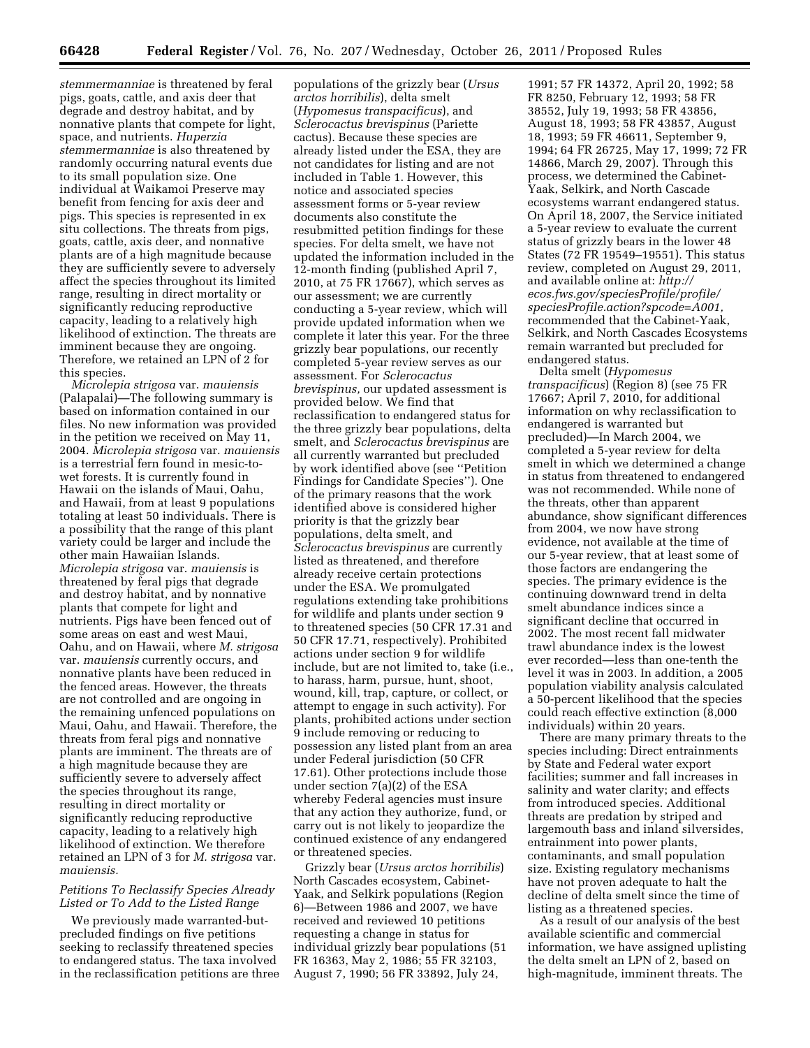*stemmermanniae* is threatened by feral pigs, goats, cattle, and axis deer that degrade and destroy habitat, and by nonnative plants that compete for light, space, and nutrients. *Huperzia stemmermanniae* is also threatened by randomly occurring natural events due to its small population size. One individual at Waikamoi Preserve may benefit from fencing for axis deer and pigs. This species is represented in ex situ collections. The threats from pigs, goats, cattle, axis deer, and nonnative plants are of a high magnitude because they are sufficiently severe to adversely affect the species throughout its limited range, resulting in direct mortality or significantly reducing reproductive capacity, leading to a relatively high likelihood of extinction. The threats are imminent because they are ongoing. Therefore, we retained an LPN of 2 for this species.

*Microlepia strigosa* var. *mauiensis*  (Palapalai)—The following summary is based on information contained in our files. No new information was provided in the petition we received on May 11, 2004. *Microlepia strigosa* var. *mauiensis*  is a terrestrial fern found in mesic-towet forests. It is currently found in Hawaii on the islands of Maui, Oahu, and Hawaii, from at least 9 populations totaling at least 50 individuals. There is a possibility that the range of this plant variety could be larger and include the other main Hawaiian Islands. *Microlepia strigosa* var. *mauiensis* is threatened by feral pigs that degrade and destroy habitat, and by nonnative plants that compete for light and nutrients. Pigs have been fenced out of some areas on east and west Maui, Oahu, and on Hawaii, where *M. strigosa*  var. *mauiensis* currently occurs, and nonnative plants have been reduced in the fenced areas. However, the threats are not controlled and are ongoing in the remaining unfenced populations on Maui, Oahu, and Hawaii. Therefore, the threats from feral pigs and nonnative plants are imminent. The threats are of a high magnitude because they are sufficiently severe to adversely affect the species throughout its range, resulting in direct mortality or significantly reducing reproductive capacity, leading to a relatively high likelihood of extinction. We therefore retained an LPN of 3 for *M. strigosa* var. *mauiensis.* 

## *Petitions To Reclassify Species Already Listed or To Add to the Listed Range*

We previously made warranted-butprecluded findings on five petitions seeking to reclassify threatened species to endangered status. The taxa involved in the reclassification petitions are three

populations of the grizzly bear (*Ursus arctos horribilis*), delta smelt (*Hypomesus transpacificus*), and *Sclerocactus brevispinus* (Pariette cactus). Because these species are already listed under the ESA, they are not candidates for listing and are not included in Table 1. However, this notice and associated species assessment forms or 5-year review documents also constitute the resubmitted petition findings for these species. For delta smelt, we have not updated the information included in the 12-month finding (published April 7, 2010, at 75 FR 17667), which serves as our assessment; we are currently conducting a 5-year review, which will provide updated information when we complete it later this year. For the three grizzly bear populations, our recently completed 5-year review serves as our assessment. For *Sclerocactus brevispinus,* our updated assessment is provided below. We find that reclassification to endangered status for the three grizzly bear populations, delta smelt, and *Sclerocactus brevispinus* are all currently warranted but precluded by work identified above (see ''Petition Findings for Candidate Species''). One of the primary reasons that the work identified above is considered higher priority is that the grizzly bear populations, delta smelt, and *Sclerocactus brevispinus* are currently listed as threatened, and therefore already receive certain protections under the ESA. We promulgated regulations extending take prohibitions for wildlife and plants under section 9 to threatened species (50 CFR 17.31 and 50 CFR 17.71, respectively). Prohibited actions under section 9 for wildlife include, but are not limited to, take (i.e., to harass, harm, pursue, hunt, shoot, wound, kill, trap, capture, or collect, or attempt to engage in such activity). For plants, prohibited actions under section 9 include removing or reducing to possession any listed plant from an area under Federal jurisdiction (50 CFR 17.61). Other protections include those under section 7(a)(2) of the ESA whereby Federal agencies must insure that any action they authorize, fund, or carry out is not likely to jeopardize the continued existence of any endangered or threatened species.

Grizzly bear (*Ursus arctos horribilis*) North Cascades ecosystem, Cabinet-Yaak, and Selkirk populations (Region 6)—Between 1986 and 2007, we have received and reviewed 10 petitions requesting a change in status for individual grizzly bear populations (51 FR 16363, May 2, 1986; 55 FR 32103, August 7, 1990; 56 FR 33892, July 24,

1991; 57 FR 14372, April 20, 1992; 58 FR 8250, February 12, 1993; 58 FR 38552, July 19, 1993; 58 FR 43856, August 18, 1993; 58 FR 43857, August 18, 1993; 59 FR 46611, September 9, 1994; 64 FR 26725, May 17, 1999; 72 FR 14866, March 29, 2007). Through this process, we determined the Cabinet-Yaak, Selkirk, and North Cascade ecosystems warrant endangered status. On April 18, 2007, the Service initiated a 5-year review to evaluate the current status of grizzly bears in the lower 48 States (72 FR 19549–19551). This status review, completed on August 29, 2011, and available online at: *[http://](http://ecos.fws.gov/speciesProfile/profile/speciesProfile.action?spcode=A001) [ecos.fws.gov/speciesProfile/profile/](http://ecos.fws.gov/speciesProfile/profile/speciesProfile.action?spcode=A001)  [speciesProfile.action?spcode=A001,](http://ecos.fws.gov/speciesProfile/profile/speciesProfile.action?spcode=A001)*  recommended that the Cabinet-Yaak, Selkirk, and North Cascades Ecosystems remain warranted but precluded for endangered status.

Delta smelt (*Hypomesus transpacificus*) (Region 8) (see 75 FR 17667; April 7, 2010, for additional information on why reclassification to endangered is warranted but precluded)—In March 2004, we completed a 5-year review for delta smelt in which we determined a change in status from threatened to endangered was not recommended. While none of the threats, other than apparent abundance, show significant differences from 2004, we now have strong evidence, not available at the time of our 5-year review, that at least some of those factors are endangering the species. The primary evidence is the continuing downward trend in delta smelt abundance indices since a significant decline that occurred in 2002. The most recent fall midwater trawl abundance index is the lowest ever recorded—less than one-tenth the level it was in 2003. In addition, a 2005 population viability analysis calculated a 50-percent likelihood that the species could reach effective extinction (8,000 individuals) within 20 years.

There are many primary threats to the species including: Direct entrainments by State and Federal water export facilities; summer and fall increases in salinity and water clarity; and effects from introduced species. Additional threats are predation by striped and largemouth bass and inland silversides, entrainment into power plants, contaminants, and small population size. Existing regulatory mechanisms have not proven adequate to halt the decline of delta smelt since the time of listing as a threatened species.

As a result of our analysis of the best available scientific and commercial information, we have assigned uplisting the delta smelt an LPN of 2, based on high-magnitude, imminent threats. The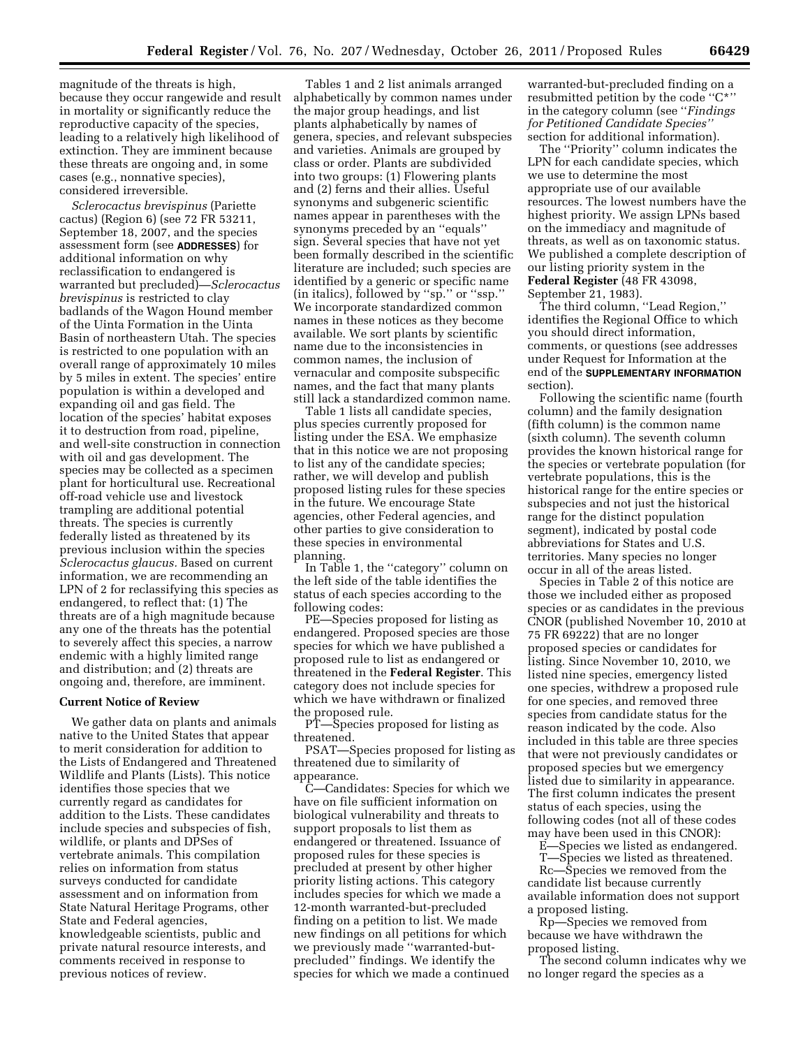magnitude of the threats is high, because they occur rangewide and result in mortality or significantly reduce the reproductive capacity of the species, leading to a relatively high likelihood of extinction. They are imminent because these threats are ongoing and, in some cases (e.g., nonnative species), considered irreversible.

*Sclerocactus brevispinus* (Pariette cactus) (Region 6) (see 72 FR 53211, September 18, 2007, and the species assessment form (see **ADDRESSES**) for additional information on why reclassification to endangered is warranted but precluded)—*Sclerocactus brevispinus* is restricted to clay badlands of the Wagon Hound member of the Uinta Formation in the Uinta Basin of northeastern Utah. The species is restricted to one population with an overall range of approximately 10 miles by 5 miles in extent. The species' entire population is within a developed and expanding oil and gas field. The location of the species' habitat exposes it to destruction from road, pipeline, and well-site construction in connection with oil and gas development. The species may be collected as a specimen plant for horticultural use. Recreational off-road vehicle use and livestock trampling are additional potential threats. The species is currently federally listed as threatened by its previous inclusion within the species *Sclerocactus glaucus.* Based on current information, we are recommending an LPN of 2 for reclassifying this species as endangered, to reflect that: (1) The threats are of a high magnitude because any one of the threats has the potential to severely affect this species, a narrow endemic with a highly limited range and distribution; and (2) threats are ongoing and, therefore, are imminent.

#### **Current Notice of Review**

We gather data on plants and animals native to the United States that appear to merit consideration for addition to the Lists of Endangered and Threatened Wildlife and Plants (Lists). This notice identifies those species that we currently regard as candidates for addition to the Lists. These candidates include species and subspecies of fish, wildlife, or plants and DPSes of vertebrate animals. This compilation relies on information from status surveys conducted for candidate assessment and on information from State Natural Heritage Programs, other State and Federal agencies, knowledgeable scientists, public and private natural resource interests, and comments received in response to previous notices of review.

Tables 1 and 2 list animals arranged alphabetically by common names under the major group headings, and list plants alphabetically by names of genera, species, and relevant subspecies and varieties. Animals are grouped by class or order. Plants are subdivided into two groups: (1) Flowering plants and (2) ferns and their allies. Useful synonyms and subgeneric scientific names appear in parentheses with the synonyms preceded by an ''equals'' sign. Several species that have not yet been formally described in the scientific literature are included; such species are identified by a generic or specific name (in italics), followed by ''sp.'' or ''ssp.'' We incorporate standardized common names in these notices as they become available. We sort plants by scientific name due to the inconsistencies in common names, the inclusion of vernacular and composite subspecific names, and the fact that many plants still lack a standardized common name.

Table 1 lists all candidate species, plus species currently proposed for listing under the ESA. We emphasize that in this notice we are not proposing to list any of the candidate species; rather, we will develop and publish proposed listing rules for these species in the future. We encourage State agencies, other Federal agencies, and other parties to give consideration to these species in environmental planning.

In Table 1, the ''category'' column on the left side of the table identifies the status of each species according to the following codes:

PE—Species proposed for listing as endangered. Proposed species are those species for which we have published a proposed rule to list as endangered or threatened in the **Federal Register**. This category does not include species for which we have withdrawn or finalized the proposed rule.

PT—Species proposed for listing as threatened.

PSAT—Species proposed for listing as threatened due to similarity of appearance.

C—Candidates: Species for which we have on file sufficient information on biological vulnerability and threats to support proposals to list them as endangered or threatened. Issuance of proposed rules for these species is precluded at present by other higher priority listing actions. This category includes species for which we made a 12-month warranted-but-precluded finding on a petition to list. We made new findings on all petitions for which we previously made ''warranted-butprecluded'' findings. We identify the species for which we made a continued

warranted-but-precluded finding on a resubmitted petition by the code ''C\*'' in the category column (see ''*Findings for Petitioned Candidate Species''*  section for additional information).

The ''Priority'' column indicates the LPN for each candidate species, which we use to determine the most appropriate use of our available resources. The lowest numbers have the highest priority. We assign LPNs based on the immediacy and magnitude of threats, as well as on taxonomic status. We published a complete description of our listing priority system in the **Federal Register** (48 FR 43098, September 21, 1983).

The third column, ''Lead Region,'' identifies the Regional Office to which you should direct information, comments, or questions (see addresses under Request for Information at the end of the **SUPPLEMENTARY INFORMATION** section).

Following the scientific name (fourth column) and the family designation (fifth column) is the common name (sixth column). The seventh column provides the known historical range for the species or vertebrate population (for vertebrate populations, this is the historical range for the entire species or subspecies and not just the historical range for the distinct population segment), indicated by postal code abbreviations for States and U.S. territories. Many species no longer occur in all of the areas listed.

Species in Table 2 of this notice are those we included either as proposed species or as candidates in the previous CNOR (published November 10, 2010 at 75 FR 69222) that are no longer proposed species or candidates for listing. Since November 10, 2010, we listed nine species, emergency listed one species, withdrew a proposed rule for one species, and removed three species from candidate status for the reason indicated by the code. Also included in this table are three species that were not previously candidates or proposed species but we emergency listed due to similarity in appearance. The first column indicates the present status of each species, using the following codes (not all of these codes may have been used in this CNOR):

E—Species we listed as endangered. T—Species we listed as threatened.

Rc—Species we removed from the candidate list because currently available information does not support a proposed listing.

Rp—Species we removed from because we have withdrawn the proposed listing.

The second column indicates why we no longer regard the species as a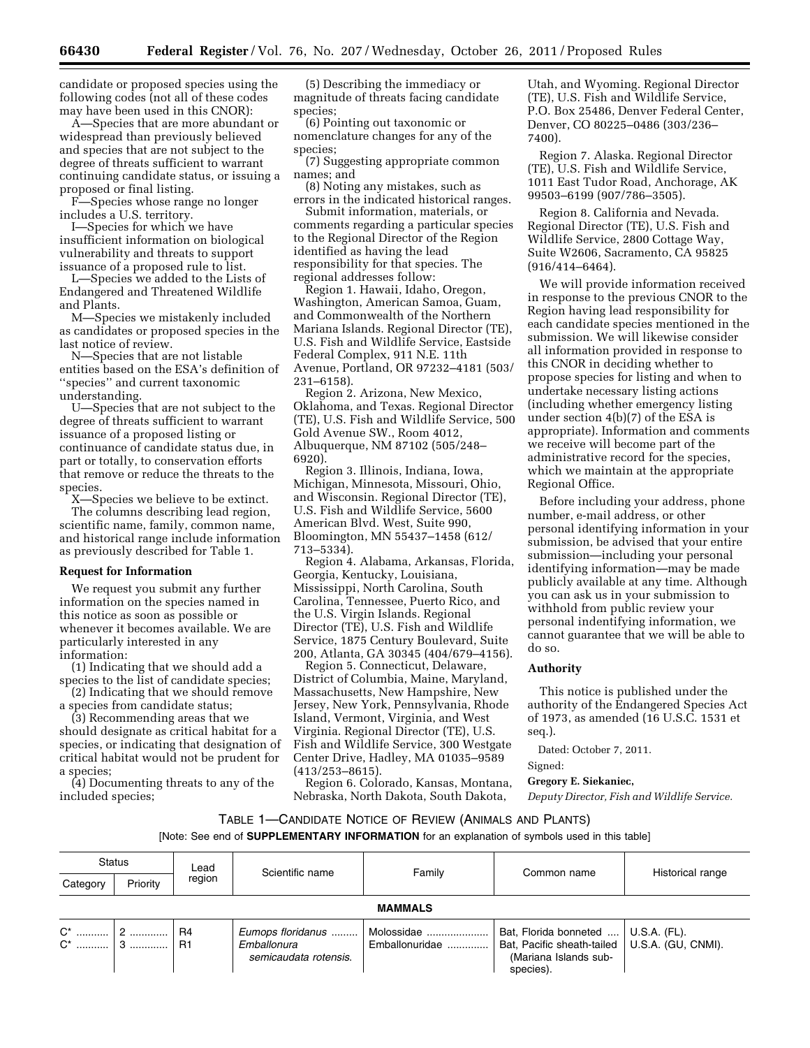candidate or proposed species using the following codes (not all of these codes may have been used in this CNOR):

A—Species that are more abundant or widespread than previously believed and species that are not subject to the degree of threats sufficient to warrant continuing candidate status, or issuing a proposed or final listing.

F—Species whose range no longer includes a U.S. territory.

I—Species for which we have insufficient information on biological vulnerability and threats to support issuance of a proposed rule to list.

L—Species we added to the Lists of Endangered and Threatened Wildlife and Plants.

M—Species we mistakenly included as candidates or proposed species in the last notice of review.

N—Species that are not listable entities based on the ESA's definition of ''species'' and current taxonomic understanding.

U—Species that are not subject to the degree of threats sufficient to warrant issuance of a proposed listing or continuance of candidate status due, in part or totally, to conservation efforts that remove or reduce the threats to the species.

X—Species we believe to be extinct. The columns describing lead region, scientific name, family, common name, and historical range include information as previously described for Table 1.

#### **Request for Information**

We request you submit any further information on the species named in this notice as soon as possible or whenever it becomes available. We are particularly interested in any information:

(1) Indicating that we should add a species to the list of candidate species;

(2) Indicating that we should remove a species from candidate status;

(3) Recommending areas that we should designate as critical habitat for a species, or indicating that designation of critical habitat would not be prudent for a species;

(4) Documenting threats to any of the included species;

(5) Describing the immediacy or magnitude of threats facing candidate species;

(6) Pointing out taxonomic or nomenclature changes for any of the species;

(7) Suggesting appropriate common names; and

(8) Noting any mistakes, such as errors in the indicated historical ranges.

Submit information, materials, or comments regarding a particular species to the Regional Director of the Region identified as having the lead responsibility for that species. The regional addresses follow:

Region 1. Hawaii, Idaho, Oregon, Washington, American Samoa, Guam, and Commonwealth of the Northern Mariana Islands. Regional Director (TE), U.S. Fish and Wildlife Service, Eastside Federal Complex, 911 N.E. 11th Avenue, Portland, OR 97232–4181 (503/ 231–6158).

Region 2. Arizona, New Mexico, Oklahoma, and Texas. Regional Director (TE), U.S. Fish and Wildlife Service, 500 Gold Avenue SW., Room 4012, Albuquerque, NM 87102 (505/248– 6920).

Region 3. Illinois, Indiana, Iowa, Michigan, Minnesota, Missouri, Ohio, and Wisconsin. Regional Director (TE), U.S. Fish and Wildlife Service, 5600 American Blvd. West, Suite 990, Bloomington, MN 55437–1458 (612/ 713–5334).

Region 4. Alabama, Arkansas, Florida, Georgia, Kentucky, Louisiana, Mississippi, North Carolina, South Carolina, Tennessee, Puerto Rico, and the U.S. Virgin Islands. Regional Director (TE), U.S. Fish and Wildlife Service, 1875 Century Boulevard, Suite 200, Atlanta, GA 30345 (404/679–4156).

Region 5. Connecticut, Delaware, District of Columbia, Maine, Maryland, Massachusetts, New Hampshire, New Jersey, New York, Pennsylvania, Rhode Island, Vermont, Virginia, and West Virginia. Regional Director (TE), U.S. Fish and Wildlife Service, 300 Westgate Center Drive, Hadley, MA 01035–9589 (413/253–8615).

Region 6. Colorado, Kansas, Montana, Nebraska, North Dakota, South Dakota,

Utah, and Wyoming. Regional Director (TE), U.S. Fish and Wildlife Service, P.O. Box 25486, Denver Federal Center, Denver, CO 80225–0486 (303/236– 7400).

Region 7. Alaska. Regional Director (TE), U.S. Fish and Wildlife Service, 1011 East Tudor Road, Anchorage, AK 99503–6199 (907/786–3505).

Region 8. California and Nevada. Regional Director (TE), U.S. Fish and Wildlife Service, 2800 Cottage Way, Suite W2606, Sacramento, CA 95825 (916/414–6464).

We will provide information received in response to the previous CNOR to the Region having lead responsibility for each candidate species mentioned in the submission. We will likewise consider all information provided in response to this CNOR in deciding whether to propose species for listing and when to undertake necessary listing actions (including whether emergency listing under section 4(b)(7) of the ESA is appropriate). Information and comments we receive will become part of the administrative record for the species, which we maintain at the appropriate Regional Office.

Before including your address, phone number, e-mail address, or other personal identifying information in your submission, be advised that your entire submission—including your personal identifying information—may be made publicly available at any time. Although you can ask us in your submission to withhold from public review your personal indentifying information, we cannot guarantee that we will be able to do so.

## **Authority**

This notice is published under the authority of the Endangered Species Act of 1973, as amended (16 U.S.C. 1531 et seq.).

Dated: October 7, 2011.

# Signed:

**Gregory E. Siekaniec,** 

*Deputy Director, Fish and Wildlife Service.* 

# TABLE 1—CANDIDATE NOTICE OF REVIEW (ANIMALS AND PLANTS)

| <b>Status</b><br>Lead<br>region<br>Priority<br>Category |                | Scientific name | Family                                                                  | Common name    | Historical range                                                                                                               |  |
|---------------------------------------------------------|----------------|-----------------|-------------------------------------------------------------------------|----------------|--------------------------------------------------------------------------------------------------------------------------------|--|
|                                                         |                |                 |                                                                         |                |                                                                                                                                |  |
|                                                         | <b>MAMMALS</b> |                 |                                                                         |                |                                                                                                                                |  |
| $C^*$                                                   |                | R4<br>l R1      | Eumops floridanus    Molossidae<br>Emballonura<br>semicaudata rotensis. | Emballonuridae | Bat, Florida bonneted    U.S.A. (FL).<br>Bat, Pacific sheath-tailed   U.S.A. (GU, CNMI).<br>(Mariana Islands sub-<br>species). |  |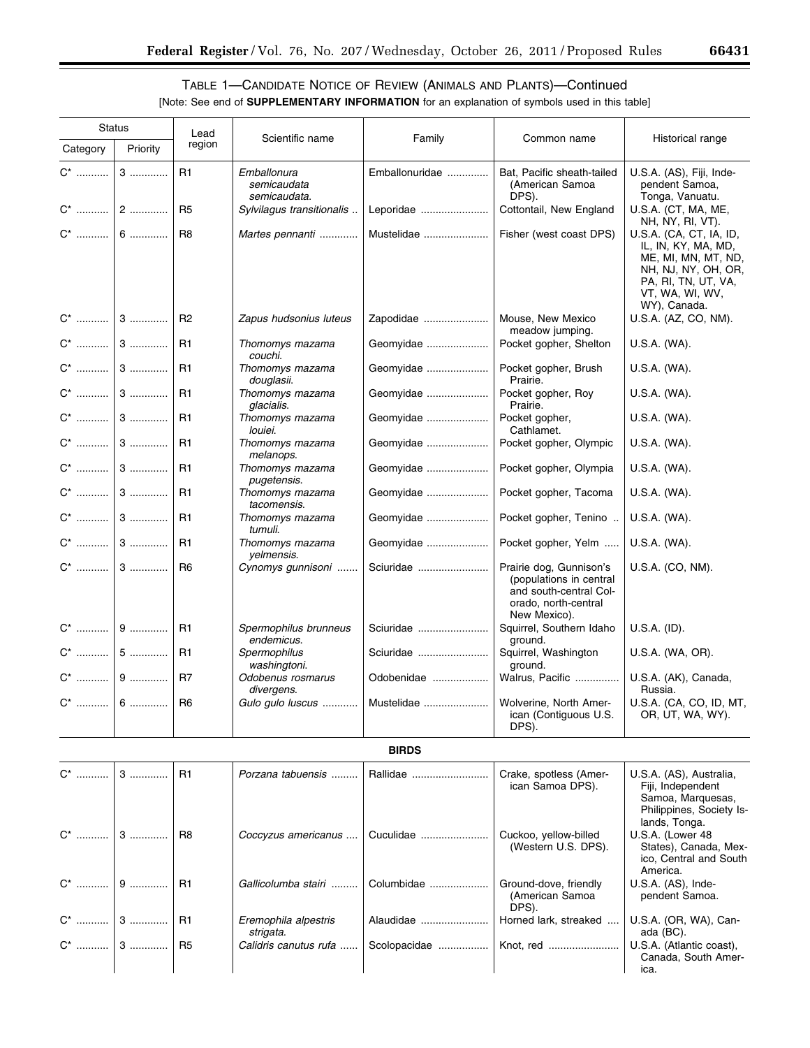▀

# TABLE 1—CANDIDATE NOTICE OF REVIEW (ANIMALS AND PLANTS)—Continued

| <b>Status</b>      |          | Lead                             |                                                                         |                             |                                                                                                                      |                                                                                                                                                                            |
|--------------------|----------|----------------------------------|-------------------------------------------------------------------------|-----------------------------|----------------------------------------------------------------------------------------------------------------------|----------------------------------------------------------------------------------------------------------------------------------------------------------------------------|
| Category           | Priority | region                           | Scientific name                                                         | Family                      | Common name                                                                                                          | Historical range                                                                                                                                                           |
| $\mathsf{C}^\star$ | $3$      | R <sub>1</sub><br>R <sub>5</sub> | Emballonura<br>semicaudata<br>semicaudata.<br>Sylvilagus transitionalis | Emballonuridae<br>Leporidae | Bat, Pacific sheath-tailed<br>(American Samoa<br>DPS).<br>Cottontail, New England                                    | U.S.A. (AS), Fiji, Inde-<br>pendent Samoa,<br>Tonga, Vanuatu.<br>U.S.A. (CT, MA, ME,                                                                                       |
|                    | 6        | R <sub>8</sub>                   | Martes pennanti                                                         | Mustelidae                  | Fisher (west coast DPS)                                                                                              | NH, NY, RI, VT).<br>U.S.A. (CA, CT, IA, ID,<br>IL, IN, KY, MA, MD,<br>ME, MI, MN, MT, ND,<br>NH, NJ, NY, OH, OR,<br>PA, RI, TN, UT, VA,<br>VT, WA, WI, WV,<br>WY), Canada. |
|                    |          | <b>R2</b>                        | Zapus hudsonius luteus                                                  | Zapodidae                   | Mouse, New Mexico<br>meadow jumping.                                                                                 | U.S.A. (AZ, CO, NM).                                                                                                                                                       |
| $C^*$              | 3        | R <sub>1</sub>                   | Thomomys mazama<br>couchi.                                              | Geomyidae                   | Pocket gopher, Shelton                                                                                               | U.S.A. (WA).                                                                                                                                                               |
| $C^*$              | $3$      | R1                               | Thomomys mazama<br>douglasii.                                           | Geomyidae                   | Pocket gopher, Brush<br>Prairie.                                                                                     | U.S.A. (WA).                                                                                                                                                               |
|                    |          | R1                               | Thomomys mazama<br>glacialis.                                           | Geomyidae                   | Pocket gopher, Roy<br>Prairie.                                                                                       | U.S.A. (WA).                                                                                                                                                               |
|                    |          | R <sub>1</sub>                   | Thomomys mazama<br>louiei.                                              | Geomyidae                   | Pocket gopher,<br>Cathlamet.                                                                                         | U.S.A. (WA).                                                                                                                                                               |
| $C^*$              | 3        | R <sub>1</sub>                   | Thomomys mazama<br>melanops.                                            | Geomyidae                   | Pocket gopher, Olympic                                                                                               | U.S.A. (WA).                                                                                                                                                               |
| $C^*$              | $3$      | R1                               | Thomomys mazama<br>pugetensis.                                          | Geomyidae                   | Pocket gopher, Olympia                                                                                               | U.S.A. (WA).                                                                                                                                                               |
| $C^*$              | 3        | R <sub>1</sub>                   | Thomomys mazama<br>tacomensis.                                          | Geomyidae                   | Pocket gopher, Tacoma                                                                                                | U.S.A. (WA).                                                                                                                                                               |
| $C^*$              | 3        | R1                               | Thomomys mazama<br>tumuli.                                              | Geomyidae                   | Pocket gopher, Tenino                                                                                                | U.S.A. (WA).                                                                                                                                                               |
| $C^*$              | 3        | R1                               | Thomomys mazama<br>yelmensis.                                           | Geomyidae                   | Pocket gopher, Yelm                                                                                                  | U.S.A. (WA).                                                                                                                                                               |
|                    |          | R <sub>6</sub>                   | Cynomys gunnisoni                                                       | Sciuridae                   | Prairie dog, Gunnison's<br>(populations in central<br>and south-central Col-<br>orado, north-central<br>New Mexico). | U.S.A. (CO, NM).                                                                                                                                                           |
|                    |          | R <sub>1</sub>                   | Spermophilus brunneus<br>endemicus.                                     | Sciuridae                   | Squirrel, Southern Idaho<br>ground.                                                                                  | U.S.A. (ID).                                                                                                                                                               |
|                    | 5        | R1                               | Spermophilus<br>washingtoni.                                            | Sciuridae                   | Squirrel, Washington<br>ground.                                                                                      | U.S.A. (WA, OR).                                                                                                                                                           |
|                    | 9        | R <sub>7</sub>                   | Odobenus rosmarus<br>divergens.                                         | Odobenidae                  | Walrus, Pacific                                                                                                      | U.S.A. (AK), Canada,<br>Russia.                                                                                                                                            |
|                    |          | R <sub>6</sub>                   | Gulo gulo luscus                                                        | Mustelidae                  | Wolverine, North Amer-<br>ican (Contiguous U.S.<br>DPS).                                                             | U.S.A. (CA, CO, ID, MT,<br>OR, UT, WA, WY).                                                                                                                                |
|                    |          |                                  |                                                                         | <b>BIRDS</b>                |                                                                                                                      |                                                                                                                                                                            |
| $C^*$              | 3        | R1                               | Porzana tabuensis                                                       | Rallidae                    | Crake, spotless (Amer-<br>ican Samoa DPS).                                                                           | U.S.A. (AS), Australia,<br>Fiji, Independent<br>Samoa, Marquesas,<br>Philippines, Society Is-<br>lands, Tonga.                                                             |
| $C^*$              | 3        | R <sub>8</sub>                   | Coccyzus americanus                                                     | Cuculidae                   | Cuckoo, yellow-billed<br>(Western U.S. DPS).                                                                         | U.S.A. (Lower 48<br>States), Canada, Mex-<br>ico, Central and South<br>America.                                                                                            |
| $C^*$              | $9$      | R1                               | Gallicolumba stairi                                                     | Columbidae                  | Ground-dove, friendly<br>(American Samoa<br>DPS).                                                                    | U.S.A. (AS), Inde-<br>pendent Samoa.                                                                                                                                       |
| $C^*$              | $3$      | R <sub>1</sub>                   | Eremophila alpestris<br>strigata.                                       | Alaudidae                   | Horned lark, streaked                                                                                                | U.S.A. (OR, WA), Can-<br>ada (BC).                                                                                                                                         |
| $C^*$              | $3$      | R <sub>5</sub>                   | Calidris canutus rufa                                                   | Scolopacidae                | Knot, red                                                                                                            | U.S.A. (Atlantic coast),<br>Canada, South Amer-<br>ica.                                                                                                                    |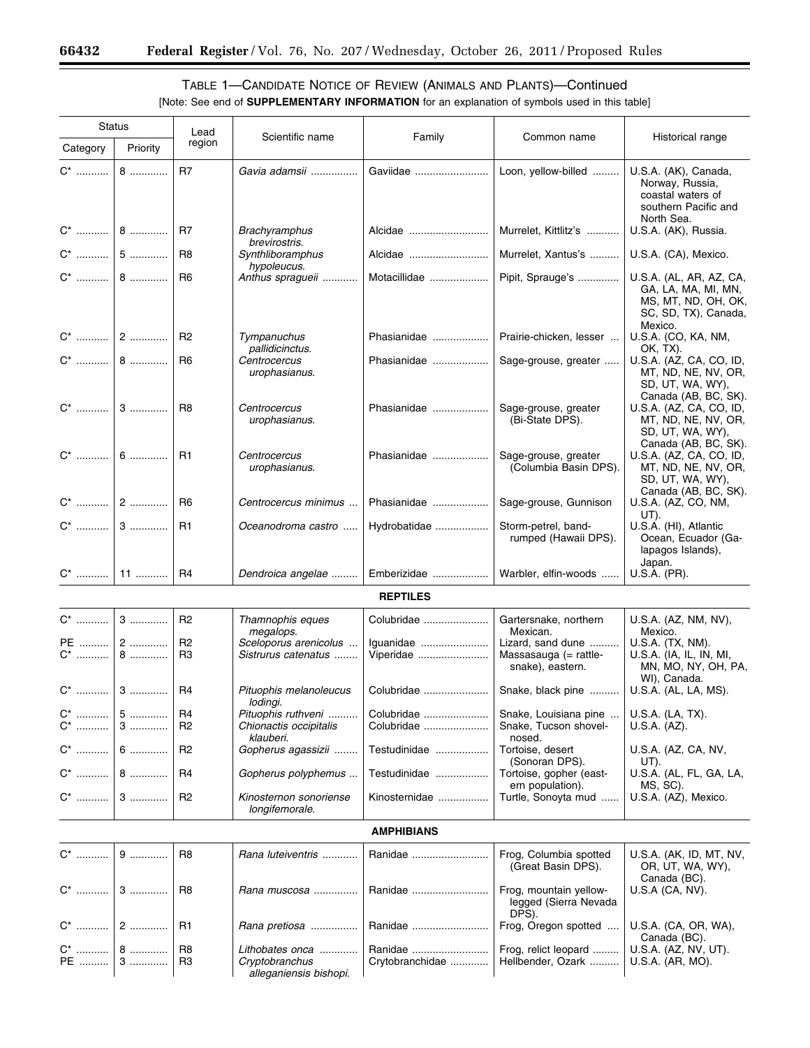۳

# TABLE 1—CANDIDATE NOTICE OF REVIEW (ANIMALS AND PLANTS)—Continued [Note: See end of **SUPPLEMENTARY INFORMATION** for an explanation of symbols used in this table]

| <b>Status</b>  |              | Lead                             |                                              |                            |                                                                |                                                                                                          |
|----------------|--------------|----------------------------------|----------------------------------------------|----------------------------|----------------------------------------------------------------|----------------------------------------------------------------------------------------------------------|
| Category       | Priority     | region                           | Scientific name                              | Family                     | Common name                                                    | Historical range                                                                                         |
| $C^*$          | $8$          | R <sub>7</sub>                   | Gavia adamsii                                | Gaviidae                   | Loon, yellow-billed                                            | U.S.A. (AK), Canada,<br>Norway, Russia,<br>coastal waters of<br>southern Pacific and<br>North Sea.       |
|                |              | R7                               | <b>Brachyramphus</b><br>brevirostris.        | Alcidae                    | Murrelet, Kittlitz's                                           | U.S.A. (AK), Russia.                                                                                     |
|                |              | R <sub>8</sub>                   | Synthliboramphus<br>hypoleucus.              | Alcidae                    | Murrelet, Xantus's                                             | U.S.A. (CA), Mexico.                                                                                     |
|                |              | R <sub>6</sub>                   | Anthus spragueii                             | Motacillidae               | Pipit, Sprauge's                                               | U.S.A. (AL, AR, AZ, CA,<br>GA, LA, MA, MI, MN,<br>MS, MT, ND, OH, OK,<br>SC, SD, TX), Canada,<br>Mexico. |
|                |              | R2                               | Tympanuchus<br>pallidicinctus.               | Phasianidae                | Prairie-chicken, lesser                                        | U.S.A. (CO, KA, NM,<br>OK, TX).                                                                          |
|                |              | R <sub>6</sub>                   | Centrocercus<br>urophasianus.                | Phasianidae                | Sage-grouse, greater                                           | U.S.A. (AZ, CA, CO, ID,<br>MT, ND, NE, NV, OR,<br>SD, UT, WA, WY),<br>Canada (AB, BC, SK).               |
|                |              | R <sub>8</sub>                   | Centrocercus<br>urophasianus.                | Phasianidae                | Sage-grouse, greater<br>(Bi-State DPS).                        | U.S.A. (AZ, CA, CO, ID,<br>MT, ND, NE, NV, OR,<br>SD, UT, WA, WY),<br>Canada (AB, BC, SK).               |
|                |              | R1                               | Centrocercus<br>urophasianus.                | Phasianidae                | Sage-grouse, greater<br>(Columbia Basin DPS).                  | U.S.A. (AZ, CA, CO, ID,<br>MT, ND, NE, NV, OR,<br>SD, UT, WA, WY),<br>Canada (AB, BC, SK).               |
|                |              | R <sub>6</sub>                   | Centrocercus minimus                         | Phasianidae                | Sage-grouse, Gunnison                                          | U.S.A. (AZ, CO, NM,<br>UT).                                                                              |
|                |              | R1                               | Oceanodroma castro                           | Hydrobatidae               | Storm-petrel, band-<br>rumped (Hawaii DPS).                    | U.S.A. (HI), Atlantic<br>Ocean, Ecuador (Ga-<br>lapagos Islands),<br>Japan.                              |
|                |              | R <sub>4</sub>                   | Dendroica angelae                            | Emberizidae                | Warbler, elfin-woods                                           | U.S.A. (PR).                                                                                             |
|                |              |                                  |                                              | <b>REPTILES</b>            |                                                                |                                                                                                          |
|                |              | R <sub>2</sub>                   | Thamnophis eques<br>megalops.                | Colubridae                 | Gartersnake, northern<br>Mexican.                              | U.S.A. (AZ, NM, NV),<br>Mexico.                                                                          |
| C* …………        | PE  2<br>$8$ | R <sub>2</sub><br>R <sub>3</sub> | Sceloporus arenicolus<br>Sistrurus catenatus | Iguanidae<br>Viperidae     | Lizard, sand dune<br>Massasauga (= rattle-<br>snake), eastern. | U.S.A. (TX, NM).<br>U.S.A. (IA, IL, IN, MI,<br>MN, MO, NY, OH, PA,<br>WI), Canada.                       |
|                |              | R4                               | Pituophis melanoleucus<br>lodingi.           | Colubridae                 | Snake, black pine                                              | U.S.A. (AL, LA, MS).                                                                                     |
| C*   <br>$C^*$ | $5$<br>$3$   | R <sub>4</sub><br>R <sub>2</sub> | Pituophis ruthveni<br>Chionactis occipitalis | Colubridae<br>Colubridae   | Snake, Louisiana pine<br>Snake, Tucson shovel-                 | U.S.A. (LA, TX).<br>U.S.A. (AZ).                                                                         |
| $C^*$          | $6$          | R <sub>2</sub>                   | klauberi.<br>Gopherus agassizii              | Testudinidae               | nosed.<br>Tortoise, desert<br>(Sonoran DPS).                   | U.S.A. (AZ, CA, NV,<br>UT).                                                                              |
| $C^*$          | 8            | R <sub>4</sub>                   | Gopherus polyphemus                          | Testudinidae               | Tortoise, gopher (east-<br>ern population).                    | U.S.A. (AL, FL, GA, LA,<br>MS, SC).                                                                      |
| C* …………        | $3$          | R <sub>2</sub>                   | Kinosternon sonoriense<br>longifemorale.     | Kinosternidae              | Turtle, Sonoyta mud                                            | U.S.A. (AZ), Mexico.                                                                                     |
|                |              |                                  |                                              | <b>AMPHIBIANS</b>          |                                                                |                                                                                                          |
| C* …………        | $9$          | R <sub>8</sub>                   | Rana luteiventris                            | Ranidae                    | Frog, Columbia spotted<br>(Great Basin DPS).                   | U.S.A. (AK, ID, MT, NV,<br>OR, UT, WA, WY),<br>Canada (BC).                                              |
|                |              | R8                               | Rana muscosa                                 | Ranidae                    | Frog, mountain yellow-<br>legged (Sierra Nevada<br>DPS).       | $U.S.A$ (CA, NV).                                                                                        |
|                |              | R <sub>1</sub>                   | Rana pretiosa                                | Ranidae                    | Frog, Oregon spotted                                           | U.S.A. (CA, OR, WA),<br>Canada (BC).                                                                     |
| $C^*$  <br>PE  | $8$<br>$3$   | R8<br>R <sub>3</sub>             | Lithobates onca<br>Cryptobranchus            | Ranidae<br>Crytobranchidae | Frog, relict leopard<br>Hellbender, Ozark                      | U.S.A. (AZ, NV, UT).<br>U.S.A. (AR, MO).                                                                 |
|                |              |                                  | alleganiensis bishopi.                       |                            |                                                                |                                                                                                          |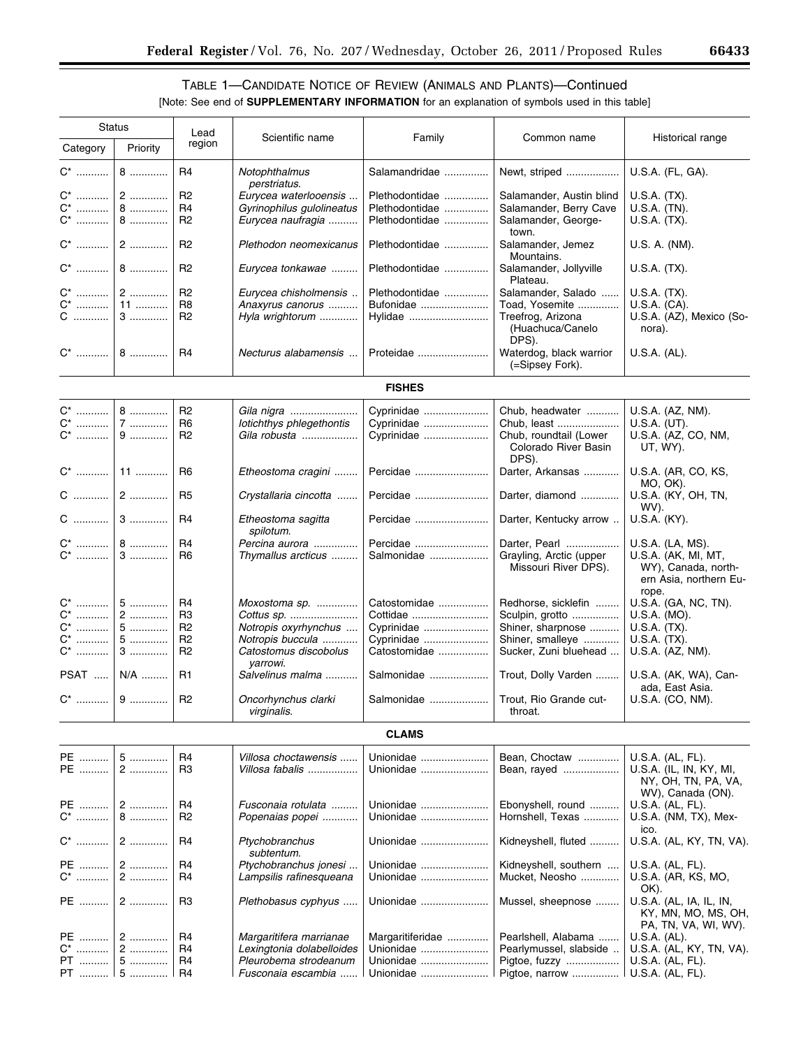# TABLE 1—CANDIDATE NOTICE OF REVIEW (ANIMALS AND PLANTS)—Continued [Note: See end of **SUPPLEMENTARY INFORMATION** for an explanation of symbols used in this table]

| Status         |            |                      |                                                  |                        |                                                         |                                                                               |
|----------------|------------|----------------------|--------------------------------------------------|------------------------|---------------------------------------------------------|-------------------------------------------------------------------------------|
| Category       | Priority   | Lead<br>region       | Scientific name                                  | Family                 | Common name                                             | Historical range                                                              |
| $C^*$          | $8$        | R <sub>4</sub>       | Notophthalmus                                    | Salamandridae          | Newt, striped                                           | U.S.A. (FL, GA).                                                              |
|                | $2$        |                      | perstriatus.                                     |                        |                                                         |                                                                               |
| C* …………        |            | R <sub>2</sub>       | Eurycea waterlooensis                            | Plethodontidae         | Salamander, Austin blind                                | U.S.A. (TX).                                                                  |
| C* …………        | $8$        | R <sub>4</sub>       | Gyrinophilus gulolineatus                        | Plethodontidae         | Salamander, Berry Cave                                  | U.S.A. (TN).                                                                  |
| C*             | $8$        | R <sub>2</sub>       | Eurycea naufragia                                | Plethodontidae         | Salamander, George-<br>town.                            | U.S.A. (TX).                                                                  |
|                |            | R <sub>2</sub>       | Plethodon neomexicanus                           | Plethodontidae         | Salamander, Jemez<br>Mountains.                         | U.S. A. (NM).                                                                 |
|                |            | R <sub>2</sub>       | Eurycea tonkawae                                 | Plethodontidae         | Salamander, Jollyville<br>Plateau.                      | $U.S.A.$ $(TX).$                                                              |
|                |            | R <sub>2</sub>       | Eurycea chisholmensis                            | Plethodontidae         | Salamander, Salado                                      | U.S.A. (TX).                                                                  |
| C*             | $11$       | R <sub>8</sub>       | Anaxyrus canorus                                 | Bufonidae              | Toad, Yosemite                                          | U.S.A. (CA).                                                                  |
| C …………         | $3$        | R <sub>2</sub>       | Hyla wrightorum                                  | Hylidae                | Treefrog, Arizona<br>(Huachuca/Canelo<br>DPS).          | U.S.A. (AZ), Mexico (So-<br>nora).                                            |
|                |            | R <sub>4</sub>       | Necturus alabamensis                             | Proteidae              | Waterdog, black warrior<br>(=Sipsey Fork).              | U.S.A. (AL).                                                                  |
|                |            |                      |                                                  | <b>FISHES</b>          |                                                         |                                                                               |
| C*             | $8$        | R <sub>2</sub>       | Gila nigra                                       | Cyprinidae             | Chub, headwater                                         | U.S.A. (AZ, NM).                                                              |
| C*             | 7          | R <sub>6</sub>       | lotichthys phlegethontis                         | Cyprinidae             | Chub, least                                             | U.S.A. (UT).                                                                  |
|                |            |                      |                                                  |                        |                                                         |                                                                               |
| C*             | 9          | R <sub>2</sub>       | Gila robusta                                     | Cyprinidae             | Chub, roundtail (Lower<br>Colorado River Basin<br>DPS). | U.S.A. (AZ, CO, NM,<br>UT, WY).                                               |
|                |            | R <sub>6</sub>       | Etheostoma cragini                               | Percidae               | Darter, Arkansas                                        | U.S.A. (AR, CO, KS,<br>MO, OK).                                               |
|                |            | R <sub>5</sub>       | Crystallaria cincotta                            | Percidae               | Darter, diamond                                         | U.S.A. (KY, OH, TN,<br>WV).                                                   |
|                |            | R <sub>4</sub>       | Etheostoma sagitta<br>spilotum.                  | Percidae               | Darter, Kentucky arrow                                  | U.S.A. (KY).                                                                  |
|                |            | R <sub>4</sub>       | Percina aurora                                   | Percidae               | Darter, Pearl                                           | U.S.A. (LA, MS).                                                              |
| C*             | $3$        | R <sub>6</sub>       | Thymallus arcticus                               | Salmonidae             | Grayling, Arctic (upper<br>Missouri River DPS).         | U.S.A. (AK, MI, MT,<br>WY), Canada, north-<br>ern Asia, northern Eu-<br>rope. |
| C*             | $5$        | R <sub>4</sub>       | Moxostoma sp.                                    | Catostomidae           | Redhorse, sicklefin                                     | U.S.A. (GA, NC, TN).                                                          |
| C*             | 2          | R <sub>3</sub>       |                                                  | Cottidae               |                                                         |                                                                               |
|                |            |                      | Cottus sp.                                       |                        | Sculpin, grotto                                         | U.S.A. (MO).                                                                  |
| $C^*$          | $5$        | R <sub>2</sub>       | Notropis oxyrhynchus                             | Cyprinidae             | Shiner, sharpnose                                       | U.S.A. (TX).                                                                  |
| C* …………        | $5$        | R <sub>2</sub>       | Notropis buccula                                 | Cyprinidae             | Shiner, smalleye                                        | U.S.A. (TX).                                                                  |
| C* …………        | $3$        | R <sub>2</sub>       | Catostomus discobolus<br>yarrowi.                | Catostomidae           | Sucker, Zuni bluehead                                   | U.S.A. (AZ, NM).                                                              |
| <b>PSAT </b>   | N/A        | R1                   | Salvelinus malma                                 | Salmonidae             | Trout, Dolly Varden                                     | U.S.A. (AK, WA), Can-<br>ada, East Asia.                                      |
|                |            | R <sub>2</sub>       | Oncorhynchus clarki<br>virginalis.               | Salmonidae             | Trout, Rio Grande cut-<br>throat.                       | U.S.A. (CO, NM).                                                              |
|                |            |                      |                                                  | <b>CLAMS</b>           |                                                         |                                                                               |
| PE             | 5          | R4                   | Villosa choctawensis                             | Unionidae              |                                                         | U.S.A. (AL, FL).                                                              |
| PE             | $2$        | R <sub>3</sub>       | Villosa fabalis                                  | Unionidae              | Bean, Choctaw<br>Bean, rayed                            | U.S.A. (IL, IN, KY, MI,<br>NY, OH, TN, PA, VA,                                |
|                |            |                      |                                                  |                        |                                                         | WV), Canada (ON).                                                             |
| PE   <br>$C^*$ | $2$<br>$8$ | R4<br>R <sub>2</sub> | Fusconaia rotulata<br>Popenaias popei            | Unionidae<br>Unionidae | Ebonyshell, round<br>Hornshell, Texas                   | U.S.A. (AL, FL).<br>U.S.A. (NM, TX), Mex-                                     |
| C*             | $2$        | R4                   | Ptychobranchus                                   | Unionidae              | Kidneyshell, fluted                                     | ico.<br>U.S.A. (AL, KY, TN, VA).                                              |
|                |            |                      | subtentum.                                       |                        |                                                         |                                                                               |
| PE   <br>$C^*$ | $2$<br>2   | R <sub>4</sub><br>R4 | Ptychobranchus jonesi<br>Lampsilis rafinesqueana | Unionidae<br>Unionidae | Kidneyshell, southern<br>Mucket, Neosho                 | U.S.A. (AL, FL).<br>U.S.A. (AR, KS, MO,<br>OK).                               |
| PE             | $2$        | R <sub>3</sub>       | Plethobasus cyphyus                              | Unionidae              | Mussel, sheepnose                                       | U.S.A. (AL, IA, IL, IN,<br>KY, MN, MO, MS, OH,<br>PA, TN, VA, WI, WV).        |
| PE ……….        | 2          | R4                   | Margaritifera marrianae                          | Margaritiferidae       | Pearlshell, Alabama                                     | U.S.A. (AL).                                                                  |
|                | 2          |                      |                                                  |                        |                                                         |                                                                               |
| C* …………        |            | R <sub>4</sub>       | Lexingtonia dolabelloides                        | Unionidae              | Pearlymussel, slabside                                  | U.S.A. (AL, KY, TN, VA).                                                      |
| PT             | $5$        | R <sub>4</sub>       | Pleurobema strodeanum                            | Unionidae              | Pigtoe, fuzzy                                           | U.S.A. (AL, FL).                                                              |
|                |            | R <sub>4</sub>       | Fusconaia escambia                               |                        | Pigtoe, narrow                                          | U.S.A. (AL, FL).                                                              |

۰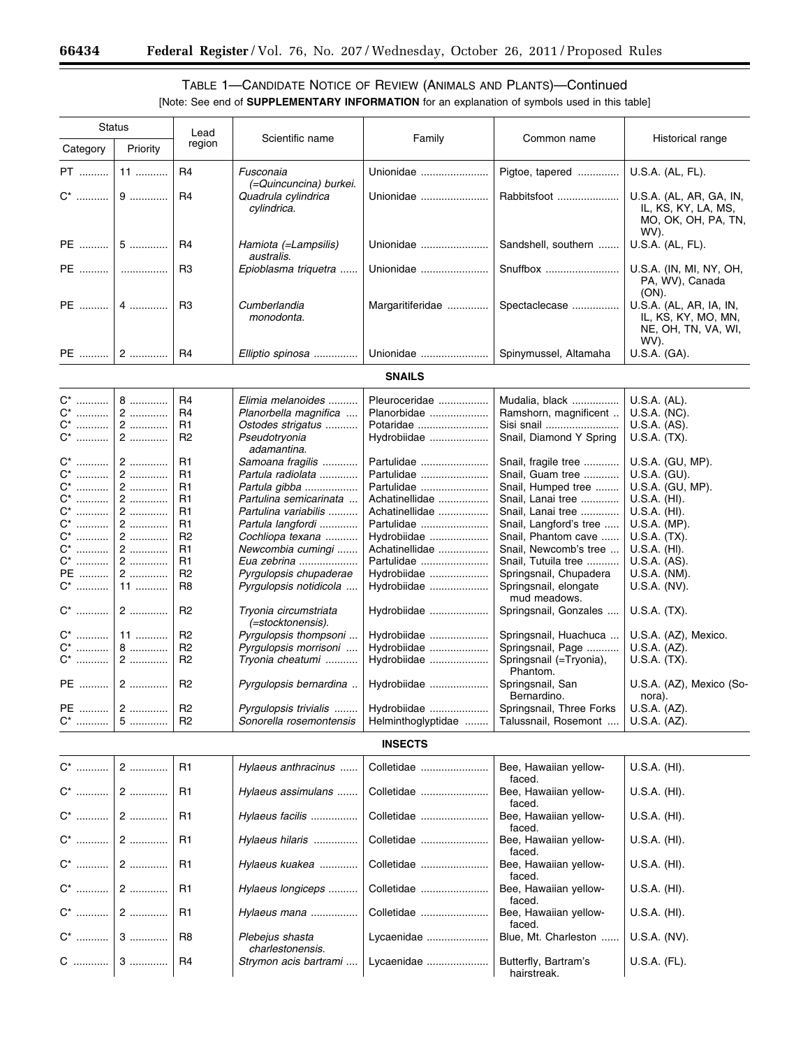۳

# TABLE 1—CANDIDATE NOTICE OF REVIEW (ANIMALS AND PLANTS)—Continued

| <b>Status</b>           |           | Lead                             |                                                   |                                   |                                                                 |                                                                               |
|-------------------------|-----------|----------------------------------|---------------------------------------------------|-----------------------------------|-----------------------------------------------------------------|-------------------------------------------------------------------------------|
| Category                | Priority  | region                           | Scientific name                                   | Family                            | Common name                                                     | Historical range                                                              |
| PT                      | $11$      | R <sub>4</sub>                   | Fusconaia<br>(=Quincuncina) burkei.               | Unionidae                         | Pigtoe, tapered                                                 | U.S.A. (AL, FL).                                                              |
| $C^*$                   | 9         | R <sub>4</sub>                   | Quadrula cylindrica<br>cylindrica.                | Unionidae                         | Rabbitsfoot                                                     | U.S.A. (AL, AR, GA, IN,<br>IL, KS, KY, LA, MS,<br>MO, OK, OH, PA, TN,<br>WV). |
| PE                      | 5         | R <sub>4</sub>                   | Hamiota (=Lampsilis)<br>australis.                | Unionidae                         | Sandshell, southern                                             | U.S.A. (AL, FL).                                                              |
| PE                      | .         | R <sub>3</sub>                   | Epioblasma triquetra                              | Unionidae                         | Snuffbox                                                        | U.S.A. (IN, MI, NY, OH,<br>PA, WV), Canada<br>$(ON)$ .                        |
| <b>PE</b>               | $4$       | R <sub>3</sub>                   | Cumberlandia<br>monodonta.                        | Margaritiferidae                  | Spectaclecase                                                   | U.S.A. (AL, AR, IA, IN,<br>IL, KS, KY, MO, MN,<br>NE, OH, TN, VA, WI,<br>WV). |
| PE                      | 2         | R <sub>4</sub>                   | Elliptio spinosa                                  | Unionidae                         | Spinymussel, Altamaha                                           | U.S.A. (GA).                                                                  |
|                         |           |                                  |                                                   | <b>SNAILS</b>                     |                                                                 |                                                                               |
| C <sup>*</sup>          | 8         | R <sub>4</sub>                   | Elimia melanoides                                 | Pleuroceridae                     | Mudalia, black                                                  | U.S.A. (AL).                                                                  |
| $C^*$                   | $2$       | R <sub>4</sub>                   | Planorbella magnifica                             | Planorbidae                       | Ramshorn, magnificent                                           | U.S.A. (NC).                                                                  |
| C <sup>*</sup><br>$C^*$ | 2<br>$2$  | R1<br>R <sub>2</sub>             | Ostodes strigatus<br>Pseudotryonia<br>adamantina. | Potaridae<br>Hydrobiidae          | Sisi snail<br>Snail, Diamond Y Spring                           | U.S.A. (AS).<br>U.S.A. (TX).                                                  |
| $C^*$                   | $2$       | R <sub>1</sub>                   | Samoana fragilis                                  | Partulidae                        | Snail, fragile tree                                             | U.S.A. (GU, MP).                                                              |
| C <sup>*</sup>          | 2         | R <sub>1</sub>                   | Partula radiolata                                 | Partulidae                        | Snail, Guam tree                                                | U.S.A. (GU).                                                                  |
| $C^*$                   | 2         | R1                               | Partula gibba                                     | Partulidae                        | Snail, Humped tree                                              | U.S.A. (GU, MP).                                                              |
| $C^*$                   | 2         | R <sub>1</sub>                   | Partulina semicarinata                            | Achatinellidae                    | Snail, Lanai tree                                               | $U.S.A.$ (HI).                                                                |
| $C^*$                   | 2         | R <sub>1</sub>                   | Partulina variabilis                              | Achatinellidae                    | Snail, Lanai tree                                               | U.S.A. (HI).                                                                  |
| $C^*$                   | $2$       | R <sub>1</sub>                   | Partula langfordi                                 | Partulidae                        | Snail, Langford's tree                                          | U.S.A. (MP).                                                                  |
| $C^*$                   | 2         | R <sub>2</sub>                   | Cochliopa texana                                  | Hydrobiidae                       | Snail, Phantom cave                                             | U.S.A. (TX).                                                                  |
| $C^*$                   | 2         | R <sub>1</sub>                   | Newcombia cumingi                                 | Achatinellidae                    | Snail, Newcomb's tree                                           | U.S.A. (HI).                                                                  |
|                         |           |                                  |                                                   |                                   |                                                                 |                                                                               |
| $C^*$                   | $2$       | R1                               | Eua zebrina                                       | Partulidae                        | Snail, Tutuila tree                                             | U.S.A. (AS).                                                                  |
| PE<br>$\mathrm{C}^*$    | 2<br>$11$ | R <sub>2</sub><br>R <sub>8</sub> | Pyrgulopsis chupaderae<br>Pyrgulopsis notidicola  | Hydrobiidae<br>Hydrobiidae        | Springsnail, Chupadera<br>Springsnail, elongate<br>mud meadows. | U.S.A. (NM).<br>U.S.A. (NV).                                                  |
| $C^*$                   | $2$       | R <sub>2</sub>                   | Tryonia circumstriata<br>(=stocktonensis).        | Hydrobiidae                       | Springsnail, Gonzales                                           | U.S.A. (TX).                                                                  |
| $C^*$                   | 11        | R <sub>2</sub>                   | Pyrgulopsis thompsoni                             | Hydrobiidae                       | Springsnail, Huachuca                                           | U.S.A. (AZ), Mexico.                                                          |
| $C^*$                   | 8         | R <sub>2</sub>                   | Pyrgulopsis morrisoni                             | Hydrobiidae                       | Springsnail, Page                                               | U.S.A. (AZ).                                                                  |
| $\mathrm{C}^*$          | $2$       | R <sub>2</sub>                   | Tryonia cheatumi                                  | Hydrobiidae                       | Springsnail (=Tryonia),<br>Phantom.                             | U.S.A. (TX).                                                                  |
| <b>PE</b>               | $2$       | R <sub>2</sub>                   | Pyrgulopsis bernardina                            | Hydrobiidae                       | Springsnail, San<br>Bernardino.                                 | U.S.A. (AZ), Mexico (So-<br>nora).                                            |
| PE<br>C*                | $2$<br>5  | R <sub>2</sub><br>R <sub>2</sub> | Pyrgulopsis trivialis<br>Sonorella rosemontensis  | Hydrobiidae<br>Helminthoglyptidae | Springsnail, Three Forks<br>Talussnail, Rosemont                | U.S.A. (AZ).<br>U.S.A. (AZ).                                                  |
|                         |           |                                  |                                                   | <b>INSECTS</b>                    |                                                                 |                                                                               |
| $C^*$                   | $2$       | R <sub>1</sub>                   | Hylaeus anthracinus                               | Colletidae                        | Bee, Hawaiian yellow-<br>faced.                                 | U.S.A. (HI).                                                                  |
| $C^*$                   | $2$       | R1                               | Hylaeus assimulans                                | Colletidae                        | Bee, Hawaiian yellow-<br>faced.                                 | U.S.A. (HI).                                                                  |
| $\mathrm{C}^*$          | 2         | R1                               | Hylaeus facilis                                   | Colletidae                        | Bee, Hawaiian yellow-<br>faced.                                 | $U.S.A.$ (HI).                                                                |
| C <sup>*</sup>          | 2         | R1                               | Hylaeus hilaris                                   | Colletidae                        | Bee, Hawaiian yellow-<br>faced.                                 | U.S.A. (HI).                                                                  |
| $C^*$                   | 2         | R1                               | Hylaeus kuakea                                    | Colletidae                        | Bee, Hawaiian yellow-<br>faced.                                 | U.S.A. (HI).                                                                  |
| C <sup>*</sup>          | $2$       | R1                               | Hylaeus longiceps                                 | Colletidae                        | Bee, Hawaiian yellow-<br>faced.                                 | U.S.A. (HI).                                                                  |
| $C^*$                   | $2$       | R1                               | Hylaeus mana                                      | Colletidae                        | Bee, Hawaiian yellow-<br>faced.                                 | U.S.A. (HI).                                                                  |
| $C^*$                   | $3$       | R <sub>8</sub>                   | Plebejus shasta<br>charlestonensis.               | Lycaenidae                        | Blue, Mt. Charleston                                            | U.S.A. (NV).                                                                  |
| C                       | $3$       | R <sub>4</sub>                   | Strymon acis bartrami                             | Lycaenidae                        | Butterfly, Bartram's<br>hairstreak.                             | U.S.A. (FL).                                                                  |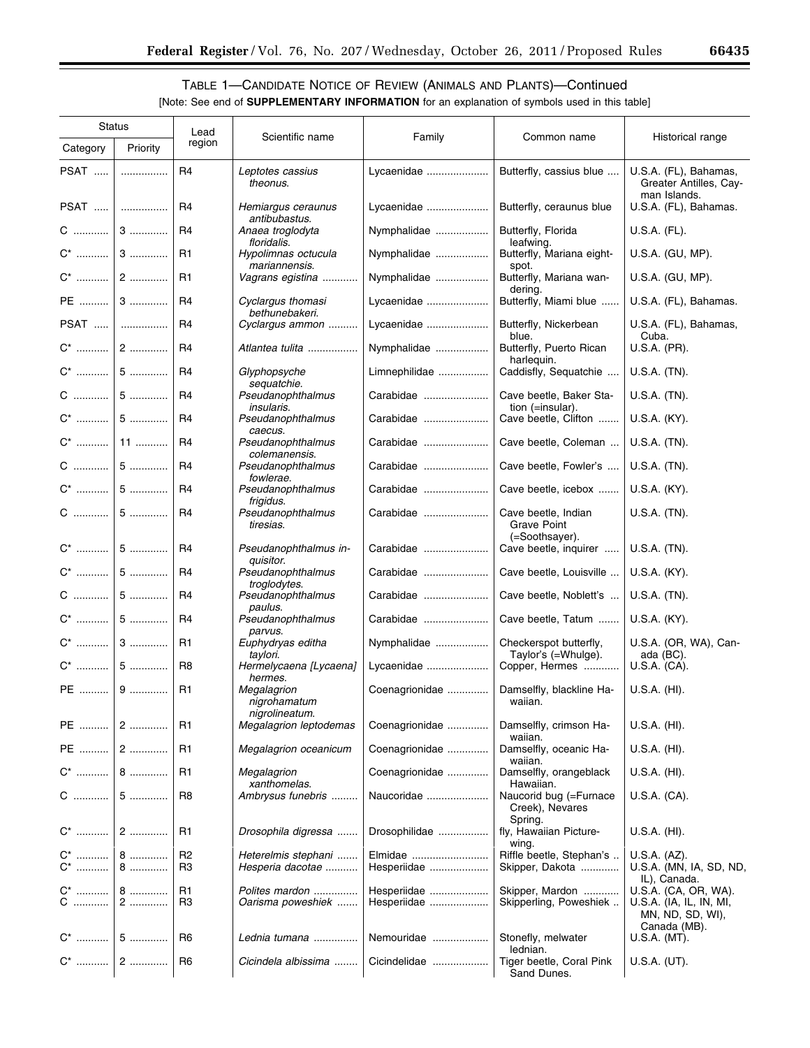# TABLE 1—CANDIDATE NOTICE OF REVIEW (ANIMALS AND PLANTS)—Continued

| <b>Status</b> |          | Lead                             |                                               |                            |                                                      |                                                                                     |
|---------------|----------|----------------------------------|-----------------------------------------------|----------------------------|------------------------------------------------------|-------------------------------------------------------------------------------------|
| Category      | Priority | region                           | Scientific name                               | Family                     | Common name                                          | Historical range                                                                    |
| PSAT          | .        | R4                               | Leptotes cassius<br>theonus.                  | Lycaenidae                 | Butterfly, cassius blue                              | U.S.A. (FL), Bahamas,<br>Greater Antilles, Cay-<br>man Islands.                     |
|               | PSAT     | R <sub>4</sub>                   | Hemiargus ceraunus<br>antibubastus.           | Lycaenidae                 | Butterfly, ceraunus blue                             | U.S.A. (FL), Bahamas.                                                               |
|               | $C$ 3    | R <sub>4</sub>                   | Anaea troglodyta<br>floridalis.               | Nymphalidae                | Butterfly, Florida<br>leafwing.                      | U.S.A. (FL).                                                                        |
|               |          | R1                               | Hypolimnas octucula<br>mariannensis.          | Nymphalidae                | Butterfly, Mariana eight-<br>spot.                   | U.S.A. (GU, MP).                                                                    |
|               |          | R1                               | Vagrans egistina                              | Nymphalidae                | Butterfly, Mariana wan-<br>dering.                   | U.S.A. (GU, MP).                                                                    |
| PE  3         |          | R <sub>4</sub>                   | Cyclargus thomasi<br>bethunebakeri.           | Lycaenidae                 | Butterfly, Miami blue                                | U.S.A. (FL), Bahamas.                                                               |
| PSAT          |          | R4                               | Cyclargus ammon                               | Lycaenidae                 | Butterfly, Nickerbean                                | U.S.A. (FL), Bahamas,                                                               |
|               |          | R <sub>4</sub>                   | Atlantea tulita                               | Nymphalidae                | blue.<br>Butterfly, Puerto Rican                     | Cuba.<br>U.S.A. (PR).                                                               |
|               |          | R4                               | Glyphopsyche                                  | Limnephilidae              | harleguin.<br>Caddisfly, Sequatchie                  | U.S.A. (TN).                                                                        |
|               |          | R <sub>4</sub>                   | sequatchie.<br>Pseudanophthalmus              | Carabidae                  | Cave beetle, Baker Sta-                              | U.S.A. (TN).                                                                        |
|               |          | R <sub>4</sub>                   | <i>insularis.</i><br>Pseudanophthalmus        | Carabidae                  | tion (=insular).<br>Cave beetle, Clifton             | U.S.A. (KY).                                                                        |
|               |          | R <sub>4</sub>                   | caecus.<br>Pseudanophthalmus                  | Carabidae                  | Cave beetle, Coleman                                 | U.S.A. (TN).                                                                        |
|               |          | R4                               | colemanensis.<br>Pseudanophthalmus            | Carabidae                  | Cave beetle, Fowler's                                | U.S.A. (TN).                                                                        |
|               |          | R <sub>4</sub>                   | fowlerae.<br>Pseudanophthalmus                | Carabidae                  | Cave beetle, icebox                                  | U.S.A. (KY).                                                                        |
|               | $C$   5  | R <sub>4</sub>                   | frigidus.<br>Pseudanophthalmus<br>tiresias.   | Carabidae                  | Cave beetle, Indian<br>Grave Point                   | U.S.A. (TN).                                                                        |
|               |          | R <sub>4</sub>                   | Pseudanophthalmus in-<br>quisitor.            | Carabidae                  | (=Soothsayer).<br>Cave beetle, inquirer              | U.S.A. (TN).                                                                        |
|               |          | R <sub>4</sub>                   | Pseudanophthalmus<br>troglodytes.             | Carabidae                  | Cave beetle, Louisville                              | U.S.A. (KY).                                                                        |
|               | $C$ 5    | R <sub>4</sub>                   | Pseudanophthalmus<br>paulus.                  | Carabidae                  | Cave beetle, Noblett's                               | U.S.A. (TN).                                                                        |
|               |          | R <sub>4</sub>                   | Pseudanophthalmus<br>parvus.                  | Carabidae                  | Cave beetle, Tatum                                   | U.S.A. (KY).                                                                        |
|               |          | R <sub>1</sub>                   | Euphydryas editha<br>taylori.                 | Nymphalidae                | Checkerspot butterfly,<br>Taylor's (=Whulge).        | U.S.A. (OR, WA), Can-<br>ada (BC).                                                  |
|               |          | R <sub>8</sub>                   | Hermelycaena [Lycaena]<br>hermes.             | Lycaenidae                 | Copper, Hermes                                       | U.S.A. (CA).                                                                        |
| PE    9       |          | R <sub>1</sub>                   | Megalagrion<br>nigrohamatum<br>nigrolineatum. | Coenagrionidae             | Damselfly, blackline Ha-<br>waiian.                  | U.S.A. (HI).                                                                        |
| PE  2         |          | R <sub>1</sub>                   | <b>Megalagrion leptodemas</b>                 | Coenagrionidae             | Damselfly, crimson Ha-<br>waiian.                    | U.S.A. (HI).                                                                        |
|               | $PE$   2 | R <sub>1</sub>                   | Megalagrion oceanicum                         | Coenagrionidae             | Damselfly, oceanic Ha-<br>waiian.                    | U.S.A. (HI).                                                                        |
|               |          | R1                               | Megalagrion<br>xanthomelas.                   | Coenagrionidae             | Damselfly, orangeblack<br>Hawaiian.                  | U.S.A. (HI).                                                                        |
|               |          | R <sub>8</sub>                   | Ambrysus funebris                             | Naucoridae                 | Naucorid bug (=Furnace<br>Creek), Nevares<br>Spring. | U.S.A. (CA).                                                                        |
|               |          | R1                               | Drosophila digressa                           | Drosophilidae              | fly, Hawaiian Picture-<br>wing.                      | U.S.A. (HI).                                                                        |
| $C^*$ 8       |          | <b>R2</b><br>R <sub>3</sub>      | Heterelmis stephani<br>Hesperia dacotae       | Elmidae<br>Hesperiidae     | Riffle beetle, Stephan's<br>Skipper, Dakota          | U.S.A. (AZ).<br>U.S.A. (MN, IA, SD, ND,                                             |
|               |          | R <sub>1</sub><br>R <sub>3</sub> | Polites mardon<br>Oarisma poweshiek           | Hesperiidae<br>Hesperiidae | Skipper, Mardon<br>Skipperling, Poweshiek            | IL), Canada.<br>U.S.A. (CA, OR, WA).<br>U.S.A. (IA, IL, IN, MI,<br>MN, ND, SD, WI), |
|               |          | R <sub>6</sub>                   | Lednia tumana                                 | Nemouridae                 | Stonefly, melwater<br>lednian.                       | Canada (MB).<br>U.S.A. (MT).                                                        |
|               |          | R <sub>6</sub>                   | Cicindela albissima                           | Cicindelidae               | Tiger beetle, Coral Pink<br>Sand Dunes.              | U.S.A. (UT).                                                                        |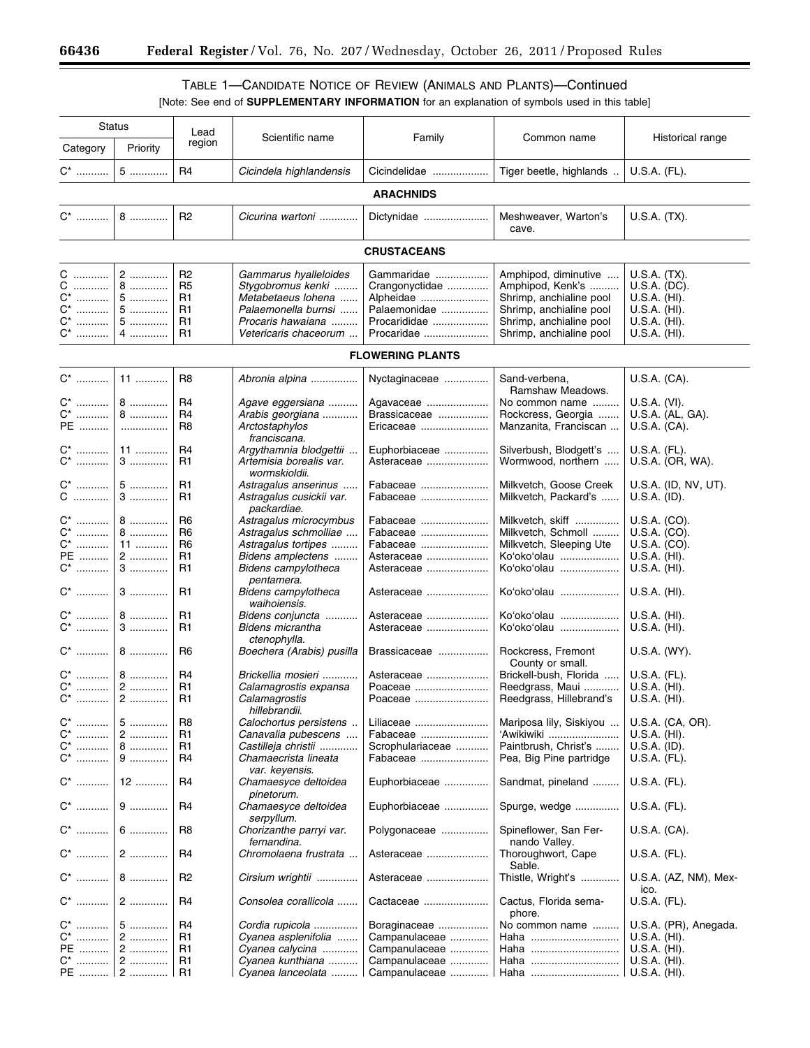-

# TABLE 1—CANDIDATE NOTICE OF REVIEW (ANIMALS AND PLANTS)—Continued

|                                                                        | <b>Status</b>                  | Lead                                                                 |                                                                                                                                       |                                                                                         |                                                                                                                                                      |                                                                                              |  |  |
|------------------------------------------------------------------------|--------------------------------|----------------------------------------------------------------------|---------------------------------------------------------------------------------------------------------------------------------------|-----------------------------------------------------------------------------------------|------------------------------------------------------------------------------------------------------------------------------------------------------|----------------------------------------------------------------------------------------------|--|--|
| Category                                                               | Priority                       | region                                                               | Scientific name                                                                                                                       | Family                                                                                  | Common name                                                                                                                                          | Historical range                                                                             |  |  |
| $C^*$                                                                  | $5$                            | R <sub>4</sub>                                                       | Cicindela highlandensis                                                                                                               | Cicindelidae                                                                            | Tiger beetle, highlands                                                                                                                              | U.S.A. (FL).                                                                                 |  |  |
| <b>ARACHNIDS</b>                                                       |                                |                                                                      |                                                                                                                                       |                                                                                         |                                                                                                                                                      |                                                                                              |  |  |
| $C^*$                                                                  | $8$                            | R <sub>2</sub>                                                       | Cicurina wartoni                                                                                                                      | Dictynidae                                                                              | Meshweaver, Warton's<br>cave.                                                                                                                        | U.S.A. (TX).                                                                                 |  |  |
|                                                                        |                                |                                                                      |                                                                                                                                       | <b>CRUSTACEANS</b>                                                                      |                                                                                                                                                      |                                                                                              |  |  |
| C<br>С<br>.<br>$C^*$<br>$\mathrm{C}^*$<br>$C^*$<br>.<br>$\mathrm{C}^*$ | 2<br>$8$<br>5<br>$5$<br>5<br>4 | R <sub>2</sub><br>R <sub>5</sub><br>R1<br>R1<br>R <sub>1</sub><br>R1 | Gammarus hyalleloides<br>Stygobromus kenki<br>Metabetaeus Iohena<br>Palaemonella burnsi<br>Procaris hawaiana<br>Vetericaris chaceorum | Gammaridae<br>Crangonyctidae<br>Alpheidae<br>Palaemonidae<br>Procarididae<br>Procaridae | Amphipod, diminutive<br>Amphipod, Kenk's<br>Shrimp, anchialine pool<br>Shrimp, anchialine pool<br>Shrimp, anchialine pool<br>Shrimp, anchialine pool | U.S.A. (TX).<br>U.S.A. (DC).<br>U.S.A. (HI).<br>U.S.A. (HI).<br>U.S.A. (HI).<br>U.S.A. (HI). |  |  |
|                                                                        |                                |                                                                      |                                                                                                                                       | <b>FLOWERING PLANTS</b>                                                                 |                                                                                                                                                      |                                                                                              |  |  |
| $C^*$                                                                  | 11                             | R <sub>8</sub>                                                       | Abronia alpina                                                                                                                        | Nyctaginaceae                                                                           | Sand-verbena,                                                                                                                                        | U.S.A. (CA).                                                                                 |  |  |
| $C^*$<br>$C^*$<br>PE                                                   | 8<br>8<br>.                    | R <sub>4</sub><br>R <sub>4</sub><br>R <sub>8</sub>                   | Agave eggersiana<br>Arabis georgiana<br>Arctostaphylos                                                                                | Agavaceae<br>Brassicaceae<br>Ericaceae                                                  | Ramshaw Meadows.<br>No common name<br>Rockcress, Georgia<br>Manzanita, Franciscan                                                                    | U.S.A. (VI).<br>U.S.A. (AL, GA).<br>U.S.A. (CA).                                             |  |  |
| $C^*$<br>$\mathrm{C}^*$                                                | 11<br>$3$                      | R <sub>4</sub><br>R1                                                 | franciscana.<br>Argythamnia blodgettii<br>Artemisia borealis var.<br>wormskioldii.                                                    | Euphorbiaceae<br>Asteraceae                                                             | Silverbush, Blodgett's<br>Wormwood, northern                                                                                                         | U.S.A. (FL).<br>U.S.A. (OR, WA).                                                             |  |  |
| C <sup>*</sup><br>C                                                    | 5<br>$3$                       | R1<br>R1                                                             | Astragalus anserinus<br>Astragalus cusickii var.<br>packardiae.                                                                       | Fabaceae<br>Fabaceae                                                                    | Milkvetch, Goose Creek<br>Milkvetch, Packard's                                                                                                       | U.S.A. (ID, NV, UT).<br>$U.S.A.$ (ID).                                                       |  |  |
| $C^*$<br>$C^*$<br>$\mathsf{C}^\star$<br>PE                             | 8<br>$8$<br>$11$<br>$2$        | R <sub>6</sub><br>R <sub>6</sub><br>R <sub>6</sub><br>R1             | Astragalus microcymbus<br>Astragalus schmolliae<br>Astragalus tortipes<br>Bidens amplectens                                           | Fabaceae<br>Fabaceae<br>Fabaceae<br>Asteraceae                                          | Milkvetch, skiff<br>Milkvetch, Schmoll<br>Milkvetch, Sleeping Ute<br>Ko'oko'olau                                                                     | U.S.A. (CO).<br>U.S.A. (CO).<br>U.S.A. (CO).<br>U.S.A. (HI).                                 |  |  |
| $\mathrm{C}^*$                                                         | $3$                            | R1                                                                   | Bidens campylotheca<br>pentamera.                                                                                                     | Asteraceae                                                                              | Ko'oko'olau                                                                                                                                          | U.S.A. (HI).                                                                                 |  |  |
| $C^*$<br>$C^*$                                                         | $3$<br>$8$                     | R1<br>R1                                                             | Bidens campylotheca<br>waihoiensis.<br>Bidens conjuncta                                                                               | Asteraceae<br>Asteraceae                                                                | Ko'oko'olau<br>Ko'oko'olau                                                                                                                           | U.S.A. (HI).<br>$U.S.A.$ (HI).                                                               |  |  |
| $C^*$                                                                  | $3$                            | R1                                                                   | Bidens micrantha<br>ctenophylla.                                                                                                      | Asteraceae                                                                              | Ko'oko'olau                                                                                                                                          | U.S.A. (HI).                                                                                 |  |  |
| $\mathrm{C}^*$                                                         | $8$                            | R <sub>6</sub>                                                       | Boechera (Arabis) pusilla                                                                                                             | Brassicaceae                                                                            | Rockcress, Fremont<br>County or small.                                                                                                               | U.S.A. (WY).                                                                                 |  |  |
| C* …………<br>$C^*$                                                       | 8<br>2                         | R <sub>4</sub>                                                       | Brickellia mosieri                                                                                                                    | Asteraceae                                                                              | Brickell-bush, Florida                                                                                                                               | U.S.A. (FL).                                                                                 |  |  |
| $C^*$                                                                  | 2                              | R1<br>R <sub>1</sub>                                                 | Calamagrostis expansa<br>Calamagrostis<br>hillebrandii.                                                                               | Poaceae<br>Poaceae                                                                      | Reedgrass, Maui<br>Reedgrass, Hillebrand's                                                                                                           | U.S.A. (HI).<br>U.S.A. (HI).                                                                 |  |  |
| $C^*$<br>$C^*$<br>.<br>$C^*$<br>$C^*$                                  | $5$<br>$2$<br>8<br>$9$         | R <sub>8</sub><br>R1<br>R1<br>R4                                     | Calochortus persistens<br>Canavalia pubescens<br>Castilleja christii<br>Chamaecrista lineata                                          | Liliaceae<br>Fabaceae<br>Scrophulariaceae<br>Fabaceae                                   | Mariposa lily, Siskiyou<br>'Awikiwiki<br>Paintbrush, Christ's<br>Pea, Big Pine partridge                                                             | U.S.A. (CA, OR).<br>U.S.A. (HI).<br>U.S.A. (ID).<br>U.S.A. (FL).                             |  |  |
| $C^*$                                                                  | $12$                           | R4                                                                   | var. keyensis.<br>Chamaesyce deltoidea<br>pinetorum.                                                                                  | Euphorbiaceae                                                                           | Sandmat, pineland                                                                                                                                    | U.S.A. (FL).                                                                                 |  |  |
| $\mathrm{C}^*$                                                         | $9$                            | R4                                                                   | Chamaesyce deltoidea<br>serpyllum.                                                                                                    | Euphorbiaceae                                                                           | Spurge, wedge                                                                                                                                        | U.S.A. (FL).                                                                                 |  |  |
| $C^*$                                                                  | 6                              | R <sub>8</sub>                                                       | Chorizanthe parryi var.<br>fernandina.                                                                                                | Polygonaceae                                                                            | Spineflower, San Fer-<br>nando Valley.                                                                                                               | U.S.A. (CA).                                                                                 |  |  |
| $C^*$                                                                  | $2$                            | R4                                                                   | Chromolaena frustrata                                                                                                                 | Asteraceae                                                                              | Thoroughwort, Cape<br>Sable.                                                                                                                         | U.S.A. (FL).                                                                                 |  |  |
| $C^*$<br>$C^*$                                                         | $8$                            | R <sub>2</sub>                                                       | Cirsium wrightii                                                                                                                      | Asteraceae                                                                              | Thistle, Wright's                                                                                                                                    | U.S.A. (AZ, NM), Mex-<br>ico.                                                                |  |  |
| $C^*$                                                                  | $2$<br>$5$                     | R4<br>R4                                                             | Consolea corallicola<br>Cordia rupicola                                                                                               | Cactaceae<br>Boraginaceae                                                               | Cactus, Florida sema-<br>phore.<br>No common name                                                                                                    | U.S.A. (FL).<br>U.S.A. (PR), Anegada.                                                        |  |  |
| $C^*$                                                                  | $2$                            | R1                                                                   | Cyanea asplenifolia                                                                                                                   | Campanulaceae                                                                           | Haha                                                                                                                                                 | U.S.A. (HI).                                                                                 |  |  |
| PE                                                                     | 2                              | R1                                                                   | Cyanea calycina                                                                                                                       | Campanulaceae                                                                           | Haha                                                                                                                                                 | U.S.A. (HI).                                                                                 |  |  |
| $C^*$                                                                  | 2                              | R1                                                                   | Cyanea kunthiana                                                                                                                      | Campanulaceae                                                                           | Haha                                                                                                                                                 | U.S.A. (HI).                                                                                 |  |  |
| PE                                                                     | $2$                            | R1                                                                   | Cyanea lanceolata                                                                                                                     | Campanulaceae                                                                           | Haha                                                                                                                                                 | U.S.A. (HI).                                                                                 |  |  |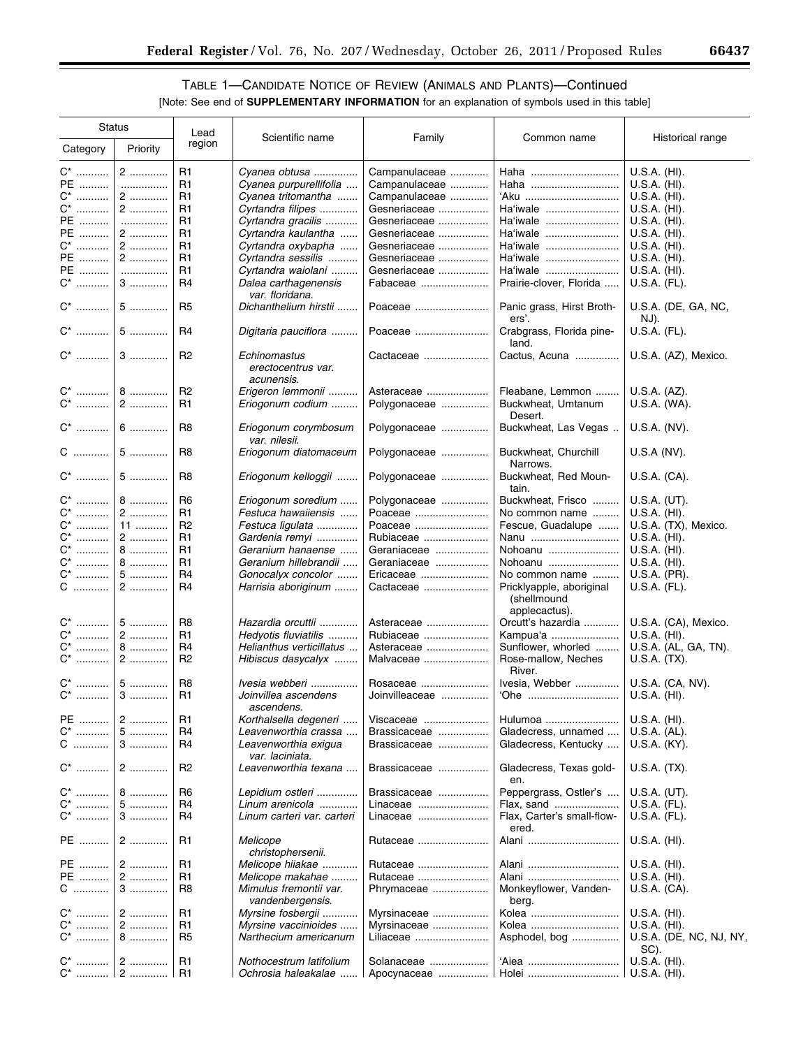▀

# TABLE 1—CANDIDATE NOTICE OF REVIEW (ANIMALS AND PLANTS)—Continued [Note: See end of **SUPPLEMENTARY INFORMATION** for an explanation of symbols used in this table]

| <b>Status</b>      |          | Lead           |                                                  |                |                                         |                                 |
|--------------------|----------|----------------|--------------------------------------------------|----------------|-----------------------------------------|---------------------------------|
| Category           | Priority | region         | Scientific name                                  | Family         | Common name                             | Historical range                |
| $C^*$              | 2        | R1             | Cyanea obtusa                                    | Campanulaceae  | Haha                                    | U.S.A. (HI).                    |
| PE                 | .        | R1             | Cyanea purpurellifolia                           | Campanulaceae  | Haha                                    | $U.S.A.$ (HI).                  |
|                    | 2        | R1             | Cyanea tritomantha                               |                |                                         |                                 |
| $C^*$              |          |                |                                                  | Campanulaceae  | 'Aku                                    | $U.S.A.$ (HI).                  |
| $\mathsf{C}^\star$ | $2$      | R1             | Cyrtandra filipes                                | Gesneriaceae   | Ha'iwale                                | $U.S.A.$ (HI).                  |
| PE                 | .        | R <sub>1</sub> | Cyrtandra gracilis                               | Gesneriaceae   | Ha'iwale                                | $U.S.A.$ (HI).                  |
| PE                 | 2        | R1             | Cyrtandra kaulantha                              | Gesneriaceae   | Ha'iwale                                | $U.S.A.$ (HI).                  |
| $C^*$              | 2        | R1             | Cyrtandra oxybapha                               | Gesneriaceae   | Ha'iwale                                | U.S.A. (HI).                    |
| PE                 | 2        | R1             | Cyrtandra sessilis                               | Gesneriaceae   | Ha'iwale                                | U.S.A. (HI).                    |
|                    |          |                |                                                  |                |                                         |                                 |
| PE                 | .        | R1             | Cyrtandra waiolani                               | Gesneriaceae   | Ha'iwale                                | U.S.A. (HI).                    |
| $\mathrm{C}^*$     | 3        | R <sub>4</sub> | Dalea carthagenensis<br>var. floridana.          | Fabaceae       | Prairie-clover, Florida                 | U.S.A. (FL).                    |
| $C^*$              | 5        | R <sub>5</sub> | Dichanthelium hirstii                            | Poaceae        | Panic grass, Hirst Broth-<br>ers'.      | U.S.A. (DE, GA, NC,<br>NJ).     |
| $C^*$              | 5        | R <sub>4</sub> | Digitaria pauciflora                             | Poaceae        | Crabgrass, Florida pine-<br>land.       | U.S.A. (FL).                    |
| $C^*$              | $3$      | R <sub>2</sub> | Echinomastus<br>erectocentrus var.<br>acunensis. | Cactaceae      | Cactus, Acuna                           | U.S.A. (AZ), Mexico.            |
| C <sup>*</sup>     | 8        | R <sub>2</sub> | Erigeron lemmonii                                | Asteraceae     | Fleabane, Lemmon                        | U.S.A. (AZ).                    |
| $\mathrm{C}^*$     | 2        | R <sub>1</sub> | Eriogonum codium                                 | Polygonaceae   | Buckwheat, Umtanum<br>Desert.           | U.S.A. (WA).                    |
| $\mathrm{C}^*$     | $6$      | R <sub>8</sub> | Eriogonum corymbosum<br>var. nilesii.            | Polygonaceae   | Buckwheat, Las Vegas                    | U.S.A. (NV).                    |
| C                  | $5$      | R <sub>8</sub> | Eriogonum diatomaceum                            | Polygonaceae   | Buckwheat, Churchill<br>Narrows.        | $U.S.A(NV)$ .                   |
| $\mathrm{C}^*$     | 5        | R <sub>8</sub> | Eriogonum kelloggii                              | Polygonaceae   | Buckwheat, Red Moun-<br>tain.           | U.S.A. (CA).                    |
| $C^*$              | 8        | R <sub>6</sub> | Eriogonum soredium                               | Polygonaceae   | Buckwheat, Frisco                       | $U.S.A.$ (UT).                  |
| C*                 | 2        | R1             | Festuca hawaiiensis                              | Poaceae        | No common name                          | U.S.A. (HI).                    |
| $\mathrm{C}^*$     | 11       | R <sub>2</sub> | Festuca ligulata                                 | Poaceae        | Fescue, Guadalupe                       | U.S.A. (TX), Mexico.            |
| $C^*$              | $2$      | R1             |                                                  |                |                                         |                                 |
|                    |          |                | Gardenia remyi                                   | Rubiaceae      | Nanu                                    | $U.S.A.$ (HI).                  |
| $\mathrm{C}^*$     | $8$      | R1             | Geranium hanaense                                | Geraniaceae    | Nohoanu                                 | U.S.A. (HI).                    |
| $\mathrm{C}^*$     | 8        | R1             | Geranium hillebrandii                            | Geraniaceae    | Nohoanu                                 | $U.S.A.$ (HI).                  |
| $C^*$              | 5        | R4             | Gonocalyx concolor                               | Ericaceae      | No common name                          | U.S.A. (PR).                    |
| C                  | 2        | R <sub>4</sub> | Harrisia aboriginum                              | Cactaceae      | Pricklyapple, aboriginal<br>(shellmound | U.S.A. (FL).                    |
|                    |          |                |                                                  |                | applecactus).                           |                                 |
| C <sup>*</sup>     | 5        | R <sub>8</sub> | Hazardia orcuttii                                | Asteraceae     | Orcutt's hazardia                       | U.S.A. (CA), Mexico.            |
| C*                 | 2        | R1             | Hedyotis fluviatilis                             | Rubiaceae      | Kampua'a                                | $U.S.A.$ (HI).                  |
| C*                 | $8$      | R <sub>4</sub> | Helianthus verticillatus                         | Asteraceae     | Sunflower, whorled                      | U.S.A. (AL, GA, TN).            |
| $\mathrm{C}^*$     | 2        | R <sub>2</sub> | Hibiscus dasycalyx                               | Malvaceae      | Rose-mallow, Neches<br>River.           | U.S.A. (TX).                    |
| C*                 | 5        | R <sub>8</sub> | Ivesia webberi                                   | Rosaceae       | Ivesia, Webber                          | U.S.A. (CA, NV).                |
| C*                 | $3$      | R <sub>1</sub> | Joinvillea ascendens                             | Joinvilleaceae | 'Ohe                                    | U.S.A. (HI).                    |
|                    |          |                | ascendens.                                       |                |                                         |                                 |
| PE                 | 2        | R <sub>1</sub> | Korthalsella degeneri                            | Viscaceae      | Hulumoa                                 | U.S.A. (HI).                    |
| $C^*$              | 5        | R4             | Leavenworthia crassa                             | Brassicaceae   | Gladecress, unnamed                     | U.S.A. (AL).                    |
| C                  | $3$      | R4             | Leavenworthia exigua<br>var. laciniata.          | Brassicaceae   | Gladecress, Kentucky                    | U.S.A. (KY).                    |
| $C^*$              | $2$      | R <sub>2</sub> | Leavenworthia texana                             | Brassicaceae   | Gladecress, Texas gold-<br>en.          | U.S.A. (TX).                    |
| C*                 | $8$      | R <sub>6</sub> | Lepidium ostleri                                 | Brassicaceae   | Peppergrass, Ostler's                   | U.S.A. (UT).                    |
| $C^*$              | 5        | R <sub>4</sub> | Linum arenicola                                  | Linaceae       | Flax, sand                              | U.S.A. (FL).                    |
| $\mathsf{C}^\star$ | $3$      | R4             | Linum carteri var. carteri                       | Linaceae       | Flax, Carter's small-flow-<br>ered.     | U.S.A. (FL).                    |
| PE                 | $2$      | R <sub>1</sub> | Melicope<br>christophersenii.                    | Rutaceae       | Alani                                   | $U.S.A.$ (HI).                  |
| PE                 | 2        | R <sub>1</sub> | Melicope hiiakae                                 | Rutaceae       | Alani                                   | $U.S.A.$ (HI).                  |
| PE                 | 2        | R1             | Melicope makahae                                 | Rutaceae       | Alani                                   | U.S.A. (HI).                    |
| C                  | $3$      | R8             | Mimulus fremontii var.<br>vandenbergensis.       | Phrymaceae     | Monkeyflower, Vanden-<br>berg.          | U.S.A. (CA).                    |
| C <sup>*</sup>     | 2        | R1             | Myrsine fosbergii                                | Myrsinaceae    | Kolea                                   | U.S.A. (HI).                    |
|                    |          |                |                                                  |                |                                         |                                 |
| C*                 | 2        | R1             | Myrsine vaccinioides                             | Myrsinaceae    | Kolea                                   | U.S.A. (HI).                    |
| $C^*$              | 8        | R <sub>5</sub> | Narthecium americanum                            | Liliaceae      | Asphodel, bog                           | U.S.A. (DE, NC, NJ, NY,<br>SC). |
|                    |          | R1             | Nothocestrum latifolium                          | Solanaceae     | 'Aiea                                   | U.S.A. (HI).                    |
| C*                 | 2        | R1             | Ochrosia haleakalae                              | Apocynaceae    | Holei                                   | $U.S.A.$ (HI).                  |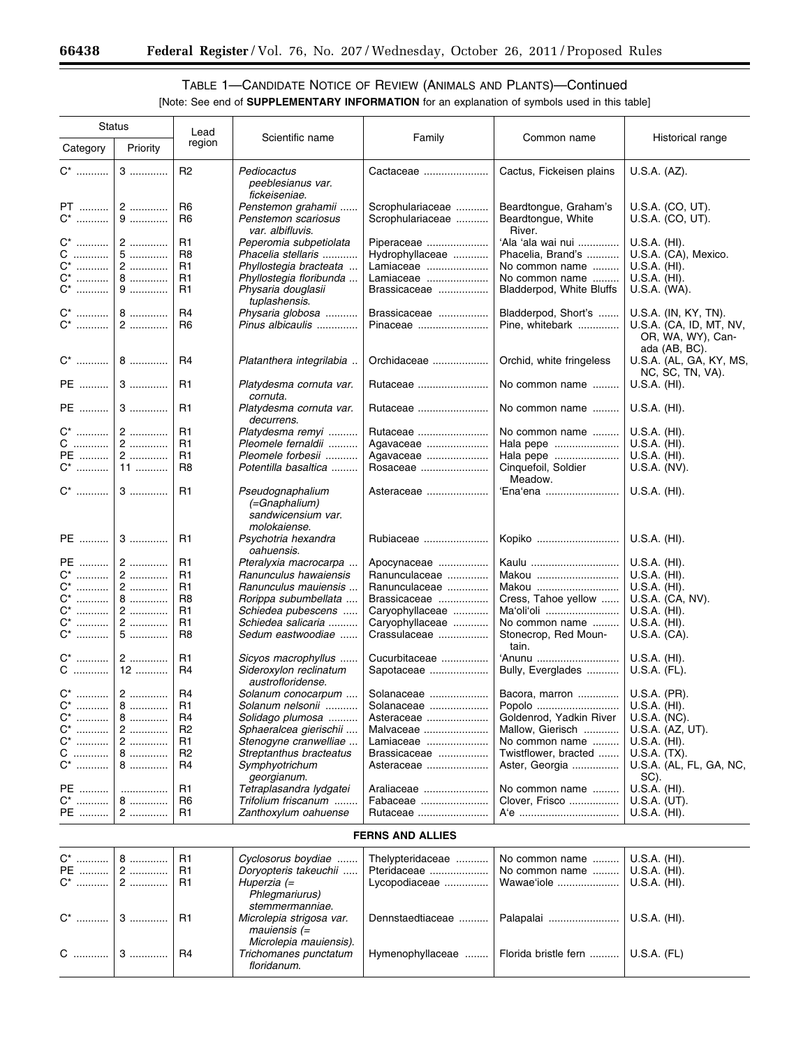-

# TABLE 1—CANDIDATE NOTICE OF REVIEW (ANIMALS AND PLANTS)—Continued

| <b>Status</b>                    |           | Lead                             |                                                         |                                 |                                        |                                          |
|----------------------------------|-----------|----------------------------------|---------------------------------------------------------|---------------------------------|----------------------------------------|------------------------------------------|
| Category                         | Priority  | region                           | Scientific name                                         | Family                          | Common name                            | Historical range                         |
| $C^*$                            | $3$       | R <sub>2</sub>                   | Pediocactus<br>peeblesianus var.<br>fickeiseniae.       | Cactaceae                       | Cactus, Fickeisen plains               | U.S.A. (AZ).                             |
| PT                               | 2         | R <sub>6</sub>                   | Penstemon grahamii                                      | Scrophulariaceae                | Beardtongue, Graham's                  | U.S.A. (CO, UT).                         |
| $C^*$                            | 9         | R <sub>6</sub>                   | Penstemon scariosus                                     | Scrophulariaceae                | Beardtongue, White<br>River.           | U.S.A. (CO, UT).                         |
| $C^*$                            | $2$       | R1                               | var. albifluvis.<br>Peperomia subpetiolata              | Piperaceae                      | 'Ala 'ala wai nui                      | $U.S.A.$ (HI).                           |
| C                                | 5         | R <sub>8</sub>                   | Phacelia stellaris                                      | Hydrophyllaceae                 | Phacelia, Brand's                      | U.S.A. (CA), Mexico.                     |
| $C^*$                            | 2         | R1                               | Phyllostegia bracteata                                  | Lamiaceae                       | No common name                         | U.S.A. (HI).                             |
| $\mathrm{C}^*$                   | 8         | R <sub>1</sub>                   | Phyllostegia floribunda                                 | Lamiaceae                       | No common name                         | $U.S.A.$ (HI).                           |
| $\mathrm{C}^*$                   | 9         | R <sub>1</sub>                   | Physaria douglasii<br>tuplashensis.                     | Brassicaceae                    | Bladderpod, White Bluffs               | U.S.A. (WA).                             |
| $C^*$                            | 8         | R <sub>4</sub>                   | Physaria globosa                                        | Brassicaceae                    | Bladderpod, Short's                    | U.S.A. (IN, KY, TN).                     |
| $C^*$                            | 2         | R <sub>6</sub>                   | Pinus albicaulis                                        | Pinaceae                        | Pine, whitebark                        | U.S.A. (CA, ID, MT, NV,                  |
|                                  |           |                                  |                                                         |                                 |                                        | OR, WA, WY), Can-                        |
|                                  | 8         | R4                               | Platanthera integrilabia                                | Orchidaceae                     | Orchid, white fringeless               | ada (AB, BC).<br>U.S.A. (AL, GA, KY, MS, |
| PE                               | $3$       | R1                               | Platydesma cornuta var.                                 | Rutaceae                        | No common name                         | NC, SC, TN, VA).<br>U.S.A. (HI).         |
|                                  |           |                                  | cornuta.                                                |                                 |                                        |                                          |
| PE                               | $3$       | R1                               | Platydesma cornuta var.<br>decurrens.                   | Rutaceae                        | No common name                         | $U.S.A.$ (HI).                           |
| $C^*$                            | 2         | R1                               | Platydesma remyi                                        | Rutaceae                        | No common name                         | U.S.A. (HI).                             |
| $C$                              | 2         | R <sub>1</sub>                   | Pleomele fernaldii                                      | Agavaceae                       | Hala pepe                              | U.S.A. (HI).                             |
| PE                               | 2         | R <sub>1</sub>                   | Pleomele forbesii                                       | Agavaceae                       | Hala pepe                              | U.S.A. (HI).                             |
| $\mathrm{C}^*$                   | 11        | R <sub>8</sub>                   | Potentilla basaltica                                    | Rosaceae                        | Cinquefoil, Soldier<br>Meadow.         | U.S.A. (NV).                             |
| $C^*$                            | $3$       | R1                               | Pseudognaphalium<br>(=Gnaphalium)<br>sandwicensium var. | Asteraceae                      | 'Ena'ena                               | U.S.A. (HI).                             |
|                                  |           |                                  | molokaiense.                                            |                                 |                                        |                                          |
| PE                               | $3$       | R <sub>1</sub>                   | Psychotria hexandra<br>oahuensis.                       | Rubiaceae                       | Kopiko                                 | $U.S.A.$ (HI).                           |
| PE                               | 2         | R1                               | Pteralyxia macrocarpa                                   | Apocynaceae                     | Kaulu                                  | $U.S.A.$ (HI).                           |
| $C^*$                            | 2         | R1                               | Ranunculus hawaiensis                                   | Ranunculaceae                   | Makou                                  | U.S.A. (HI).                             |
| $\mathrm{C}^*$                   | $2$       | R1                               | Ranunculus mauiensis                                    | Ranunculaceae                   | Makou                                  | $U.S.A.$ (HI).                           |
| $C^*$                            | 8         | R <sub>8</sub>                   | Rorippa subumbellata                                    | Brassicaceae                    | Cress, Tahoe yellow                    | U.S.A. (CA, NV).                         |
| $\mathrm{C}^*$                   | $2$       | R1                               | Schiedea pubescens                                      | Caryophyllaceae                 | Ma'oli'oli                             | U.S.A. (HI).                             |
| $\mathrm{C}^*$<br>$\mathrm{C}^*$ | 2<br>5    | R <sub>1</sub><br>R <sub>8</sub> | Schiedea salicaria<br>Sedum eastwoodiae                 | Caryophyllaceae<br>Crassulaceae | No common name                         | U.S.A. (HI).                             |
|                                  |           |                                  |                                                         |                                 | Stonecrop, Red Moun-<br>tain.          | U.S.A. (CA).                             |
| C*<br>$\mathbf C$                | 2<br>$12$ | R1<br>R <sub>4</sub>             | Sicyos macrophyllus<br>Sideroxylon reclinatum           | Cucurbitaceae<br>Sapotaceae     | 'Anunu<br>Bully, Everglades            | $U.S.A.$ (HI).<br>U.S.A. (FL).           |
|                                  |           |                                  | austrofloridense.                                       |                                 |                                        |                                          |
| C*                               | 2         | R4                               | Solanum conocarpum                                      | Solanaceae                      | Bacora, marron                         | U.S.A. (PR).                             |
| $C^*$<br>.                       | $8$       | R1                               | Solanum nelsonii                                        | Solanaceae                      | Popolo                                 | U.S.A. (HI).                             |
| C*                               | $8$       | R <sub>4</sub>                   | Solidago plumosa                                        | Asteraceae                      | Goldenrod, Yadkin River                | U.S.A. (NC).                             |
| $\mathrm{C}^*$<br>$\mathrm{C}^*$ | 2<br>$2$  | R <sub>2</sub><br>R <sub>1</sub> | Sphaeralcea gierischii<br>Stenogyne cranwelliae         | Malvaceae<br>Lamiaceae          | Mallow, Gierisch                       | U.S.A. (AZ, UT).<br>$U.S.A.$ (HI).       |
| $C$                              | 8         | R <sub>2</sub>                   | Streptanthus bracteatus                                 |                                 | No common name                         |                                          |
| $C^*$                            | 8         | R4                               | Symphyotrichum                                          | Brassicaceae<br>Asteraceae      | Twistflower, bracted<br>Aster, Georgia | U.S.A. (TX).<br>U.S.A. (AL, FL, GA, NC,  |
|                                  |           |                                  | georgianum.                                             |                                 |                                        | SC).                                     |
| PE                               | .         | R <sub>1</sub>                   | Tetraplasandra lydgatei                                 | Araliaceae                      | No common name                         | $U.S.A.$ (HI).                           |
| $C^*$                            | 8         | R <sub>6</sub><br>R <sub>1</sub> | Trifolium friscanum                                     | Fabaceae                        | Clover, Frisco                         | U.S.A. (UT).                             |
| PE                               | $2$       |                                  | Zanthoxylum oahuense                                    | Rutaceae                        | A'e                                    | U.S.A. (HI).                             |
|                                  |           |                                  |                                                         | <b>FERNS AND ALLIES</b>         |                                        |                                          |
|                                  | 8         | R <sub>1</sub>                   | Cyclosorus boydiae                                      | Thelypteridaceae                | No common name                         | $U.S.A.$ (HI).                           |
| PE                               | 2         | R <sub>1</sub>                   | Doryopteris takeuchii                                   | Pteridaceae                     | No common name                         | $U.S.A.$ (HI).                           |
| C <sup>*</sup>                   | $2$       | R <sub>1</sub>                   | Huperzia (=<br>Phlegmariurus)                           | Lycopodiaceae                   | Wawae'iole                             | U.S.A. (HI).                             |
|                                  |           |                                  | stemmermanniae.                                         |                                 |                                        |                                          |
| $C^*$                            | $3$       | R1                               | Microlepia strigosa var.<br>$mauiensis (=$              | Dennstaedtiaceae                | Palapalai                              | $U.S.A.$ (HI).                           |
|                                  |           |                                  | Microlepia mauiensis).                                  |                                 |                                        |                                          |
| C                                | $3$       | R4                               | Trichomanes punctatum<br>floridanum.                    | Hymenophyllaceae                | Florida bristle fern                   | $U.S.A.$ ( $FL$ )                        |